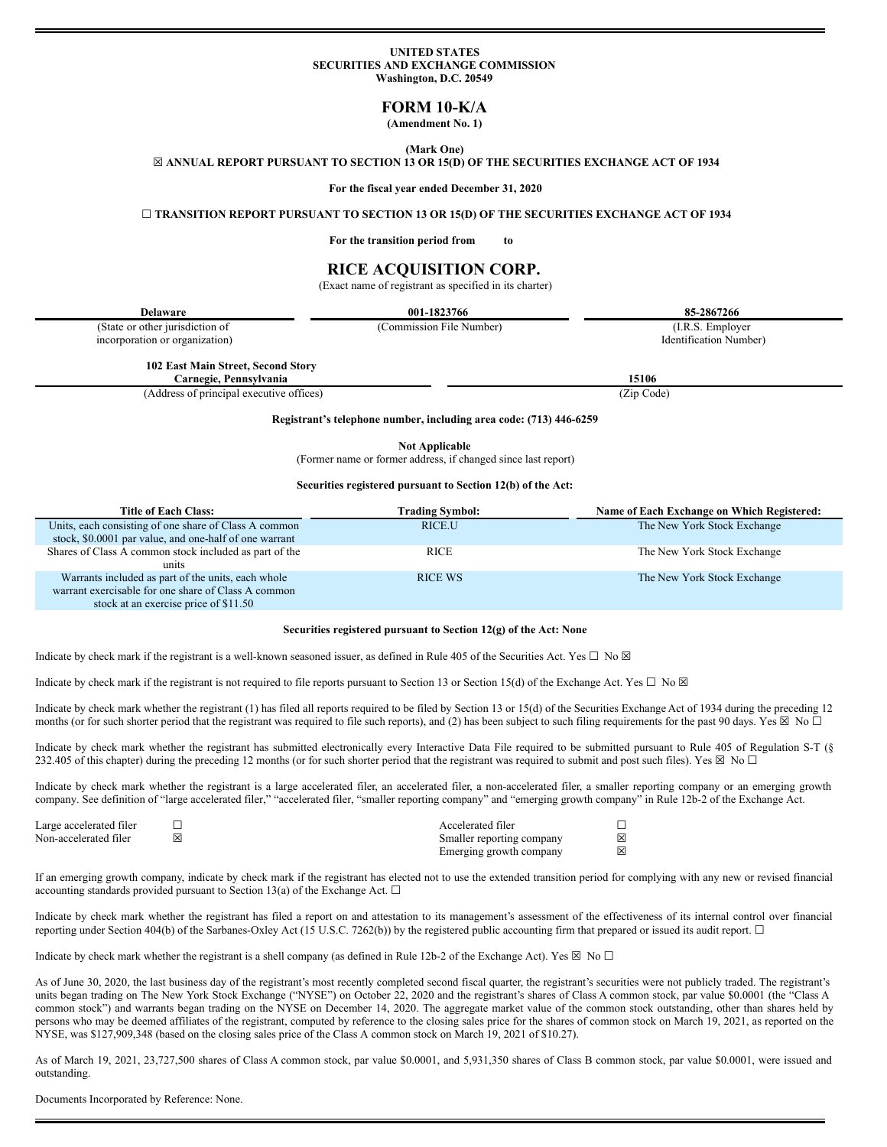### **UNITED STATES SECURITIES AND EXCHANGE COMMISSION Washington, D.C. 20549**

# **FORM 10-K/A**

**(Amendment No. 1)**

**(Mark One)**

☒ **ANNUAL REPORT PURSUANT TO SECTION 13 OR 15(D) OF THE SECURITIES EXCHANGE ACT OF 1934**

**For the fiscal year ended December 31, 2020**

☐ **TRANSITION REPORT PURSUANT TO SECTION 13 OR 15(D) OF THE SECURITIES EXCHANGE ACT OF 1934**

**For the transition period from to**

# **RICE ACQUISITION CORP.**

(Exact name of registrant as specified in its charter)

| <b>Delaware</b>                                              | 001-1823766              | 85-2867266             |  |
|--------------------------------------------------------------|--------------------------|------------------------|--|
| (State or other jurisdiction of                              | (Commission File Number) | (I.R.S. Employer)      |  |
| incorporation or organization)                               |                          | Identification Number) |  |
| 102 East Main Street, Second Story<br>Carnegie, Pennsylvania |                          | 15106                  |  |
|                                                              |                          |                        |  |
| (Address of principal executive offices)                     |                          | (Zin Code)             |  |

**Registrant's telephone number, including area code: (713) 446-6259**

**Not Applicable**

(Former name or former address, if changed since last report)

## **Securities registered pursuant to Section 12(b) of the Act:**

| <b>Title of Each Class:</b>                                                                                                                        | <b>Trading Symbol:</b> | Name of Each Exchange on Which Registered: |
|----------------------------------------------------------------------------------------------------------------------------------------------------|------------------------|--------------------------------------------|
| Units, each consisting of one share of Class A common                                                                                              | RICE.U                 | The New York Stock Exchange                |
| stock, \$0.0001 par value, and one-half of one warrant                                                                                             |                        |                                            |
| Shares of Class A common stock included as part of the<br>units                                                                                    | <b>RICE</b>            | The New York Stock Exchange                |
| Warrants included as part of the units, each whole<br>warrant exercisable for one share of Class A common<br>stock at an exercise price of \$11.50 | RICE WS                | The New York Stock Exchange                |

## **Securities registered pursuant to Section 12(g) of the Act: None**

Indicate by check mark if the registrant is a well-known seasoned issuer, as defined in Rule 405 of the Securities Act. Yes  $\Box$  No  $\boxtimes$ 

Indicate by check mark if the registrant is not required to file reports pursuant to Section 13 or Section 15(d) of the Exchange Act. Yes  $\square$  No  $\boxtimes$ 

Indicate by check mark whether the registrant (1) has filed all reports required to be filed by Section 13 or 15(d) of the Securities Exchange Act of 1934 during the preceding 12 months (or for such shorter period that the registrant was required to file such reports), and (2) has been subject to such filing requirements for the past 90 days. Yes  $\boxtimes$  No  $\Box$ 

Indicate by check mark whether the registrant has submitted electronically every Interactive Data File required to be submitted pursuant to Rule 405 of Regulation S-T (§ 232.405 of this chapter) during the preceding 12 months (or for such shorter period that the registrant was required to submit and post such files). Yes  $\boxtimes$  No  $\Box$ 

Indicate by check mark whether the registrant is a large accelerated filer, an accelerated filer, a non-accelerated filer, a smaller reporting company or an emerging growth company. See definition of "large accelerated filer," "accelerated filer, "smaller reporting company" and "emerging growth company" in Rule 12b-2 of the Exchange Act.

| Large accelerated filer |   | Accelerated filer         |   |
|-------------------------|---|---------------------------|---|
| Non-accelerated filer   | × | Smaller reporting company | ⊠ |
|                         |   | Emerging growth company   | ⊠ |

If an emerging growth company, indicate by check mark if the registrant has elected not to use the extended transition period for complying with any new or revised financial accounting standards provided pursuant to Section 13(a) of the Exchange Act.  $\Box$ 

Indicate by check mark whether the registrant has filed a report on and attestation to its management's assessment of the effectiveness of its internal control over financial reporting under Section 404(b) of the Sarbanes-Oxley Act (15 U.S.C. 7262(b)) by the registered public accounting firm that prepared or issued its audit report. ☐

Indicate by check mark whether the registrant is a shell company (as defined in Rule 12b-2 of the Exchange Act). Yes  $\boxtimes$  No  $\Box$ 

As of June 30, 2020, the last business day of the registrant's most recently completed second fiscal quarter, the registrant's securities were not publicly traded. The registrant's units began trading on The New York Stock Exchange ("NYSE") on October 22, 2020 and the registrant's shares of Class A common stock, par value \$0.0001 (the "Class A common stock") and warrants began trading on the NYSE on December 14, 2020. The aggregate market value of the common stock outstanding, other than shares held by persons who may be deemed affiliates of the registrant, computed by reference to the closing sales price for the shares of common stock on March 19, 2021, as reported on the NYSE, was \$127,909,348 (based on the closing sales price of the Class A common stock on March 19, 2021 of \$10.27).

As of March 19, 2021, 23,727,500 shares of Class A common stock, par value \$0.0001, and 5,931,350 shares of Class B common stock, par value \$0.0001, were issued and outstanding.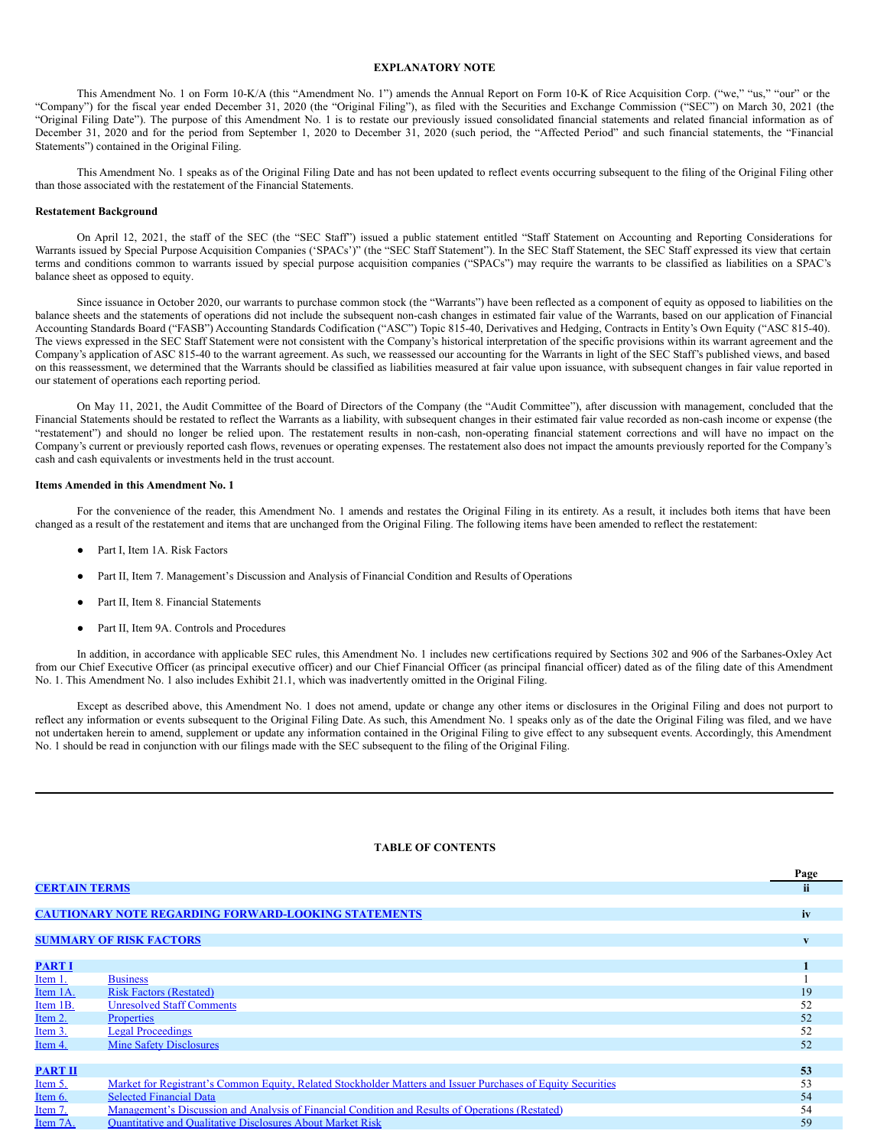#### **EXPLANATORY NOTE**

This Amendment No. 1 on Form 10-K/A (this "Amendment No. 1") amends the Annual Report on Form 10-K of Rice Acquisition Corp. ("we," "us," "our" or the "Company") for the fiscal year ended December 31, 2020 (the "Original Filing"), as filed with the Securities and Exchange Commission ("SEC") on March 30, 2021 (the "Original Filing Date"). The purpose of this Amendment No. 1 is to restate our previously issued consolidated financial statements and related financial information as of December 31, 2020 and for the period from September 1, 2020 to December 31, 2020 (such period, the "Affected Period" and such financial statements, the "Financial Statements") contained in the Original Filing.

This Amendment No. 1 speaks as of the Original Filing Date and has not been updated to reflect events occurring subsequent to the filing of the Original Filing other than those associated with the restatement of the Financial Statements.

#### **Restatement Background**

On April 12, 2021, the staff of the SEC (the "SEC Staff") issued a public statement entitled "Staff Statement on Accounting and Reporting Considerations for Warrants issued by Special Purpose Acquisition Companies ('SPACs')" (the "SEC Staff Statement"). In the SEC Staff Statement, the SEC Staff expressed its view that certain terms and conditions common to warrants issued by special purpose acquisition companies ("SPACs") may require the warrants to be classified as liabilities on a SPAC's balance sheet as opposed to equity.

Since issuance in October 2020, our warrants to purchase common stock (the "Warrants") have been reflected as a component of equity as opposed to liabilities on the balance sheets and the statements of operations did not include the subsequent non-cash changes in estimated fair value of the Warrants, based on our application of Financial Accounting Standards Board ("FASB") Accounting Standards Codification ("ASC") Topic 815-40, Derivatives and Hedging, Contracts in Entity's Own Equity ("ASC 815-40). The views expressed in the SEC Staff Statement were not consistent with the Company's historical interpretation of the specific provisions within its warrant agreement and the Company's application of ASC 815-40 to the warrant agreement. As such, we reassessed our accounting for the Warrants in light of the SEC Staff's published views, and based on this reassessment, we determined that the Warrants should be classified as liabilities measured at fair value upon issuance, with subsequent changes in fair value reported in our statement of operations each reporting period.

On May 11, 2021, the Audit Committee of the Board of Directors of the Company (the "Audit Committee"), after discussion with management, concluded that the Financial Statements should be restated to reflect the Warrants as a liability, with subsequent changes in their estimated fair value recorded as non-cash income or expense (the "restatement") and should no longer be relied upon. The restatement results in non-cash, non-operating financial statement corrections and will have no impact on the Company's current or previously reported cash flows, revenues or operating expenses. The restatement also does not impact the amounts previously reported for the Company's cash and cash equivalents or investments held in the trust account.

### **Items Amended in this Amendment No. 1**

For the convenience of the reader, this Amendment No. 1 amends and restates the Original Filing in its entirety. As a result, it includes both items that have been changed as a result of the restatement and items that are unchanged from the Original Filing. The following items have been amended to reflect the restatement:

- Part I, Item 1A. Risk Factors
- Part II, Item 7. Management's Discussion and Analysis of Financial Condition and Results of Operations
- Part II, Item 8. Financial Statements
- Part II, Item 9A. Controls and Procedures

In addition, in accordance with applicable SEC rules, this Amendment No. 1 includes new certifications required by Sections 302 and 906 of the Sarbanes-Oxley Act from our Chief Executive Officer (as principal executive officer) and our Chief Financial Officer (as principal financial officer) dated as of the filing date of this Amendment No. 1. This Amendment No. 1 also includes Exhibit 21.1, which was inadvertently omitted in the Original Filing.

Except as described above, this Amendment No. 1 does not amend, update or change any other items or disclosures in the Original Filing and does not purport to reflect any information or events subsequent to the Original Filing Date. As such, this Amendment No. 1 speaks only as of the date the Original Filing was filed, and we have not undertaken herein to amend, supplement or update any information contained in the Original Filing to give effect to any subsequent events. Accordingly, this Amendment No. 1 should be read in conjunction with our filings made with the SEC subsequent to the filing of the Original Filing.

### **TABLE OF CONTENTS**

|                      |                                                                                                              | Page         |
|----------------------|--------------------------------------------------------------------------------------------------------------|--------------|
| <b>CERTAIN TERMS</b> |                                                                                                              | ii           |
|                      |                                                                                                              |              |
|                      | <b>CAUTIONARY NOTE REGARDING FORWARD-LOOKING STATEMENTS</b>                                                  | iv           |
|                      |                                                                                                              |              |
|                      | <b>SUMMARY OF RISK FACTORS</b>                                                                               | $\mathbf{v}$ |
|                      |                                                                                                              |              |
| <b>PART I</b>        |                                                                                                              |              |
| Item 1.              | <b>Business</b>                                                                                              |              |
| Item 1A.             | <b>Risk Factors (Restated)</b>                                                                               | 19           |
| Item 1B.             | <b>Unresolved Staff Comments</b>                                                                             | 52           |
| Item 2.              | <b>Properties</b>                                                                                            | 52           |
| Item 3.              | <b>Legal Proceedings</b>                                                                                     | 52           |
| Item 4.              | <b>Mine Safety Disclosures</b>                                                                               | 52           |
|                      |                                                                                                              |              |
| <b>PART II</b>       |                                                                                                              | 53           |
| Item 5.              | Market for Registrant's Common Equity, Related Stockholder Matters and Issuer Purchases of Equity Securities | 53           |
| Item 6.              | <b>Selected Financial Data</b>                                                                               | 54           |
| Item 7.              | Management's Discussion and Analysis of Financial Condition and Results of Operations (Restated)             | 54           |
| Item 7A.             | <b>Quantitative and Qualitative Disclosures About Market Risk</b>                                            | 59           |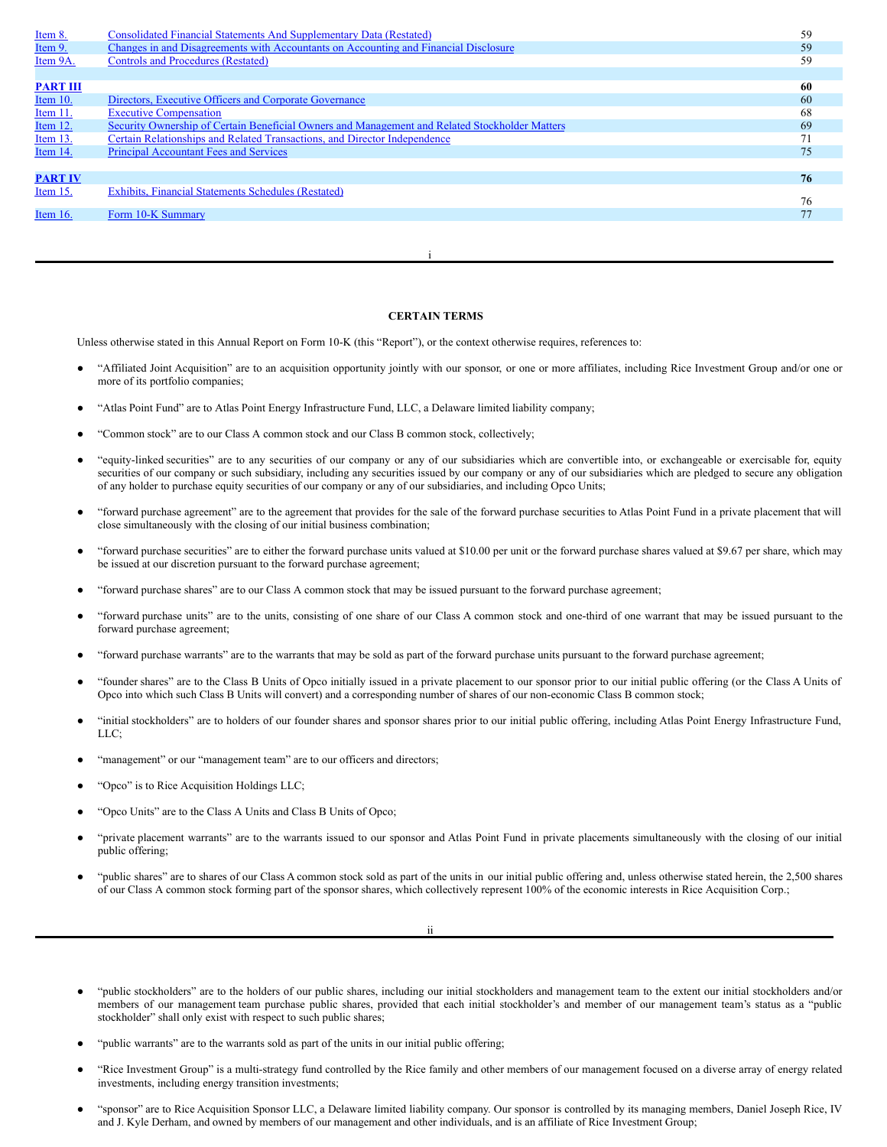| Item 8.         | <b>Consolidated Financial Statements And Supplementary Data (Restated)</b>                     | 59  |
|-----------------|------------------------------------------------------------------------------------------------|-----|
| Item 9.         | Changes in and Disagreements with Accountants on Accounting and Financial Disclosure           | 59  |
| Item 9A.        | <b>Controls and Procedures (Restated)</b>                                                      | 59  |
|                 |                                                                                                |     |
| <b>PART III</b> |                                                                                                | -60 |
| Item 10.        | Directors, Executive Officers and Corporate Governance                                         | 60  |
| Item 11.        | <b>Executive Compensation</b>                                                                  | 68  |
| <b>Item 12.</b> | Security Ownership of Certain Beneficial Owners and Management and Related Stockholder Matters | 69  |
| Item 13.        | Certain Relationships and Related Transactions, and Director Independence                      |     |
| Item 14.        | <b>Principal Accountant Fees and Services</b>                                                  | 75  |
|                 |                                                                                                |     |
| <b>PART IV</b>  |                                                                                                | 76  |
| Item 15.        | Exhibits, Financial Statements Schedules (Restated)                                            |     |
|                 |                                                                                                | 76  |
| Item $16$ .     | Form 10-K Summary                                                                              |     |
|                 |                                                                                                |     |

## <span id="page-3-0"></span>**CERTAIN TERMS**

i

Unless otherwise stated in this Annual Report on Form 10-K (this "Report"), or the context otherwise requires, references to:

- "Affiliated Joint Acquisition" are to an acquisition opportunity jointly with our sponsor, or one or more affiliates, including Rice Investment Group and/or one or more of its portfolio companies;
- "Atlas Point Fund" are to Atlas Point Energy Infrastructure Fund, LLC, a Delaware limited liability company;
- "Common stock" are to our Class A common stock and our Class B common stock, collectively;
- "equity-linked securities" are to any securities of our company or any of our subsidiaries which are convertible into, or exchangeable or exercisable for, equity securities of our company or such subsidiary, including any securities issued by our company or any of our subsidiaries which are pledged to secure any obligation of any holder to purchase equity securities of our company or any of our subsidiaries, and including Opco Units;
- "forward purchase agreement" are to the agreement that provides for the sale of the forward purchase securities to Atlas Point Fund in a private placement that will close simultaneously with the closing of our initial business combination;
- "forward purchase securities" are to either the forward purchase units valued at \$10.00 per unit or the forward purchase shares valued at \$9.67 per share, which may be issued at our discretion pursuant to the forward purchase agreement;
- "forward purchase shares" are to our Class A common stock that may be issued pursuant to the forward purchase agreement;
- "forward purchase units" are to the units, consisting of one share of our Class A common stock and one-third of one warrant that may be issued pursuant to the forward purchase agreement;
- "forward purchase warrants" are to the warrants that may be sold as part of the forward purchase units pursuant to the forward purchase agreement;
- "founder shares" are to the Class B Units of Opco initially issued in a private placement to our sponsor prior to our initial public offering (or the Class A Units of Opco into which such Class B Units will convert) and a corresponding number of shares of our non-economic Class B common stock;
- "initial stockholders" are to holders of our founder shares and sponsor shares prior to our initial public offering, including Atlas Point Energy Infrastructure Fund, LLC;
- "management" or our "management team" are to our officers and directors;
- "Opco" is to Rice Acquisition Holdings LLC;
- "Opco Units" are to the Class A Units and Class B Units of Opco;
- "private placement warrants" are to the warrants issued to our sponsor and Atlas Point Fund in private placements simultaneously with the closing of our initial public offering;
- "public shares" are to shares of our Class A common stock sold as part of the units in our initial public offering and, unless otherwise stated herein, the 2,500 shares of our Class A common stock forming part of the sponsor shares, which collectively represent 100% of the economic interests in Rice Acquisition Corp.;

- "public stockholders" are to the holders of our public shares, including our initial stockholders and management team to the extent our initial stockholders and/or members of our management team purchase public shares, provided that each initial stockholder's and member of our management team's status as a "public stockholder" shall only exist with respect to such public shares;
- "public warrants" are to the warrants sold as part of the units in our initial public offering;
- "Rice Investment Group" is a multi-strategy fund controlled by the Rice family and other members of our management focused on a diverse array of energy related investments, including energy transition investments;
- "sponsor" are to Rice Acquisition Sponsor LLC, a Delaware limited liability company. Our sponsor is controlled by its managing members, Daniel Joseph Rice, IV and J. Kyle Derham, and owned by members of our management and other individuals, and is an affiliate of Rice Investment Group;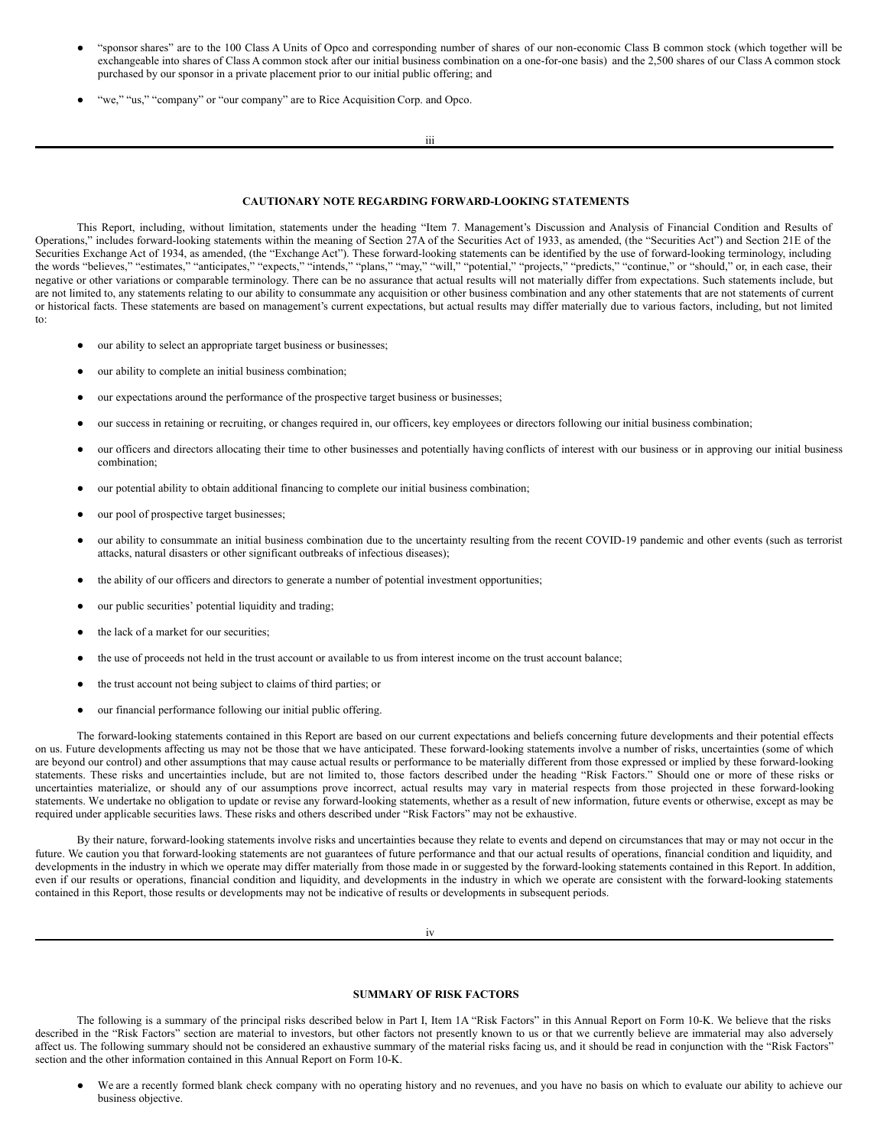- "sponsor shares" are to the 100 Class A Units of Opco and corresponding number of shares of our non-economic Class B common stock (which together will be exchangeable into shares of Class A common stock after our initial business combination on a one-for-one basis) and the 2,500 shares of our Class A common stock purchased by our sponsor in a private placement prior to our initial public offering; and
- "we," "us," "company" or "our company" are to Rice Acquisition Corp. and Opco.

iii

## <span id="page-4-0"></span>**CAUTIONARY NOTE REGARDING FORWARD-LOOKING STATEMENTS**

This Report, including, without limitation, statements under the heading "Item 7. Management's Discussion and Analysis of Financial Condition and Results of Operations," includes forward-looking statements within the meaning of Section 27A of the Securities Act of 1933, as amended, (the "Securities Act") and Section 21E of the Securities Exchange Act of 1934, as amended, (the "Exchange Act"). These forward-looking statements can be identified by the use of forward-looking terminology, including the words "believes," "estimates," "anticipates," "expects," "intends," "plans," "may," "will," "potential," "projects," "predicts," "continue," or "should," or, in each case, their negative or other variations or comparable terminology. There can be no assurance that actual results will not materially differ from expectations. Such statements include, but are not limited to, any statements relating to our ability to consummate any acquisition or other business combination and any other statements that are not statements of current or historical facts. These statements are based on management's current expectations, but actual results may differ materially due to various factors, including, but not limited to:

- our ability to select an appropriate target business or businesses;
- our ability to complete an initial business combination;
- our expectations around the performance of the prospective target business or businesses;
- our success in retaining or recruiting, or changes required in, our officers, key employees or directors following our initial business combination;
- our officers and directors allocating their time to other businesses and potentially having conflicts of interest with our business or in approving our initial business combination;
- our potential ability to obtain additional financing to complete our initial business combination;
- our pool of prospective target businesses;
- our ability to consummate an initial business combination due to the uncertainty resulting from the recent COVID-19 pandemic and other events (such as terrorist attacks, natural disasters or other significant outbreaks of infectious diseases);
- the ability of our officers and directors to generate a number of potential investment opportunities;
- our public securities' potential liquidity and trading;
- the lack of a market for our securities;
- the use of proceeds not held in the trust account or available to us from interest income on the trust account balance;
- the trust account not being subject to claims of third parties; or
- our financial performance following our initial public offering.

The forward-looking statements contained in this Report are based on our current expectations and beliefs concerning future developments and their potential effects on us. Future developments affecting us may not be those that we have anticipated. These forward-looking statements involve a number of risks, uncertainties (some of which are beyond our control) and other assumptions that may cause actual results or performance to be materially different from those expressed or implied by these forward-looking statements. These risks and uncertainties include, but are not limited to, those factors described under the heading "Risk Factors." Should one or more of these risks or uncertainties materialize, or should any of our assumptions prove incorrect, actual results may vary in material respects from those projected in these forward-looking statements. We undertake no obligation to update or revise any forward-looking statements, whether as a result of new information, future events or otherwise, except as may be required under applicable securities laws. These risks and others described under "Risk Factors" may not be exhaustive.

By their nature, forward-looking statements involve risks and uncertainties because they relate to events and depend on circumstances that may or may not occur in the future. We caution you that forward-looking statements are not guarantees of future performance and that our actual results of operations, financial condition and liquidity, and developments in the industry in which we operate may differ materially from those made in or suggested by the forward-looking statements contained in this Report. In addition, even if our results or operations, financial condition and liquidity, and developments in the industry in which we operate are consistent with the forward-looking statements contained in this Report, those results or developments may not be indicative of results or developments in subsequent periods.

iv

## <span id="page-4-1"></span>**SUMMARY OF RISK FACTORS**

The following is a summary of the principal risks described below in Part I, Item 1A "Risk Factors" in this Annual Report on Form 10-K. We believe that the risks described in the "Risk Factors" section are material to investors, but other factors not presently known to us or that we currently believe are immaterial may also adversely affect us. The following summary should not be considered an exhaustive summary of the material risks facing us, and it should be read in conjunction with the "Risk Factors" section and the other information contained in this Annual Report on Form 10-K.

We are a recently formed blank check company with no operating history and no revenues, and you have no basis on which to evaluate our ability to achieve our business objective.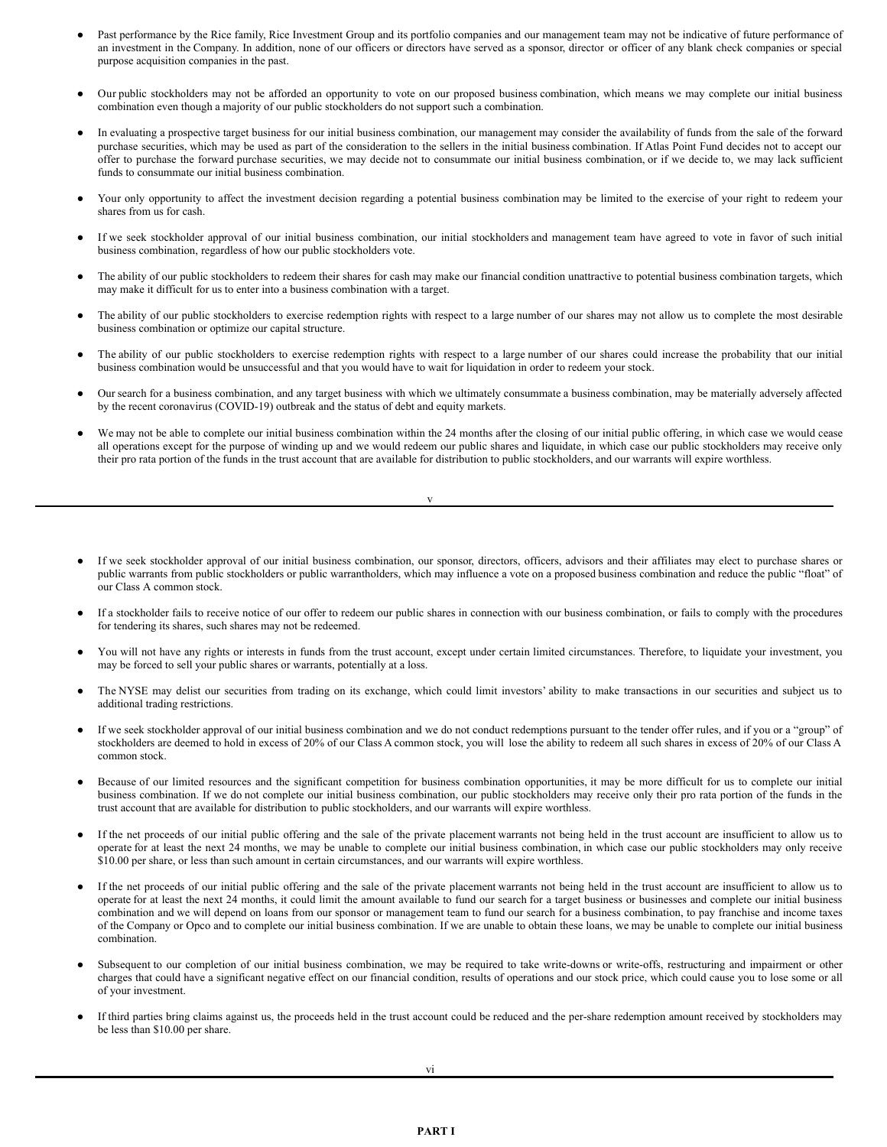- Past performance by the Rice family, Rice Investment Group and its portfolio companies and our management team may not be indicative of future performance of an investment in the Company. In addition, none of our officers or directors have served as a sponsor, director or officer of any blank check companies or special purpose acquisition companies in the past.
- Our public stockholders may not be afforded an opportunity to vote on our proposed business combination, which means we may complete our initial business combination even though a majority of our public stockholders do not support such a combination.
- In evaluating a prospective target business for our initial business combination, our management may consider the availability of funds from the sale of the forward purchase securities, which may be used as part of the consideration to the sellers in the initial business combination. If Atlas Point Fund decides not to accept our offer to purchase the forward purchase securities, we may decide not to consummate our initial business combination, or if we decide to, we may lack sufficient funds to consummate our initial business combination.
- Your only opportunity to affect the investment decision regarding a potential business combination may be limited to the exercise of your right to redeem your shares from us for cash.
- If we seek stockholder approval of our initial business combination, our initial stockholders and management team have agreed to vote in favor of such initial business combination, regardless of how our public stockholders vote.
- The ability of our public stockholders to redeem their shares for cash may make our financial condition unattractive to potential business combination targets, which may make it difficult for us to enter into a business combination with a target.
- The ability of our public stockholders to exercise redemption rights with respect to a large number of our shares may not allow us to complete the most desirable business combination or optimize our capital structure.
- The ability of our public stockholders to exercise redemption rights with respect to a large number of our shares could increase the probability that our initial business combination would be unsuccessful and that you would have to wait for liquidation in order to redeem your stock.
- Our search for a business combination, and any target business with which we ultimately consummate a business combination, may be materially adversely affected by the recent coronavirus (COVID-19) outbreak and the status of debt and equity markets.
- We may not be able to complete our initial business combination within the 24 months after the closing of our initial public offering, in which case we would cease all operations except for the purpose of winding up and we would redeem our public shares and liquidate, in which case our public stockholders may receive only their pro rata portion of the funds in the trust account that are available for distribution to public stockholders, and our warrants will expire worthless.

- If we seek stockholder approval of our initial business combination, our sponsor, directors, officers, advisors and their affiliates may elect to purchase shares or public warrants from public stockholders or public warrantholders, which may influence a vote on a proposed business combination and reduce the public "float" of our Class A common stock.
- If a stockholder fails to receive notice of our offer to redeem our public shares in connection with our business combination, or fails to comply with the procedures for tendering its shares, such shares may not be redeemed.
- You will not have any rights or interests in funds from the trust account, except under certain limited circumstances. Therefore, to liquidate your investment, you may be forced to sell your public shares or warrants, potentially at a loss.
- The NYSE may delist our securities from trading on its exchange, which could limit investors' ability to make transactions in our securities and subject us to additional trading restrictions.
- If we seek stockholder approval of our initial business combination and we do not conduct redemptions pursuant to the tender offer rules, and if you or a "group" of stockholders are deemed to hold in excess of 20% of our Class A common stock, you will lose the ability to redeem all such shares in excess of 20% of our Class A common stock.
- Because of our limited resources and the significant competition for business combination opportunities, it may be more difficult for us to complete our initial business combination. If we do not complete our initial business combination, our public stockholders may receive only their pro rata portion of the funds in the trust account that are available for distribution to public stockholders, and our warrants will expire worthless.
- If the net proceeds of our initial public offering and the sale of the private placement warrants not being held in the trust account are insufficient to allow us to operate for at least the next 24 months, we may be unable to complete our initial business combination, in which case our public stockholders may only receive \$10.00 per share, or less than such amount in certain circumstances, and our warrants will expire worthless.
- If the net proceeds of our initial public offering and the sale of the private placement warrants not being held in the trust account are insufficient to allow us to operate for at least the next 24 months, it could limit the amount available to fund our search for a target business or businesses and complete our initial business combination and we will depend on loans from our sponsor or management team to fund our search for a business combination, to pay franchise and income taxes of the Company or Opco and to complete our initial business combination. If we are unable to obtain these loans, we may be unable to complete our initial business combination.
- Subsequent to our completion of our initial business combination, we may be required to take write-downs or write-offs, restructuring and impairment or other charges that could have a significant negative effect on our financial condition, results of operations and our stock price, which could cause you to lose some or all of your investment.
- <span id="page-5-0"></span>If third parties bring claims against us, the proceeds held in the trust account could be reduced and the per-share redemption amount received by stockholders may be less than \$10.00 per share.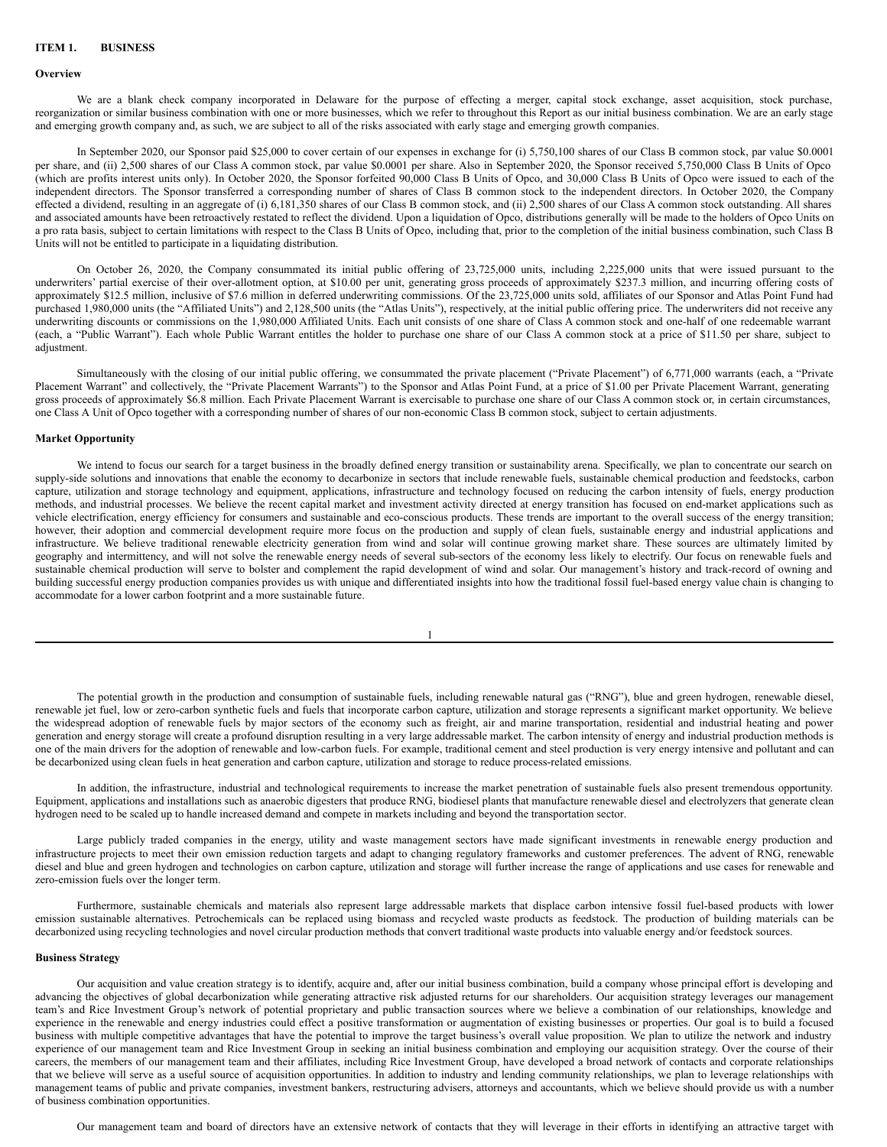### <span id="page-6-0"></span>**ITEM 1. BUSINESS**

#### **Overview**

We are a blank check company incorporated in Delaware for the purpose of effecting a merger, capital stock exchange, asset acquisition, stock purchase, reorganization or similar business combination with one or more businesses, which we refer to throughout this Report as our initial business combination. We are an early stage and emerging growth company and, as such, we are subject to all of the risks associated with early stage and emerging growth companies.

In September 2020, our Sponsor paid \$25,000 to cover certain of our expenses in exchange for (i) 5,750,100 shares of our Class B common stock, par value \$0.0001 per share, and (ii) 2,500 shares of our Class A common stock, par value \$0.0001 per share. Also in September 2020, the Sponsor received 5,750,000 Class B Units of Opco (which are profits interest units only). In October 2020, the Sponsor forfeited 90,000 Class B Units of Opco, and 30,000 Class B Units of Opco were issued to each of the independent directors. The Sponsor transferred a corresponding number of shares of Class B common stock to the independent directors. In October 2020, the Company effected a dividend, resulting in an aggregate of (i) 6,181,350 shares of our Class B common stock, and (ii) 2,500 shares of our Class A common stock outstanding. All shares and associated amounts have been retroactively restated to reflect the dividend. Upon a liquidation of Opco, distributions generally will be made to the holders of Opco Units on a pro rata basis, subject to certain limitations with respect to the Class B Units of Opco, including that, prior to the completion of the initial business combination, such Class B Units will not be entitled to participate in a liquidating distribution.

On October 26, 2020, the Company consummated its initial public offering of 23,725,000 units, including 2,225,000 units that were issued pursuant to the underwriters' partial exercise of their over-allotment option, at \$10.00 per unit, generating gross proceeds of approximately \$237.3 million, and incurring offering costs of approximately \$12.5 million, inclusive of \$7.6 million in deferred underwriting commissions. Of the 23,725,000 units sold, affiliates of our Sponsor and Atlas Point Fund had purchased 1,980,000 units (the "Affiliated Units") and 2,128,500 units (the "Atlas Units"), respectively, at the initial public offering price. The underwriters did not receive any underwriting discounts or commissions on the 1,980,000 Affiliated Units. Each unit consists of one share of Class A common stock and one-half of one redeemable warrant (each, a "Public Warrant"). Each whole Public Warrant entitles the holder to purchase one share of our Class A common stock at a price of \$11.50 per share, subject to adjustment.

Simultaneously with the closing of our initial public offering, we consummated the private placement ("Private Placement") of 6,771,000 warrants (each, a "Private Placement Warrant" and collectively, the "Private Placement Warrants") to the Sponsor and Atlas Point Fund, at a price of \$1.00 per Private Placement Warrant, generating gross proceeds of approximately \$6.8 million. Each Private Placement Warrant is exercisable to purchase one share of our Class A common stock or, in certain circumstances, one Class A Unit of Opco together with a corresponding number of shares of our non-economic Class B common stock, subject to certain adjustments.

## **Market Opportunity**

We intend to focus our search for a target business in the broadly defined energy transition or sustainability arena. Specifically, we plan to concentrate our search on supply-side solutions and innovations that enable the economy to decarbonize in sectors that include renewable fuels, sustainable chemical production and feedstocks, carbon capture, utilization and storage technology and equipment, applications, infrastructure and technology focused on reducing the carbon intensity of fuels, energy production methods, and industrial processes. We believe the recent capital market and investment activity directed at energy transition has focused on end-market applications such as vehicle electrification, energy efficiency for consumers and sustainable and eco-conscious products. These trends are important to the overall success of the energy transition; however, their adoption and commercial development require more focus on the production and supply of clean fuels, sustainable energy and industrial applications and infrastructure. We believe traditional renewable electricity generation from wind and solar will continue growing market share. These sources are ultimately limited by geography and intermittency, and will not solve the renewable energy needs of several sub-sectors of the economy less likely to electrify. Our focus on renewable fuels and sustainable chemical production will serve to bolster and complement the rapid development of wind and solar. Our management's history and track-record of owning and building successful energy production companies provides us with unique and differentiated insights into how the traditional fossil fuel-based energy value chain is changing to accommodate for a lower carbon footprint and a more sustainable future.

The potential growth in the production and consumption of sustainable fuels, including renewable natural gas ("RNG"), blue and green hydrogen, renewable diesel, renewable jet fuel, low or zero-carbon synthetic fuels and fuels that incorporate carbon capture, utilization and storage represents a significant market opportunity. We believe the widespread adoption of renewable fuels by major sectors of the economy such as freight, air and marine transportation, residential and industrial heating and power generation and energy storage will create a profound disruption resulting in a very large addressable market. The carbon intensity of energy and industrial production methods is one of the main drivers for the adoption of renewable and low-carbon fuels. For example, traditional cement and steel production is very energy intensive and pollutant and can be decarbonized using clean fuels in heat generation and carbon capture, utilization and storage to reduce process-related emissions.

In addition, the infrastructure, industrial and technological requirements to increase the market penetration of sustainable fuels also present tremendous opportunity. Equipment, applications and installations such as anaerobic digesters that produce RNG, biodiesel plants that manufacture renewable diesel and electrolyzers that generate clean hydrogen need to be scaled up to handle increased demand and compete in markets including and beyond the transportation sector.

Large publicly traded companies in the energy, utility and waste management sectors have made significant investments in renewable energy production and infrastructure projects to meet their own emission reduction targets and adapt to changing regulatory frameworks and customer preferences. The advent of RNG, renewable diesel and blue and green hydrogen and technologies on carbon capture, utilization and storage will further increase the range of applications and use cases for renewable and zero-emission fuels over the longer term.

Furthermore, sustainable chemicals and materials also represent large addressable markets that displace carbon intensive fossil fuel-based products with lower emission sustainable alternatives. Petrochemicals can be replaced using biomass and recycled waste products as feedstock. The production of building materials can be decarbonized using recycling technologies and novel circular production methods that convert traditional waste products into valuable energy and/or feedstock sources.

## **Business Strategy**

Our acquisition and value creation strategy is to identify, acquire and, after our initial business combination, build a company whose principal effort is developing and advancing the objectives of global decarbonization while generating attractive risk adjusted returns for our shareholders. Our acquisition strategy leverages our management team's and Rice Investment Group's network of potential proprietary and public transaction sources where we believe a combination of our relationships, knowledge and experience in the renewable and energy industries could effect a positive transformation or augmentation of existing businesses or properties. Our goal is to build a focused business with multiple competitive advantages that have the potential to improve the target business's overall value proposition. We plan to utilize the network and industry experience of our management team and Rice Investment Group in seeking an initial business combination and employing our acquisition strategy. Over the course of their careers, the members of our management team and their affiliates, including Rice Investment Group, have developed a broad network of contacts and corporate relationships that we believe will serve as a useful source of acquisition opportunities. In addition to industry and lending community relationships, we plan to leverage relationships with management teams of public and private companies, investment bankers, restructuring advisers, attorneys and accountants, which we believe should provide us with a number of business combination opportunities.

Our management team and board of directors have an extensive network of contacts that they will leverage in their efforts in identifying an attractive target with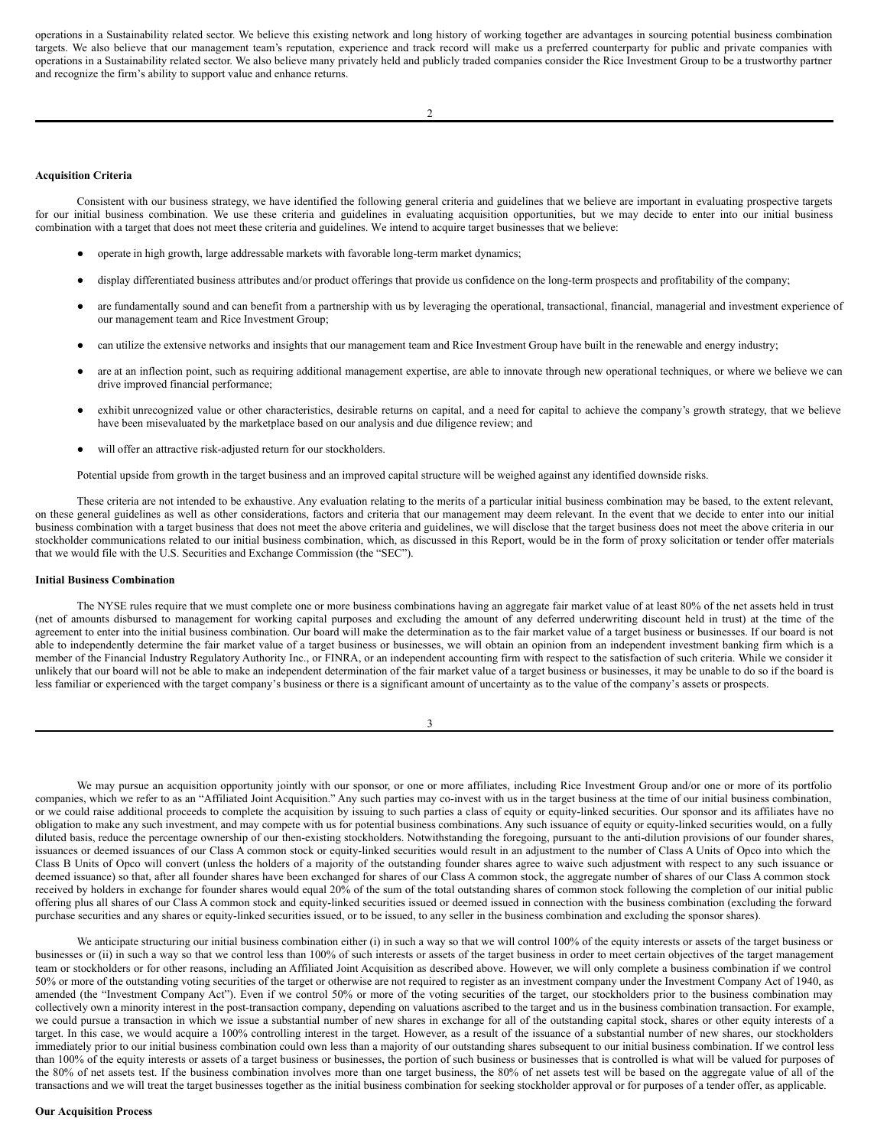operations in a Sustainability related sector. We believe this existing network and long history of working together are advantages in sourcing potential business combination targets. We also believe that our management team's reputation, experience and track record will make us a preferred counterparty for public and private companies with operations in a Sustainability related sector. We also believe many privately held and publicly traded companies consider the Rice Investment Group to be a trustworthy partner and recognize the firm's ability to support value and enhance returns.

## **Acquisition Criteria**

Consistent with our business strategy, we have identified the following general criteria and guidelines that we believe are important in evaluating prospective targets for our initial business combination. We use these criteria and guidelines in evaluating acquisition opportunities, but we may decide to enter into our initial business combination with a target that does not meet these criteria and guidelines. We intend to acquire target businesses that we believe:

- operate in high growth, large addressable markets with favorable long-term market dynamics;
- display differentiated business attributes and/or product offerings that provide us confidence on the long-term prospects and profitability of the company;
- are fundamentally sound and can benefit from a partnership with us by leveraging the operational, transactional, financial, managerial and investment experience of our management team and Rice Investment Group;
- can utilize the extensive networks and insights that our management team and Rice Investment Group have built in the renewable and energy industry;
- are at an inflection point, such as requiring additional management expertise, are able to innovate through new operational techniques, or where we believe we can drive improved financial performance;
- exhibit unrecognized value or other characteristics, desirable returns on capital, and a need for capital to achieve the company's growth strategy, that we believe have been misevaluated by the marketplace based on our analysis and due diligence review; and
- will offer an attractive risk-adjusted return for our stockholders.

Potential upside from growth in the target business and an improved capital structure will be weighed against any identified downside risks.

These criteria are not intended to be exhaustive. Any evaluation relating to the merits of a particular initial business combination may be based, to the extent relevant, on these general guidelines as well as other considerations, factors and criteria that our management may deem relevant. In the event that we decide to enter into our initial business combination with a target business that does not meet the above criteria and guidelines, we will disclose that the target business does not meet the above criteria in our stockholder communications related to our initial business combination, which, as discussed in this Report, would be in the form of proxy solicitation or tender offer materials that we would file with the U.S. Securities and Exchange Commission (the "SEC").

#### **Initial Business Combination**

The NYSE rules require that we must complete one or more business combinations having an aggregate fair market value of at least 80% of the net assets held in trust (net of amounts disbursed to management for working capital purposes and excluding the amount of any deferred underwriting discount held in trust) at the time of the agreement to enter into the initial business combination. Our board will make the determination as to the fair market value of a target business or businesses. If our board is not able to independently determine the fair market value of a target business or businesses, we will obtain an opinion from an independent investment banking firm which is a member of the Financial Industry Regulatory Authority Inc., or FINRA, or an independent accounting firm with respect to the satisfaction of such criteria. While we consider it unlikely that our board will not be able to make an independent determination of the fair market value of a target business or businesses, it may be unable to do so if the board is less familiar or experienced with the target company's business or there is a significant amount of uncertainty as to the value of the company's assets or prospects.

| ۰,<br>I |  |
|---------|--|

We may pursue an acquisition opportunity jointly with our sponsor, or one or more affiliates, including Rice Investment Group and/or one or more of its portfolio companies, which we refer to as an "Affiliated Joint Acquisition." Any such parties may co-invest with us in the target business at the time of our initial business combination, or we could raise additional proceeds to complete the acquisition by issuing to such parties a class of equity or equity-linked securities. Our sponsor and its affiliates have no obligation to make any such investment, and may compete with us for potential business combinations. Any such issuance of equity or equity-linked securities would, on a fully diluted basis, reduce the percentage ownership of our then-existing stockholders. Notwithstanding the foregoing, pursuant to the anti-dilution provisions of our founder shares, issuances or deemed issuances of our Class A common stock or equity-linked securities would result in an adjustment to the number of Class A Units of Opco into which the Class B Units of Opco will convert (unless the holders of a majority of the outstanding founder shares agree to waive such adjustment with respect to any such issuance or deemed issuance) so that, after all founder shares have been exchanged for shares of our Class A common stock, the aggregate number of shares of our Class A common stock received by holders in exchange for founder shares would equal 20% of the sum of the total outstanding shares of common stock following the completion of our initial public offering plus all shares of our Class A common stock and equity-linked securities issued or deemed issued in connection with the business combination (excluding the forward purchase securities and any shares or equity-linked securities issued, or to be issued, to any seller in the business combination and excluding the sponsor shares).

We anticipate structuring our initial business combination either (i) in such a way so that we will control 100% of the equity interests or assets of the target business or businesses or (ii) in such a way so that we control less than 100% of such interests or assets of the target business in order to meet certain objectives of the target management team or stockholders or for other reasons, including an Affiliated Joint Acquisition as described above. However, we will only complete a business combination if we control 50% or more of the outstanding voting securities of the target or otherwise are not required to register as an investment company under the Investment Company Act of 1940, as amended (the "Investment Company Act"). Even if we control 50% or more of the voting securities of the target, our stockholders prior to the business combination may collectively own a minority interest in the post-transaction company, depending on valuations ascribed to the target and us in the business combination transaction. For example, we could pursue a transaction in which we issue a substantial number of new shares in exchange for all of the outstanding capital stock, shares or other equity interests of a target. In this case, we would acquire a 100% controlling interest in the target. However, as a result of the issuance of a substantial number of new shares, our stockholders immediately prior to our initial business combination could own less than a majority of our outstanding shares subsequent to our initial business combination. If we control less than 100% of the equity interests or assets of a target business or businesses, the portion of such business or businesses that is controlled is what will be valued for purposes of the 80% of net assets test. If the business combination involves more than one target business, the 80% of net assets test will be based on the aggregate value of all of the transactions and we will treat the target businesses together as the initial business combination for seeking stockholder approval or for purposes of a tender offer, as applicable.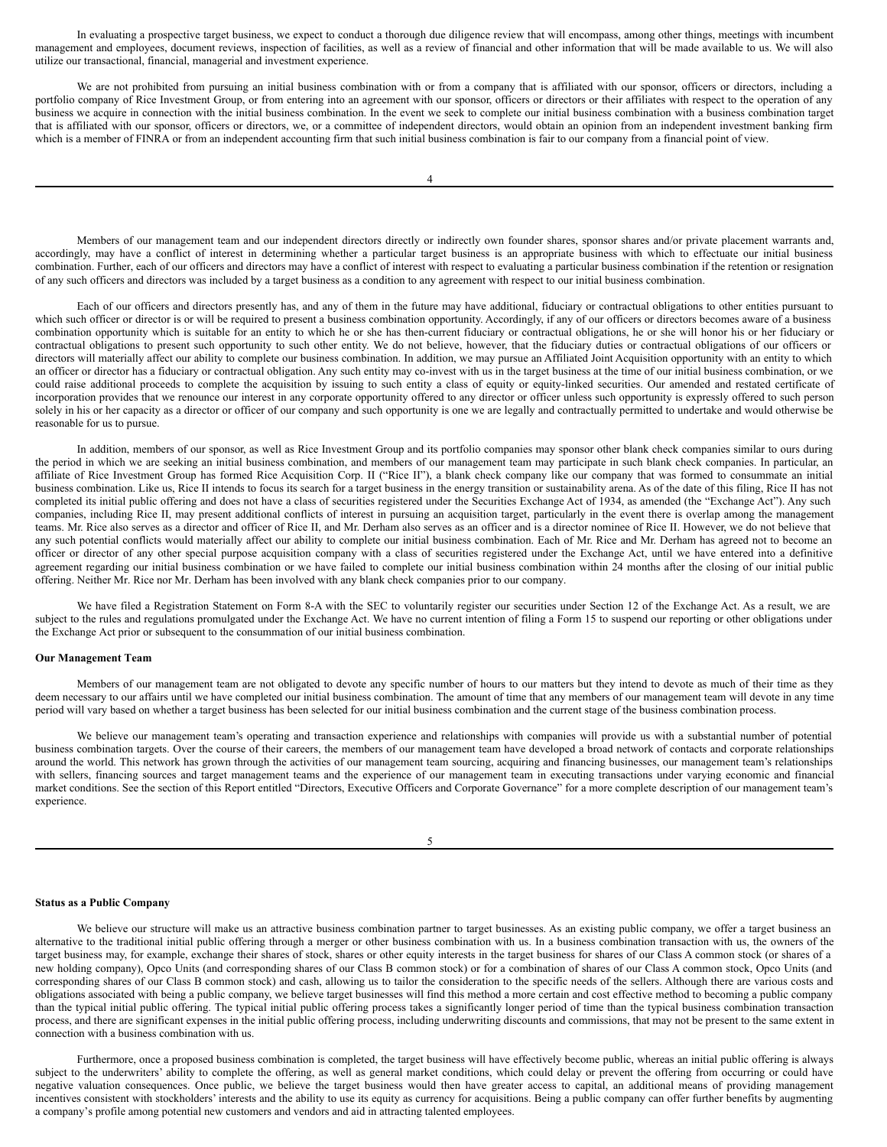In evaluating a prospective target business, we expect to conduct a thorough due diligence review that will encompass, among other things, meetings with incumbent management and employees, document reviews, inspection of facilities, as well as a review of financial and other information that will be made available to us. We will also utilize our transactional, financial, managerial and investment experience.

We are not prohibited from pursuing an initial business combination with or from a company that is affiliated with our sponsor, officers or directors, including a portfolio company of Rice Investment Group, or from entering into an agreement with our sponsor, officers or directors or their affiliates with respect to the operation of any business we acquire in connection with the initial business combination. In the event we seek to complete our initial business combination with a business combination target that is affiliated with our sponsor, officers or directors, we, or a committee of independent directors, would obtain an opinion from an independent investment banking firm which is a member of FINRA or from an independent accounting firm that such initial business combination is fair to our company from a financial point of view.

Members of our management team and our independent directors directly or indirectly own founder shares, sponsor shares and/or private placement warrants and, accordingly, may have a conflict of interest in determining whether a particular target business is an appropriate business with which to effectuate our initial business combination. Further, each of our officers and directors may have a conflict of interest with respect to evaluating a particular business combination if the retention or resignation of any such officers and directors was included by a target business as a condition to any agreement with respect to our initial business combination.

Each of our officers and directors presently has, and any of them in the future may have additional, fiduciary or contractual obligations to other entities pursuant to which such officer or director is or will be required to present a business combination opportunity. Accordingly, if any of our officers or directors becomes aware of a business combination opportunity which is suitable for an entity to which he or she has then-current fiduciary or contractual obligations, he or she will honor his or her fiduciary or contractual obligations to present such opportunity to such other entity. We do not believe, however, that the fiduciary duties or contractual obligations of our officers or directors will materially affect our ability to complete our business combination. In addition, we may pursue an Affiliated Joint Acquisition opportunity with an entity to which an officer or director has a fiduciary or contractual obligation. Any such entity may co-invest with us in the target business at the time of our initial business combination, or we could raise additional proceeds to complete the acquisition by issuing to such entity a class of equity or equity-linked securities. Our amended and restated certificate of incorporation provides that we renounce our interest in any corporate opportunity offered to any director or officer unless such opportunity is expressly offered to such person solely in his or her capacity as a director or officer of our company and such opportunity is one we are legally and contractually permitted to undertake and would otherwise be reasonable for us to pursue.

In addition, members of our sponsor, as well as Rice Investment Group and its portfolio companies may sponsor other blank check companies similar to ours during the period in which we are seeking an initial business combination, and members of our management team may participate in such blank check companies. In particular, an affiliate of Rice Investment Group has formed Rice Acquisition Corp. II ("Rice II"), a blank check company like our company that was formed to consummate an initial business combination. Like us, Rice II intends to focus its search for a target business in the energy transition or sustainability arena. As of the date of this filing, Rice II has not completed its initial public offering and does not have a class of securities registered under the Securities Exchange Act of 1934, as amended (the "Exchange Act"). Any such companies, including Rice II, may present additional conflicts of interest in pursuing an acquisition target, particularly in the event there is overlap among the management teams. Mr. Rice also serves as a director and officer of Rice II, and Mr. Derham also serves as an officer and is a director nominee of Rice II. However, we do not believe that any such potential conflicts would materially affect our ability to complete our initial business combination. Each of Mr. Rice and Mr. Derham has agreed not to become an officer or director of any other special purpose acquisition company with a class of securities registered under the Exchange Act, until we have entered into a definitive agreement regarding our initial business combination or we have failed to complete our initial business combination within 24 months after the closing of our initial public offering. Neither Mr. Rice nor Mr. Derham has been involved with any blank check companies prior to our company.

We have filed a Registration Statement on Form 8-A with the SEC to voluntarily register our securities under Section 12 of the Exchange Act. As a result, we are subject to the rules and regulations promulgated under the Exchange Act. We have no current intention of filing a Form 15 to suspend our reporting or other obligations under the Exchange Act prior or subsequent to the consummation of our initial business combination.

### **Our Management Team**

Members of our management team are not obligated to devote any specific number of hours to our matters but they intend to devote as much of their time as they deem necessary to our affairs until we have completed our initial business combination. The amount of time that any members of our management team will devote in any time period will vary based on whether a target business has been selected for our initial business combination and the current stage of the business combination process.

We believe our management team's operating and transaction experience and relationships with companies will provide us with a substantial number of potential business combination targets. Over the course of their careers, the members of our management team have developed a broad network of contacts and corporate relationships around the world. This network has grown through the activities of our management team sourcing, acquiring and financing businesses, our management team's relationships with sellers, financing sources and target management teams and the experience of our management team in executing transactions under varying economic and financial market conditions. See the section of this Report entitled "Directors, Executive Officers and Corporate Governance" for a more complete description of our management team's experience.

#### 5

#### **Status as a Public Company**

We believe our structure will make us an attractive business combination partner to target businesses. As an existing public company, we offer a target business an alternative to the traditional initial public offering through a merger or other business combination with us. In a business combination transaction with us, the owners of the target business may, for example, exchange their shares of stock, shares or other equity interests in the target business for shares of our Class A common stock (or shares of a new holding company), Opco Units (and corresponding shares of our Class B common stock) or for a combination of shares of our Class A common stock, Opco Units (and corresponding shares of our Class B common stock) and cash, allowing us to tailor the consideration to the specific needs of the sellers. Although there are various costs and obligations associated with being a public company, we believe target businesses will find this method a more certain and cost effective method to becoming a public company than the typical initial public offering. The typical initial public offering process takes a significantly longer period of time than the typical business combination transaction process, and there are significant expenses in the initial public offering process, including underwriting discounts and commissions, that may not be present to the same extent in connection with a business combination with us.

Furthermore, once a proposed business combination is completed, the target business will have effectively become public, whereas an initial public offering is always subject to the underwriters' ability to complete the offering, as well as general market conditions, which could delay or prevent the offering from occurring or could have negative valuation consequences. Once public, we believe the target business would then have greater access to capital, an additional means of providing management incentives consistent with stockholders' interests and the ability to use its equity as currency for acquisitions. Being a public company can offer further benefits by augmenting a company's profile among potential new customers and vendors and aid in attracting talented employees.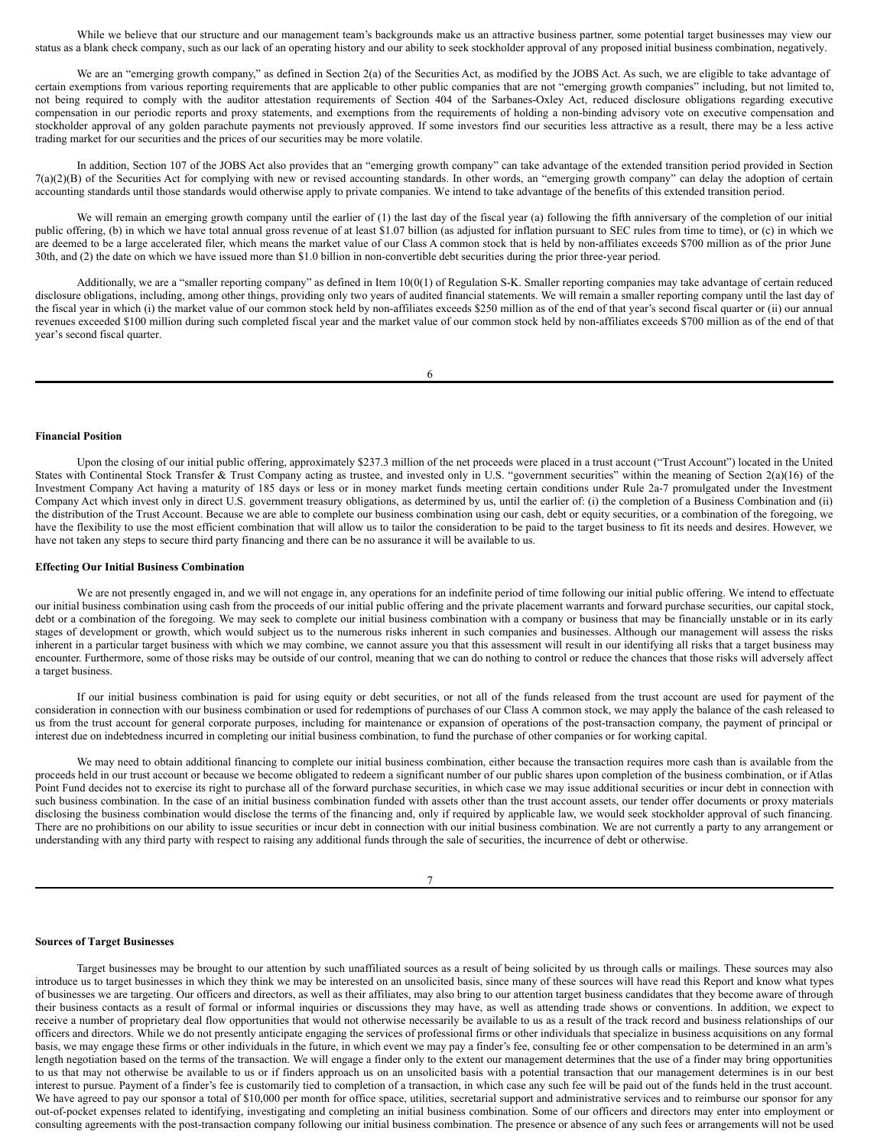While we believe that our structure and our management team's backgrounds make us an attractive business partner, some potential target businesses may view our status as a blank check company, such as our lack of an operating history and our ability to seek stockholder approval of any proposed initial business combination, negatively.

We are an "emerging growth company," as defined in Section 2(a) of the Securities Act, as modified by the JOBS Act. As such, we are eligible to take advantage of certain exemptions from various reporting requirements that are applicable to other public companies that are not "emerging growth companies" including, but not limited to, not being required to comply with the auditor attestation requirements of Section 404 of the Sarbanes-Oxley Act, reduced disclosure obligations regarding executive compensation in our periodic reports and proxy statements, and exemptions from the requirements of holding a non-binding advisory vote on executive compensation and stockholder approval of any golden parachute payments not previously approved. If some investors find our securities less attractive as a result, there may be a less active trading market for our securities and the prices of our securities may be more volatile.

In addition, Section 107 of the JOBS Act also provides that an "emerging growth company" can take advantage of the extended transition period provided in Section 7(a)(2)(B) of the Securities Act for complying with new or revised accounting standards. In other words, an "emerging growth company" can delay the adoption of certain accounting standards until those standards would otherwise apply to private companies. We intend to take advantage of the benefits of this extended transition period.

We will remain an emerging growth company until the earlier of (1) the last day of the fiscal year (a) following the fifth anniversary of the completion of our initial public offering, (b) in which we have total annual gross revenue of at least \$1.07 billion (as adjusted for inflation pursuant to SEC rules from time to time), or (c) in which we are deemed to be a large accelerated filer, which means the market value of our Class A common stock that is held by non-affiliates exceeds \$700 million as of the prior June 30th, and (2) the date on which we have issued more than \$1.0 billion in non-convertible debt securities during the prior three-year period.

Additionally, we are a "smaller reporting company" as defined in Item 10(0(1) of Regulation S-K. Smaller reporting companies may take advantage of certain reduced disclosure obligations, including, among other things, providing only two years of audited financial statements. We will remain a smaller reporting company until the last day of the fiscal year in which (i) the market value of our common stock held by non-affiliates exceeds \$250 million as of the end of that year's second fiscal quarter or (ii) our annual revenues exceeded \$100 million during such completed fiscal year and the market value of our common stock held by non-affiliates exceeds \$700 million as of the end of that year's second fiscal quarter.

6

## **Financial Position**

Upon the closing of our initial public offering, approximately \$237.3 million of the net proceeds were placed in a trust account ("Trust Account") located in the United States with Continental Stock Transfer & Trust Company acting as trustee, and invested only in U.S. "government securities" within the meaning of Section 2(a)(16) of the Investment Company Act having a maturity of 185 days or less or in money market funds meeting certain conditions under Rule 2a-7 promulgated under the Investment Company Act which invest only in direct U.S. government treasury obligations, as determined by us, until the earlier of: (i) the completion of a Business Combination and (ii) the distribution of the Trust Account. Because we are able to complete our business combination using our cash, debt or equity securities, or a combination of the foregoing, we have the flexibility to use the most efficient combination that will allow us to tailor the consideration to be paid to the target business to fit its needs and desires. However, we have not taken any steps to secure third party financing and there can be no assurance it will be available to us.

### **Effecting Our Initial Business Combination**

We are not presently engaged in, and we will not engage in, any operations for an indefinite period of time following our initial public offering. We intend to effectuate our initial business combination using cash from the proceeds of our initial public offering and the private placement warrants and forward purchase securities, our capital stock, debt or a combination of the foregoing. We may seek to complete our initial business combination with a company or business that may be financially unstable or in its early stages of development or growth, which would subject us to the numerous risks inherent in such companies and businesses. Although our management will assess the risks inherent in a particular target business with which we may combine, we cannot assure you that this assessment will result in our identifying all risks that a target business may encounter. Furthermore, some of those risks may be outside of our control, meaning that we can do nothing to control or reduce the chances that those risks will adversely affect a target business.

If our initial business combination is paid for using equity or debt securities, or not all of the funds released from the trust account are used for payment of the consideration in connection with our business combination or used for redemptions of purchases of our Class A common stock, we may apply the balance of the cash released to us from the trust account for general corporate purposes, including for maintenance or expansion of operations of the post-transaction company, the payment of principal or interest due on indebtedness incurred in completing our initial business combination, to fund the purchase of other companies or for working capital.

We may need to obtain additional financing to complete our initial business combination, either because the transaction requires more cash than is available from the proceeds held in our trust account or because we become obligated to redeem a significant number of our public shares upon completion of the business combination, or if Atlas Point Fund decides not to exercise its right to purchase all of the forward purchase securities, in which case we may issue additional securities or incur debt in connection with such business combination. In the case of an initial business combination funded with assets other than the trust account assets, our tender offer documents or proxy materials disclosing the business combination would disclose the terms of the financing and, only if required by applicable law, we would seek stockholder approval of such financing. There are no prohibitions on our ability to issue securities or incur debt in connection with our initial business combination. We are not currently a party to any arrangement or understanding with any third party with respect to raising any additional funds through the sale of securities, the incurrence of debt or otherwise.

## **Sources of Target Businesses**

Target businesses may be brought to our attention by such unaffiliated sources as a result of being solicited by us through calls or mailings. These sources may also introduce us to target businesses in which they think we may be interested on an unsolicited basis, since many of these sources will have read this Report and know what types of businesses we are targeting. Our officers and directors, as well as their affiliates, may also bring to our attention target business candidates that they become aware of through their business contacts as a result of formal or informal inquiries or discussions they may have, as well as attending trade shows or conventions. In addition, we expect to receive a number of proprietary deal flow opportunities that would not otherwise necessarily be available to us as a result of the track record and business relationships of our officers and directors. While we do not presently anticipate engaging the services of professional firms or other individuals that specialize in business acquisitions on any formal basis, we may engage these firms or other individuals in the future, in which event we may pay a finder's fee, consulting fee or other compensation to be determined in an arm's length negotiation based on the terms of the transaction. We will engage a finder only to the extent our management determines that the use of a finder may bring opportunities to us that may not otherwise be available to us or if finders approach us on an unsolicited basis with a potential transaction that our management determines is in our best interest to pursue. Payment of a finder's fee is customarily tied to completion of a transaction, in which case any such fee will be paid out of the funds held in the trust account. We have agreed to pay our sponsor a total of \$10,000 per month for office space, utilities, secretarial support and administrative services and to reimburse our sponsor for any out-of-pocket expenses related to identifying, investigating and completing an initial business combination. Some of our officers and directors may enter into employment or consulting agreements with the post-transaction company following our initial business combination. The presence or absence of any such fees or arrangements will not be used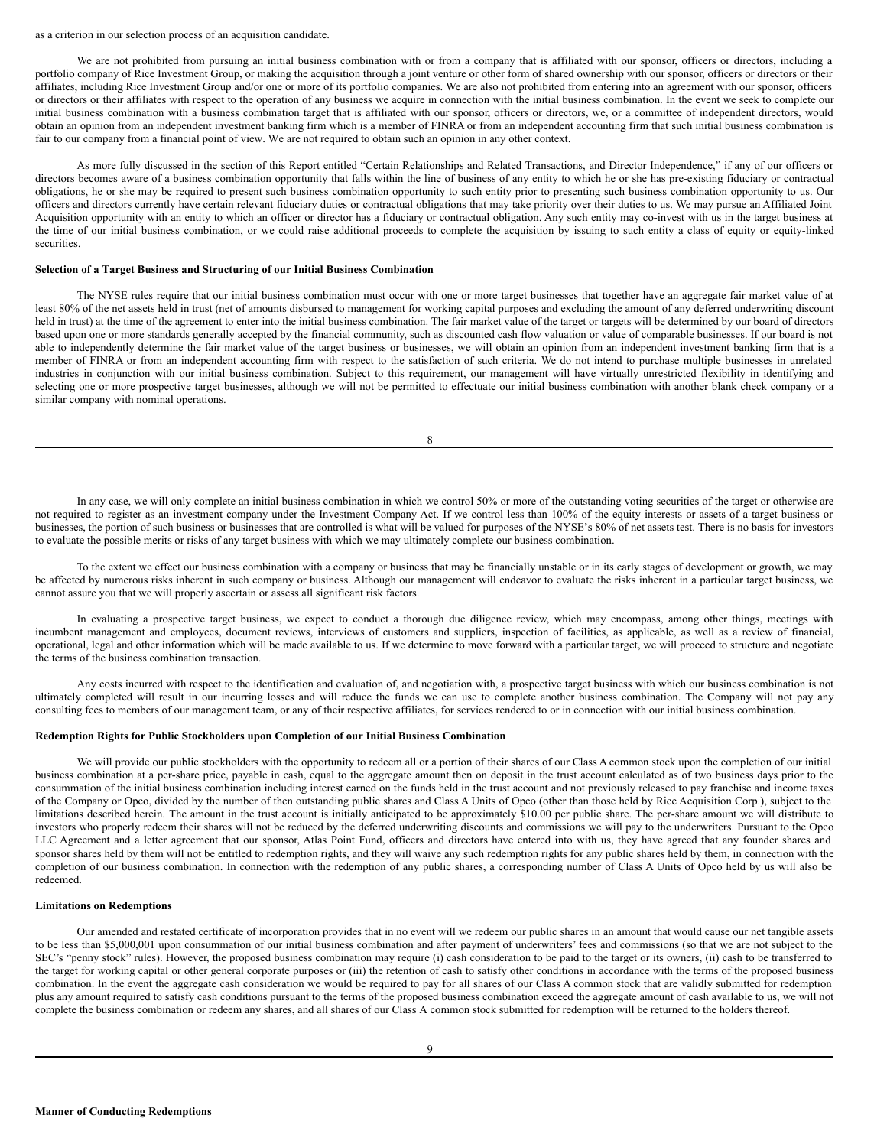#### as a criterion in our selection process of an acquisition candidate.

We are not prohibited from pursuing an initial business combination with or from a company that is affiliated with our sponsor, officers or directors, including a portfolio company of Rice Investment Group, or making the acquisition through a joint venture or other form of shared ownership with our sponsor, officers or directors or their affiliates, including Rice Investment Group and/or one or more of its portfolio companies. We are also not prohibited from entering into an agreement with our sponsor, officers or directors or their affiliates with respect to the operation of any business we acquire in connection with the initial business combination. In the event we seek to complete our initial business combination with a business combination target that is affiliated with our sponsor, officers or directors, we, or a committee of independent directors, would obtain an opinion from an independent investment banking firm which is a member of FINRA or from an independent accounting firm that such initial business combination is fair to our company from a financial point of view. We are not required to obtain such an opinion in any other context.

As more fully discussed in the section of this Report entitled "Certain Relationships and Related Transactions, and Director Independence," if any of our officers or directors becomes aware of a business combination opportunity that falls within the line of business of any entity to which he or she has pre-existing fiduciary or contractual obligations, he or she may be required to present such business combination opportunity to such entity prior to presenting such business combination opportunity to us. Our officers and directors currently have certain relevant fiduciary duties or contractual obligations that may take priority over their duties to us. We may pursue an Affiliated Joint Acquisition opportunity with an entity to which an officer or director has a fiduciary or contractual obligation. Any such entity may co-invest with us in the target business at the time of our initial business combination, or we could raise additional proceeds to complete the acquisition by issuing to such entity a class of equity or equity-linked securities.

## **Selection of a Target Business and Structuring of our Initial Business Combination**

The NYSE rules require that our initial business combination must occur with one or more target businesses that together have an aggregate fair market value of at least 80% of the net assets held in trust (net of amounts disbursed to management for working capital purposes and excluding the amount of any deferred underwriting discount held in trust) at the time of the agreement to enter into the initial business combination. The fair market value of the target or targets will be determined by our board of directors based upon one or more standards generally accepted by the financial community, such as discounted cash flow valuation or value of comparable businesses. If our board is not able to independently determine the fair market value of the target business or businesses, we will obtain an opinion from an independent investment banking firm that is a member of FINRA or from an independent accounting firm with respect to the satisfaction of such criteria. We do not intend to purchase multiple businesses in unrelated industries in conjunction with our initial business combination. Subject to this requirement, our management will have virtually unrestricted flexibility in identifying and selecting one or more prospective target businesses, although we will not be permitted to effectuate our initial business combination with another blank check company or a similar company with nominal operations.

8

In any case, we will only complete an initial business combination in which we control 50% or more of the outstanding voting securities of the target or otherwise are not required to register as an investment company under the Investment Company Act. If we control less than 100% of the equity interests or assets of a target business or businesses, the portion of such business or businesses that are controlled is what will be valued for purposes of the NYSE's 80% of net assets test. There is no basis for investors to evaluate the possible merits or risks of any target business with which we may ultimately complete our business combination.

To the extent we effect our business combination with a company or business that may be financially unstable or in its early stages of development or growth, we may be affected by numerous risks inherent in such company or business. Although our management will endeavor to evaluate the risks inherent in a particular target business, we cannot assure you that we will properly ascertain or assess all significant risk factors.

In evaluating a prospective target business, we expect to conduct a thorough due diligence review, which may encompass, among other things, meetings with incumbent management and employees, document reviews, interviews of customers and suppliers, inspection of facilities, as applicable, as well as a review of financial, operational, legal and other information which will be made available to us. If we determine to move forward with a particular target, we will proceed to structure and negotiate the terms of the business combination transaction.

Any costs incurred with respect to the identification and evaluation of, and negotiation with, a prospective target business with which our business combination is not ultimately completed will result in our incurring losses and will reduce the funds we can use to complete another business combination. The Company will not pay any consulting fees to members of our management team, or any of their respective affiliates, for services rendered to or in connection with our initial business combination.

#### **Redemption Rights for Public Stockholders upon Completion of our Initial Business Combination**

We will provide our public stockholders with the opportunity to redeem all or a portion of their shares of our Class A common stock upon the completion of our initial business combination at a per-share price, payable in cash, equal to the aggregate amount then on deposit in the trust account calculated as of two business days prior to the consummation of the initial business combination including interest earned on the funds held in the trust account and not previously released to pay franchise and income taxes of the Company or Opco, divided by the number of then outstanding public shares and Class A Units of Opco (other than those held by Rice Acquisition Corp.), subject to the limitations described herein. The amount in the trust account is initially anticipated to be approximately \$10.00 per public share. The per-share amount we will distribute to investors who properly redeem their shares will not be reduced by the deferred underwriting discounts and commissions we will pay to the underwriters. Pursuant to the Opco LLC Agreement and a letter agreement that our sponsor, Atlas Point Fund, officers and directors have entered into with us, they have agreed that any founder shares and sponsor shares held by them will not be entitled to redemption rights, and they will waive any such redemption rights for any public shares held by them, in connection with the completion of our business combination. In connection with the redemption of any public shares, a corresponding number of Class A Units of Opco held by us will also be redeemed.

## **Limitations on Redemptions**

Our amended and restated certificate of incorporation provides that in no event will we redeem our public shares in an amount that would cause our net tangible assets to be less than \$5,000,001 upon consummation of our initial business combination and after payment of underwriters' fees and commissions (so that we are not subject to the SEC's "penny stock" rules). However, the proposed business combination may require (i) cash consideration to be paid to the target or its owners, (ii) cash to be transferred to the target for working capital or other general corporate purposes or (iii) the retention of cash to satisfy other conditions in accordance with the terms of the proposed business combination. In the event the aggregate cash consideration we would be required to pay for all shares of our Class A common stock that are validly submitted for redemption plus any amount required to satisfy cash conditions pursuant to the terms of the proposed business combination exceed the aggregate amount of cash available to us, we will not complete the business combination or redeem any shares, and all shares of our Class A common stock submitted for redemption will be returned to the holders thereof.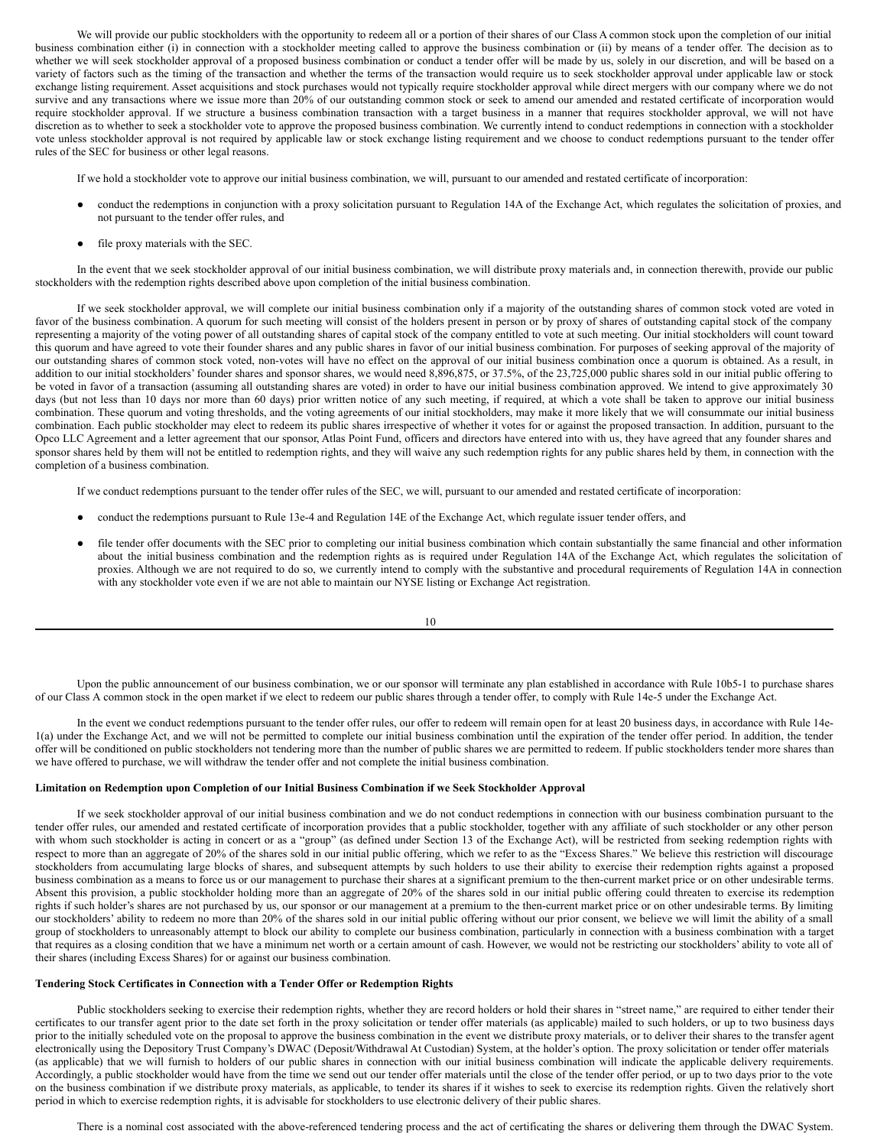We will provide our public stockholders with the opportunity to redeem all or a portion of their shares of our Class A common stock upon the completion of our initial business combination either (i) in connection with a stockholder meeting called to approve the business combination or (ii) by means of a tender offer. The decision as to whether we will seek stockholder approval of a proposed business combination or conduct a tender offer will be made by us, solely in our discretion, and will be based on a variety of factors such as the timing of the transaction and whether the terms of the transaction would require us to seek stockholder approval under applicable law or stock exchange listing requirement. Asset acquisitions and stock purchases would not typically require stockholder approval while direct mergers with our company where we do not survive and any transactions where we issue more than 20% of our outstanding common stock or seek to amend our amended and restated certificate of incorporation would require stockholder approval. If we structure a business combination transaction with a target business in a manner that requires stockholder approval, we will not have discretion as to whether to seek a stockholder vote to approve the proposed business combination. We currently intend to conduct redemptions in connection with a stockholder vote unless stockholder approval is not required by applicable law or stock exchange listing requirement and we choose to conduct redemptions pursuant to the tender offer rules of the SEC for business or other legal reasons.

If we hold a stockholder vote to approve our initial business combination, we will, pursuant to our amended and restated certificate of incorporation:

- conduct the redemptions in conjunction with a proxy solicitation pursuant to Regulation 14A of the Exchange Act, which regulates the solicitation of proxies, and not pursuant to the tender offer rules, and
- file proxy materials with the SEC.

In the event that we seek stockholder approval of our initial business combination, we will distribute proxy materials and, in connection therewith, provide our public stockholders with the redemption rights described above upon completion of the initial business combination.

If we seek stockholder approval, we will complete our initial business combination only if a majority of the outstanding shares of common stock voted are voted in favor of the business combination. A quorum for such meeting will consist of the holders present in person or by proxy of shares of outstanding capital stock of the company representing a majority of the voting power of all outstanding shares of capital stock of the company entitled to vote at such meeting. Our initial stockholders will count toward this quorum and have agreed to vote their founder shares and any public shares in favor of our initial business combination. For purposes of seeking approval of the majority of our outstanding shares of common stock voted, non-votes will have no effect on the approval of our initial business combination once a quorum is obtained. As a result, in addition to our initial stockholders' founder shares and sponsor shares, we would need 8,896,875, or 37.5%, of the 23,725,000 public shares sold in our initial public offering to be voted in favor of a transaction (assuming all outstanding shares are voted) in order to have our initial business combination approved. We intend to give approximately 30 days (but not less than 10 days nor more than 60 days) prior written notice of any such meeting, if required, at which a vote shall be taken to approve our initial business combination. These quorum and voting thresholds, and the voting agreements of our initial stockholders, may make it more likely that we will consummate our initial business combination. Each public stockholder may elect to redeem its public shares irrespective of whether it votes for or against the proposed transaction. In addition, pursuant to the Opco LLC Agreement and a letter agreement that our sponsor, Atlas Point Fund, officers and directors have entered into with us, they have agreed that any founder shares and sponsor shares held by them will not be entitled to redemption rights, and they will waive any such redemption rights for any public shares held by them, in connection with the completion of a business combination.

If we conduct redemptions pursuant to the tender offer rules of the SEC, we will, pursuant to our amended and restated certificate of incorporation:

- conduct the redemptions pursuant to Rule 13e-4 and Regulation 14E of the Exchange Act, which regulate issuer tender offers, and
- file tender offer documents with the SEC prior to completing our initial business combination which contain substantially the same financial and other information about the initial business combination and the redemption rights as is required under Regulation 14A of the Exchange Act, which regulates the solicitation of proxies. Although we are not required to do so, we currently intend to comply with the substantive and procedural requirements of Regulation 14A in connection with any stockholder vote even if we are not able to maintain our NYSE listing or Exchange Act registration.

|--|

Upon the public announcement of our business combination, we or our sponsor will terminate any plan established in accordance with Rule 10b5-1 to purchase shares of our Class A common stock in the open market if we elect to redeem our public shares through a tender offer, to comply with Rule 14e-5 under the Exchange Act.

In the event we conduct redemptions pursuant to the tender offer rules, our offer to redeem will remain open for at least 20 business days, in accordance with Rule 14e-1(a) under the Exchange Act, and we will not be permitted to complete our initial business combination until the expiration of the tender offer period. In addition, the tender offer will be conditioned on public stockholders not tendering more than the number of public shares we are permitted to redeem. If public stockholders tender more shares than we have offered to purchase, we will withdraw the tender offer and not complete the initial business combination.

## **Limitation on Redemption upon Completion of our Initial Business Combination if we Seek Stockholder Approval**

If we seek stockholder approval of our initial business combination and we do not conduct redemptions in connection with our business combination pursuant to the tender offer rules, our amended and restated certificate of incorporation provides that a public stockholder, together with any affiliate of such stockholder or any other person with whom such stockholder is acting in concert or as a "group" (as defined under Section 13 of the Exchange Act), will be restricted from seeking redemption rights with respect to more than an aggregate of 20% of the shares sold in our initial public offering, which we refer to as the "Excess Shares." We believe this restriction will discourage stockholders from accumulating large blocks of shares, and subsequent attempts by such holders to use their ability to exercise their redemption rights against a proposed business combination as a means to force us or our management to purchase their shares at a significant premium to the then-current market price or on other undesirable terms. Absent this provision, a public stockholder holding more than an aggregate of 20% of the shares sold in our initial public offering could threaten to exercise its redemption rights if such holder's shares are not purchased by us, our sponsor or our management at a premium to the then-current market price or on other undesirable terms. By limiting our stockholders' ability to redeem no more than 20% of the shares sold in our initial public offering without our prior consent, we believe we will limit the ability of a small group of stockholders to unreasonably attempt to block our ability to complete our business combination, particularly in connection with a business combination with a target that requires as a closing condition that we have a minimum net worth or a certain amount of cash. However, we would not be restricting our stockholders' ability to vote all of their shares (including Excess Shares) for or against our business combination.

### **Tendering Stock Certificates in Connection with a Tender Offer or Redemption Rights**

Public stockholders seeking to exercise their redemption rights, whether they are record holders or hold their shares in "street name," are required to either tender their certificates to our transfer agent prior to the date set forth in the proxy solicitation or tender offer materials (as applicable) mailed to such holders, or up to two business days prior to the initially scheduled vote on the proposal to approve the business combination in the event we distribute proxy materials, or to deliver their shares to the transfer agent electronically using the Depository Trust Company's DWAC (Deposit/Withdrawal At Custodian) System, at the holder's option. The proxy solicitation or tender offer materials (as applicable) that we will furnish to holders of our public shares in connection with our initial business combination will indicate the applicable delivery requirements. Accordingly, a public stockholder would have from the time we send out our tender offer materials until the close of the tender offer period, or up to two days prior to the vote on the business combination if we distribute proxy materials, as applicable, to tender its shares if it wishes to seek to exercise its redemption rights. Given the relatively short period in which to exercise redemption rights, it is advisable for stockholders to use electronic delivery of their public shares.

There is a nominal cost associated with the above-referenced tendering process and the act of certificating the shares or delivering them through the DWAC System.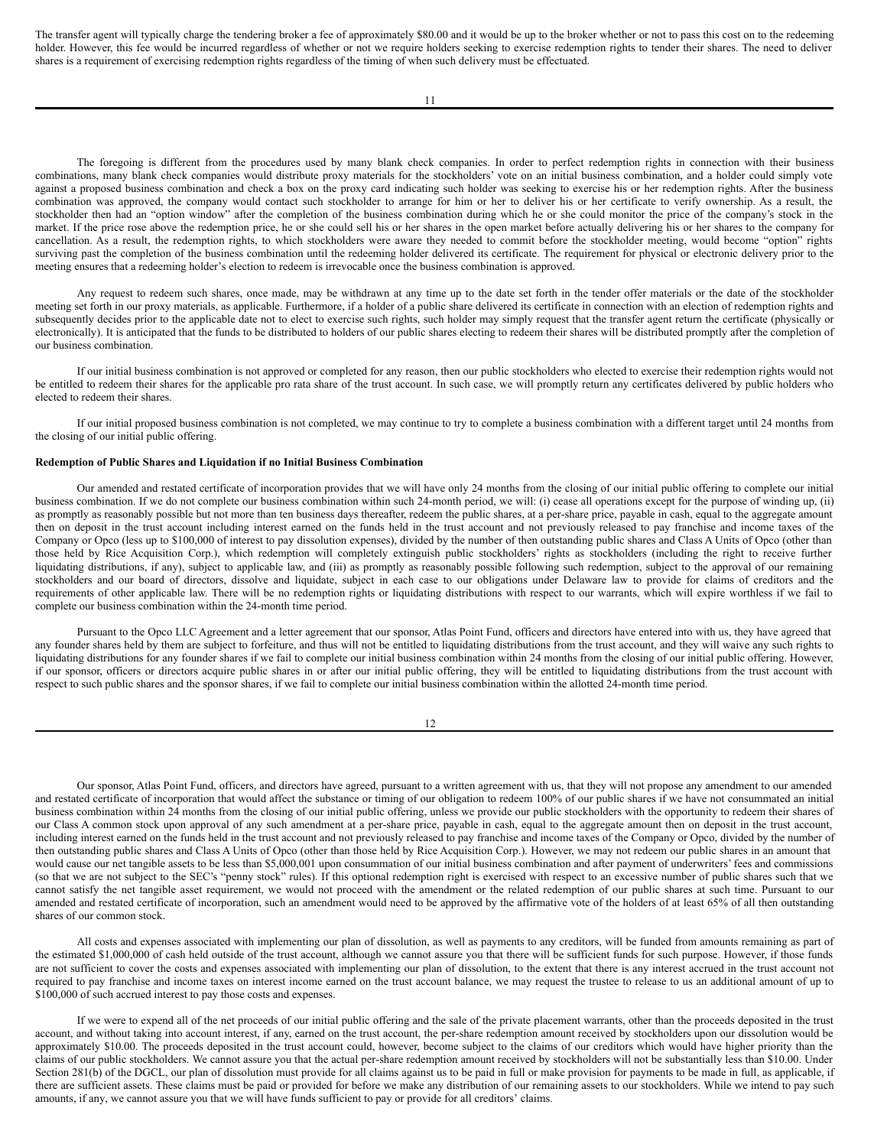The transfer agent will typically charge the tendering broker a fee of approximately \$80.00 and it would be up to the broker whether or not to pass this cost on to the redeeming holder. However, this fee would be incurred regardless of whether or not we require holders seeking to exercise redemption rights to tender their shares. The need to deliver shares is a requirement of exercising redemption rights regardless of the timing of when such delivery must be effectuated.

The foregoing is different from the procedures used by many blank check companies. In order to perfect redemption rights in connection with their business combinations, many blank check companies would distribute proxy materials for the stockholders' vote on an initial business combination, and a holder could simply vote against a proposed business combination and check a box on the proxy card indicating such holder was seeking to exercise his or her redemption rights. After the business combination was approved, the company would contact such stockholder to arrange for him or her to deliver his or her certificate to verify ownership. As a result, the stockholder then had an "option window" after the completion of the business combination during which he or she could monitor the price of the company's stock in the market. If the price rose above the redemption price, he or she could sell his or her shares in the open market before actually delivering his or her shares to the company for cancellation. As a result, the redemption rights, to which stockholders were aware they needed to commit before the stockholder meeting, would become "option" rights surviving past the completion of the business combination until the redeeming holder delivered its certificate. The requirement for physical or electronic delivery prior to the meeting ensures that a redeeming holder's election to redeem is irrevocable once the business combination is approved.

Any request to redeem such shares, once made, may be withdrawn at any time up to the date set forth in the tender offer materials or the date of the stockholder meeting set forth in our proxy materials, as applicable. Furthermore, if a holder of a public share delivered its certificate in connection with an election of redemption rights and subsequently decides prior to the applicable date not to elect to exercise such rights, such holder may simply request that the transfer agent return the certificate (physically or electronically). It is anticipated that the funds to be distributed to holders of our public shares electing to redeem their shares will be distributed promptly after the completion of our business combination.

If our initial business combination is not approved or completed for any reason, then our public stockholders who elected to exercise their redemption rights would not be entitled to redeem their shares for the applicable pro rata share of the trust account. In such case, we will promptly return any certificates delivered by public holders who elected to redeem their shares.

If our initial proposed business combination is not completed, we may continue to try to complete a business combination with a different target until 24 months from the closing of our initial public offering.

## **Redemption of Public Shares and Liquidation if no Initial Business Combination**

Our amended and restated certificate of incorporation provides that we will have only 24 months from the closing of our initial public offering to complete our initial business combination. If we do not complete our business combination within such 24-month period, we will: (i) cease all operations except for the purpose of winding up, (ii) as promptly as reasonably possible but not more than ten business days thereafter, redeem the public shares, at a per-share price, payable in cash, equal to the aggregate amount then on deposit in the trust account including interest earned on the funds held in the trust account and not previously released to pay franchise and income taxes of the Company or Opco (less up to \$100,000 of interest to pay dissolution expenses), divided by the number of then outstanding public shares and Class A Units of Opco (other than those held by Rice Acquisition Corp.), which redemption will completely extinguish public stockholders' rights as stockholders (including the right to receive further liquidating distributions, if any), subject to applicable law, and (iii) as promptly as reasonably possible following such redemption, subject to the approval of our remaining stockholders and our board of directors, dissolve and liquidate, subject in each case to our obligations under Delaware law to provide for claims of creditors and the requirements of other applicable law. There will be no redemption rights or liquidating distributions with respect to our warrants, which will expire worthless if we fail to complete our business combination within the 24-month time period.

Pursuant to the Opco LLC Agreement and a letter agreement that our sponsor, Atlas Point Fund, officers and directors have entered into with us, they have agreed that any founder shares held by them are subject to forfeiture, and thus will not be entitled to liquidating distributions from the trust account, and they will waive any such rights to liquidating distributions for any founder shares if we fail to complete our initial business combination within 24 months from the closing of our initial public offering. However, if our sponsor, officers or directors acquire public shares in or after our initial public offering, they will be entitled to liquidating distributions from the trust account with respect to such public shares and the sponsor shares, if we fail to complete our initial business combination within the allotted 24-month time period.

|--|

Our sponsor, Atlas Point Fund, officers, and directors have agreed, pursuant to a written agreement with us, that they will not propose any amendment to our amended and restated certificate of incorporation that would affect the substance or timing of our obligation to redeem 100% of our public shares if we have not consummated an initial business combination within 24 months from the closing of our initial public offering, unless we provide our public stockholders with the opportunity to redeem their shares of our Class A common stock upon approval of any such amendment at a per-share price, payable in cash, equal to the aggregate amount then on deposit in the trust account, including interest earned on the funds held in the trust account and not previously released to pay franchise and income taxes of the Company or Opco, divided by the number of then outstanding public shares and Class A Units of Opco (other than those held by Rice Acquisition Corp.). However, we may not redeem our public shares in an amount that would cause our net tangible assets to be less than \$5,000,001 upon consummation of our initial business combination and after payment of underwriters' fees and commissions (so that we are not subject to the SEC's "penny stock" rules). If this optional redemption right is exercised with respect to an excessive number of public shares such that we cannot satisfy the net tangible asset requirement, we would not proceed with the amendment or the related redemption of our public shares at such time. Pursuant to our amended and restated certificate of incorporation, such an amendment would need to be approved by the affirmative vote of the holders of at least 65% of all then outstanding shares of our common stock.

All costs and expenses associated with implementing our plan of dissolution, as well as payments to any creditors, will be funded from amounts remaining as part of the estimated \$1,000,000 of cash held outside of the trust account, although we cannot assure you that there will be sufficient funds for such purpose. However, if those funds are not sufficient to cover the costs and expenses associated with implementing our plan of dissolution, to the extent that there is any interest accrued in the trust account not required to pay franchise and income taxes on interest income earned on the trust account balance, we may request the trustee to release to us an additional amount of up to \$100,000 of such accrued interest to pay those costs and expenses.

If we were to expend all of the net proceeds of our initial public offering and the sale of the private placement warrants, other than the proceeds deposited in the trust account, and without taking into account interest, if any, earned on the trust account, the per-share redemption amount received by stockholders upon our dissolution would be approximately \$10.00. The proceeds deposited in the trust account could, however, become subject to the claims of our creditors which would have higher priority than the claims of our public stockholders. We cannot assure you that the actual per-share redemption amount received by stockholders will not be substantially less than \$10.00. Under Section 281(b) of the DGCL, our plan of dissolution must provide for all claims against us to be paid in full or make provision for payments to be made in full, as applicable, if there are sufficient assets. These claims must be paid or provided for before we make any distribution of our remaining assets to our stockholders. While we intend to pay such amounts, if any, we cannot assure you that we will have funds sufficient to pay or provide for all creditors' claims.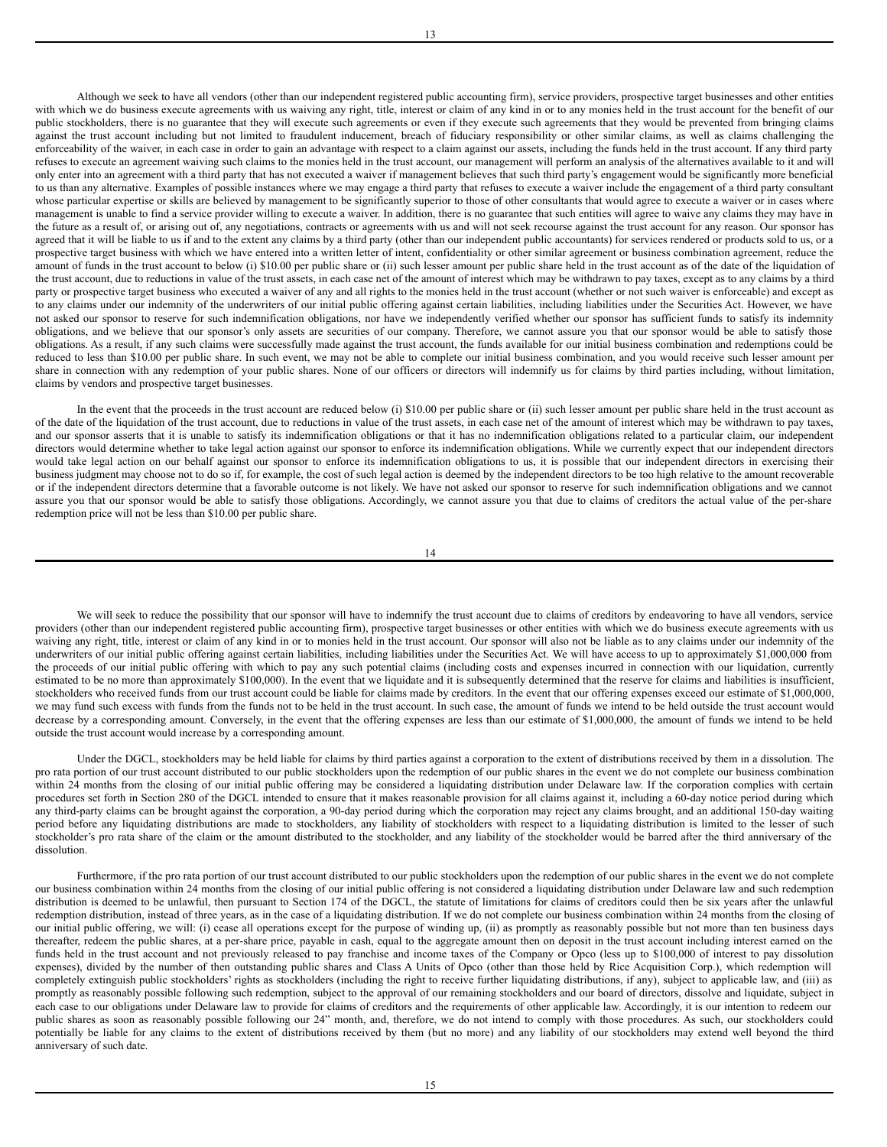Although we seek to have all vendors (other than our independent registered public accounting firm), service providers, prospective target businesses and other entities with which we do business execute agreements with us waiving any right, title, interest or claim of any kind in or to any monies held in the trust account for the benefit of our public stockholders, there is no guarantee that they will execute such agreements or even if they execute such agreements that they would be prevented from bringing claims against the trust account including but not limited to fraudulent inducement, breach of fiduciary responsibility or other similar claims, as well as claims challenging the enforceability of the waiver, in each case in order to gain an advantage with respect to a claim against our assets, including the funds held in the trust account. If any third party refuses to execute an agreement waiving such claims to the monies held in the trust account, our management will perform an analysis of the alternatives available to it and will only enter into an agreement with a third party that has not executed a waiver if management believes that such third party's engagement would be significantly more beneficial to us than any alternative. Examples of possible instances where we may engage a third party that refuses to execute a waiver include the engagement of a third party consultant whose particular expertise or skills are believed by management to be significantly superior to those of other consultants that would agree to execute a waiver or in cases where management is unable to find a service provider willing to execute a waiver. In addition, there is no guarantee that such entities will agree to waive any claims they may have in the future as a result of, or arising out of, any negotiations, contracts or agreements with us and will not seek recourse against the trust account for any reason. Our sponsor has agreed that it will be liable to us if and to the extent any claims by a third party (other than our independent public accountants) for services rendered or products sold to us, or a prospective target business with which we have entered into a written letter of intent, confidentiality or other similar agreement or business combination agreement, reduce the amount of funds in the trust account to below (i) \$10.00 per public share or (ii) such lesser amount per public share held in the trust account as of the date of the liquidation of the trust account, due to reductions in value of the trust assets, in each case net of the amount of interest which may be withdrawn to pay taxes, except as to any claims by a third party or prospective target business who executed a waiver of any and all rights to the monies held in the trust account (whether or not such waiver is enforceable) and except as to any claims under our indemnity of the underwriters of our initial public offering against certain liabilities, including liabilities under the Securities Act. However, we have not asked our sponsor to reserve for such indemnification obligations, nor have we independently verified whether our sponsor has sufficient funds to satisfy its indemnity obligations, and we believe that our sponsor's only assets are securities of our company. Therefore, we cannot assure you that our sponsor would be able to satisfy those obligations. As a result, if any such claims were successfully made against the trust account, the funds available for our initial business combination and redemptions could be reduced to less than \$10.00 per public share. In such event, we may not be able to complete our initial business combination, and you would receive such lesser amount per share in connection with any redemption of your public shares. None of our officers or directors will indemnify us for claims by third parties including, without limitation, claims by vendors and prospective target businesses.

In the event that the proceeds in the trust account are reduced below (i) \$10.00 per public share or (ii) such lesser amount per public share held in the trust account as of the date of the liquidation of the trust account, due to reductions in value of the trust assets, in each case net of the amount of interest which may be withdrawn to pay taxes, and our sponsor asserts that it is unable to satisfy its indemnification obligations or that it has no indemnification obligations related to a particular claim, our independent directors would determine whether to take legal action against our sponsor to enforce its indemnification obligations. While we currently expect that our independent directors would take legal action on our behalf against our sponsor to enforce its indemnification obligations to us, it is possible that our independent directors in exercising their business judgment may choose not to do so if, for example, the cost of such legal action is deemed by the independent directors to be too high relative to the amount recoverable or if the independent directors determine that a favorable outcome is not likely. We have not asked our sponsor to reserve for such indemnification obligations and we cannot assure you that our sponsor would be able to satisfy those obligations. Accordingly, we cannot assure you that due to claims of creditors the actual value of the per-share redemption price will not be less than \$10.00 per public share.

$$
^{14}
$$

We will seek to reduce the possibility that our sponsor will have to indemnify the trust account due to claims of creditors by endeavoring to have all vendors, service providers (other than our independent registered public accounting firm), prospective target businesses or other entities with which we do business execute agreements with us waiving any right, title, interest or claim of any kind in or to monies held in the trust account. Our sponsor will also not be liable as to any claims under our indemnity of the underwriters of our initial public offering against certain liabilities, including liabilities under the Securities Act. We will have access to up to approximately \$1,000,000 from the proceeds of our initial public offering with which to pay any such potential claims (including costs and expenses incurred in connection with our liquidation, currently estimated to be no more than approximately \$100,000). In the event that we liquidate and it is subsequently determined that the reserve for claims and liabilities is insufficient, stockholders who received funds from our trust account could be liable for claims made by creditors. In the event that our offering expenses exceed our estimate of \$1,000,000, we may fund such excess with funds from the funds not to be held in the trust account. In such case, the amount of funds we intend to be held outside the trust account would decrease by a corresponding amount. Conversely, in the event that the offering expenses are less than our estimate of \$1,000,000, the amount of funds we intend to be held outside the trust account would increase by a corresponding amount.

Under the DGCL, stockholders may be held liable for claims by third parties against a corporation to the extent of distributions received by them in a dissolution. The pro rata portion of our trust account distributed to our public stockholders upon the redemption of our public shares in the event we do not complete our business combination within 24 months from the closing of our initial public offering may be considered a liquidating distribution under Delaware law. If the corporation complies with certain procedures set forth in Section 280 of the DGCL intended to ensure that it makes reasonable provision for all claims against it, including a 60-day notice period during which any third-party claims can be brought against the corporation, a 90-day period during which the corporation may reject any claims brought, and an additional 150-day waiting period before any liquidating distributions are made to stockholders, any liability of stockholders with respect to a liquidating distribution is limited to the lesser of such stockholder's pro rata share of the claim or the amount distributed to the stockholder, and any liability of the stockholder would be barred after the third anniversary of the dissolution.

Furthermore, if the pro rata portion of our trust account distributed to our public stockholders upon the redemption of our public shares in the event we do not complete our business combination within 24 months from the closing of our initial public offering is not considered a liquidating distribution under Delaware law and such redemption distribution is deemed to be unlawful, then pursuant to Section 174 of the DGCL, the statute of limitations for claims of creditors could then be six years after the unlawful redemption distribution, instead of three years, as in the case of a liquidating distribution. If we do not complete our business combination within 24 months from the closing of our initial public offering, we will: (i) cease all operations except for the purpose of winding up, (ii) as promptly as reasonably possible but not more than ten business days thereafter, redeem the public shares, at a per-share price, payable in cash, equal to the aggregate amount then on deposit in the trust account including interest earned on the funds held in the trust account and not previously released to pay franchise and income taxes of the Company or Opco (less up to \$100,000 of interest to pay dissolution expenses), divided by the number of then outstanding public shares and Class A Units of Opco (other than those held by Rice Acquisition Corp.), which redemption will completely extinguish public stockholders' rights as stockholders (including the right to receive further liquidating distributions, if any), subject to applicable law, and (iii) as promptly as reasonably possible following such redemption, subject to the approval of our remaining stockholders and our board of directors, dissolve and liquidate, subject in each case to our obligations under Delaware law to provide for claims of creditors and the requirements of other applicable law. Accordingly, it is our intention to redeem our public shares as soon as reasonably possible following our 24" month, and, therefore, we do not intend to comply with those procedures. As such, our stockholders could potentially be liable for any claims to the extent of distributions received by them (but no more) and any liability of our stockholders may extend well beyond the third anniversary of such date.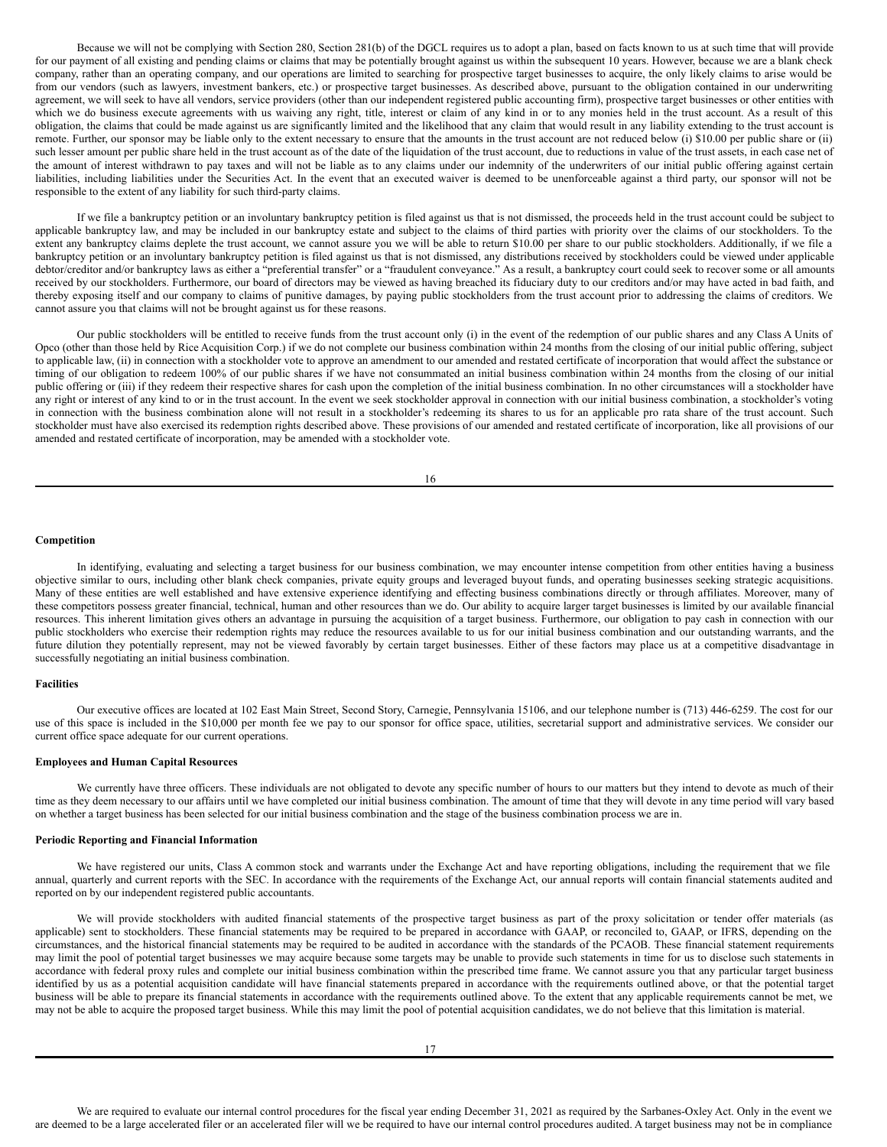Because we will not be complying with Section 280, Section 281(b) of the DGCL requires us to adopt a plan, based on facts known to us at such time that will provide for our payment of all existing and pending claims or claims that may be potentially brought against us within the subsequent 10 years. However, because we are a blank check company, rather than an operating company, and our operations are limited to searching for prospective target businesses to acquire, the only likely claims to arise would be from our vendors (such as lawyers, investment bankers, etc.) or prospective target businesses. As described above, pursuant to the obligation contained in our underwriting agreement, we will seek to have all vendors, service providers (other than our independent registered public accounting firm), prospective target businesses or other entities with which we do business execute agreements with us waiving any right, title, interest or claim of any kind in or to any monies held in the trust account. As a result of this obligation, the claims that could be made against us are significantly limited and the likelihood that any claim that would result in any liability extending to the trust account is remote. Further, our sponsor may be liable only to the extent necessary to ensure that the amounts in the trust account are not reduced below (i) \$10.00 per public share or (ii) such lesser amount per public share held in the trust account as of the date of the liquidation of the trust account, due to reductions in value of the trust assets, in each case net of the amount of interest withdrawn to pay taxes and will not be liable as to any claims under our indemnity of the underwriters of our initial public offering against certain liabilities, including liabilities under the Securities Act. In the event that an executed waiver is deemed to be unenforceable against a third party, our sponsor will not be responsible to the extent of any liability for such third-party claims.

If we file a bankruptcy petition or an involuntary bankruptcy petition is filed against us that is not dismissed, the proceeds held in the trust account could be subject to applicable bankruptcy law, and may be included in our bankruptcy estate and subject to the claims of third parties with priority over the claims of our stockholders. To the extent any bankruptcy claims deplete the trust account, we cannot assure you we will be able to return \$10.00 per share to our public stockholders. Additionally, if we file a bankruptcy petition or an involuntary bankruptcy petition is filed against us that is not dismissed, any distributions received by stockholders could be viewed under applicable debtor/creditor and/or bankruptcy laws as either a "preferential transfer" or a "fraudulent conveyance." As a result, a bankruptcy court could seek to recover some or all amounts received by our stockholders. Furthermore, our board of directors may be viewed as having breached its fiduciary duty to our creditors and/or may have acted in bad faith, and thereby exposing itself and our company to claims of punitive damages, by paying public stockholders from the trust account prior to addressing the claims of creditors. We cannot assure you that claims will not be brought against us for these reasons.

Our public stockholders will be entitled to receive funds from the trust account only (i) in the event of the redemption of our public shares and any Class A Units of Opco (other than those held by Rice Acquisition Corp.) if we do not complete our business combination within 24 months from the closing of our initial public offering, subject to applicable law, (ii) in connection with a stockholder vote to approve an amendment to our amended and restated certificate of incorporation that would affect the substance or timing of our obligation to redeem 100% of our public shares if we have not consummated an initial business combination within 24 months from the closing of our initial public offering or (iii) if they redeem their respective shares for cash upon the completion of the initial business combination. In no other circumstances will a stockholder have any right or interest of any kind to or in the trust account. In the event we seek stockholder approval in connection with our initial business combination, a stockholder's voting in connection with the business combination alone will not result in a stockholder's redeeming its shares to us for an applicable pro rata share of the trust account. Such stockholder must have also exercised its redemption rights described above. These provisions of our amended and restated certificate of incorporation, like all provisions of our amended and restated certificate of incorporation, may be amended with a stockholder vote.

| I<br>×<br>٧ |  |
|-------------|--|

### **Competition**

In identifying, evaluating and selecting a target business for our business combination, we may encounter intense competition from other entities having a business objective similar to ours, including other blank check companies, private equity groups and leveraged buyout funds, and operating businesses seeking strategic acquisitions. Many of these entities are well established and have extensive experience identifying and effecting business combinations directly or through affiliates. Moreover, many of these competitors possess greater financial, technical, human and other resources than we do. Our ability to acquire larger target businesses is limited by our available financial resources. This inherent limitation gives others an advantage in pursuing the acquisition of a target business. Furthermore, our obligation to pay cash in connection with our public stockholders who exercise their redemption rights may reduce the resources available to us for our initial business combination and our outstanding warrants, and the future dilution they potentially represent, may not be viewed favorably by certain target businesses. Either of these factors may place us at a competitive disadvantage in successfully negotiating an initial business combination.

### **Facilities**

Our executive offices are located at 102 East Main Street, Second Story, Carnegie, Pennsylvania 15106, and our telephone number is (713) 446-6259. The cost for our use of this space is included in the \$10,000 per month fee we pay to our sponsor for office space, utilities, secretarial support and administrative services. We consider our current office space adequate for our current operations.

## **Employees and Human Capital Resources**

We currently have three officers. These individuals are not obligated to devote any specific number of hours to our matters but they intend to devote as much of their time as they deem necessary to our affairs until we have completed our initial business combination. The amount of time that they will devote in any time period will vary based on whether a target business has been selected for our initial business combination and the stage of the business combination process we are in.

#### **Periodic Reporting and Financial Information**

We have registered our units, Class A common stock and warrants under the Exchange Act and have reporting obligations, including the requirement that we file annual, quarterly and current reports with the SEC. In accordance with the requirements of the Exchange Act, our annual reports will contain financial statements audited and reported on by our independent registered public accountants.

We will provide stockholders with audited financial statements of the prospective target business as part of the proxy solicitation or tender offer materials (as applicable) sent to stockholders. These financial statements may be required to be prepared in accordance with GAAP, or reconciled to, GAAP, or IFRS, depending on the circumstances, and the historical financial statements may be required to be audited in accordance with the standards of the PCAOB. These financial statement requirements may limit the pool of potential target businesses we may acquire because some targets may be unable to provide such statements in time for us to disclose such statements in accordance with federal proxy rules and complete our initial business combination within the prescribed time frame. We cannot assure you that any particular target business identified by us as a potential acquisition candidate will have financial statements prepared in accordance with the requirements outlined above, or that the potential target business will be able to prepare its financial statements in accordance with the requirements outlined above. To the extent that any applicable requirements cannot be met, we may not be able to acquire the proposed target business. While this may limit the pool of potential acquisition candidates, we do not believe that this limitation is material.

We are required to evaluate our internal control procedures for the fiscal year ending December 31, 2021 as required by the Sarbanes-Oxley Act. Only in the event we are deemed to be a large accelerated filer or an accelerated filer will we be required to have our internal control procedures audited. A target business may not be in compliance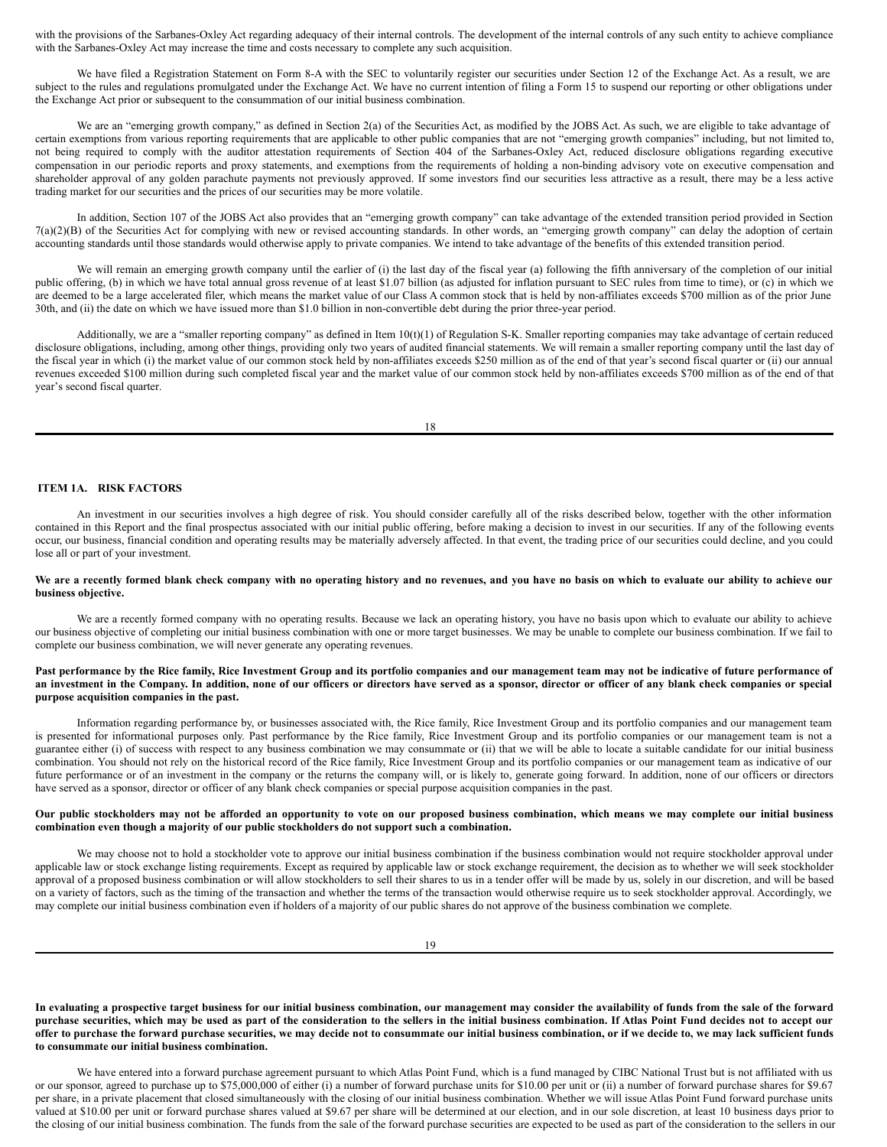with the provisions of the Sarbanes-Oxley Act regarding adequacy of their internal controls. The development of the internal controls of any such entity to achieve compliance with the Sarbanes-Oxley Act may increase the time and costs necessary to complete any such acquisition.

We have filed a Registration Statement on Form 8-A with the SEC to voluntarily register our securities under Section 12 of the Exchange Act. As a result, we are subject to the rules and regulations promulgated under the Exchange Act. We have no current intention of filing a Form 15 to suspend our reporting or other obligations under the Exchange Act prior or subsequent to the consummation of our initial business combination.

We are an "emerging growth company," as defined in Section 2(a) of the Securities Act, as modified by the JOBS Act. As such, we are eligible to take advantage of certain exemptions from various reporting requirements that are applicable to other public companies that are not "emerging growth companies" including, but not limited to, not being required to comply with the auditor attestation requirements of Section 404 of the Sarbanes-Oxley Act, reduced disclosure obligations regarding executive compensation in our periodic reports and proxy statements, and exemptions from the requirements of holding a non-binding advisory vote on executive compensation and shareholder approval of any golden parachute payments not previously approved. If some investors find our securities less attractive as a result, there may be a less active trading market for our securities and the prices of our securities may be more volatile.

In addition, Section 107 of the JOBS Act also provides that an "emerging growth company" can take advantage of the extended transition period provided in Section 7(a)(2)(B) of the Securities Act for complying with new or revised accounting standards. In other words, an "emerging growth company" can delay the adoption of certain accounting standards until those standards would otherwise apply to private companies. We intend to take advantage of the benefits of this extended transition period.

We will remain an emerging growth company until the earlier of (i) the last day of the fiscal year (a) following the fifth anniversary of the completion of our initial public offering, (b) in which we have total annual gross revenue of at least \$1.07 billion (as adjusted for inflation pursuant to SEC rules from time to time), or (c) in which we are deemed to be a large accelerated filer, which means the market value of our Class A common stock that is held by non-affiliates exceeds \$700 million as of the prior June 30th, and (ii) the date on which we have issued more than \$1.0 billion in non-convertible debt during the prior three-year period.

Additionally, we are a "smaller reporting company" as defined in Item 10(t)(1) of Regulation S-K. Smaller reporting companies may take advantage of certain reduced disclosure obligations, including, among other things, providing only two years of audited financial statements. We will remain a smaller reporting company until the last day of the fiscal year in which (i) the market value of our common stock held by non-affiliates exceeds \$250 million as of the end of that year's second fiscal quarter or (ii) our annual revenues exceeded \$100 million during such completed fiscal year and the market value of our common stock held by non-affiliates exceeds \$700 million as of the end of that year's second fiscal quarter.

## <span id="page-15-0"></span>**ITEM 1A. RISK FACTORS**

An investment in our securities involves a high degree of risk. You should consider carefully all of the risks described below, together with the other information contained in this Report and the final prospectus associated with our initial public offering, before making a decision to invest in our securities. If any of the following events occur, our business, financial condition and operating results may be materially adversely affected. In that event, the trading price of our securities could decline, and you could lose all or part of your investment.

### We are a recently formed blank check company with no operating history and no revenues, and you have no basis on which to evaluate our ability to achieve our **business objective.**

We are a recently formed company with no operating results. Because we lack an operating history, you have no basis upon which to evaluate our ability to achieve our business objective of completing our initial business combination with one or more target businesses. We may be unable to complete our business combination. If we fail to complete our business combination, we will never generate any operating revenues.

## Past performance by the Rice family, Rice Investment Group and its portfolio companies and our management team may not be indicative of future performance of an investment in the Company. In addition, none of our officers or directors have served as a sponsor, director or officer of any blank check companies or special **purpose acquisition companies in the past.**

Information regarding performance by, or businesses associated with, the Rice family, Rice Investment Group and its portfolio companies and our management team is presented for informational purposes only. Past performance by the Rice family, Rice Investment Group and its portfolio companies or our management team is not a guarantee either (i) of success with respect to any business combination we may consummate or (ii) that we will be able to locate a suitable candidate for our initial business combination. You should not rely on the historical record of the Rice family, Rice Investment Group and its portfolio companies or our management team as indicative of our future performance or of an investment in the company or the returns the company will, or is likely to, generate going forward. In addition, none of our officers or directors have served as a sponsor, director or officer of any blank check companies or special purpose acquisition companies in the past.

## Our public stockholders may not be afforded an opportunity to vote on our proposed business combination, which means we may complete our initial business **combination even though a majority of our public stockholders do not support such a combination.**

We may choose not to hold a stockholder vote to approve our initial business combination if the business combination would not require stockholder approval under applicable law or stock exchange listing requirements. Except as required by applicable law or stock exchange requirement, the decision as to whether we will seek stockholder approval of a proposed business combination or will allow stockholders to sell their shares to us in a tender offer will be made by us, solely in our discretion, and will be based on a variety of factors, such as the timing of the transaction and whether the terms of the transaction would otherwise require us to seek stockholder approval. Accordingly, we may complete our initial business combination even if holders of a majority of our public shares do not approve of the business combination we complete.

In evaluating a prospective target business for our initial business combination, our management may consider the availability of funds from the sale of the forward purchase securities, which may be used as part of the consideration to the sellers in the initial business combination. If Atlas Point Fund decides not to accept our offer to purchase the forward purchase securities, we may decide not to consummate our initial business combination, or if we decide to, we may lack sufficient funds **to consummate our initial business combination.**

We have entered into a forward purchase agreement pursuant to which Atlas Point Fund, which is a fund managed by CIBC National Trust but is not affiliated with us or our sponsor, agreed to purchase up to \$75,000,000 of either (i) a number of forward purchase units for \$10.00 per unit or (ii) a number of forward purchase shares for \$9.67 per share, in a private placement that closed simultaneously with the closing of our initial business combination. Whether we will issue Atlas Point Fund forward purchase units valued at \$10.00 per unit or forward purchase shares valued at \$9.67 per share will be determined at our election, and in our sole discretion, at least 10 business days prior to the closing of our initial business combination. The funds from the sale of the forward purchase securities are expected to be used as part of the consideration to the sellers in our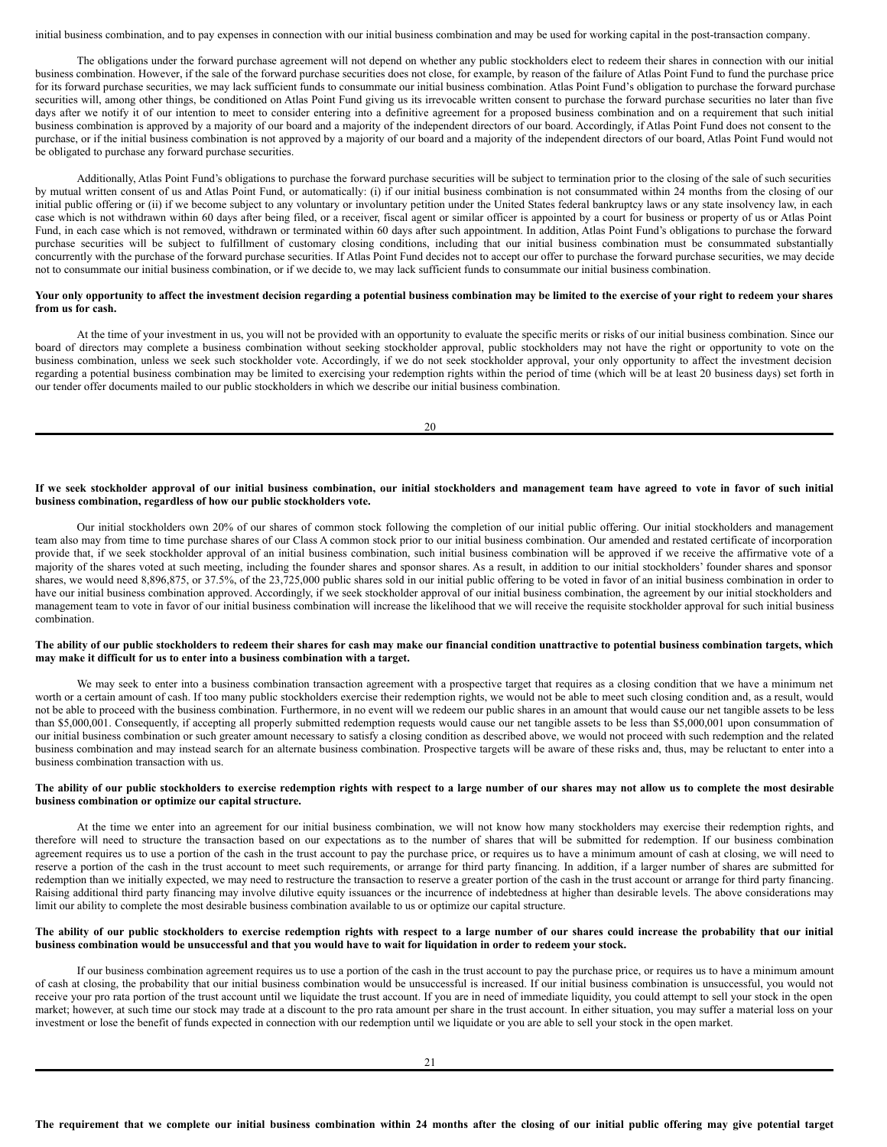initial business combination, and to pay expenses in connection with our initial business combination and may be used for working capital in the post-transaction company.

The obligations under the forward purchase agreement will not depend on whether any public stockholders elect to redeem their shares in connection with our initial business combination. However, if the sale of the forward purchase securities does not close, for example, by reason of the failure of Atlas Point Fund to fund the purchase price for its forward purchase securities, we may lack sufficient funds to consummate our initial business combination. Atlas Point Fund's obligation to purchase the forward purchase securities will, among other things, be conditioned on Atlas Point Fund giving us its irrevocable written consent to purchase the forward purchase securities no later than five days after we notify it of our intention to meet to consider entering into a definitive agreement for a proposed business combination and on a requirement that such initial business combination is approved by a majority of our board and a majority of the independent directors of our board. Accordingly, if Atlas Point Fund does not consent to the purchase, or if the initial business combination is not approved by a majority of our board and a majority of the independent directors of our board, Atlas Point Fund would not be obligated to purchase any forward purchase securities.

Additionally, Atlas Point Fund's obligations to purchase the forward purchase securities will be subject to termination prior to the closing of the sale of such securities by mutual written consent of us and Atlas Point Fund, or automatically: (i) if our initial business combination is not consummated within 24 months from the closing of our initial public offering or (ii) if we become subject to any voluntary or involuntary petition under the United States federal bankruptcy laws or any state insolvency law, in each case which is not withdrawn within 60 days after being filed, or a receiver, fiscal agent or similar officer is appointed by a court for business or property of us or Atlas Point Fund, in each case which is not removed, withdrawn or terminated within 60 days after such appointment. In addition, Atlas Point Fund's obligations to purchase the forward purchase securities will be subject to fulfillment of customary closing conditions, including that our initial business combination must be consummated substantially concurrently with the purchase of the forward purchase securities. If Atlas Point Fund decides not to accept our offer to purchase the forward purchase securities, we may decide not to consummate our initial business combination, or if we decide to, we may lack sufficient funds to consummate our initial business combination.

## Your only opportunity to affect the investment decision regarding a potential business combination may be limited to the exercise of your right to redeem your shares **from us for cash.**

At the time of your investment in us, you will not be provided with an opportunity to evaluate the specific merits or risks of our initial business combination. Since our board of directors may complete a business combination without seeking stockholder approval, public stockholders may not have the right or opportunity to vote on the business combination, unless we seek such stockholder vote. Accordingly, if we do not seek stockholder approval, your only opportunity to affect the investment decision regarding a potential business combination may be limited to exercising your redemption rights within the period of time (which will be at least 20 business days) set forth in our tender offer documents mailed to our public stockholders in which we describe our initial business combination.

| ×<br>ł |               |  |
|--------|---------------|--|
|        |               |  |
|        | ۰.<br>×<br>۰. |  |

## If we seek stockholder approval of our initial business combination, our initial stockholders and management team have agreed to vote in favor of such initial **business combination, regardless of how our public stockholders vote.**

Our initial stockholders own 20% of our shares of common stock following the completion of our initial public offering. Our initial stockholders and management team also may from time to time purchase shares of our Class A common stock prior to our initial business combination. Our amended and restated certificate of incorporation provide that, if we seek stockholder approval of an initial business combination, such initial business combination will be approved if we receive the affirmative vote of a majority of the shares voted at such meeting, including the founder shares and sponsor shares. As a result, in addition to our initial stockholders' founder shares and sponsor shares, we would need 8,896,875, or 37.5%, of the 23,725,000 public shares sold in our initial public offering to be voted in favor of an initial business combination in order to have our initial business combination approved. Accordingly, if we seek stockholder approval of our initial business combination, the agreement by our initial stockholders and management team to vote in favor of our initial business combination will increase the likelihood that we will receive the requisite stockholder approval for such initial business combination.

## The ability of our public stockholders to redeem their shares for cash may make our financial condition unattractive to potential business combination targets, which **may make it difficult for us to enter into a business combination with a target.**

We may seek to enter into a business combination transaction agreement with a prospective target that requires as a closing condition that we have a minimum net worth or a certain amount of cash. If too many public stockholders exercise their redemption rights, we would not be able to meet such closing condition and, as a result, would not be able to proceed with the business combination. Furthermore, in no event will we redeem our public shares in an amount that would cause our net tangible assets to be less than \$5,000,001. Consequently, if accepting all properly submitted redemption requests would cause our net tangible assets to be less than \$5,000,001 upon consummation of our initial business combination or such greater amount necessary to satisfy a closing condition as described above, we would not proceed with such redemption and the related business combination and may instead search for an alternate business combination. Prospective targets will be aware of these risks and, thus, may be reluctant to enter into a business combination transaction with us.

## The ability of our public stockholders to exercise redemption rights with respect to a large number of our shares may not allow us to complete the most desirable **business combination or optimize our capital structure.**

At the time we enter into an agreement for our initial business combination, we will not know how many stockholders may exercise their redemption rights, and therefore will need to structure the transaction based on our expectations as to the number of shares that will be submitted for redemption. If our business combination agreement requires us to use a portion of the cash in the trust account to pay the purchase price, or requires us to have a minimum amount of cash at closing, we will need to reserve a portion of the cash in the trust account to meet such requirements, or arrange for third party financing. In addition, if a larger number of shares are submitted for redemption than we initially expected, we may need to restructure the transaction to reserve a greater portion of the cash in the trust account or arrange for third party financing. Raising additional third party financing may involve dilutive equity issuances or the incurrence of indebtedness at higher than desirable levels. The above considerations may limit our ability to complete the most desirable business combination available to us or optimize our capital structure.

## The ability of our public stockholders to exercise redemption rights with respect to a large number of our shares could increase the probability that our initial business combination would be unsuccessful and that you would have to wait for liquidation in order to redeem your stock.

If our business combination agreement requires us to use a portion of the cash in the trust account to pay the purchase price, or requires us to have a minimum amount of cash at closing, the probability that our initial business combination would be unsuccessful is increased. If our initial business combination is unsuccessful, you would not receive your pro rata portion of the trust account until we liquidate the trust account. If you are in need of immediate liquidity, you could attempt to sell your stock in the open market; however, at such time our stock may trade at a discount to the pro rata amount per share in the trust account. In either situation, you may suffer a material loss on your investment or lose the benefit of funds expected in connection with our redemption until we liquidate or you are able to sell your stock in the open market.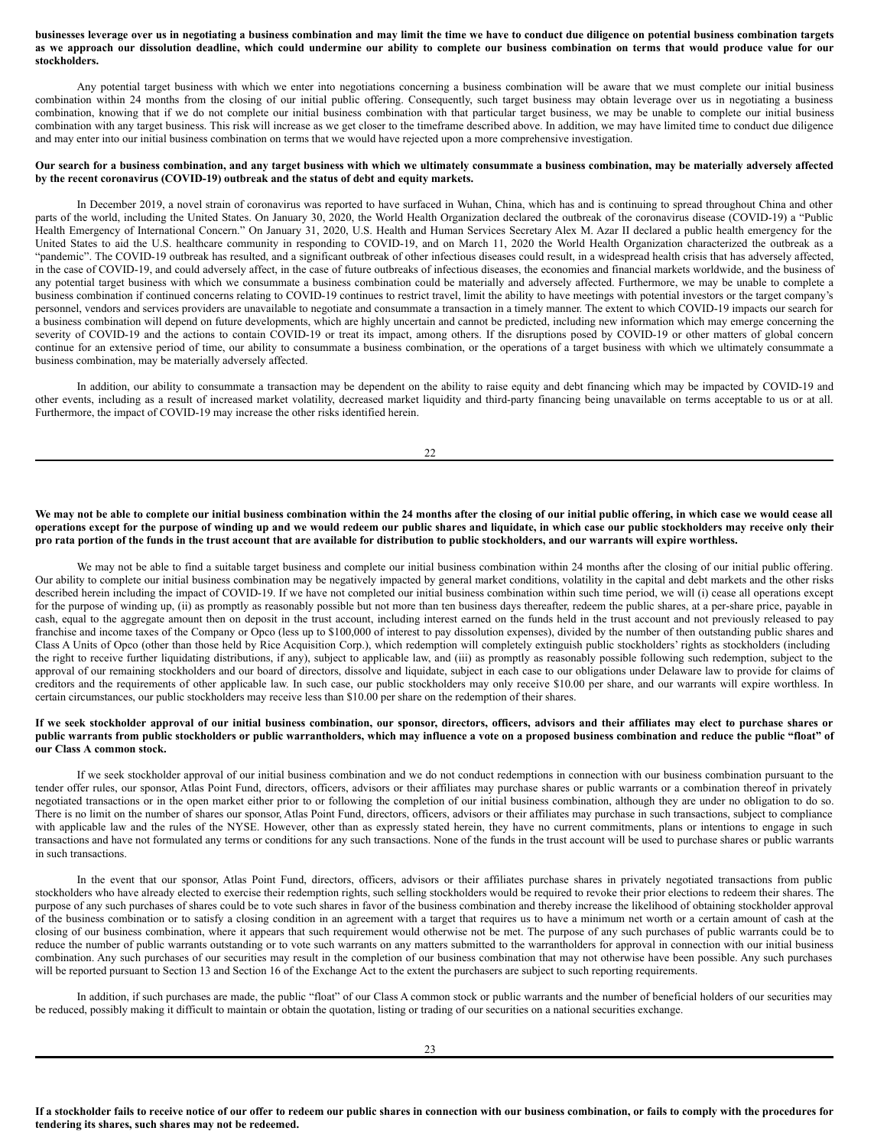businesses leverage over us in negotiating a business combination and may limit the time we have to conduct due diligence on potential business combination targets as we approach our dissolution deadline, which could undermine our ability to complete our business combination on terms that would produce value for our **stockholders.**

Any potential target business with which we enter into negotiations concerning a business combination will be aware that we must complete our initial business combination within 24 months from the closing of our initial public offering. Consequently, such target business may obtain leverage over us in negotiating a business combination, knowing that if we do not complete our initial business combination with that particular target business, we may be unable to complete our initial business combination with any target business. This risk will increase as we get closer to the timeframe described above. In addition, we may have limited time to conduct due diligence and may enter into our initial business combination on terms that we would have rejected upon a more comprehensive investigation.

## Our search for a business combination, and any target business with which we ultimately consummate a business combination, may be materially adversely affected **by the recent coronavirus (COVID-19) outbreak and the status of debt and equity markets.**

In December 2019, a novel strain of coronavirus was reported to have surfaced in Wuhan, China, which has and is continuing to spread throughout China and other parts of the world, including the United States. On January 30, 2020, the World Health Organization declared the outbreak of the coronavirus disease (COVID-19) a "Public Health Emergency of International Concern." On January 31, 2020, U.S. Health and Human Services Secretary Alex M. Azar II declared a public health emergency for the United States to aid the U.S. healthcare community in responding to COVID-19, and on March 11, 2020 the World Health Organization characterized the outbreak as a "pandemic". The COVID-19 outbreak has resulted, and a significant outbreak of other infectious diseases could result, in a widespread health crisis that has adversely affected, in the case of COVID-19, and could adversely affect, in the case of future outbreaks of infectious diseases, the economies and financial markets worldwide, and the business of any potential target business with which we consummate a business combination could be materially and adversely affected. Furthermore, we may be unable to complete a business combination if continued concerns relating to COVID-19 continues to restrict travel, limit the ability to have meetings with potential investors or the target company's personnel, vendors and services providers are unavailable to negotiate and consummate a transaction in a timely manner. The extent to which COVID-19 impacts our search for a business combination will depend on future developments, which are highly uncertain and cannot be predicted, including new information which may emerge concerning the severity of COVID-19 and the actions to contain COVID-19 or treat its impact, among others. If the disruptions posed by COVID-19 or other matters of global concern continue for an extensive period of time, our ability to consummate a business combination, or the operations of a target business with which we ultimately consummate a business combination, may be materially adversely affected.

In addition, our ability to consummate a transaction may be dependent on the ability to raise equity and debt financing which may be impacted by COVID-19 and other events, including as a result of increased market volatility, decreased market liquidity and third-party financing being unavailable on terms acceptable to us or at all. Furthermore, the impact of COVID-19 may increase the other risks identified herein.

 $22$ 

We may not be able to complete our initial business combination within the 24 months after the closing of our initial public offering, in which case we would cease all operations except for the purpose of winding up and we would redeem our public shares and liquidate, in which case our public stockholders may receive only their pro rata portion of the funds in the trust account that are available for distribution to public stockholders, and our warrants will expire worthless.

We may not be able to find a suitable target business and complete our initial business combination within 24 months after the closing of our initial public offering. Our ability to complete our initial business combination may be negatively impacted by general market conditions, volatility in the capital and debt markets and the other risks described herein including the impact of COVID-19. If we have not completed our initial business combination within such time period, we will (i) cease all operations except for the purpose of winding up, (ii) as promptly as reasonably possible but not more than ten business days thereafter, redeem the public shares, at a per-share price, payable in cash, equal to the aggregate amount then on deposit in the trust account, including interest earned on the funds held in the trust account and not previously released to pay franchise and income taxes of the Company or Opco (less up to \$100,000 of interest to pay dissolution expenses), divided by the number of then outstanding public shares and Class A Units of Opco (other than those held by Rice Acquisition Corp.), which redemption will completely extinguish public stockholders' rights as stockholders (including the right to receive further liquidating distributions, if any), subject to applicable law, and (iii) as promptly as reasonably possible following such redemption, subject to the approval of our remaining stockholders and our board of directors, dissolve and liquidate, subject in each case to our obligations under Delaware law to provide for claims of creditors and the requirements of other applicable law. In such case, our public stockholders may only receive \$10.00 per share, and our warrants will expire worthless. In certain circumstances, our public stockholders may receive less than \$10.00 per share on the redemption of their shares.

## If we seek stockholder approval of our initial business combination, our sponsor, directors, officers, advisors and their affiliates may elect to purchase shares or public warrants from public stockholders or public warrantholders, which may influence a vote on a proposed business combination and reduce the public "float" of **our Class A common stock.**

If we seek stockholder approval of our initial business combination and we do not conduct redemptions in connection with our business combination pursuant to the tender offer rules, our sponsor, Atlas Point Fund, directors, officers, advisors or their affiliates may purchase shares or public warrants or a combination thereof in privately negotiated transactions or in the open market either prior to or following the completion of our initial business combination, although they are under no obligation to do so. There is no limit on the number of shares our sponsor, Atlas Point Fund, directors, officers, advisors or their affiliates may purchase in such transactions, subject to compliance with applicable law and the rules of the NYSE. However, other than as expressly stated herein, they have no current commitments, plans or intentions to engage in such transactions and have not formulated any terms or conditions for any such transactions. None of the funds in the trust account will be used to purchase shares or public warrants in such transactions.

In the event that our sponsor, Atlas Point Fund, directors, officers, advisors or their affiliates purchase shares in privately negotiated transactions from public stockholders who have already elected to exercise their redemption rights, such selling stockholders would be required to revoke their prior elections to redeem their shares. The purpose of any such purchases of shares could be to vote such shares in favor of the business combination and thereby increase the likelihood of obtaining stockholder approval of the business combination or to satisfy a closing condition in an agreement with a target that requires us to have a minimum net worth or a certain amount of cash at the closing of our business combination, where it appears that such requirement would otherwise not be met. The purpose of any such purchases of public warrants could be to reduce the number of public warrants outstanding or to vote such warrants on any matters submitted to the warrantholders for approval in connection with our initial business combination. Any such purchases of our securities may result in the completion of our business combination that may not otherwise have been possible. Any such purchases will be reported pursuant to Section 13 and Section 16 of the Exchange Act to the extent the purchasers are subject to such reporting requirements.

In addition, if such purchases are made, the public "float" of our Class A common stock or public warrants and the number of beneficial holders of our securities may be reduced, possibly making it difficult to maintain or obtain the quotation, listing or trading of our securities on a national securities exchange.

If a stockholder fails to receive notice of our offer to redeem our public shares in connection with our business combination, or fails to comply with the procedures for **tendering its shares, such shares may not be redeemed.**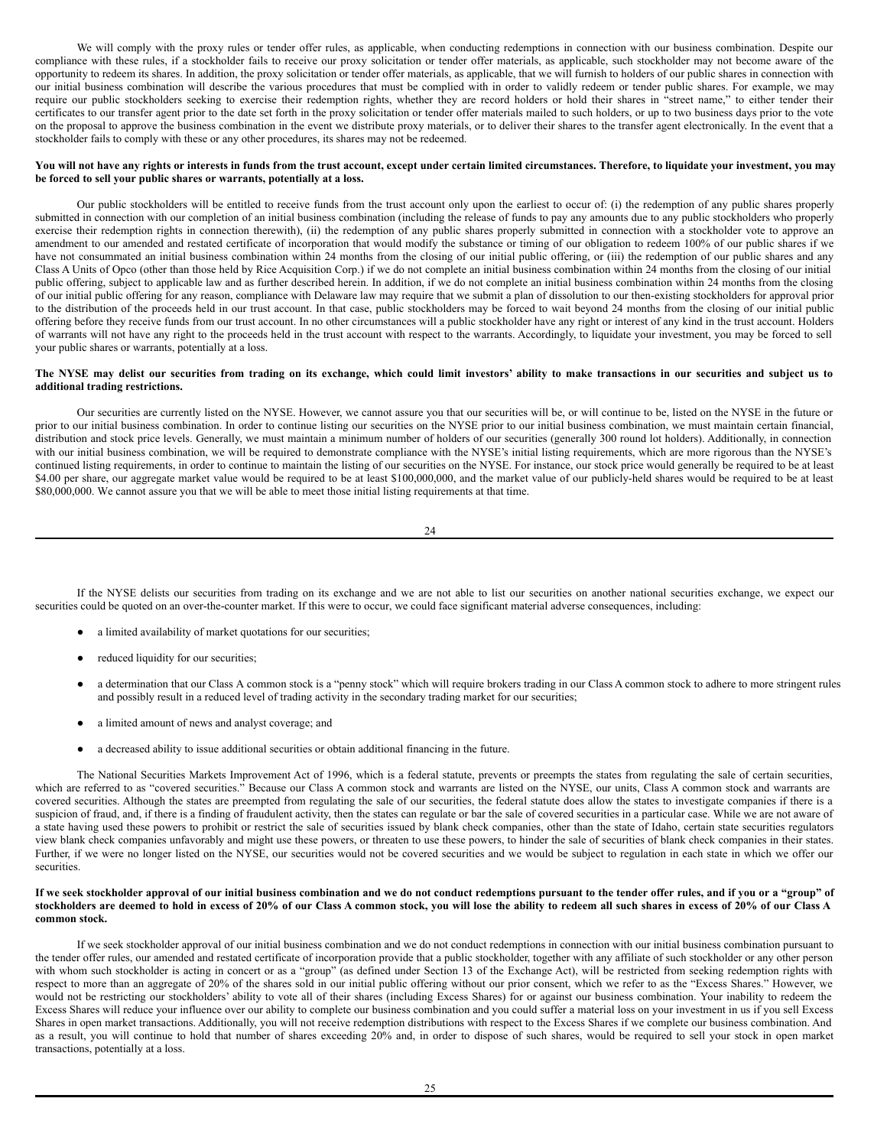We will comply with the proxy rules or tender offer rules, as applicable, when conducting redemptions in connection with our business combination. Despite our compliance with these rules, if a stockholder fails to receive our proxy solicitation or tender offer materials, as applicable, such stockholder may not become aware of the opportunity to redeem its shares. In addition, the proxy solicitation or tender offer materials, as applicable, that we will furnish to holders of our public shares in connection with our initial business combination will describe the various procedures that must be complied with in order to validly redeem or tender public shares. For example, we may require our public stockholders seeking to exercise their redemption rights, whether they are record holders or hold their shares in "street name," to either tender their certificates to our transfer agent prior to the date set forth in the proxy solicitation or tender offer materials mailed to such holders, or up to two business days prior to the vote on the proposal to approve the business combination in the event we distribute proxy materials, or to deliver their shares to the transfer agent electronically. In the event that a stockholder fails to comply with these or any other procedures, its shares may not be redeemed.

## You will not have any rights or interests in funds from the trust account, except under certain limited circumstances. Therefore, to liquidate your investment, you may **be forced to sell your public shares or warrants, potentially at a loss.**

Our public stockholders will be entitled to receive funds from the trust account only upon the earliest to occur of: (i) the redemption of any public shares properly submitted in connection with our completion of an initial business combination (including the release of funds to pay any amounts due to any public stockholders who properly exercise their redemption rights in connection therewith), (ii) the redemption of any public shares properly submitted in connection with a stockholder vote to approve an amendment to our amended and restated certificate of incorporation that would modify the substance or timing of our obligation to redeem 100% of our public shares if we have not consummated an initial business combination within 24 months from the closing of our initial public offering, or (iii) the redemption of our public shares and any Class A Units of Opco (other than those held by Rice Acquisition Corp.) if we do not complete an initial business combination within 24 months from the closing of our initial public offering, subject to applicable law and as further described herein. In addition, if we do not complete an initial business combination within 24 months from the closing of our initial public offering for any reason, compliance with Delaware law may require that we submit a plan of dissolution to our then-existing stockholders for approval prior to the distribution of the proceeds held in our trust account. In that case, public stockholders may be forced to wait beyond 24 months from the closing of our initial public offering before they receive funds from our trust account. In no other circumstances will a public stockholder have any right or interest of any kind in the trust account. Holders of warrants will not have any right to the proceeds held in the trust account with respect to the warrants. Accordingly, to liquidate your investment, you may be forced to sell your public shares or warrants, potentially at a loss.

## The NYSE may delist our securities from trading on its exchange, which could limit investors' ability to make transactions in our securities and subject us to **additional trading restrictions.**

Our securities are currently listed on the NYSE. However, we cannot assure you that our securities will be, or will continue to be, listed on the NYSE in the future or prior to our initial business combination. In order to continue listing our securities on the NYSE prior to our initial business combination, we must maintain certain financial, distribution and stock price levels. Generally, we must maintain a minimum number of holders of our securities (generally 300 round lot holders). Additionally, in connection with our initial business combination, we will be required to demonstrate compliance with the NYSE's initial listing requirements, which are more rigorous than the NYSE's continued listing requirements, in order to continue to maintain the listing of our securities on the NYSE. For instance, our stock price would generally be required to be at least \$4.00 per share, our aggregate market value would be required to be at least \$100,000,000, and the market value of our publicly-held shares would be required to be at least \$80,000,000. We cannot assure you that we will be able to meet those initial listing requirements at that time.

 $24$ 

If the NYSE delists our securities from trading on its exchange and we are not able to list our securities on another national securities exchange, we expect our securities could be quoted on an over-the-counter market. If this were to occur, we could face significant material adverse consequences, including:

- a limited availability of market quotations for our securities;
- reduced liquidity for our securities;
- a determination that our Class A common stock is a "penny stock" which will require brokers trading in our Class A common stock to adhere to more stringent rules and possibly result in a reduced level of trading activity in the secondary trading market for our securities;
- a limited amount of news and analyst coverage; and
- a decreased ability to issue additional securities or obtain additional financing in the future.

The National Securities Markets Improvement Act of 1996, which is a federal statute, prevents or preempts the states from regulating the sale of certain securities, which are referred to as "covered securities." Because our Class A common stock and warrants are listed on the NYSE, our units, Class A common stock and warrants are covered securities. Although the states are preempted from regulating the sale of our securities, the federal statute does allow the states to investigate companies if there is a suspicion of fraud, and, if there is a finding of fraudulent activity, then the states can regulate or bar the sale of covered securities in a particular case. While we are not aware of a state having used these powers to prohibit or restrict the sale of securities issued by blank check companies, other than the state of Idaho, certain state securities regulators view blank check companies unfavorably and might use these powers, or threaten to use these powers, to hinder the sale of securities of blank check companies in their states. Further, if we were no longer listed on the NYSE, our securities would not be covered securities and we would be subject to regulation in each state in which we offer our securities.

## If we seek stockholder approval of our initial business combination and we do not conduct redemptions pursuant to the tender offer rules, and if you or a "group" of stockholders are deemed to hold in excess of 20% of our Class A common stock, you will lose the ability to redeem all such shares in excess of 20% of our Class A **common stock.**

If we seek stockholder approval of our initial business combination and we do not conduct redemptions in connection with our initial business combination pursuant to the tender offer rules, our amended and restated certificate of incorporation provide that a public stockholder, together with any affiliate of such stockholder or any other person with whom such stockholder is acting in concert or as a "group" (as defined under Section 13 of the Exchange Act), will be restricted from seeking redemption rights with respect to more than an aggregate of 20% of the shares sold in our initial public offering without our prior consent, which we refer to as the "Excess Shares." However, we would not be restricting our stockholders' ability to vote all of their shares (including Excess Shares) for or against our business combination. Your inability to redeem the Excess Shares will reduce your influence over our ability to complete our business combination and you could suffer a material loss on your investment in us if you sell Excess Shares in open market transactions. Additionally, you will not receive redemption distributions with respect to the Excess Shares if we complete our business combination. And as a result, you will continue to hold that number of shares exceeding 20% and, in order to dispose of such shares, would be required to sell your stock in open market transactions, potentially at a loss.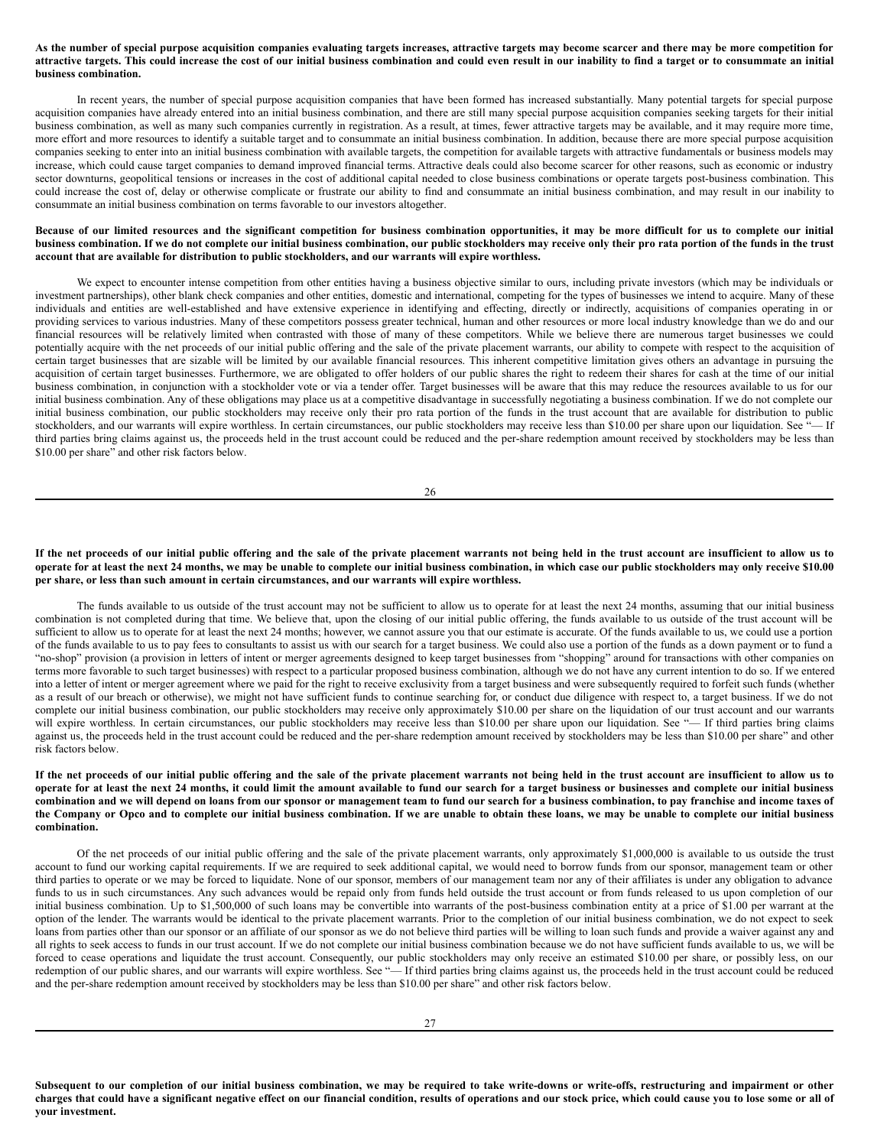### As the number of special purpose acquisition companies evaluating targets increases, attractive targets may become scarcer and there may be more competition for attractive targets. This could increase the cost of our initial business combination and could even result in our inability to find a target or to consummate an initial **business combination.**

In recent years, the number of special purpose acquisition companies that have been formed has increased substantially. Many potential targets for special purpose acquisition companies have already entered into an initial business combination, and there are still many special purpose acquisition companies seeking targets for their initial business combination, as well as many such companies currently in registration. As a result, at times, fewer attractive targets may be available, and it may require more time, more effort and more resources to identify a suitable target and to consummate an initial business combination. In addition, because there are more special purpose acquisition companies seeking to enter into an initial business combination with available targets, the competition for available targets with attractive fundamentals or business models may increase, which could cause target companies to demand improved financial terms. Attractive deals could also become scarcer for other reasons, such as economic or industry sector downturns, geopolitical tensions or increases in the cost of additional capital needed to close business combinations or operate targets post-business combination. This could increase the cost of, delay or otherwise complicate or frustrate our ability to find and consummate an initial business combination, and may result in our inability to consummate an initial business combination on terms favorable to our investors altogether.

## Because of our limited resources and the significant competition for business combination opportunities, it may be more difficult for us to complete our initial business combination. If we do not complete our initial business combination, our public stockholders may receive only their pro rata portion of the funds in the trust **account that are available for distribution to public stockholders, and our warrants will expire worthless.**

We expect to encounter intense competition from other entities having a business objective similar to ours, including private investors (which may be individuals or investment partnerships), other blank check companies and other entities, domestic and international, competing for the types of businesses we intend to acquire. Many of these individuals and entities are well-established and have extensive experience in identifying and effecting, directly or indirectly, acquisitions of companies operating in or providing services to various industries. Many of these competitors possess greater technical, human and other resources or more local industry knowledge than we do and our financial resources will be relatively limited when contrasted with those of many of these competitors. While we believe there are numerous target businesses we could potentially acquire with the net proceeds of our initial public offering and the sale of the private placement warrants, our ability to compete with respect to the acquisition of certain target businesses that are sizable will be limited by our available financial resources. This inherent competitive limitation gives others an advantage in pursuing the acquisition of certain target businesses. Furthermore, we are obligated to offer holders of our public shares the right to redeem their shares for cash at the time of our initial business combination, in conjunction with a stockholder vote or via a tender offer. Target businesses will be aware that this may reduce the resources available to us for our initial business combination. Any of these obligations may place us at a competitive disadvantage in successfully negotiating a business combination. If we do not complete our initial business combination, our public stockholders may receive only their pro rata portion of the funds in the trust account that are available for distribution to public stockholders, and our warrants will expire worthless. In certain circumstances, our public stockholders may receive less than \$10.00 per share upon our liquidation. See "-- If third parties bring claims against us, the proceeds held in the trust account could be reduced and the per-share redemption amount received by stockholders may be less than \$10.00 per share" and other risk factors below.

26

### If the net proceeds of our initial public offering and the sale of the private placement warrants not being held in the trust account are insufficient to allow us to operate for at least the next 24 months, we may be unable to complete our initial business combination, in which case our public stockholders may only receive \$10.00 **per share, or less than such amount in certain circumstances, and our warrants will expire worthless.**

The funds available to us outside of the trust account may not be sufficient to allow us to operate for at least the next 24 months, assuming that our initial business combination is not completed during that time. We believe that, upon the closing of our initial public offering, the funds available to us outside of the trust account will be sufficient to allow us to operate for at least the next 24 months; however, we cannot assure you that our estimate is accurate. Of the funds available to us, we could use a portion of the funds available to us to pay fees to consultants to assist us with our search for a target business. We could also use a portion of the funds as a down payment or to fund a "no-shop" provision (a provision in letters of intent or merger agreements designed to keep target businesses from "shopping" around for transactions with other companies on terms more favorable to such target businesses) with respect to a particular proposed business combination, although we do not have any current intention to do so. If we entered into a letter of intent or merger agreement where we paid for the right to receive exclusivity from a target business and were subsequently required to forfeit such funds (whether as a result of our breach or otherwise), we might not have sufficient funds to continue searching for, or conduct due diligence with respect to, a target business. If we do not complete our initial business combination, our public stockholders may receive only approximately \$10.00 per share on the liquidation of our trust account and our warrants will expire worthless. In certain circumstances, our public stockholders may receive less than \$10.00 per share upon our liquidation. See "— If third parties bring claims against us, the proceeds held in the trust account could be reduced and the per-share redemption amount received by stockholders may be less than \$10.00 per share" and other risk factors below.

## If the net proceeds of our initial public offering and the sale of the private placement warrants not being held in the trust account are insufficient to allow us to operate for at least the next 24 months, it could limit the amount available to fund our search for a target business or businesses and complete our initial business combination and we will depend on loans from our sponsor or management team to fund our search for a business combination, to pay franchise and income taxes of the Company or Opco and to complete our initial business combination. If we are unable to obtain these loans, we may be unable to complete our initial business **combination.**

Of the net proceeds of our initial public offering and the sale of the private placement warrants, only approximately \$1,000,000 is available to us outside the trust account to fund our working capital requirements. If we are required to seek additional capital, we would need to borrow funds from our sponsor, management team or other third parties to operate or we may be forced to liquidate. None of our sponsor, members of our management team nor any of their affiliates is under any obligation to advance funds to us in such circumstances. Any such advances would be repaid only from funds held outside the trust account or from funds released to us upon completion of our initial business combination. Up to \$1,500,000 of such loans may be convertible into warrants of the post-business combination entity at a price of \$1.00 per warrant at the option of the lender. The warrants would be identical to the private placement warrants. Prior to the completion of our initial business combination, we do not expect to seek loans from parties other than our sponsor or an affiliate of our sponsor as we do not believe third parties will be willing to loan such funds and provide a waiver against any and all rights to seek access to funds in our trust account. If we do not complete our initial business combination because we do not have sufficient funds available to us, we will be forced to cease operations and liquidate the trust account. Consequently, our public stockholders may only receive an estimated \$10.00 per share, or possibly less, on our redemption of our public shares, and our warrants will expire worthless. See "- If third parties bring claims against us, the proceeds held in the trust account could be reduced and the per-share redemption amount received by stockholders may be less than \$10.00 per share" and other risk factors below.

Subsequent to our completion of our initial business combination, we may be required to take write-downs or write-offs, restructuring and impairment or other charges that could have a significant negative effect on our financial condition, results of operations and our stock price, which could cause you to lose some or all of **your investment.**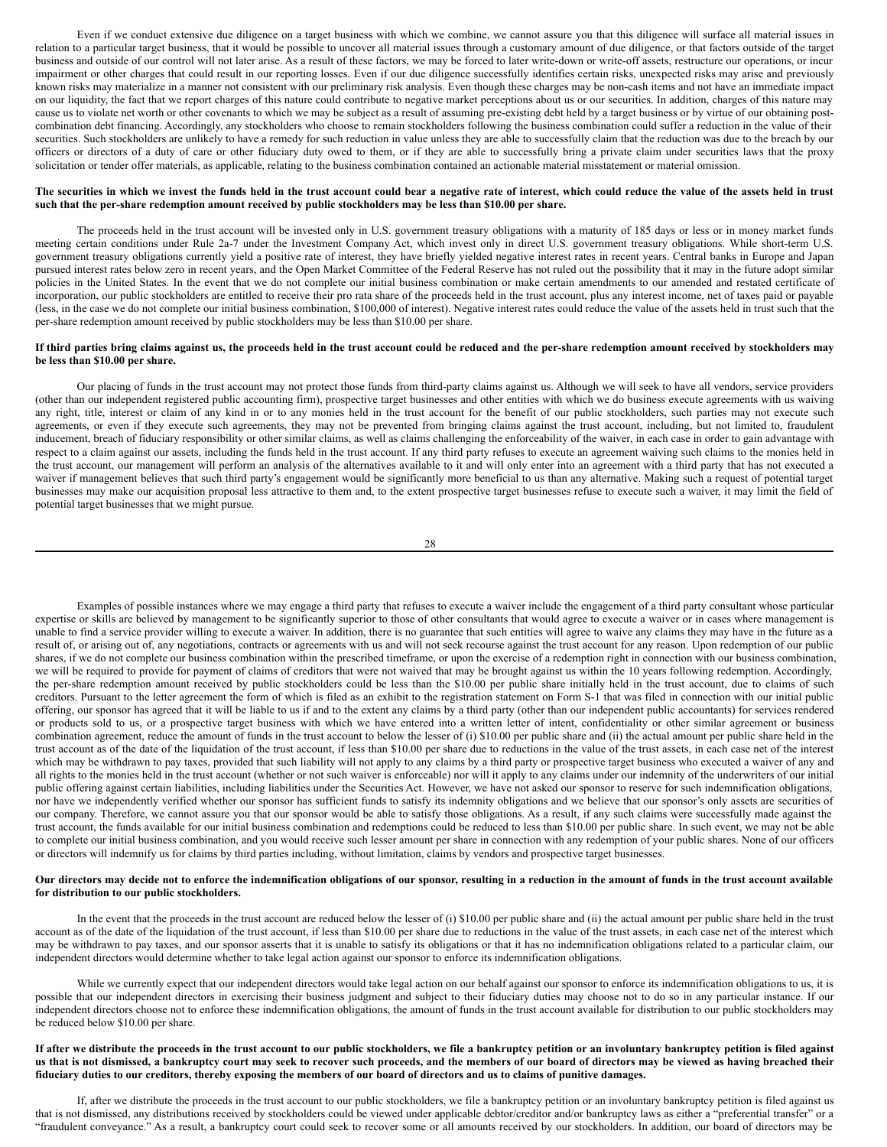Even if we conduct extensive due diligence on a target business with which we combine, we cannot assure you that this diligence will surface all material issues in relation to a particular target business, that it would be possible to uncover all material issues through a customary amount of due diligence, or that factors outside of the target business and outside of our control will not later arise. As a result of these factors, we may be forced to later write-down or write-off assets, restructure our operations, or incur impairment or other charges that could result in our reporting losses. Even if our due diligence successfully identifies certain risks, unexpected risks may arise and previously known risks may materialize in a manner not consistent with our preliminary risk analysis. Even though these charges may be non-cash items and not have an immediate impact on our liquidity, the fact that we report charges of this nature could contribute to negative market perceptions about us or our securities. In addition, charges of this nature may cause us to violate net worth or other covenants to which we may be subject as a result of assuming pre-existing debt held by a target business or by virtue of our obtaining postcombination debt financing. Accordingly, any stockholders who choose to remain stockholders following the business combination could suffer a reduction in the value of their securities. Such stockholders are unlikely to have a remedy for such reduction in value unless they are able to successfully claim that the reduction was due to the breach by our officers or directors of a duty of care or other fiduciary duty owed to them, or if they are able to successfully bring a private claim under securities laws that the proxy solicitation or tender offer materials, as applicable, relating to the business combination contained an actionable material misstatement or material omission.

## The securities in which we invest the funds held in the trust account could bear a negative rate of interest, which could reduce the value of the assets held in trust such that the per-share redemption amount received by public stockholders may be less than \$10.00 per share.

The proceeds held in the trust account will be invested only in U.S. government treasury obligations with a maturity of 185 days or less or in money market funds meeting certain conditions under Rule 2a-7 under the Investment Company Act, which invest only in direct U.S. government treasury obligations. While short-term U.S. government treasury obligations currently yield a positive rate of interest, they have briefly yielded negative interest rates in recent years. Central banks in Europe and Japan pursued interest rates below zero in recent years, and the Open Market Committee of the Federal Reserve has not ruled out the possibility that it may in the future adopt similar policies in the United States. In the event that we do not complete our initial business combination or make certain amendments to our amended and restated certificate of incorporation, our public stockholders are entitled to receive their pro rata share of the proceeds held in the trust account, plus any interest income, net of taxes paid or payable (less, in the case we do not complete our initial business combination, \$100,000 of interest). Negative interest rates could reduce the value of the assets held in trust such that the per-share redemption amount received by public stockholders may be less than \$10.00 per share.

## If third parties bring claims against us, the proceeds held in the trust account could be reduced and the per-share redemption amount received by stockholders may **be less than \$10.00 per share.**

Our placing of funds in the trust account may not protect those funds from third-party claims against us. Although we will seek to have all vendors, service providers (other than our independent registered public accounting firm), prospective target businesses and other entities with which we do business execute agreements with us waiving any right, title, interest or claim of any kind in or to any monies held in the trust account for the benefit of our public stockholders, such parties may not execute such agreements, or even if they execute such agreements, they may not be prevented from bringing claims against the trust account, including, but not limited to, fraudulent inducement, breach of fiduciary responsibility or other similar claims, as well as claims challenging the enforceability of the waiver, in each case in order to gain advantage with respect to a claim against our assets, including the funds held in the trust account. If any third party refuses to execute an agreement waiving such claims to the monies held in the trust account, our management will perform an analysis of the alternatives available to it and will only enter into an agreement with a third party that has not executed a waiver if management believes that such third party's engagement would be significantly more beneficial to us than any alternative. Making such a request of potential target businesses may make our acquisition proposal less attractive to them and, to the extent prospective target businesses refuse to execute such a waiver, it may limit the field of potential target businesses that we might pursue.

28

Examples of possible instances where we may engage a third party that refuses to execute a waiver include the engagement of a third party consultant whose particular expertise or skills are believed by management to be significantly superior to those of other consultants that would agree to execute a waiver or in cases where management is unable to find a service provider willing to execute a waiver. In addition, there is no guarantee that such entities will agree to waive any claims they may have in the future as a result of, or arising out of, any negotiations, contracts or agreements with us and will not seek recourse against the trust account for any reason. Upon redemption of our public shares, if we do not complete our business combination within the prescribed timeframe, or upon the exercise of a redemption right in connection with our business combination, we will be required to provide for payment of claims of creditors that were not waived that may be brought against us within the 10 years following redemption. Accordingly, the per-share redemption amount received by public stockholders could be less than the \$10.00 per public share initially held in the trust account, due to claims of such creditors. Pursuant to the letter agreement the form of which is filed as an exhibit to the registration statement on Form S-1 that was filed in connection with our initial public offering, our sponsor has agreed that it will be liable to us if and to the extent any claims by a third party (other than our independent public accountants) for services rendered or products sold to us, or a prospective target business with which we have entered into a written letter of intent, confidentiality or other similar agreement or business combination agreement, reduce the amount of funds in the trust account to below the lesser of (i) \$10.00 per public share and (ii) the actual amount per public share held in the trust account as of the date of the liquidation of the trust account, if less than \$10.00 per share due to reductions in the value of the trust assets, in each case net of the interest which may be withdrawn to pay taxes, provided that such liability will not apply to any claims by a third party or prospective target business who executed a waiver of any and all rights to the monies held in the trust account (whether or not such waiver is enforceable) nor will it apply to any claims under our indemnity of the underwriters of our initial public offering against certain liabilities, including liabilities under the Securities Act. However, we have not asked our sponsor to reserve for such indemnification obligations, nor have we independently verified whether our sponsor has sufficient funds to satisfy its indemnity obligations and we believe that our sponsor's only assets are securities of our company. Therefore, we cannot assure you that our sponsor would be able to satisfy those obligations. As a result, if any such claims were successfully made against the trust account, the funds available for our initial business combination and redemptions could be reduced to less than \$10.00 per public share. In such event, we may not be able to complete our initial business combination, and you would receive such lesser amount per share in connection with any redemption of your public shares. None of our officers or directors will indemnify us for claims by third parties including, without limitation, claims by vendors and prospective target businesses.

## Our directors may decide not to enforce the indemnification obligations of our sponsor, resulting in a reduction in the amount of funds in the trust account available **for distribution to our public stockholders.**

In the event that the proceeds in the trust account are reduced below the lesser of (i) \$10.00 per public share and (ii) the actual amount per public share held in the trust account as of the date of the liquidation of the trust account, if less than \$10.00 per share due to reductions in the value of the trust assets, in each case net of the interest which may be withdrawn to pay taxes, and our sponsor asserts that it is unable to satisfy its obligations or that it has no indemnification obligations related to a particular claim, our independent directors would determine whether to take legal action against our sponsor to enforce its indemnification obligations.

While we currently expect that our independent directors would take legal action on our behalf against our sponsor to enforce its indemnification obligations to us, it is possible that our independent directors in exercising their business judgment and subject to their fiduciary duties may choose not to do so in any particular instance. If our independent directors choose not to enforce these indemnification obligations, the amount of funds in the trust account available for distribution to our public stockholders may be reduced below \$10.00 per share.

If after we distribute the proceeds in the trust account to our public stockholders, we file a bankruptcy petition or an involuntary bankruptcy petition is filed against us that is not dismissed, a bankruptcy court may seek to recover such proceeds, and the members of our board of directors may be viewed as having breached their fiduciary duties to our creditors, thereby exposing the members of our board of directors and us to claims of punitive damages.

If, after we distribute the proceeds in the trust account to our public stockholders, we file a bankruptcy petition or an involuntary bankruptcy petition is filed against us that is not dismissed, any distributions received by stockholders could be viewed under applicable debtor/creditor and/or bankruptcy laws as either a "preferential transfer" or a "fraudulent conveyance." As a result, a bankruptcy court could seek to recover some or all amounts received by our stockholders. In addition, our board of directors may be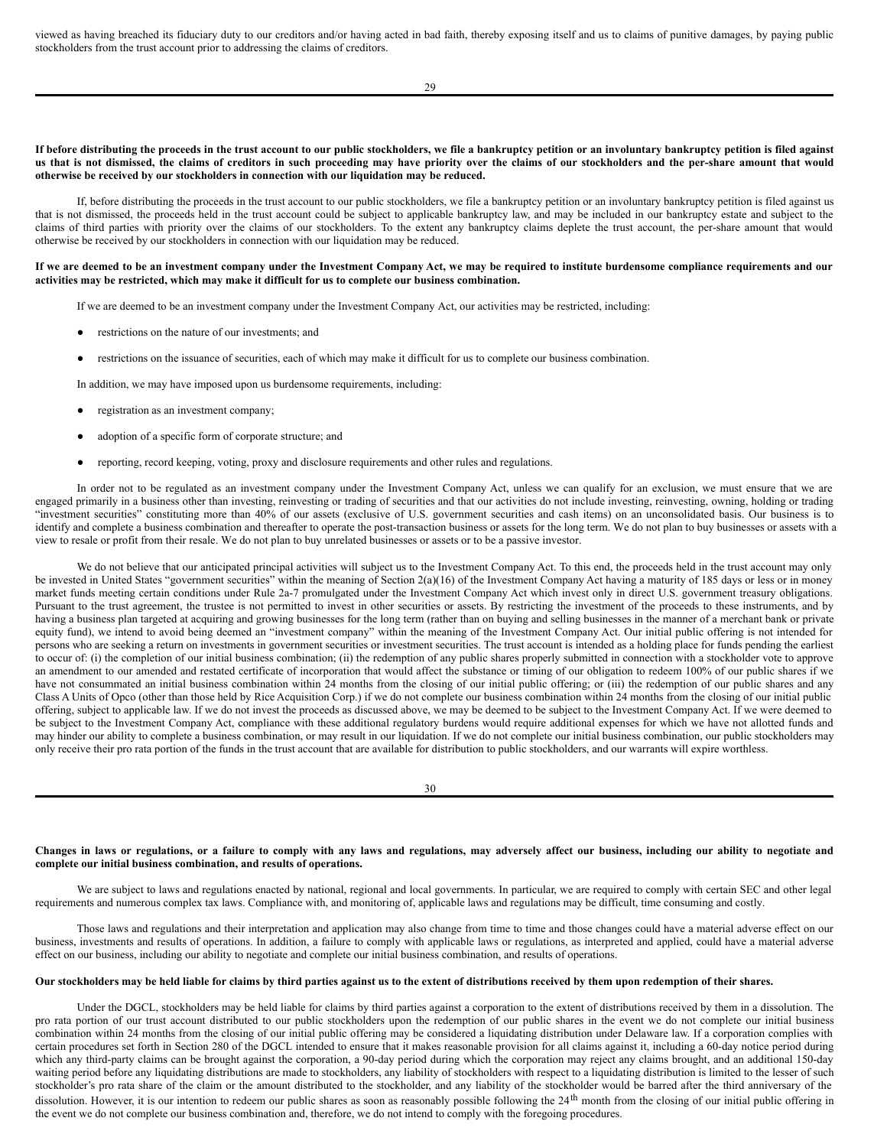viewed as having breached its fiduciary duty to our creditors and/or having acted in bad faith, thereby exposing itself and us to claims of punitive damages, by paying public stockholders from the trust account prior to addressing the claims of creditors.

29

If before distributing the proceeds in the trust account to our public stockholders, we file a bankruptcy petition or an involuntary bankruptcy petition is filed against us that is not dismissed, the claims of creditors in such proceeding may have priority over the claims of our stockholders and the per-share amount that would **otherwise be received by our stockholders in connection with our liquidation may be reduced.**

If, before distributing the proceeds in the trust account to our public stockholders, we file a bankruptcy petition or an involuntary bankruptcy petition is filed against us that is not dismissed, the proceeds held in the trust account could be subject to applicable bankruptcy law, and may be included in our bankruptcy estate and subject to the claims of third parties with priority over the claims of our stockholders. To the extent any bankruptcy claims deplete the trust account, the per-share amount that would otherwise be received by our stockholders in connection with our liquidation may be reduced.

### If we are deemed to be an investment company under the Investment Company Act, we may be required to institute burdensome compliance requirements and our **activities may be restricted, which may make it difficult for us to complete our business combination.**

If we are deemed to be an investment company under the Investment Company Act, our activities may be restricted, including:

- restrictions on the nature of our investments; and
- restrictions on the issuance of securities, each of which may make it difficult for us to complete our business combination.

In addition, we may have imposed upon us burdensome requirements, including:

- registration as an investment company;
- adoption of a specific form of corporate structure; and
- reporting, record keeping, voting, proxy and disclosure requirements and other rules and regulations.

In order not to be regulated as an investment company under the Investment Company Act, unless we can qualify for an exclusion, we must ensure that we are engaged primarily in a business other than investing, reinvesting or trading of securities and that our activities do not include investing, reinvesting, owning, holding or trading "investment securities" constituting more than 40% of our assets (exclusive of U.S. government securities and cash items) on an unconsolidated basis. Our business is to identify and complete a business combination and thereafter to operate the post-transaction business or assets for the long term. We do not plan to buy businesses or assets with a view to resale or profit from their resale. We do not plan to buy unrelated businesses or assets or to be a passive investor.

We do not believe that our anticipated principal activities will subject us to the Investment Company Act. To this end, the proceeds held in the trust account may only be invested in United States "government securities" within the meaning of Section 2(a)(16) of the Investment Company Act having a maturity of 185 days or less or in money market funds meeting certain conditions under Rule 2a-7 promulgated under the Investment Company Act which invest only in direct U.S. government treasury obligations. Pursuant to the trust agreement, the trustee is not permitted to invest in other securities or assets. By restricting the investment of the proceeds to these instruments, and by having a business plan targeted at acquiring and growing businesses for the long term (rather than on buying and selling businesses in the manner of a merchant bank or private equity fund), we intend to avoid being deemed an "investment company" within the meaning of the Investment Company Act. Our initial public offering is not intended for persons who are seeking a return on investments in government securities or investment securities. The trust account is intended as a holding place for funds pending the earliest to occur of: (i) the completion of our initial business combination; (ii) the redemption of any public shares properly submitted in connection with a stockholder vote to approve an amendment to our amended and restated certificate of incorporation that would affect the substance or timing of our obligation to redeem 100% of our public shares if we have not consummated an initial business combination within 24 months from the closing of our initial public offering; or (iii) the redemption of our public shares and any Class A Units of Opco (other than those held by Rice Acquisition Corp.) if we do not complete our business combination within 24 months from the closing of our initial public offering, subject to applicable law. If we do not invest the proceeds as discussed above, we may be deemed to be subject to the Investment Company Act. If we were deemed to be subject to the Investment Company Act, compliance with these additional regulatory burdens would require additional expenses for which we have not allotted funds and may hinder our ability to complete a business combination, or may result in our liquidation. If we do not complete our initial business combination, our public stockholders may only receive their pro rata portion of the funds in the trust account that are available for distribution to public stockholders, and our warrants will expire worthless.

30

#### Changes in laws or regulations, or a failure to comply with any laws and regulations, may adversely affect our business, including our ability to negotiate and **complete our initial business combination, and results of operations.**

We are subject to laws and regulations enacted by national, regional and local governments. In particular, we are required to comply with certain SEC and other legal requirements and numerous complex tax laws. Compliance with, and monitoring of, applicable laws and regulations may be difficult, time consuming and costly.

Those laws and regulations and their interpretation and application may also change from time to time and those changes could have a material adverse effect on our business, investments and results of operations. In addition, a failure to comply with applicable laws or regulations, as interpreted and applied, could have a material adverse effect on our business, including our ability to negotiate and complete our initial business combination, and results of operations.

## Our stockholders may be held liable for claims by third parties against us to the extent of distributions received by them upon redemption of their shares.

Under the DGCL, stockholders may be held liable for claims by third parties against a corporation to the extent of distributions received by them in a dissolution. The pro rata portion of our trust account distributed to our public stockholders upon the redemption of our public shares in the event we do not complete our initial business combination within 24 months from the closing of our initial public offering may be considered a liquidating distribution under Delaware law. If a corporation complies with certain procedures set forth in Section 280 of the DGCL intended to ensure that it makes reasonable provision for all claims against it, including a 60-day notice period during which any third-party claims can be brought against the corporation, a 90-day period during which the corporation may reject any claims brought, and an additional 150-day waiting period before any liquidating distributions are made to stockholders, any liability of stockholders with respect to a liquidating distribution is limited to the lesser of such stockholder's pro rata share of the claim or the amount distributed to the stockholder, and any liability of the stockholder would be barred after the third anniversary of the dissolution. However, it is our intention to redeem our public shares as soon as reasonably possible following the 24<sup>th</sup> month from the closing of our initial public offering in the event we do not complete our business combination and, therefore, we do not intend to comply with the foregoing procedures.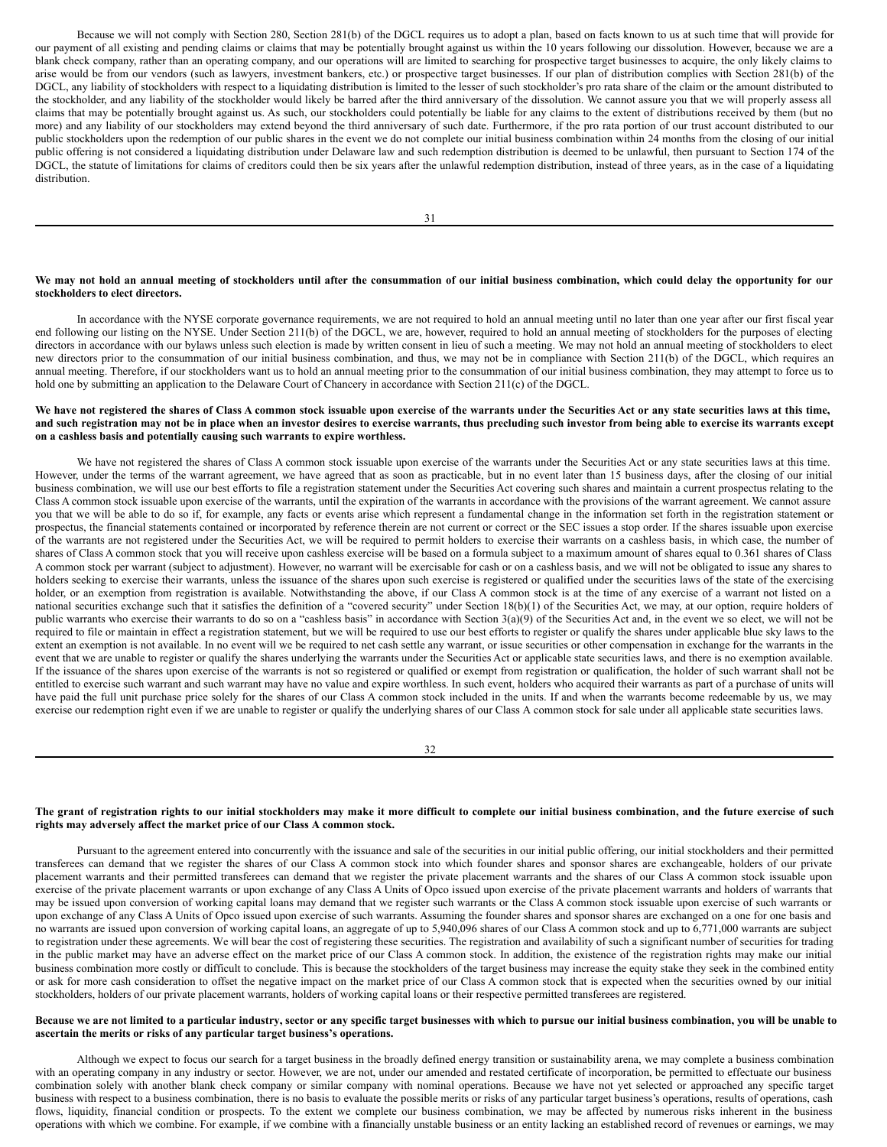Because we will not comply with Section 280, Section 281(b) of the DGCL requires us to adopt a plan, based on facts known to us at such time that will provide for our payment of all existing and pending claims or claims that may be potentially brought against us within the 10 years following our dissolution. However, because we are a blank check company, rather than an operating company, and our operations will are limited to searching for prospective target businesses to acquire, the only likely claims to arise would be from our vendors (such as lawyers, investment bankers, etc.) or prospective target businesses. If our plan of distribution complies with Section 281(b) of the DGCL, any liability of stockholders with respect to a liquidating distribution is limited to the lesser of such stockholder's pro rata share of the claim or the amount distributed to the stockholder, and any liability of the stockholder would likely be barred after the third anniversary of the dissolution. We cannot assure you that we will properly assess all claims that may be potentially brought against us. As such, our stockholders could potentially be liable for any claims to the extent of distributions received by them (but no more) and any liability of our stockholders may extend beyond the third anniversary of such date. Furthermore, if the pro rata portion of our trust account distributed to our public stockholders upon the redemption of our public shares in the event we do not complete our initial business combination within 24 months from the closing of our initial public offering is not considered a liquidating distribution under Delaware law and such redemption distribution is deemed to be unlawful, then pursuant to Section 174 of the DGCL, the statute of limitations for claims of creditors could then be six years after the unlawful redemption distribution, instead of three years, as in the case of a liquidating distribution.

## We may not hold an annual meeting of stockholders until after the consummation of our initial business combination, which could delay the opportunity for our **stockholders to elect directors.**

In accordance with the NYSE corporate governance requirements, we are not required to hold an annual meeting until no later than one year after our first fiscal year end following our listing on the NYSE. Under Section 211(b) of the DGCL, we are, however, required to hold an annual meeting of stockholders for the purposes of electing directors in accordance with our bylaws unless such election is made by written consent in lieu of such a meeting. We may not hold an annual meeting of stockholders to elect new directors prior to the consummation of our initial business combination, and thus, we may not be in compliance with Section 211(b) of the DGCL, which requires an annual meeting. Therefore, if our stockholders want us to hold an annual meeting prior to the consummation of our initial business combination, they may attempt to force us to hold one by submitting an application to the Delaware Court of Chancery in accordance with Section 211(c) of the DGCL.

## We have not registered the shares of Class A common stock issuable upon exercise of the warrants under the Securities Act or any state securities laws at this time, and such registration may not be in place when an investor desires to exercise warrants, thus precluding such investor from being able to exercise its warrants except **on a cashless basis and potentially causing such warrants to expire worthless.**

We have not registered the shares of Class A common stock issuable upon exercise of the warrants under the Securities Act or any state securities laws at this time. However, under the terms of the warrant agreement, we have agreed that as soon as practicable, but in no event later than 15 business days, after the closing of our initial business combination, we will use our best efforts to file a registration statement under the Securities Act covering such shares and maintain a current prospectus relating to the Class A common stock issuable upon exercise of the warrants, until the expiration of the warrants in accordance with the provisions of the warrant agreement. We cannot assure you that we will be able to do so if, for example, any facts or events arise which represent a fundamental change in the information set forth in the registration statement or prospectus, the financial statements contained or incorporated by reference therein are not current or correct or the SEC issues a stop order. If the shares issuable upon exercise of the warrants are not registered under the Securities Act, we will be required to permit holders to exercise their warrants on a cashless basis, in which case, the number of shares of Class A common stock that you will receive upon cashless exercise will be based on a formula subject to a maximum amount of shares equal to 0.361 shares of Class A common stock per warrant (subject to adjustment). However, no warrant will be exercisable for cash or on a cashless basis, and we will not be obligated to issue any shares to holders seeking to exercise their warrants, unless the issuance of the shares upon such exercise is registered or qualified under the securities laws of the state of the exercising holder, or an exemption from registration is available. Notwithstanding the above, if our Class A common stock is at the time of any exercise of a warrant not listed on a national securities exchange such that it satisfies the definition of a "covered security" under Section 18(b)(1) of the Securities Act, we may, at our option, require holders of public warrants who exercise their warrants to do so on a "cashless basis" in accordance with Section 3(a)(9) of the Securities Act and, in the event we so elect, we will not be required to file or maintain in effect a registration statement, but we will be required to use our best efforts to register or qualify the shares under applicable blue sky laws to the extent an exemption is not available. In no event will we be required to net cash settle any warrant, or issue securities or other compensation in exchange for the warrants in the event that we are unable to register or qualify the shares underlying the warrants under the Securities Act or applicable state securities laws, and there is no exemption available. If the issuance of the shares upon exercise of the warrants is not so registered or qualified or exempt from registration or qualification, the holder of such warrant shall not be entitled to exercise such warrant and such warrant may have no value and expire worthless. In such event, holders who acquired their warrants as part of a purchase of units will have paid the full unit purchase price solely for the shares of our Class A common stock included in the units. If and when the warrants become redeemable by us, we may exercise our redemption right even if we are unable to register or qualify the underlying shares of our Class A common stock for sale under all applicable state securities laws.

32

## The grant of registration rights to our initial stockholders may make it more difficult to complete our initial business combination, and the future exercise of such **rights may adversely affect the market price of our Class A common stock.**

Pursuant to the agreement entered into concurrently with the issuance and sale of the securities in our initial public offering, our initial stockholders and their permitted transferees can demand that we register the shares of our Class A common stock into which founder shares and sponsor shares are exchangeable, holders of our private placement warrants and their permitted transferees can demand that we register the private placement warrants and the shares of our Class A common stock issuable upon exercise of the private placement warrants or upon exchange of any Class A Units of Opco issued upon exercise of the private placement warrants and holders of warrants that may be issued upon conversion of working capital loans may demand that we register such warrants or the Class A common stock issuable upon exercise of such warrants or upon exchange of any Class A Units of Opco issued upon exercise of such warrants. Assuming the founder shares and sponsor shares are exchanged on a one for one basis and no warrants are issued upon conversion of working capital loans, an aggregate of up to 5,940,096 shares of our Class A common stock and up to 6,771,000 warrants are subject to registration under these agreements. We will bear the cost of registering these securities. The registration and availability of such a significant number of securities for trading in the public market may have an adverse effect on the market price of our Class A common stock. In addition, the existence of the registration rights may make our initial business combination more costly or difficult to conclude. This is because the stockholders of the target business may increase the equity stake they seek in the combined entity or ask for more cash consideration to offset the negative impact on the market price of our Class A common stock that is expected when the securities owned by our initial stockholders, holders of our private placement warrants, holders of working capital loans or their respective permitted transferees are registered.

## Because we are not limited to a particular industry, sector or any specific target businesses with which to pursue our initial business combination, you will be unable to **ascertain the merits or risks of any particular target business's operations.**

Although we expect to focus our search for a target business in the broadly defined energy transition or sustainability arena, we may complete a business combination with an operating company in any industry or sector. However, we are not, under our amended and restated certificate of incorporation, be permitted to effectuate our business combination solely with another blank check company or similar company with nominal operations. Because we have not yet selected or approached any specific target business with respect to a business combination, there is no basis to evaluate the possible merits or risks of any particular target business's operations, results of operations, cash flows, liquidity, financial condition or prospects. To the extent we complete our business combination, we may be affected by numerous risks inherent in the business operations with which we combine. For example, if we combine with a financially unstable business or an entity lacking an established record of revenues or earnings, we may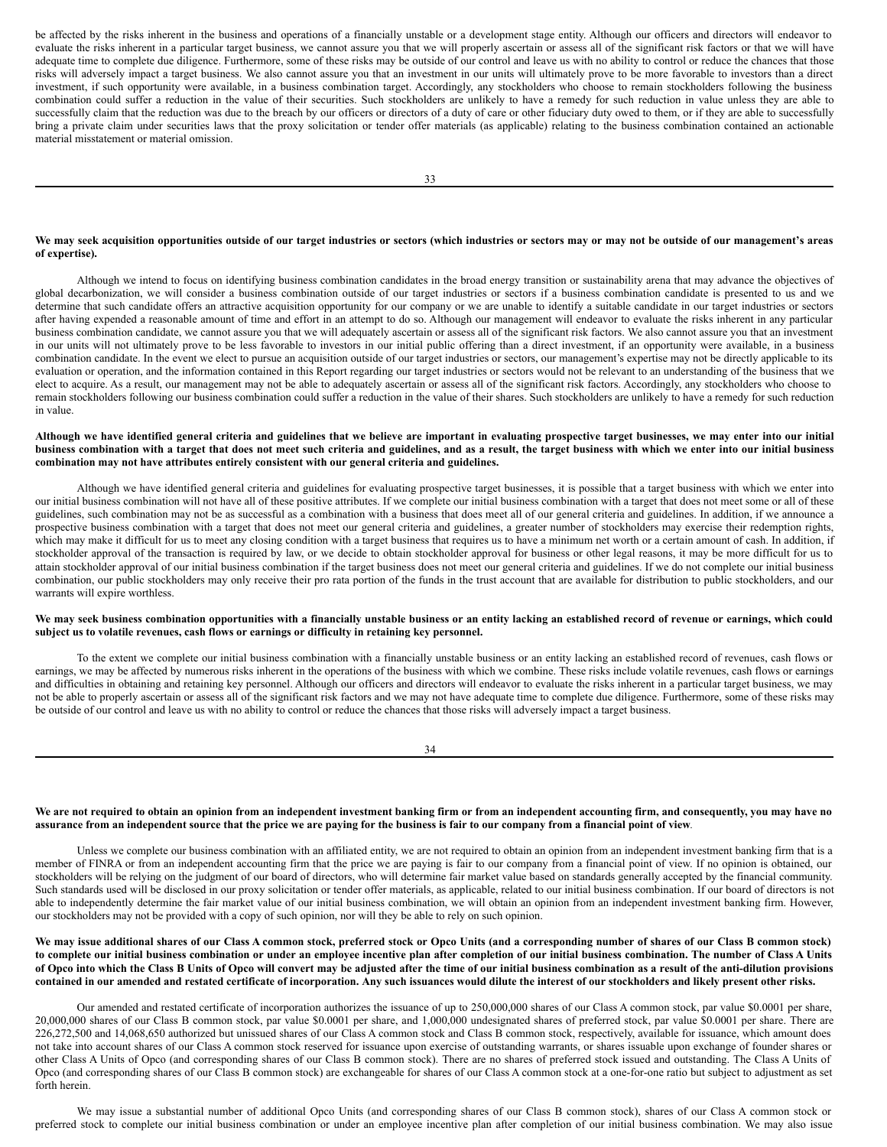be affected by the risks inherent in the business and operations of a financially unstable or a development stage entity. Although our officers and directors will endeavor to evaluate the risks inherent in a particular target business, we cannot assure you that we will properly ascertain or assess all of the significant risk factors or that we will have adequate time to complete due diligence. Furthermore, some of these risks may be outside of our control and leave us with no ability to control or reduce the chances that those risks will adversely impact a target business. We also cannot assure you that an investment in our units will ultimately prove to be more favorable to investors than a direct investment, if such opportunity were available, in a business combination target. Accordingly, any stockholders who choose to remain stockholders following the business combination could suffer a reduction in the value of their securities. Such stockholders are unlikely to have a remedy for such reduction in value unless they are able to successfully claim that the reduction was due to the breach by our officers or directors of a duty of care or other fiduciary duty owed to them, or if they are able to successfully bring a private claim under securities laws that the proxy solicitation or tender offer materials (as applicable) relating to the business combination contained an actionable material misstatement or material omission.

## We may seek acquisition opportunities outside of our target industries or sectors (which industries or sectors may or may not be outside of our management's areas **of expertise).**

Although we intend to focus on identifying business combination candidates in the broad energy transition or sustainability arena that may advance the objectives of global decarbonization, we will consider a business combination outside of our target industries or sectors if a business combination candidate is presented to us and we determine that such candidate offers an attractive acquisition opportunity for our company or we are unable to identify a suitable candidate in our target industries or sectors after having expended a reasonable amount of time and effort in an attempt to do so. Although our management will endeavor to evaluate the risks inherent in any particular business combination candidate, we cannot assure you that we will adequately ascertain or assess all of the significant risk factors. We also cannot assure you that an investment in our units will not ultimately prove to be less favorable to investors in our initial public offering than a direct investment, if an opportunity were available, in a business combination candidate. In the event we elect to pursue an acquisition outside of our target industries or sectors, our management's expertise may not be directly applicable to its evaluation or operation, and the information contained in this Report regarding our target industries or sectors would not be relevant to an understanding of the business that we elect to acquire. As a result, our management may not be able to adequately ascertain or assess all of the significant risk factors. Accordingly, any stockholders who choose to remain stockholders following our business combination could suffer a reduction in the value of their shares. Such stockholders are unlikely to have a remedy for such reduction in value.

## Although we have identified general criteria and guidelines that we believe are important in evaluating prospective target businesses, we may enter into our initial business combination with a target that does not meet such criteria and guidelines, and as a result, the target business with which we enter into our initial business **combination may not have attributes entirely consistent with our general criteria and guidelines.**

Although we have identified general criteria and guidelines for evaluating prospective target businesses, it is possible that a target business with which we enter into our initial business combination will not have all of these positive attributes. If we complete our initial business combination with a target that does not meet some or all of these guidelines, such combination may not be as successful as a combination with a business that does meet all of our general criteria and guidelines. In addition, if we announce a prospective business combination with a target that does not meet our general criteria and guidelines, a greater number of stockholders may exercise their redemption rights, which may make it difficult for us to meet any closing condition with a target business that requires us to have a minimum net worth or a certain amount of cash. In addition, if stockholder approval of the transaction is required by law, or we decide to obtain stockholder approval for business or other legal reasons, it may be more difficult for us to attain stockholder approval of our initial business combination if the target business does not meet our general criteria and guidelines. If we do not complete our initial business combination, our public stockholders may only receive their pro rata portion of the funds in the trust account that are available for distribution to public stockholders, and our warrants will expire worthless.

## We may seek business combination opportunities with a financially unstable business or an entity lacking an established record of revenue or earnings, which could **subject us to volatile revenues, cash flows or earnings or difficulty in retaining key personnel.**

To the extent we complete our initial business combination with a financially unstable business or an entity lacking an established record of revenues, cash flows or earnings, we may be affected by numerous risks inherent in the operations of the business with which we combine. These risks include volatile revenues, cash flows or earnings and difficulties in obtaining and retaining key personnel. Although our officers and directors will endeavor to evaluate the risks inherent in a particular target business, we may not be able to properly ascertain or assess all of the significant risk factors and we may not have adequate time to complete due diligence. Furthermore, some of these risks may be outside of our control and leave us with no ability to control or reduce the chances that those risks will adversely impact a target business.

34

## We are not required to obtain an opinion from an independent investment banking firm or from an independent accounting firm, and consequently, you may have no assurance from an independent source that the price we are paying for the business is fair to our company from a financial point of view.

Unless we complete our business combination with an affiliated entity, we are not required to obtain an opinion from an independent investment banking firm that is a member of FINRA or from an independent accounting firm that the price we are paying is fair to our company from a financial point of view. If no opinion is obtained, our stockholders will be relying on the judgment of our board of directors, who will determine fair market value based on standards generally accepted by the financial community. Such standards used will be disclosed in our proxy solicitation or tender offer materials, as applicable, related to our initial business combination. If our board of directors is not able to independently determine the fair market value of our initial business combination, we will obtain an opinion from an independent investment banking firm. However, our stockholders may not be provided with a copy of such opinion, nor will they be able to rely on such opinion.

## We may issue additional shares of our Class A common stock, preferred stock or Opco Units (and a corresponding number of shares of our Class B common stock) to complete our initial business combination or under an employee incentive plan after completion of our initial business combination. The number of Class A Units of Opco into which the Class B Units of Opco will convert may be adjusted after the time of our initial business combination as a result of the anti-dilution provisions contained in our amended and restated certificate of incorporation. Any such issuances would dilute the interest of our stockholders and likely present other risks.

Our amended and restated certificate of incorporation authorizes the issuance of up to 250,000,000 shares of our Class A common stock, par value \$0.0001 per share, 20,000,000 shares of our Class B common stock, par value \$0.0001 per share, and 1,000,000 undesignated shares of preferred stock, par value \$0.0001 per share. There are 226,272,500 and 14,068,650 authorized but unissued shares of our Class A common stock and Class B common stock, respectively, available for issuance, which amount does not take into account shares of our Class A common stock reserved for issuance upon exercise of outstanding warrants, or shares issuable upon exchange of founder shares or other Class A Units of Opco (and corresponding shares of our Class B common stock). There are no shares of preferred stock issued and outstanding. The Class A Units of Opco (and corresponding shares of our Class B common stock) are exchangeable for shares of our Class A common stock at a one-for-one ratio but subject to adjustment as set forth herein.

We may issue a substantial number of additional Opco Units (and corresponding shares of our Class B common stock), shares of our Class A common stock or preferred stock to complete our initial business combination or under an employee incentive plan after completion of our initial business combination. We may also issue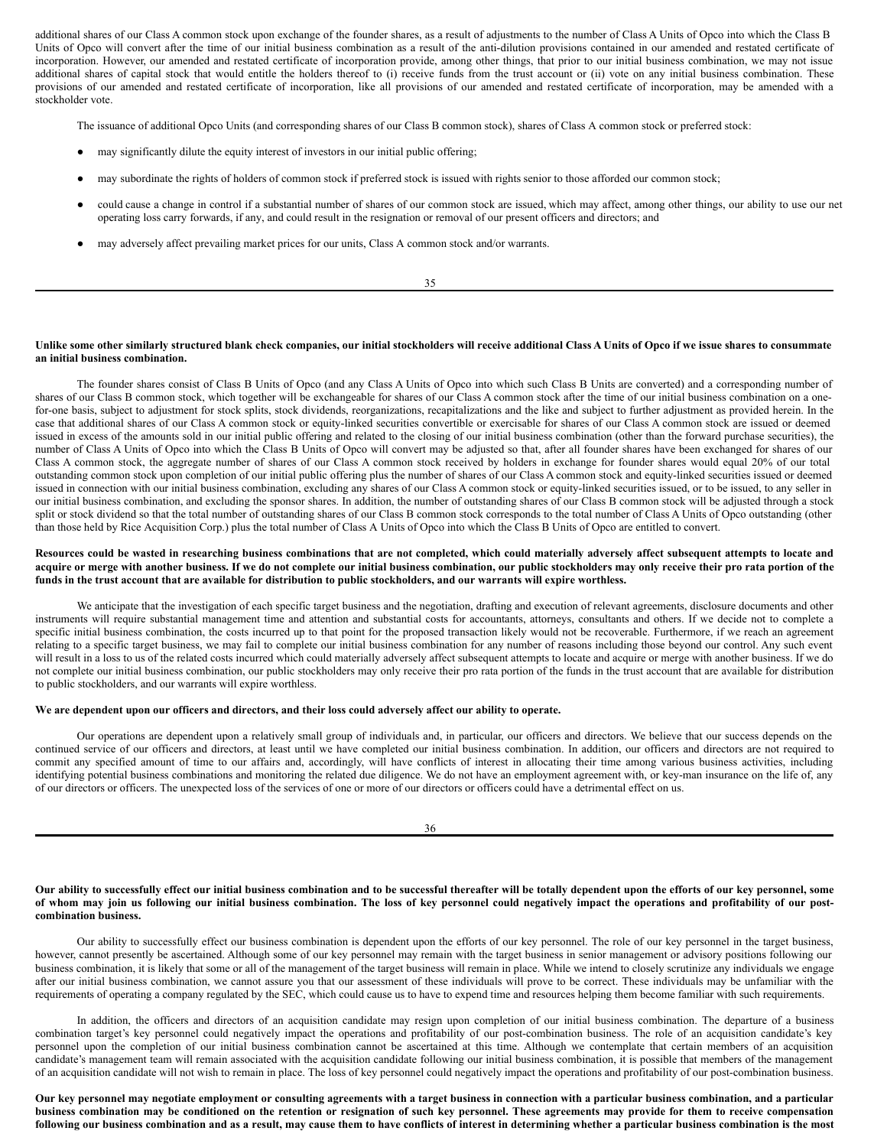additional shares of our Class A common stock upon exchange of the founder shares, as a result of adjustments to the number of Class A Units of Opco into which the Class B Units of Opco will convert after the time of our initial business combination as a result of the anti-dilution provisions contained in our amended and restated certificate of incorporation. However, our amended and restated certificate of incorporation provide, among other things, that prior to our initial business combination, we may not issue additional shares of capital stock that would entitle the holders thereof to (i) receive funds from the trust account or (ii) vote on any initial business combination. These provisions of our amended and restated certificate of incorporation, like all provisions of our amended and restated certificate of incorporation, may be amended with a stockholder vote.

The issuance of additional Opco Units (and corresponding shares of our Class B common stock), shares of Class A common stock or preferred stock:

- may significantly dilute the equity interest of investors in our initial public offering;
- may subordinate the rights of holders of common stock if preferred stock is issued with rights senior to those afforded our common stock;
- could cause a change in control if a substantial number of shares of our common stock are issued, which may affect, among other things, our ability to use our net operating loss carry forwards, if any, and could result in the resignation or removal of our present officers and directors; and
- may adversely affect prevailing market prices for our units, Class A common stock and/or warrants.

| ¢<br>I | ۰.     |
|--------|--------|
| $\sim$ | $\sim$ |

## Unlike some other similarly structured blank check companies, our initial stockholders will receive additional Class A Units of Opco if we issue shares to consummate **an initial business combination.**

The founder shares consist of Class B Units of Opco (and any Class A Units of Opco into which such Class B Units are converted) and a corresponding number of shares of our Class B common stock, which together will be exchangeable for shares of our Class A common stock after the time of our initial business combination on a onefor-one basis, subject to adjustment for stock splits, stock dividends, reorganizations, recapitalizations and the like and subject to further adjustment as provided herein. In the case that additional shares of our Class A common stock or equity-linked securities convertible or exercisable for shares of our Class A common stock are issued or deemed issued in excess of the amounts sold in our initial public offering and related to the closing of our initial business combination (other than the forward purchase securities), the number of Class A Units of Opco into which the Class B Units of Opco will convert may be adjusted so that, after all founder shares have been exchanged for shares of our Class A common stock, the aggregate number of shares of our Class A common stock received by holders in exchange for founder shares would equal 20% of our total outstanding common stock upon completion of our initial public offering plus the number of shares of our Class A common stock and equity-linked securities issued or deemed issued in connection with our initial business combination, excluding any shares of our Class A common stock or equity-linked securities issued, or to be issued, to any seller in our initial business combination, and excluding the sponsor shares. In addition, the number of outstanding shares of our Class B common stock will be adjusted through a stock split or stock dividend so that the total number of outstanding shares of our Class B common stock corresponds to the total number of Class A Units of Opco outstanding (other than those held by Rice Acquisition Corp.) plus the total number of Class A Units of Opco into which the Class B Units of Opco are entitled to convert.

## Resources could be wasted in researching business combinations that are not completed, which could materially adversely affect subsequent attempts to locate and acquire or merge with another business. If we do not complete our initial business combination, our public stockholders may only receive their pro rata portion of the funds in the trust account that are available for distribution to public stockholders, and our warrants will expire worthless.

We anticipate that the investigation of each specific target business and the negotiation, drafting and execution of relevant agreements, disclosure documents and other instruments will require substantial management time and attention and substantial costs for accountants, attorneys, consultants and others. If we decide not to complete a specific initial business combination, the costs incurred up to that point for the proposed transaction likely would not be recoverable. Furthermore, if we reach an agreement relating to a specific target business, we may fail to complete our initial business combination for any number of reasons including those beyond our control. Any such event will result in a loss to us of the related costs incurred which could materially adversely affect subsequent attempts to locate and acquire or merge with another business. If we do not complete our initial business combination, our public stockholders may only receive their pro rata portion of the funds in the trust account that are available for distribution to public stockholders, and our warrants will expire worthless.

#### We are dependent upon our officers and directors, and their loss could adversely affect our ability to operate.

Our operations are dependent upon a relatively small group of individuals and, in particular, our officers and directors. We believe that our success depends on the continued service of our officers and directors, at least until we have completed our initial business combination. In addition, our officers and directors are not required to commit any specified amount of time to our affairs and, accordingly, will have conflicts of interest in allocating their time among various business activities, including identifying potential business combinations and monitoring the related due diligence. We do not have an employment agreement with, or key-man insurance on the life of, any of our directors or officers. The unexpected loss of the services of one or more of our directors or officers could have a detrimental effect on us.

| I<br>I |
|--------|
|--------|

## Our ability to successfully effect our initial business combination and to be successful thereafter will be totally dependent upon the efforts of our key personnel, some of whom may join us following our initial business combination. The loss of key personnel could negatively impact the operations and profitability of our post**combination business.**

Our ability to successfully effect our business combination is dependent upon the efforts of our key personnel. The role of our key personnel in the target business, however, cannot presently be ascertained. Although some of our key personnel may remain with the target business in senior management or advisory positions following our business combination, it is likely that some or all of the management of the target business will remain in place. While we intend to closely scrutinize any individuals we engage after our initial business combination, we cannot assure you that our assessment of these individuals will prove to be correct. These individuals may be unfamiliar with the requirements of operating a company regulated by the SEC, which could cause us to have to expend time and resources helping them become familiar with such requirements.

In addition, the officers and directors of an acquisition candidate may resign upon completion of our initial business combination. The departure of a business combination target's key personnel could negatively impact the operations and profitability of our post-combination business. The role of an acquisition candidate's key personnel upon the completion of our initial business combination cannot be ascertained at this time. Although we contemplate that certain members of an acquisition candidate's management team will remain associated with the acquisition candidate following our initial business combination, it is possible that members of the management of an acquisition candidate will not wish to remain in place. The loss of key personnel could negatively impact the operations and profitability of our post-combination business.

Our key personnel may negotiate employment or consulting agreements with a target business in connection with a particular business combination, and a particular business combination may be conditioned on the retention or resignation of such key personnel. These agreements may provide for them to receive compensation following our business combination and as a result, may cause them to have conflicts of interest in determining whether a particular business combination is the most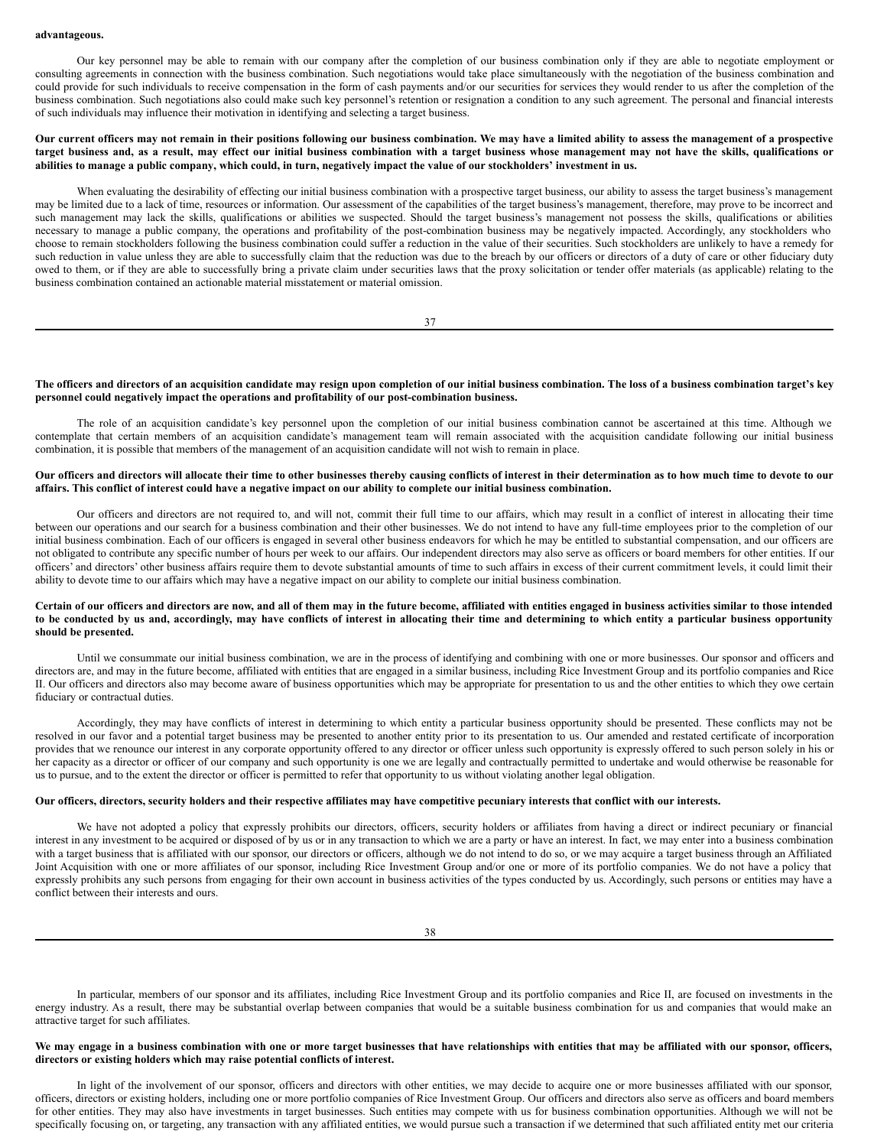#### **advantageous.**

Our key personnel may be able to remain with our company after the completion of our business combination only if they are able to negotiate employment or consulting agreements in connection with the business combination. Such negotiations would take place simultaneously with the negotiation of the business combination and could provide for such individuals to receive compensation in the form of cash payments and/or our securities for services they would render to us after the completion of the business combination. Such negotiations also could make such key personnel's retention or resignation a condition to any such agreement. The personal and financial interests of such individuals may influence their motivation in identifying and selecting a target business.

Our current officers may not remain in their positions following our business combination. We may have a limited ability to assess the management of a prospective target business and, as a result, may effect our initial business combination with a target business whose management may not have the skills, qualifications or abilities to manage a public company, which could, in turn, negatively impact the value of our stockholders' investment in us.

When evaluating the desirability of effecting our initial business combination with a prospective target business, our ability to assess the target business's management may be limited due to a lack of time, resources or information. Our assessment of the capabilities of the target business's management, therefore, may prove to be incorrect and such management may lack the skills, qualifications or abilities we suspected. Should the target business's management not possess the skills, qualifications or abilities necessary to manage a public company, the operations and profitability of the post-combination business may be negatively impacted. Accordingly, any stockholders who choose to remain stockholders following the business combination could suffer a reduction in the value of their securities. Such stockholders are unlikely to have a remedy for such reduction in value unless they are able to successfully claim that the reduction was due to the breach by our officers or directors of a duty of care or other fiduciary duty owed to them, or if they are able to successfully bring a private claim under securities laws that the proxy solicitation or tender offer materials (as applicable) relating to the business combination contained an actionable material misstatement or material omission.

| I            |  |
|--------------|--|
| I<br>÷<br>۰. |  |

### The officers and directors of an acquisition candidate may resign upon completion of our initial business combination. The loss of a business combination target's key **personnel could negatively impact the operations and profitability of our post-combination business.**

The role of an acquisition candidate's key personnel upon the completion of our initial business combination cannot be ascertained at this time. Although we contemplate that certain members of an acquisition candidate's management team will remain associated with the acquisition candidate following our initial business combination, it is possible that members of the management of an acquisition candidate will not wish to remain in place.

## Our officers and directors will allocate their time to other businesses thereby causing conflicts of interest in their determination as to how much time to devote to our affairs. This conflict of interest could have a negative impact on our ability to complete our initial business combination.

Our officers and directors are not required to, and will not, commit their full time to our affairs, which may result in a conflict of interest in allocating their time between our operations and our search for a business combination and their other businesses. We do not intend to have any full-time employees prior to the completion of our initial business combination. Each of our officers is engaged in several other business endeavors for which he may be entitled to substantial compensation, and our officers are not obligated to contribute any specific number of hours per week to our affairs. Our independent directors may also serve as officers or board members for other entities. If our officers' and directors' other business affairs require them to devote substantial amounts of time to such affairs in excess of their current commitment levels, it could limit their ability to devote time to our affairs which may have a negative impact on our ability to complete our initial business combination.

## Certain of our officers and directors are now, and all of them may in the future become, affiliated with entities engaged in business activities similar to those intended to be conducted by us and, accordingly, may have conflicts of interest in allocating their time and determining to which entity a particular business opportunity **should be presented.**

Until we consummate our initial business combination, we are in the process of identifying and combining with one or more businesses. Our sponsor and officers and directors are, and may in the future become, affiliated with entities that are engaged in a similar business, including Rice Investment Group and its portfolio companies and Rice II. Our officers and directors also may become aware of business opportunities which may be appropriate for presentation to us and the other entities to which they owe certain fiduciary or contractual duties.

Accordingly, they may have conflicts of interest in determining to which entity a particular business opportunity should be presented. These conflicts may not be resolved in our favor and a potential target business may be presented to another entity prior to its presentation to us. Our amended and restated certificate of incorporation provides that we renounce our interest in any corporate opportunity offered to any director or officer unless such opportunity is expressly offered to such person solely in his or her capacity as a director or officer of our company and such opportunity is one we are legally and contractually permitted to undertake and would otherwise be reasonable for us to pursue, and to the extent the director or officer is permitted to refer that opportunity to us without violating another legal obligation.

### Our officers, directors, security holders and their respective affiliates may have competitive pecuniary interests that conflict with our interests.

We have not adopted a policy that expressly prohibits our directors, officers, security holders or affiliates from having a direct or indirect pecuniary or financial interest in any investment to be acquired or disposed of by us or in any transaction to which we are a party or have an interest. In fact, we may enter into a business combination with a target business that is affiliated with our sponsor, our directors or officers, although we do not intend to do so, or we may acquire a target business through an Affiliated Joint Acquisition with one or more affiliates of our sponsor, including Rice Investment Group and/or one or more of its portfolio companies. We do not have a policy that expressly prohibits any such persons from engaging for their own account in business activities of the types conducted by us. Accordingly, such persons or entities may have a conflict between their interests and ours.

In particular, members of our sponsor and its affiliates, including Rice Investment Group and its portfolio companies and Rice II, are focused on investments in the energy industry. As a result, there may be substantial overlap between companies that would be a suitable business combination for us and companies that would make an attractive target for such affiliates.

## We may engage in a business combination with one or more target businesses that have relationships with entities that may be affiliated with our sponsor, officers, **directors or existing holders which may raise potential conflicts of interest.**

In light of the involvement of our sponsor, officers and directors with other entities, we may decide to acquire one or more businesses affiliated with our sponsor, officers, directors or existing holders, including one or more portfolio companies of Rice Investment Group. Our officers and directors also serve as officers and board members for other entities. They may also have investments in target businesses. Such entities may compete with us for business combination opportunities. Although we will not be specifically focusing on, or targeting, any transaction with any affiliated entities, we would pursue such a transaction if we determined that such affiliated entity met our criteria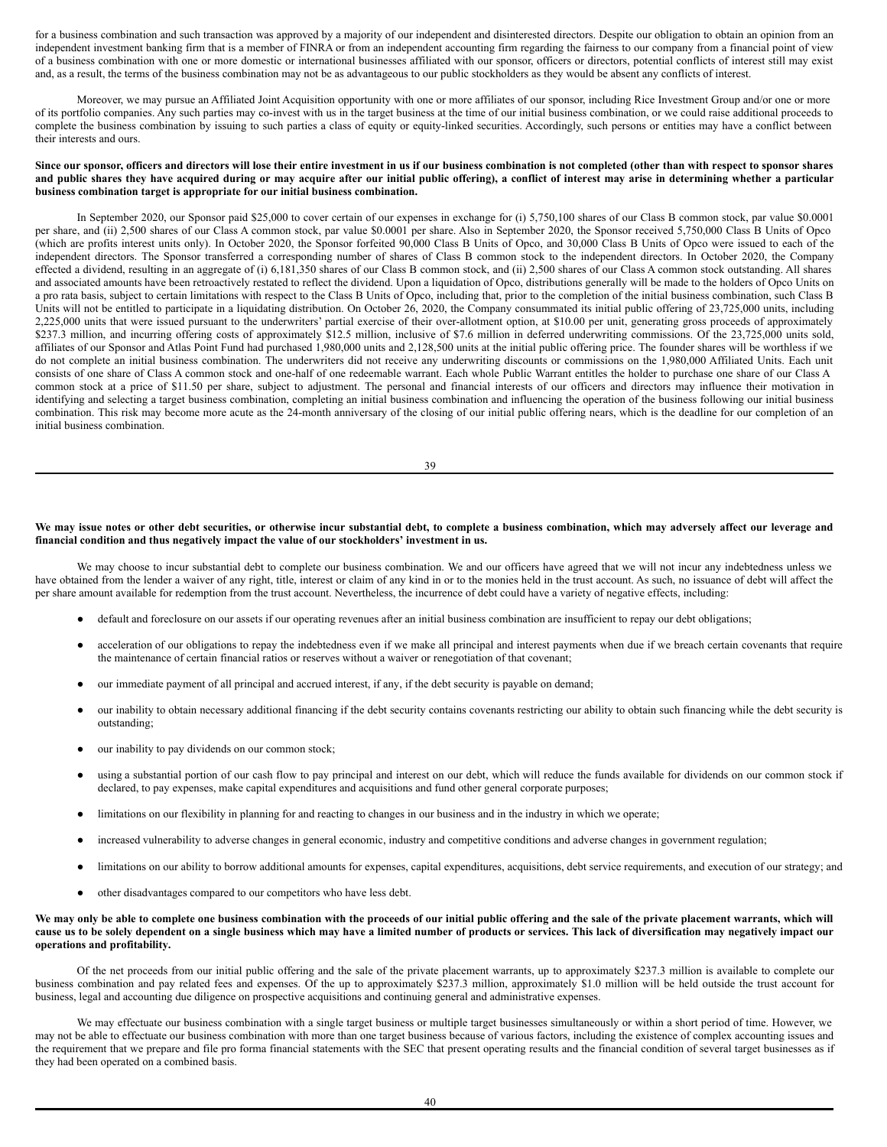for a business combination and such transaction was approved by a majority of our independent and disinterested directors. Despite our obligation to obtain an opinion from an independent investment banking firm that is a member of FINRA or from an independent accounting firm regarding the fairness to our company from a financial point of view of a business combination with one or more domestic or international businesses affiliated with our sponsor, officers or directors, potential conflicts of interest still may exist and, as a result, the terms of the business combination may not be as advantageous to our public stockholders as they would be absent any conflicts of interest.

Moreover, we may pursue an Affiliated Joint Acquisition opportunity with one or more affiliates of our sponsor, including Rice Investment Group and/or one or more of its portfolio companies. Any such parties may co-invest with us in the target business at the time of our initial business combination, or we could raise additional proceeds to complete the business combination by issuing to such parties a class of equity or equity-linked securities. Accordingly, such persons or entities may have a conflict between their interests and ours.

## Since our sponsor, officers and directors will lose their entire investment in us if our business combination is not completed (other than with respect to sponsor shares and public shares they have acquired during or may acquire after our initial public offering), a conflict of interest may arise in determining whether a particular **business combination target is appropriate for our initial business combination.**

In September 2020, our Sponsor paid \$25,000 to cover certain of our expenses in exchange for (i) 5,750,100 shares of our Class B common stock, par value \$0.0001 per share, and (ii) 2,500 shares of our Class A common stock, par value \$0.0001 per share. Also in September 2020, the Sponsor received 5,750,000 Class B Units of Opco (which are profits interest units only). In October 2020, the Sponsor forfeited 90,000 Class B Units of Opco, and 30,000 Class B Units of Opco were issued to each of the independent directors. The Sponsor transferred a corresponding number of shares of Class B common stock to the independent directors. In October 2020, the Company effected a dividend, resulting in an aggregate of (i) 6,181,350 shares of our Class B common stock, and (ii) 2,500 shares of our Class A common stock outstanding. All shares and associated amounts have been retroactively restated to reflect the dividend. Upon a liquidation of Opco, distributions generally will be made to the holders of Opco Units on a pro rata basis, subject to certain limitations with respect to the Class B Units of Opco, including that, prior to the completion of the initial business combination, such Class B Units will not be entitled to participate in a liquidating distribution. On October 26, 2020, the Company consummated its initial public offering of 23,725,000 units, including 2,225,000 units that were issued pursuant to the underwriters' partial exercise of their over-allotment option, at \$10.00 per unit, generating gross proceeds of approximately \$237.3 million, and incurring offering costs of approximately \$12.5 million, inclusive of \$7.6 million in deferred underwriting commissions. Of the 23,725,000 units sold, affiliates of our Sponsor and Atlas Point Fund had purchased 1,980,000 units and 2,128,500 units at the initial public offering price. The founder shares will be worthless if we do not complete an initial business combination. The underwriters did not receive any underwriting discounts or commissions on the 1,980,000 Affiliated Units. Each unit consists of one share of Class A common stock and one-half of one redeemable warrant. Each whole Public Warrant entitles the holder to purchase one share of our Class A common stock at a price of \$11.50 per share, subject to adjustment. The personal and financial interests of our officers and directors may influence their motivation in identifying and selecting a target business combination, completing an initial business combination and influencing the operation of the business following our initial business combination. This risk may become more acute as the 24-month anniversary of the closing of our initial public offering nears, which is the deadline for our completion of an initial business combination.

39

## We may issue notes or other debt securities, or otherwise incur substantial debt, to complete a business combination, which may adversely affect our leverage and **financial condition and thus negatively impact the value of our stockholders' investment in us.**

We may choose to incur substantial debt to complete our business combination. We and our officers have agreed that we will not incur any indebtedness unless we have obtained from the lender a waiver of any right, title, interest or claim of any kind in or to the monies held in the trust account. As such, no issuance of debt will affect the per share amount available for redemption from the trust account. Nevertheless, the incurrence of debt could have a variety of negative effects, including:

- default and foreclosure on our assets if our operating revenues after an initial business combination are insufficient to repay our debt obligations;
- acceleration of our obligations to repay the indebtedness even if we make all principal and interest payments when due if we breach certain covenants that require the maintenance of certain financial ratios or reserves without a waiver or renegotiation of that covenant;
- our immediate payment of all principal and accrued interest, if any, if the debt security is payable on demand;
- our inability to obtain necessary additional financing if the debt security contains covenants restricting our ability to obtain such financing while the debt security is outstanding;
- our inability to pay dividends on our common stock;
- using a substantial portion of our cash flow to pay principal and interest on our debt, which will reduce the funds available for dividends on our common stock if declared, to pay expenses, make capital expenditures and acquisitions and fund other general corporate purposes;
- limitations on our flexibility in planning for and reacting to changes in our business and in the industry in which we operate;
- increased vulnerability to adverse changes in general economic, industry and competitive conditions and adverse changes in government regulation;
- limitations on our ability to borrow additional amounts for expenses, capital expenditures, acquisitions, debt service requirements, and execution of our strategy; and
- other disadvantages compared to our competitors who have less debt.

## We may only be able to complete one business combination with the proceeds of our initial public offering and the sale of the private placement warrants, which will cause us to be solely dependent on a single business which may have a limited number of products or services. This lack of diversification may negatively impact our **operations and profitability.**

Of the net proceeds from our initial public offering and the sale of the private placement warrants, up to approximately \$237.3 million is available to complete our business combination and pay related fees and expenses. Of the up to approximately \$237.3 million, approximately \$1.0 million will be held outside the trust account for business, legal and accounting due diligence on prospective acquisitions and continuing general and administrative expenses.

We may effectuate our business combination with a single target business or multiple target businesses simultaneously or within a short period of time. However, we may not be able to effectuate our business combination with more than one target business because of various factors, including the existence of complex accounting issues and the requirement that we prepare and file pro forma financial statements with the SEC that present operating results and the financial condition of several target businesses as if they had been operated on a combined basis.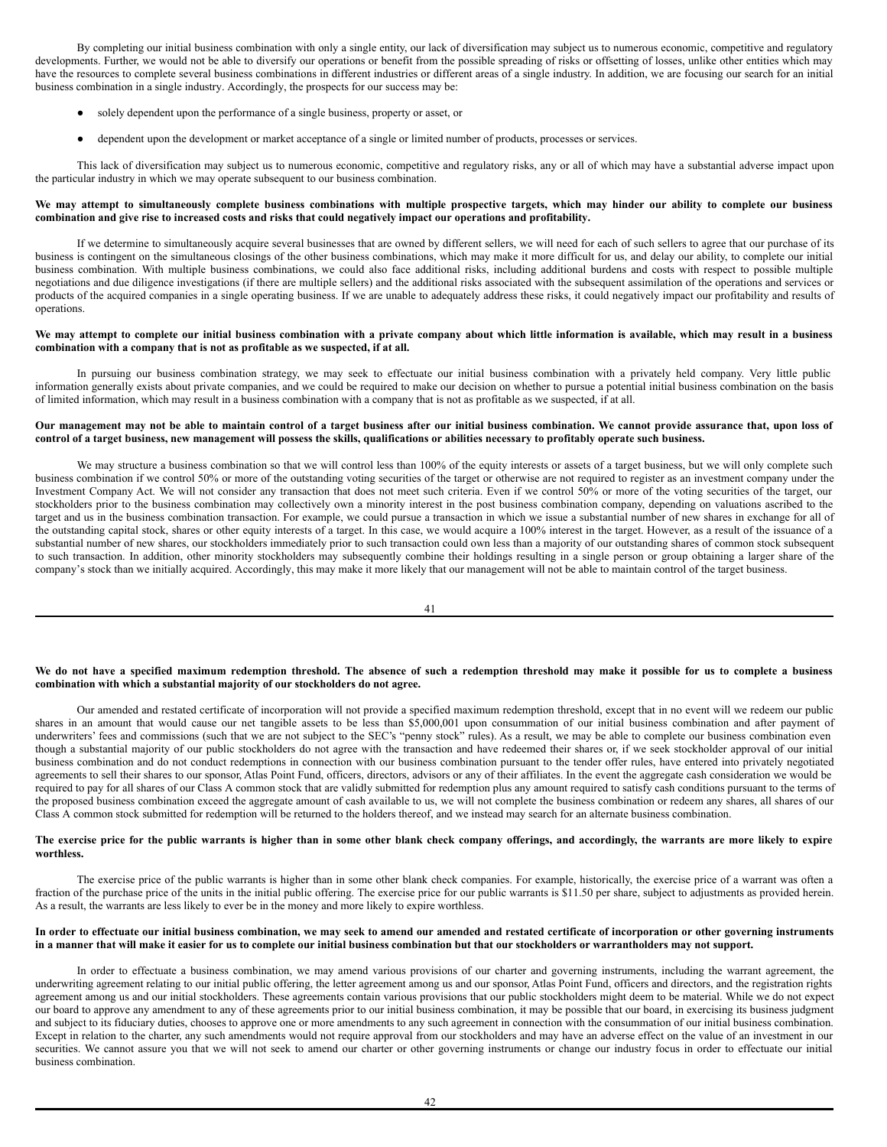By completing our initial business combination with only a single entity, our lack of diversification may subject us to numerous economic, competitive and regulatory developments. Further, we would not be able to diversify our operations or benefit from the possible spreading of risks or offsetting of losses, unlike other entities which may have the resources to complete several business combinations in different industries or different areas of a single industry. In addition, we are focusing our search for an initial business combination in a single industry. Accordingly, the prospects for our success may be:

- solely dependent upon the performance of a single business, property or asset, or
- dependent upon the development or market acceptance of a single or limited number of products, processes or services.

This lack of diversification may subject us to numerous economic, competitive and regulatory risks, any or all of which may have a substantial adverse impact upon the particular industry in which we may operate subsequent to our business combination.

## We may attempt to simultaneously complete business combinations with multiple prospective targets, which may hinder our ability to complete our business combination and give rise to increased costs and risks that could negatively impact our operations and profitability.

If we determine to simultaneously acquire several businesses that are owned by different sellers, we will need for each of such sellers to agree that our purchase of its business is contingent on the simultaneous closings of the other business combinations, which may make it more difficult for us, and delay our ability, to complete our initial business combination. With multiple business combinations, we could also face additional risks, including additional burdens and costs with respect to possible multiple negotiations and due diligence investigations (if there are multiple sellers) and the additional risks associated with the subsequent assimilation of the operations and services or products of the acquired companies in a single operating business. If we are unable to adequately address these risks, it could negatively impact our profitability and results of operations.

### We may attempt to complete our initial business combination with a private company about which little information is available, which may result in a business **combination with a company that is not as profitable as we suspected, if at all.**

In pursuing our business combination strategy, we may seek to effectuate our initial business combination with a privately held company. Very little public information generally exists about private companies, and we could be required to make our decision on whether to pursue a potential initial business combination on the basis of limited information, which may result in a business combination with a company that is not as profitable as we suspected, if at all.

## Our management may not be able to maintain control of a target business after our initial business combination. We cannot provide assurance that, upon loss of control of a target business, new management will possess the skills, qualifications or abilities necessary to profitably operate such business.

We may structure a business combination so that we will control less than 100% of the equity interests or assets of a target business, but we will only complete such business combination if we control 50% or more of the outstanding voting securities of the target or otherwise are not required to register as an investment company under the Investment Company Act. We will not consider any transaction that does not meet such criteria. Even if we control 50% or more of the voting securities of the target, our stockholders prior to the business combination may collectively own a minority interest in the post business combination company, depending on valuations ascribed to the target and us in the business combination transaction. For example, we could pursue a transaction in which we issue a substantial number of new shares in exchange for all of the outstanding capital stock, shares or other equity interests of a target. In this case, we would acquire a 100% interest in the target. However, as a result of the issuance of a substantial number of new shares, our stockholders immediately prior to such transaction could own less than a majority of our outstanding shares of common stock subsequent to such transaction. In addition, other minority stockholders may subsequently combine their holdings resulting in a single person or group obtaining a larger share of the company's stock than we initially acquired. Accordingly, this may make it more likely that our management will not be able to maintain control of the target business.

$$
41\\
$$

### We do not have a specified maximum redemption threshold. The absence of such a redemption threshold may make it possible for us to complete a business **combination with which a substantial majority of our stockholders do not agree.**

Our amended and restated certificate of incorporation will not provide a specified maximum redemption threshold, except that in no event will we redeem our public shares in an amount that would cause our net tangible assets to be less than \$5,000,001 upon consummation of our initial business combination and after payment of underwriters' fees and commissions (such that we are not subject to the SEC's "penny stock" rules). As a result, we may be able to complete our business combination even though a substantial majority of our public stockholders do not agree with the transaction and have redeemed their shares or, if we seek stockholder approval of our initial business combination and do not conduct redemptions in connection with our business combination pursuant to the tender offer rules, have entered into privately negotiated agreements to sell their shares to our sponsor, Atlas Point Fund, officers, directors, advisors or any of their affiliates. In the event the aggregate cash consideration we would be required to pay for all shares of our Class A common stock that are validly submitted for redemption plus any amount required to satisfy cash conditions pursuant to the terms of the proposed business combination exceed the aggregate amount of cash available to us, we will not complete the business combination or redeem any shares, all shares of our Class A common stock submitted for redemption will be returned to the holders thereof, and we instead may search for an alternate business combination.

### The exercise price for the public warrants is higher than in some other blank check company offerings, and accordingly, the warrants are more likely to expire **worthless.**

The exercise price of the public warrants is higher than in some other blank check companies. For example, historically, the exercise price of a warrant was often a fraction of the purchase price of the units in the initial public offering. The exercise price for our public warrants is \$11.50 per share, subject to adjustments as provided herein. As a result, the warrants are less likely to ever be in the money and more likely to expire worthless.

## In order to effectuate our initial business combination, we may seek to amend our amended and restated certificate of incorporation or other governing instruments in a manner that will make it easier for us to complete our initial business combination but that our stockholders or warrantholders may not support.

In order to effectuate a business combination, we may amend various provisions of our charter and governing instruments, including the warrant agreement, the underwriting agreement relating to our initial public offering, the letter agreement among us and our sponsor, Atlas Point Fund, officers and directors, and the registration rights agreement among us and our initial stockholders. These agreements contain various provisions that our public stockholders might deem to be material. While we do not expect our board to approve any amendment to any of these agreements prior to our initial business combination, it may be possible that our board, in exercising its business judgment and subject to its fiduciary duties, chooses to approve one or more amendments to any such agreement in connection with the consummation of our initial business combination. Except in relation to the charter, any such amendments would not require approval from our stockholders and may have an adverse effect on the value of an investment in our securities. We cannot assure you that we will not seek to amend our charter or other governing instruments or change our industry focus in order to effectuate our initial business combination.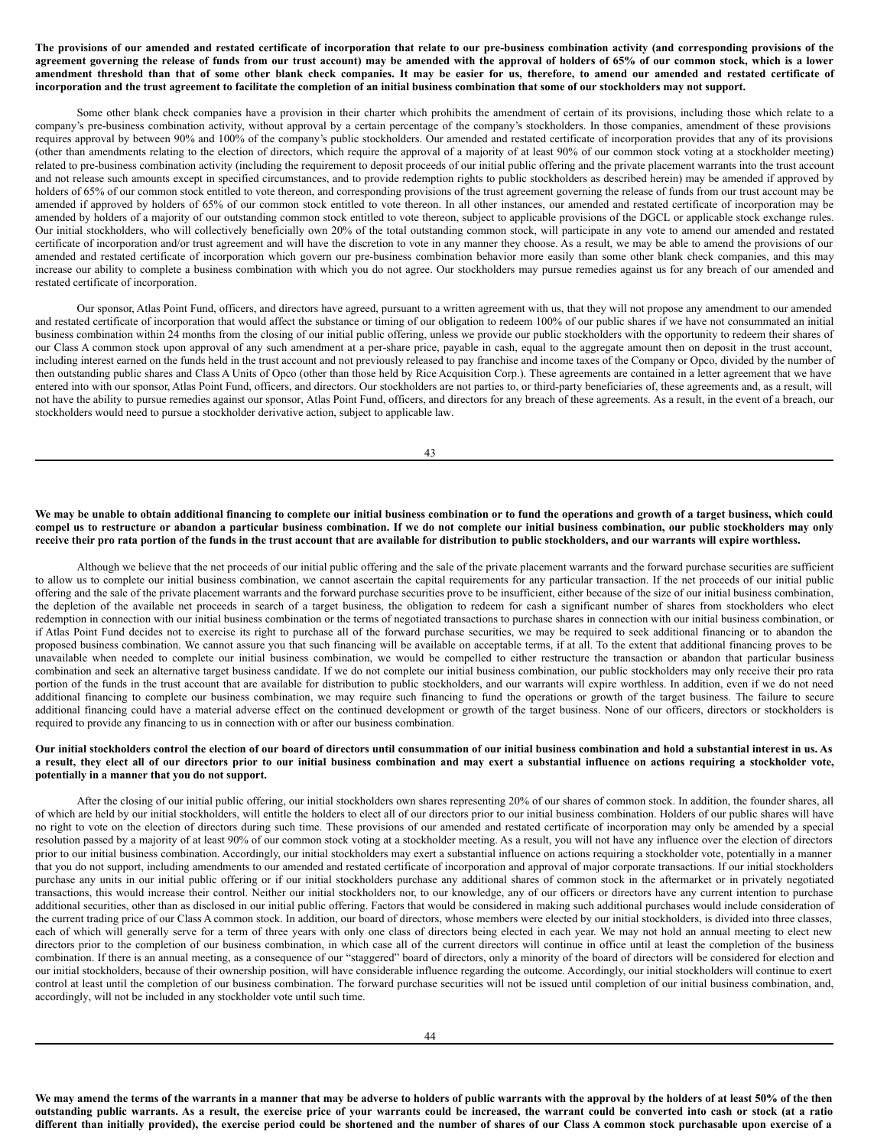The provisions of our amended and restated certificate of incorporation that relate to our pre-business combination activity (and corresponding provisions of the agreement governing the release of funds from our trust account) may be amended with the approval of holders of 65% of our common stock, which is a lower amendment threshold than that of some other blank check companies. It may be easier for us, therefore, to amend our amended and restated certificate of incorporation and the trust agreement to facilitate the completion of an initial business combination that some of our stockholders may not support.

Some other blank check companies have a provision in their charter which prohibits the amendment of certain of its provisions, including those which relate to a company's pre-business combination activity, without approval by a certain percentage of the company's stockholders. In those companies, amendment of these provisions requires approval by between 90% and 100% of the company's public stockholders. Our amended and restated certificate of incorporation provides that any of its provisions (other than amendments relating to the election of directors, which require the approval of a majority of at least 90% of our common stock voting at a stockholder meeting) related to pre-business combination activity (including the requirement to deposit proceeds of our initial public offering and the private placement warrants into the trust account and not release such amounts except in specified circumstances, and to provide redemption rights to public stockholders as described herein) may be amended if approved by holders of 65% of our common stock entitled to vote thereon, and corresponding provisions of the trust agreement governing the release of funds from our trust account may be amended if approved by holders of 65% of our common stock entitled to vote thereon. In all other instances, our amended and restated certificate of incorporation may be amended by holders of a majority of our outstanding common stock entitled to vote thereon, subject to applicable provisions of the DGCL or applicable stock exchange rules. Our initial stockholders, who will collectively beneficially own 20% of the total outstanding common stock, will participate in any vote to amend our amended and restated certificate of incorporation and/or trust agreement and will have the discretion to vote in any manner they choose. As a result, we may be able to amend the provisions of our amended and restated certificate of incorporation which govern our pre-business combination behavior more easily than some other blank check companies, and this may increase our ability to complete a business combination with which you do not agree. Our stockholders may pursue remedies against us for any breach of our amended and restated certificate of incorporation.

Our sponsor, Atlas Point Fund, officers, and directors have agreed, pursuant to a written agreement with us, that they will not propose any amendment to our amended and restated certificate of incorporation that would affect the substance or timing of our obligation to redeem 100% of our public shares if we have not consummated an initial business combination within 24 months from the closing of our initial public offering, unless we provide our public stockholders with the opportunity to redeem their shares of our Class A common stock upon approval of any such amendment at a per-share price, payable in cash, equal to the aggregate amount then on deposit in the trust account, including interest earned on the funds held in the trust account and not previously released to pay franchise and income taxes of the Company or Opco, divided by the number of then outstanding public shares and Class A Units of Opco (other than those held by Rice Acquisition Corp.). These agreements are contained in a letter agreement that we have entered into with our sponsor, Atlas Point Fund, officers, and directors. Our stockholders are not parties to, or third-party beneficiaries of, these agreements and, as a result, will not have the ability to pursue remedies against our sponsor, Atlas Point Fund, officers, and directors for any breach of these agreements. As a result, in the event of a breach, our stockholders would need to pursue a stockholder derivative action, subject to applicable law.

43

### We may be unable to obtain additional financing to complete our initial business combination or to fund the operations and growth of a target business, which could compel us to restructure or abandon a particular business combination. If we do not complete our initial business combination, our public stockholders may only receive their pro rata portion of the funds in the trust account that are available for distribution to public stockholders, and our warrants will expire worthless.

Although we believe that the net proceeds of our initial public offering and the sale of the private placement warrants and the forward purchase securities are sufficient to allow us to complete our initial business combination, we cannot ascertain the capital requirements for any particular transaction. If the net proceeds of our initial public offering and the sale of the private placement warrants and the forward purchase securities prove to be insufficient, either because of the size of our initial business combination, the depletion of the available net proceeds in search of a target business, the obligation to redeem for cash a significant number of shares from stockholders who elect redemption in connection with our initial business combination or the terms of negotiated transactions to purchase shares in connection with our initial business combination, or if Atlas Point Fund decides not to exercise its right to purchase all of the forward purchase securities, we may be required to seek additional financing or to abandon the proposed business combination. We cannot assure you that such financing will be available on acceptable terms, if at all. To the extent that additional financing proves to be unavailable when needed to complete our initial business combination, we would be compelled to either restructure the transaction or abandon that particular business combination and seek an alternative target business candidate. If we do not complete our initial business combination, our public stockholders may only receive their pro rata portion of the funds in the trust account that are available for distribution to public stockholders, and our warrants will expire worthless. In addition, even if we do not need additional financing to complete our business combination, we may require such financing to fund the operations or growth of the target business. The failure to secure additional financing could have a material adverse effect on the continued development or growth of the target business. None of our officers, directors or stockholders is required to provide any financing to us in connection with or after our business combination.

## Our initial stockholders control the election of our board of directors until consummation of our initial business combination and hold a substantial interest in us. As a result, they elect all of our directors prior to our initial business combination and may exert a substantial influence on actions requiring a stockholder vote, **potentially in a manner that you do not support.**

After the closing of our initial public offering, our initial stockholders own shares representing 20% of our shares of common stock. In addition, the founder shares, all of which are held by our initial stockholders, will entitle the holders to elect all of our directors prior to our initial business combination. Holders of our public shares will have no right to vote on the election of directors during such time. These provisions of our amended and restated certificate of incorporation may only be amended by a special resolution passed by a majority of at least 90% of our common stock voting at a stockholder meeting. As a result, you will not have any influence over the election of directors prior to our initial business combination. Accordingly, our initial stockholders may exert a substantial influence on actions requiring a stockholder vote, potentially in a manner that you do not support, including amendments to our amended and restated certificate of incorporation and approval of major corporate transactions. If our initial stockholders purchase any units in our initial public offering or if our initial stockholders purchase any additional shares of common stock in the aftermarket or in privately negotiated transactions, this would increase their control. Neither our initial stockholders nor, to our knowledge, any of our officers or directors have any current intention to purchase additional securities, other than as disclosed in our initial public offering. Factors that would be considered in making such additional purchases would include consideration of the current trading price of our Class A common stock. In addition, our board of directors, whose members were elected by our initial stockholders, is divided into three classes, each of which will generally serve for a term of three years with only one class of directors being elected in each year. We may not hold an annual meeting to elect new directors prior to the completion of our business combination, in which case all of the current directors will continue in office until at least the completion of the business combination. If there is an annual meeting, as a consequence of our "staggered" board of directors, only a minority of the board of directors will be considered for election and our initial stockholders, because of their ownership position, will have considerable influence regarding the outcome. Accordingly, our initial stockholders will continue to exert control at least until the completion of our business combination. The forward purchase securities will not be issued until completion of our initial business combination, and, accordingly, will not be included in any stockholder vote until such time.

We may amend the terms of the warrants in a manner that may be adverse to holders of public warrants with the approval by the holders of at least 50% of the then outstanding public warrants. As a result, the exercise price of your warrants could be increased, the warrant could be converted into cash or stock (at a ratio different than initially provided), the exercise period could be shortened and the number of shares of our Class A common stock purchasable upon exercise of a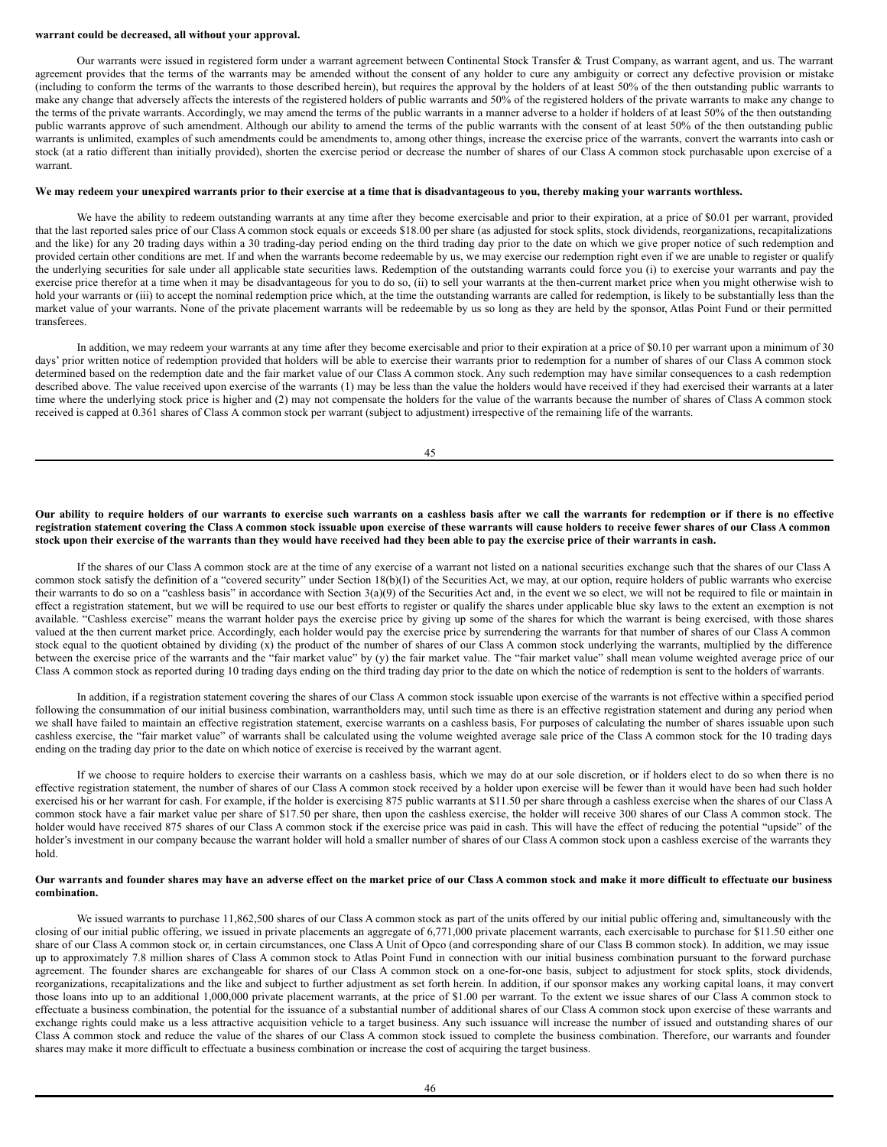#### **warrant could be decreased, all without your approval.**

Our warrants were issued in registered form under a warrant agreement between Continental Stock Transfer & Trust Company, as warrant agent, and us. The warrant agreement provides that the terms of the warrants may be amended without the consent of any holder to cure any ambiguity or correct any defective provision or mistake (including to conform the terms of the warrants to those described herein), but requires the approval by the holders of at least 50% of the then outstanding public warrants to make any change that adversely affects the interests of the registered holders of public warrants and 50% of the registered holders of the private warrants to make any change to the terms of the private warrants. Accordingly, we may amend the terms of the public warrants in a manner adverse to a holder if holders of at least 50% of the then outstanding public warrants approve of such amendment. Although our ability to amend the terms of the public warrants with the consent of at least 50% of the then outstanding public warrants is unlimited, examples of such amendments could be amendments to, among other things, increase the exercise price of the warrants, convert the warrants into cash or stock (at a ratio different than initially provided), shorten the exercise period or decrease the number of shares of our Class A common stock purchasable upon exercise of a warrant.

## We may redeem your unexpired warrants prior to their exercise at a time that is disadvantageous to you, thereby making your warrants worthless.

We have the ability to redeem outstanding warrants at any time after they become exercisable and prior to their expiration, at a price of \$0.01 per warrant, provided that the last reported sales price of our Class A common stock equals or exceeds \$18.00 per share (as adjusted for stock splits, stock dividends, reorganizations, recapitalizations and the like) for any 20 trading days within a 30 trading-day period ending on the third trading day prior to the date on which we give proper notice of such redemption and provided certain other conditions are met. If and when the warrants become redeemable by us, we may exercise our redemption right even if we are unable to register or qualify the underlying securities for sale under all applicable state securities laws. Redemption of the outstanding warrants could force you (i) to exercise your warrants and pay the exercise price therefor at a time when it may be disadvantageous for you to do so, (ii) to sell your warrants at the then-current market price when you might otherwise wish to hold your warrants or (iii) to accept the nominal redemption price which, at the time the outstanding warrants are called for redemption, is likely to be substantially less than the market value of your warrants. None of the private placement warrants will be redeemable by us so long as they are held by the sponsor, Atlas Point Fund or their permitted transferees.

In addition, we may redeem your warrants at any time after they become exercisable and prior to their expiration at a price of \$0.10 per warrant upon a minimum of 30 days' prior written notice of redemption provided that holders will be able to exercise their warrants prior to redemption for a number of shares of our Class A common stock determined based on the redemption date and the fair market value of our Class A common stock. Any such redemption may have similar consequences to a cash redemption described above. The value received upon exercise of the warrants (1) may be less than the value the holders would have received if they had exercised their warrants at a later time where the underlying stock price is higher and (2) may not compensate the holders for the value of the warrants because the number of shares of Class A common stock received is capped at 0.361 shares of Class A common stock per warrant (subject to adjustment) irrespective of the remaining life of the warrants.

45

## Our ability to require holders of our warrants to exercise such warrants on a cashless basis after we call the warrants for redemption or if there is no effective registration statement covering the Class A common stock issuable upon exercise of these warrants will cause holders to receive fewer shares of our Class A common stock upon their exercise of the warrants than they would have received had they been able to pay the exercise price of their warrants in cash.

If the shares of our Class A common stock are at the time of any exercise of a warrant not listed on a national securities exchange such that the shares of our Class A common stock satisfy the definition of a "covered security" under Section 18(b)(I) of the Securities Act, we may, at our option, require holders of public warrants who exercise their warrants to do so on a "cashless basis" in accordance with Section 3(a)(9) of the Securities Act and, in the event we so elect, we will not be required to file or maintain in effect a registration statement, but we will be required to use our best efforts to register or qualify the shares under applicable blue sky laws to the extent an exemption is not available. "Cashless exercise" means the warrant holder pays the exercise price by giving up some of the shares for which the warrant is being exercised, with those shares valued at the then current market price. Accordingly, each holder would pay the exercise price by surrendering the warrants for that number of shares of our Class A common stock equal to the quotient obtained by dividing (x) the product of the number of shares of our Class A common stock underlying the warrants, multiplied by the difference between the exercise price of the warrants and the "fair market value" by (y) the fair market value. The "fair market value" shall mean volume weighted average price of our Class A common stock as reported during 10 trading days ending on the third trading day prior to the date on which the notice of redemption is sent to the holders of warrants.

In addition, if a registration statement covering the shares of our Class A common stock issuable upon exercise of the warrants is not effective within a specified period following the consummation of our initial business combination, warrantholders may, until such time as there is an effective registration statement and during any period when we shall have failed to maintain an effective registration statement, exercise warrants on a cashless basis, For purposes of calculating the number of shares issuable upon such cashless exercise, the "fair market value" of warrants shall be calculated using the volume weighted average sale price of the Class A common stock for the 10 trading days ending on the trading day prior to the date on which notice of exercise is received by the warrant agent.

If we choose to require holders to exercise their warrants on a cashless basis, which we may do at our sole discretion, or if holders elect to do so when there is no effective registration statement, the number of shares of our Class A common stock received by a holder upon exercise will be fewer than it would have been had such holder exercised his or her warrant for cash. For example, if the holder is exercising 875 public warrants at \$11.50 per share through a cashless exercise when the shares of our Class A common stock have a fair market value per share of \$17.50 per share, then upon the cashless exercise, the holder will receive 300 shares of our Class A common stock. The holder would have received 875 shares of our Class A common stock if the exercise price was paid in cash. This will have the effect of reducing the potential "upside" of the holder's investment in our company because the warrant holder will hold a smaller number of shares of our Class A common stock upon a cashless exercise of the warrants they hold.

## Our warrants and founder shares may have an adverse effect on the market price of our Class A common stock and make it more difficult to effectuate our business **combination.**

We issued warrants to purchase 11,862,500 shares of our Class A common stock as part of the units offered by our initial public offering and, simultaneously with the closing of our initial public offering, we issued in private placements an aggregate of 6,771,000 private placement warrants, each exercisable to purchase for \$11.50 either one share of our Class A common stock or, in certain circumstances, one Class A Unit of Opco (and corresponding share of our Class B common stock). In addition, we may issue up to approximately 7.8 million shares of Class A common stock to Atlas Point Fund in connection with our initial business combination pursuant to the forward purchase agreement. The founder shares are exchangeable for shares of our Class A common stock on a one-for-one basis, subject to adjustment for stock splits, stock dividends, reorganizations, recapitalizations and the like and subject to further adjustment as set forth herein. In addition, if our sponsor makes any working capital loans, it may convert those loans into up to an additional 1,000,000 private placement warrants, at the price of \$1.00 per warrant. To the extent we issue shares of our Class A common stock to effectuate a business combination, the potential for the issuance of a substantial number of additional shares of our Class A common stock upon exercise of these warrants and exchange rights could make us a less attractive acquisition vehicle to a target business. Any such issuance will increase the number of issued and outstanding shares of our Class A common stock and reduce the value of the shares of our Class A common stock issued to complete the business combination. Therefore, our warrants and founder shares may make it more difficult to effectuate a business combination or increase the cost of acquiring the target business.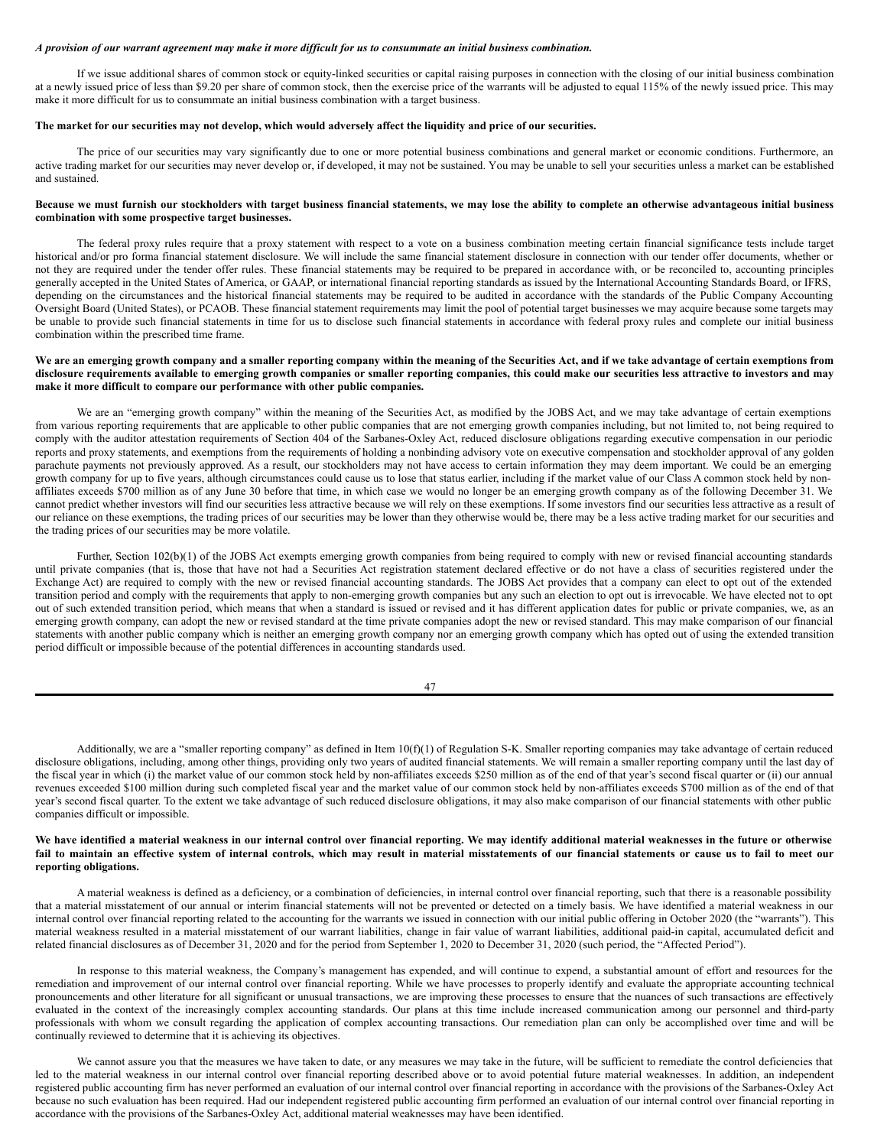## A provision of our warrant agreement may make it more difficult for us to consummate an initial business combination.

If we issue additional shares of common stock or equity-linked securities or capital raising purposes in connection with the closing of our initial business combination at a newly issued price of less than \$9.20 per share of common stock, then the exercise price of the warrants will be adjusted to equal 115% of the newly issued price. This may make it more difficult for us to consummate an initial business combination with a target business.

## The market for our securities may not develop, which would adversely affect the liquidity and price of our securities.

The price of our securities may vary significantly due to one or more potential business combinations and general market or economic conditions. Furthermore, an active trading market for our securities may never develop or, if developed, it may not be sustained. You may be unable to sell your securities unless a market can be established and sustained.

## Because we must furnish our stockholders with target business financial statements, we may lose the ability to complete an otherwise advantageous initial business **combination with some prospective target businesses.**

The federal proxy rules require that a proxy statement with respect to a vote on a business combination meeting certain financial significance tests include target historical and/or pro forma financial statement disclosure. We will include the same financial statement disclosure in connection with our tender offer documents, whether or not they are required under the tender offer rules. These financial statements may be required to be prepared in accordance with, or be reconciled to, accounting principles generally accepted in the United States of America, or GAAP, or international financial reporting standards as issued by the International Accounting Standards Board, or IFRS, depending on the circumstances and the historical financial statements may be required to be audited in accordance with the standards of the Public Company Accounting Oversight Board (United States), or PCAOB. These financial statement requirements may limit the pool of potential target businesses we may acquire because some targets may be unable to provide such financial statements in time for us to disclose such financial statements in accordance with federal proxy rules and complete our initial business combination within the prescribed time frame.

### We are an emerging growth company and a smaller reporting company within the meaning of the Securities Act, and if we take advantage of certain exemptions from disclosure requirements available to emerging growth companies or smaller reporting companies, this could make our securities less attractive to investors and may **make it more difficult to compare our performance with other public companies.**

We are an "emerging growth company" within the meaning of the Securities Act, as modified by the JOBS Act, and we may take advantage of certain exemptions from various reporting requirements that are applicable to other public companies that are not emerging growth companies including, but not limited to, not being required to comply with the auditor attestation requirements of Section 404 of the Sarbanes-Oxley Act, reduced disclosure obligations regarding executive compensation in our periodic reports and proxy statements, and exemptions from the requirements of holding a nonbinding advisory vote on executive compensation and stockholder approval of any golden parachute payments not previously approved. As a result, our stockholders may not have access to certain information they may deem important. We could be an emerging growth company for up to five years, although circumstances could cause us to lose that status earlier, including if the market value of our Class A common stock held by nonaffiliates exceeds \$700 million as of any June 30 before that time, in which case we would no longer be an emerging growth company as of the following December 31. We cannot predict whether investors will find our securities less attractive because we will rely on these exemptions. If some investors find our securities less attractive as a result of our reliance on these exemptions, the trading prices of our securities may be lower than they otherwise would be, there may be a less active trading market for our securities and the trading prices of our securities may be more volatile.

Further, Section 102(b)(1) of the JOBS Act exempts emerging growth companies from being required to comply with new or revised financial accounting standards until private companies (that is, those that have not had a Securities Act registration statement declared effective or do not have a class of securities registered under the Exchange Act) are required to comply with the new or revised financial accounting standards. The JOBS Act provides that a company can elect to opt out of the extended transition period and comply with the requirements that apply to non-emerging growth companies but any such an election to opt out is irrevocable. We have elected not to opt out of such extended transition period, which means that when a standard is issued or revised and it has different application dates for public or private companies, we, as an emerging growth company, can adopt the new or revised standard at the time private companies adopt the new or revised standard. This may make comparison of our financial statements with another public company which is neither an emerging growth company nor an emerging growth company which has opted out of using the extended transition period difficult or impossible because of the potential differences in accounting standards used.

Additionally, we are a "smaller reporting company" as defined in Item 10(f)(1) of Regulation S-K. Smaller reporting companies may take advantage of certain reduced disclosure obligations, including, among other things, providing only two years of audited financial statements. We will remain a smaller reporting company until the last day of the fiscal year in which (i) the market value of our common stock held by non-affiliates exceeds \$250 million as of the end of that year's second fiscal quarter or (ii) our annual revenues exceeded \$100 million during such completed fiscal year and the market value of our common stock held by non-affiliates exceeds \$700 million as of the end of that year's second fiscal quarter. To the extent we take advantage of such reduced disclosure obligations, it may also make comparison of our financial statements with other public companies difficult or impossible.

## We have identified a material weakness in our internal control over financial reporting. We may identify additional material weaknesses in the future or otherwise fail to maintain an effective system of internal controls, which may result in material misstatements of our financial statements or cause us to fail to meet our **reporting obligations.**

A material weakness is defined as a deficiency, or a combination of deficiencies, in internal control over financial reporting, such that there is a reasonable possibility that a material misstatement of our annual or interim financial statements will not be prevented or detected on a timely basis. We have identified a material weakness in our internal control over financial reporting related to the accounting for the warrants we issued in connection with our initial public offering in October 2020 (the "warrants"). This material weakness resulted in a material misstatement of our warrant liabilities, change in fair value of warrant liabilities, additional paid-in capital, accumulated deficit and related financial disclosures as of December 31, 2020 and for the period from September 1, 2020 to December 31, 2020 (such period, the "Affected Period").

In response to this material weakness, the Company's management has expended, and will continue to expend, a substantial amount of effort and resources for the remediation and improvement of our internal control over financial reporting. While we have processes to properly identify and evaluate the appropriate accounting technical pronouncements and other literature for all significant or unusual transactions, we are improving these processes to ensure that the nuances of such transactions are effectively evaluated in the context of the increasingly complex accounting standards. Our plans at this time include increased communication among our personnel and third-party professionals with whom we consult regarding the application of complex accounting transactions. Our remediation plan can only be accomplished over time and will be continually reviewed to determine that it is achieving its objectives.

We cannot assure you that the measures we have taken to date, or any measures we may take in the future, will be sufficient to remediate the control deficiencies that led to the material weakness in our internal control over financial reporting described above or to avoid potential future material weaknesses. In addition, an independent registered public accounting firm has never performed an evaluation of our internal control over financial reporting in accordance with the provisions of the Sarbanes-Oxley Act because no such evaluation has been required. Had our independent registered public accounting firm performed an evaluation of our internal control over financial reporting in accordance with the provisions of the Sarbanes-Oxley Act, additional material weaknesses may have been identified.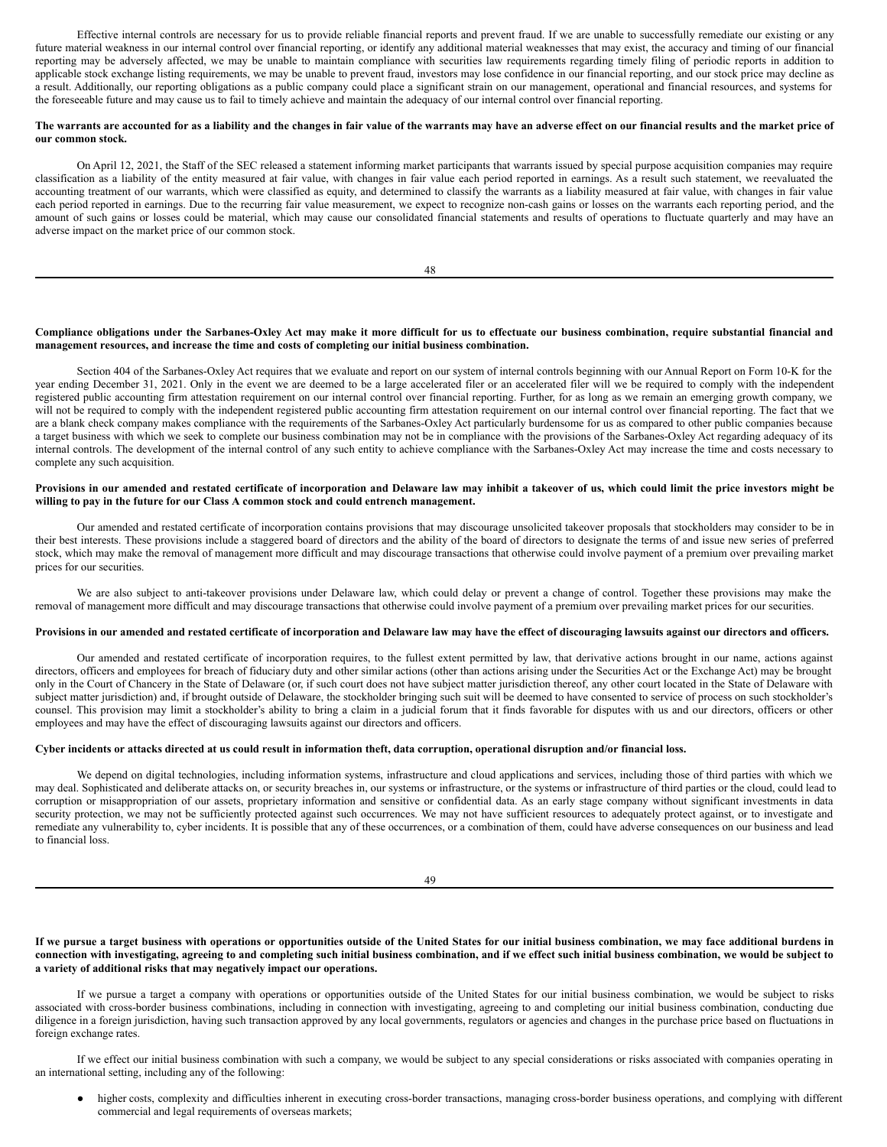Effective internal controls are necessary for us to provide reliable financial reports and prevent fraud. If we are unable to successfully remediate our existing or any future material weakness in our internal control over financial reporting, or identify any additional material weaknesses that may exist, the accuracy and timing of our financial reporting may be adversely affected, we may be unable to maintain compliance with securities law requirements regarding timely filing of periodic reports in addition to applicable stock exchange listing requirements, we may be unable to prevent fraud, investors may lose confidence in our financial reporting, and our stock price may decline as a result. Additionally, our reporting obligations as a public company could place a significant strain on our management, operational and financial resources, and systems for the foreseeable future and may cause us to fail to timely achieve and maintain the adequacy of our internal control over financial reporting.

## The warrants are accounted for as a liability and the changes in fair value of the warrants may have an adverse effect on our financial results and the market price of **our common stock.**

On April 12, 2021, the Staff of the SEC released a statement informing market participants that warrants issued by special purpose acquisition companies may require classification as a liability of the entity measured at fair value, with changes in fair value each period reported in earnings. As a result such statement, we reevaluated the accounting treatment of our warrants, which were classified as equity, and determined to classify the warrants as a liability measured at fair value, with changes in fair value each period reported in earnings. Due to the recurring fair value measurement, we expect to recognize non-cash gains or losses on the warrants each reporting period, and the amount of such gains or losses could be material, which may cause our consolidated financial statements and results of operations to fluctuate quarterly and may have an adverse impact on the market price of our common stock.

| ٦ |                  |
|---|------------------|
|   | ×<br>I<br>w<br>۹ |

## Compliance obligations under the Sarbanes-Oxley Act may make it more difficult for us to effectuate our business combination, require substantial financial and **management resources, and increase the time and costs of completing our initial business combination.**

Section 404 of the Sarbanes-Oxley Act requires that we evaluate and report on our system of internal controls beginning with our Annual Report on Form 10-K for the year ending December 31, 2021. Only in the event we are deemed to be a large accelerated filer or an accelerated filer will we be required to comply with the independent registered public accounting firm attestation requirement on our internal control over financial reporting. Further, for as long as we remain an emerging growth company, we will not be required to comply with the independent registered public accounting firm attestation requirement on our internal control over financial reporting. The fact that we are a blank check company makes compliance with the requirements of the Sarbanes-Oxley Act particularly burdensome for us as compared to other public companies because a target business with which we seek to complete our business combination may not be in compliance with the provisions of the Sarbanes-Oxley Act regarding adequacy of its internal controls. The development of the internal control of any such entity to achieve compliance with the Sarbanes-Oxley Act may increase the time and costs necessary to complete any such acquisition.

### Provisions in our amended and restated certificate of incorporation and Delaware law may inhibit a takeover of us, which could limit the price investors might be **willing to pay in the future for our Class A common stock and could entrench management.**

Our amended and restated certificate of incorporation contains provisions that may discourage unsolicited takeover proposals that stockholders may consider to be in their best interests. These provisions include a staggered board of directors and the ability of the board of directors to designate the terms of and issue new series of preferred stock, which may make the removal of management more difficult and may discourage transactions that otherwise could involve payment of a premium over prevailing market prices for our securities.

We are also subject to anti-takeover provisions under Delaware law, which could delay or prevent a change of control. Together these provisions may make the removal of management more difficult and may discourage transactions that otherwise could involve payment of a premium over prevailing market prices for our securities.

# Provisions in our amended and restated certificate of incorporation and Delaware law may have the effect of discouraging lawsuits against our directors and officers.

Our amended and restated certificate of incorporation requires, to the fullest extent permitted by law, that derivative actions brought in our name, actions against directors, officers and employees for breach of fiduciary duty and other similar actions (other than actions arising under the Securities Act or the Exchange Act) may be brought only in the Court of Chancery in the State of Delaware (or, if such court does not have subject matter jurisdiction thereof, any other court located in the State of Delaware with subject matter jurisdiction) and, if brought outside of Delaware, the stockholder bringing such suit will be deemed to have consented to service of process on such stockholder's counsel. This provision may limit a stockholder's ability to bring a claim in a judicial forum that it finds favorable for disputes with us and our directors, officers or other employees and may have the effect of discouraging lawsuits against our directors and officers.

## Cyber incidents or attacks directed at us could result in information theft, data corruption, operational disruption and/or financial loss.

We depend on digital technologies, including information systems, infrastructure and cloud applications and services, including those of third parties with which we may deal. Sophisticated and deliberate attacks on, or security breaches in, our systems or infrastructure, or the systems or infrastructure of third parties or the cloud, could lead to corruption or misappropriation of our assets, proprietary information and sensitive or confidential data. As an early stage company without significant investments in data security protection, we may not be sufficiently protected against such occurrences. We may not have sufficient resources to adequately protect against, or to investigate and remediate any vulnerability to, cyber incidents. It is possible that any of these occurrences, or a combination of them, could have adverse consequences on our business and lead to financial loss.

| ٦ | ٦<br>۰.<br>۰.<br>۰, |
|---|---------------------|
|   | ٧                   |

If we pursue a target business with operations or opportunities outside of the United States for our initial business combination, we may face additional burdens in connection with investigating, agreeing to and completing such initial business combination, and if we effect such initial business combination, we would be subject to **a variety of additional risks that may negatively impact our operations.**

If we pursue a target a company with operations or opportunities outside of the United States for our initial business combination, we would be subject to risks associated with cross-border business combinations, including in connection with investigating, agreeing to and completing our initial business combination, conducting due diligence in a foreign jurisdiction, having such transaction approved by any local governments, regulators or agencies and changes in the purchase price based on fluctuations in foreign exchange rates.

If we effect our initial business combination with such a company, we would be subject to any special considerations or risks associated with companies operating in an international setting, including any of the following:

higher costs, complexity and difficulties inherent in executing cross-border transactions, managing cross-border business operations, and complying with different commercial and legal requirements of overseas markets;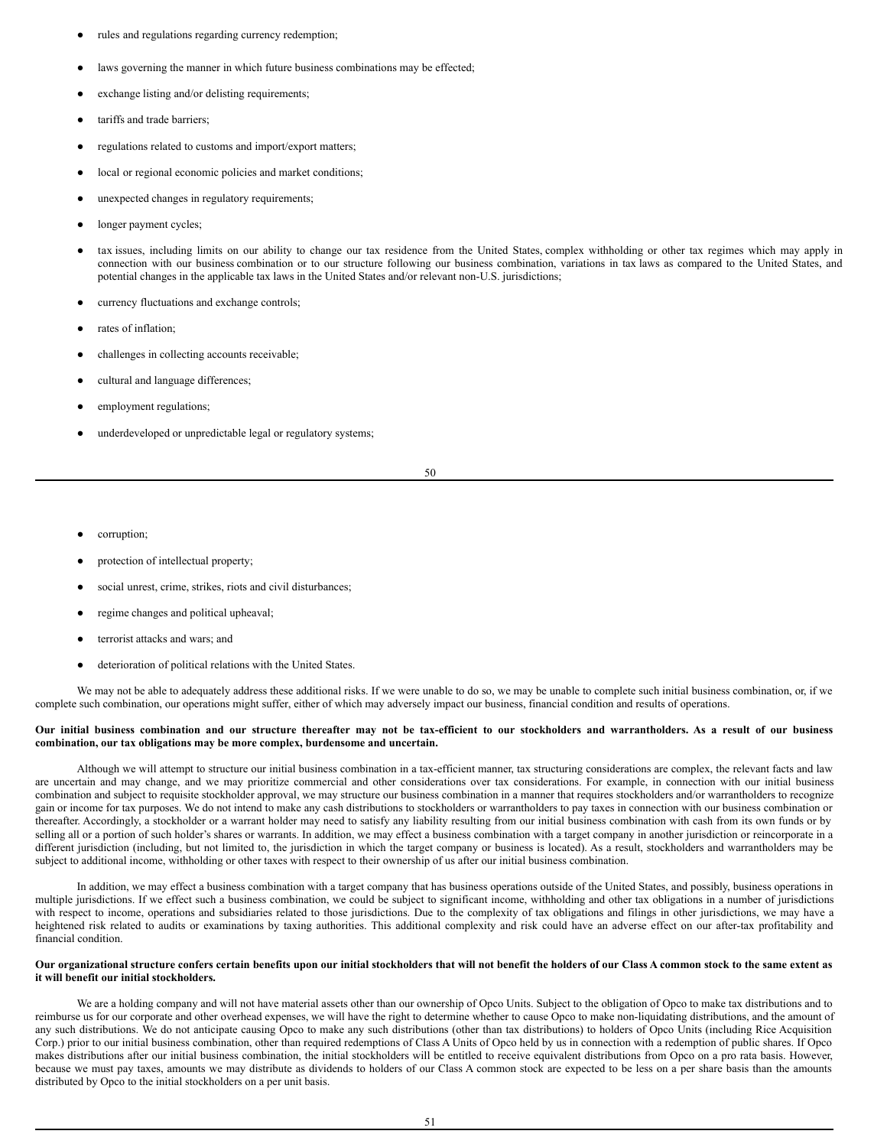- rules and regulations regarding currency redemption;
- laws governing the manner in which future business combinations may be effected;
- exchange listing and/or delisting requirements;
- tariffs and trade barriers;
- regulations related to customs and import/export matters;
- local or regional economic policies and market conditions;
- unexpected changes in regulatory requirements;
- longer payment cycles;
- tax issues, including limits on our ability to change our tax residence from the United States, complex withholding or other tax regimes which may apply in connection with our business combination or to our structure following our business combination, variations in tax laws as compared to the United States, and potential changes in the applicable tax laws in the United States and/or relevant non-U.S. jurisdictions;
- currency fluctuations and exchange controls;
- rates of inflation:
- challenges in collecting accounts receivable;
- cultural and language differences;
- employment regulations;
- underdeveloped or unpredictable legal or regulatory systems;

50

- corruption;
- protection of intellectual property;
- social unrest, crime, strikes, riots and civil disturbances;
- regime changes and political upheaval;
- terrorist attacks and wars; and
- deterioration of political relations with the United States.

We may not be able to adequately address these additional risks. If we were unable to do so, we may be unable to complete such initial business combination, or, if we complete such combination, our operations might suffer, either of which may adversely impact our business, financial condition and results of operations.

## Our initial business combination and our structure thereafter may not be tax-efficient to our stockholders and warrantholders. As a result of our business **combination, our tax obligations may be more complex, burdensome and uncertain.**

Although we will attempt to structure our initial business combination in a tax-efficient manner, tax structuring considerations are complex, the relevant facts and law are uncertain and may change, and we may prioritize commercial and other considerations over tax considerations. For example, in connection with our initial business combination and subject to requisite stockholder approval, we may structure our business combination in a manner that requires stockholders and/or warrantholders to recognize gain or income for tax purposes. We do not intend to make any cash distributions to stockholders or warrantholders to pay taxes in connection with our business combination or thereafter. Accordingly, a stockholder or a warrant holder may need to satisfy any liability resulting from our initial business combination with cash from its own funds or by selling all or a portion of such holder's shares or warrants. In addition, we may effect a business combination with a target company in another jurisdiction or reincorporate in a different jurisdiction (including, but not limited to, the jurisdiction in which the target company or business is located). As a result, stockholders and warrantholders may be subject to additional income, withholding or other taxes with respect to their ownership of us after our initial business combination.

In addition, we may effect a business combination with a target company that has business operations outside of the United States, and possibly, business operations in multiple jurisdictions. If we effect such a business combination, we could be subject to significant income, withholding and other tax obligations in a number of jurisdictions with respect to income, operations and subsidiaries related to those jurisdictions. Due to the complexity of tax obligations and filings in other jurisdictions, we may have a heightened risk related to audits or examinations by taxing authorities. This additional complexity and risk could have an adverse effect on our after-tax profitability and financial condition.

## Our organizational structure confers certain benefits upon our initial stockholders that will not benefit the holders of our Class A common stock to the same extent as **it will benefit our initial stockholders.**

We are a holding company and will not have material assets other than our ownership of Opco Units. Subject to the obligation of Opco to make tax distributions and to reimburse us for our corporate and other overhead expenses, we will have the right to determine whether to cause Opco to make non-liquidating distributions, and the amount of any such distributions. We do not anticipate causing Opco to make any such distributions (other than tax distributions) to holders of Opco Units (including Rice Acquisition Corp.) prior to our initial business combination, other than required redemptions of Class A Units of Opco held by us in connection with a redemption of public shares. If Opco makes distributions after our initial business combination, the initial stockholders will be entitled to receive equivalent distributions from Opco on a pro rata basis. However, because we must pay taxes, amounts we may distribute as dividends to holders of our Class A common stock are expected to be less on a per share basis than the amounts distributed by Opco to the initial stockholders on a per unit basis.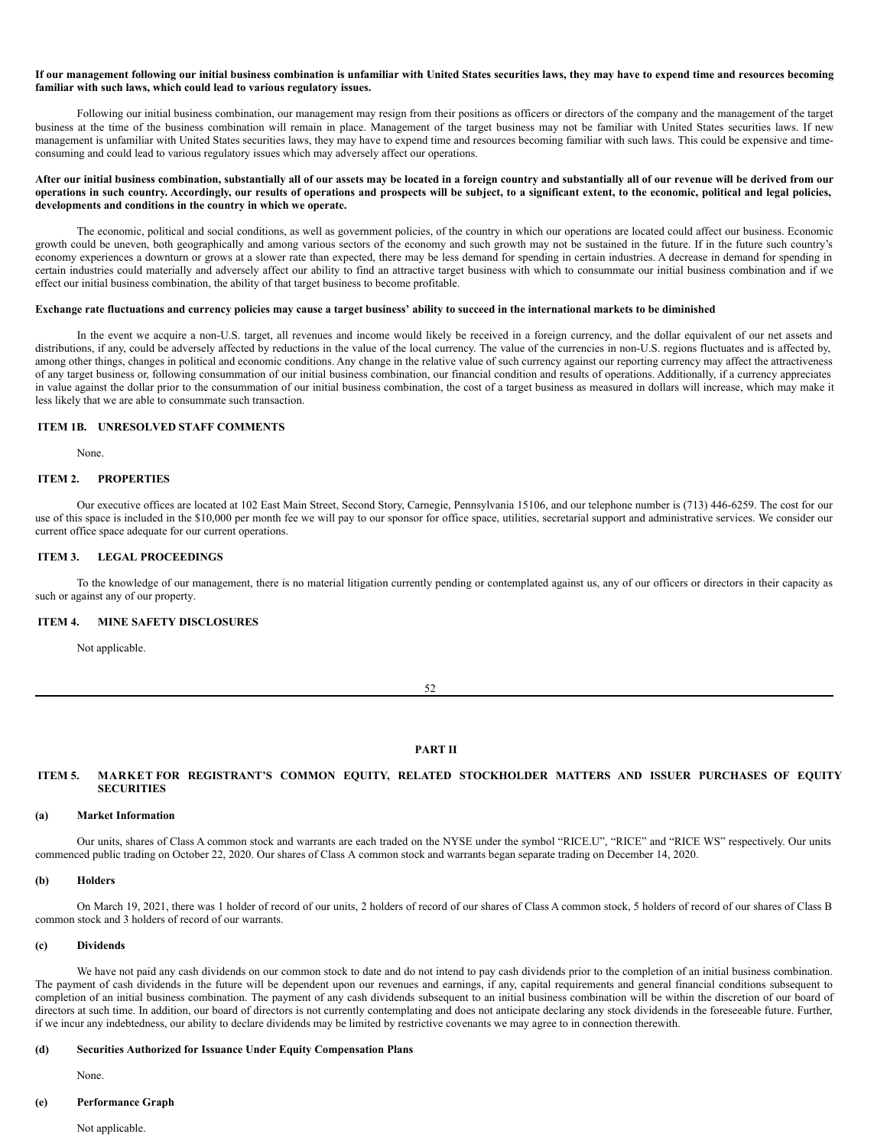### If our management following our initial business combination is unfamiliar with United States securities laws, they may have to expend time and resources becoming **familiar with such laws, which could lead to various regulatory issues.**

Following our initial business combination, our management may resign from their positions as officers or directors of the company and the management of the target business at the time of the business combination will remain in place. Management of the target business may not be familiar with United States securities laws. If new management is unfamiliar with United States securities laws, they may have to expend time and resources becoming familiar with such laws. This could be expensive and timeconsuming and could lead to various regulatory issues which may adversely affect our operations.

## After our initial business combination, substantially all of our assets may be located in a foreign country and substantially all of our revenue will be derived from our operations in such country. Accordingly, our results of operations and prospects will be subject, to a significant extent, to the economic, political and legal policies, **developments and conditions in the country in which we operate.**

The economic, political and social conditions, as well as government policies, of the country in which our operations are located could affect our business. Economic growth could be uneven, both geographically and among various sectors of the economy and such growth may not be sustained in the future. If in the future such country's economy experiences a downturn or grows at a slower rate than expected, there may be less demand for spending in certain industries. A decrease in demand for spending in certain industries could materially and adversely affect our ability to find an attractive target business with which to consummate our initial business combination and if we effect our initial business combination, the ability of that target business to become profitable.

## Exchange rate fluctuations and currency policies may cause a target business' ability to succeed in the international markets to be diminished

In the event we acquire a non-U.S. target, all revenues and income would likely be received in a foreign currency, and the dollar equivalent of our net assets and distributions, if any, could be adversely affected by reductions in the value of the local currency. The value of the currencies in non-U.S. regions fluctuates and is affected by, among other things, changes in political and economic conditions. Any change in the relative value of such currency against our reporting currency may affect the attractiveness of any target business or, following consummation of our initial business combination, our financial condition and results of operations. Additionally, if a currency appreciates in value against the dollar prior to the consummation of our initial business combination, the cost of a target business as measured in dollars will increase, which may make it less likely that we are able to consummate such transaction.

### <span id="page-33-0"></span>**ITEM 1B. UNRESOLVED STAFF COMMENTS**

None.

## <span id="page-33-1"></span>**ITEM 2. PROPERTIES**

Our executive offices are located at 102 East Main Street, Second Story, Carnegie, Pennsylvania 15106, and our telephone number is (713) 446-6259. The cost for our use of this space is included in the \$10,000 per month fee we will pay to our sponsor for office space, utilities, secretarial support and administrative services. We consider our current office space adequate for our current operations.

## <span id="page-33-2"></span>**ITEM 3. LEGAL PROCEEDINGS**

To the knowledge of our management, there is no material litigation currently pending or contemplated against us, any of our officers or directors in their capacity as such or against any of our property.

## <span id="page-33-3"></span>**ITEM 4. MINE SAFETY DISCLOSURES**

Not applicable.

52

## <span id="page-33-4"></span>**PART II**

## <span id="page-33-5"></span>**ITEM 5. MARKET FOR REGISTRANT'S COMMON EQUITY, RELATED STOCKHOLDER MATTERS AND ISSUER PURCHASES OF EQUITY SECURITIES**

## **(a) Market Information**

Our units, shares of Class A common stock and warrants are each traded on the NYSE under the symbol "RICE.U", "RICE" and "RICE WS" respectively. Our units commenced public trading on October 22, 2020. Our shares of Class A common stock and warrants began separate trading on December 14, 2020.

### **(b) Holders**

On March 19, 2021, there was 1 holder of record of our units, 2 holders of record of our shares of Class A common stock, 5 holders of record of our shares of Class B common stock and 3 holders of record of our warrants.

## **(c) Dividends**

We have not paid any cash dividends on our common stock to date and do not intend to pay cash dividends prior to the completion of an initial business combination. The payment of cash dividends in the future will be dependent upon our revenues and earnings, if any, capital requirements and general financial conditions subsequent to completion of an initial business combination. The payment of any cash dividends subsequent to an initial business combination will be within the discretion of our board of directors at such time. In addition, our board of directors is not currently contemplating and does not anticipate declaring any stock dividends in the foreseeable future. Further, if we incur any indebtedness, our ability to declare dividends may be limited by restrictive covenants we may agree to in connection therewith.

## **(d) Securities Authorized for Issuance Under Equity Compensation Plans**

None.

#### **(e) Performance Graph**

Not applicable.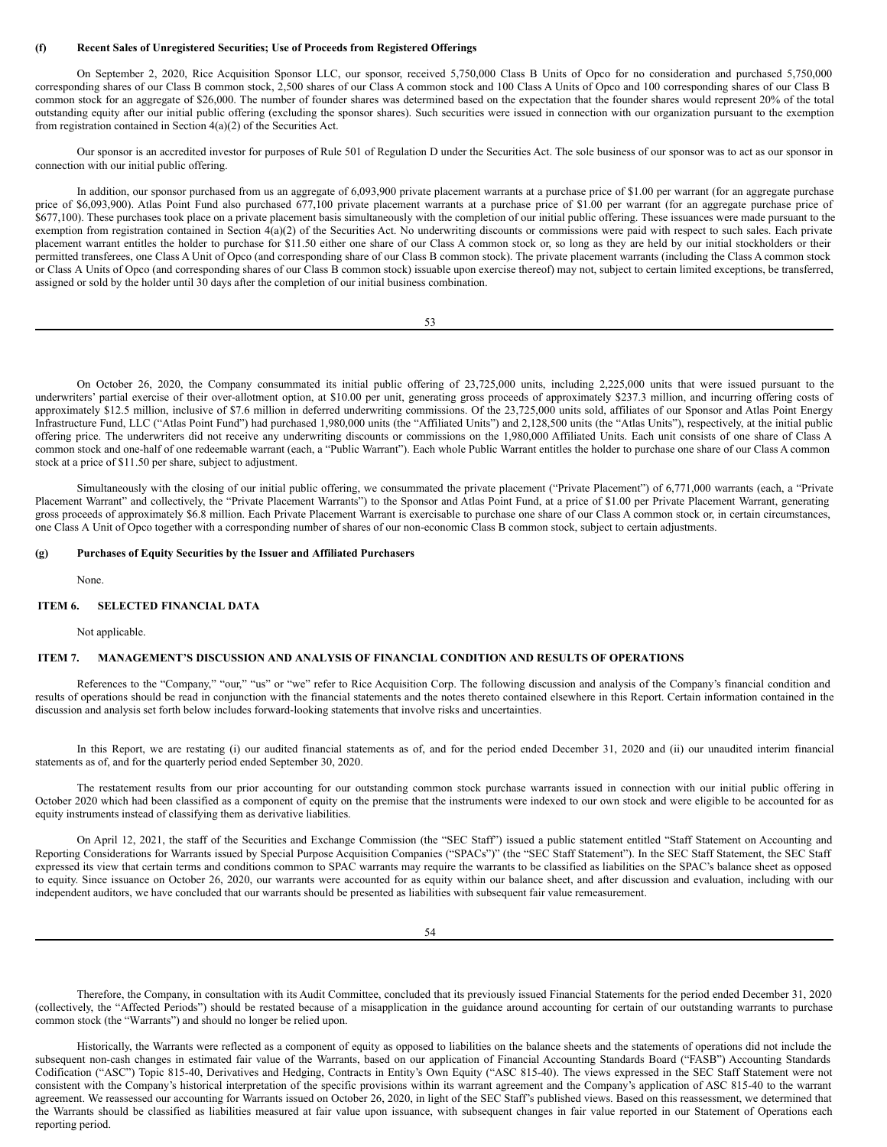### **(f) Recent Sales of Unregistered Securities; Use of Proceeds from Registered Offerings**

On September 2, 2020, Rice Acquisition Sponsor LLC, our sponsor, received 5,750,000 Class B Units of Opco for no consideration and purchased 5,750,000 corresponding shares of our Class B common stock, 2,500 shares of our Class A common stock and 100 Class A Units of Opco and 100 corresponding shares of our Class B common stock for an aggregate of \$26,000. The number of founder shares was determined based on the expectation that the founder shares would represent 20% of the total outstanding equity after our initial public offering (excluding the sponsor shares). Such securities were issued in connection with our organization pursuant to the exemption from registration contained in Section 4(a)(2) of the Securities Act.

Our sponsor is an accredited investor for purposes of Rule 501 of Regulation D under the Securities Act. The sole business of our sponsor was to act as our sponsor in connection with our initial public offering.

In addition, our sponsor purchased from us an aggregate of 6,093,900 private placement warrants at a purchase price of \$1.00 per warrant (for an aggregate purchase price of \$6,093,900). Atlas Point Fund also purchased 677,100 private placement warrants at a purchase price of \$1.00 per warrant (for an aggregate purchase price of \$677,100). These purchases took place on a private placement basis simultaneously with the completion of our initial public offering. These issuances were made pursuant to the exemption from registration contained in Section 4(a)(2) of the Securities Act. No underwriting discounts or commissions were paid with respect to such sales. Each private placement warrant entitles the holder to purchase for \$11.50 either one share of our Class A common stock or, so long as they are held by our initial stockholders or their permitted transferees, one Class A Unit of Opco (and corresponding share of our Class B common stock). The private placement warrants (including the Class A common stock or Class A Units of Opco (and corresponding shares of our Class B common stock) issuable upon exercise thereof) may not, subject to certain limited exceptions, be transferred, assigned or sold by the holder until 30 days after the completion of our initial business combination.

53

On October 26, 2020, the Company consummated its initial public offering of 23,725,000 units, including 2,225,000 units that were issued pursuant to the underwriters' partial exercise of their over-allotment option, at \$10.00 per unit, generating gross proceeds of approximately \$237.3 million, and incurring offering costs of approximately \$12.5 million, inclusive of \$7.6 million in deferred underwriting commissions. Of the 23,725,000 units sold, affiliates of our Sponsor and Atlas Point Energy Infrastructure Fund, LLC ("Atlas Point Fund") had purchased 1,980,000 units (the "Affiliated Units") and 2,128,500 units (the "Atlas Units"), respectively, at the initial public offering price. The underwriters did not receive any underwriting discounts or commissions on the 1,980,000 Affiliated Units. Each unit consists of one share of Class A common stock and one-half of one redeemable warrant (each, a "Public Warrant"). Each whole Public Warrant entitles the holder to purchase one share of our Class A common stock at a price of \$11.50 per share, subject to adjustment.

Simultaneously with the closing of our initial public offering, we consummated the private placement ("Private Placement") of 6,771,000 warrants (each, a "Private Placement Warrant" and collectively, the "Private Placement Warrants") to the Sponsor and Atlas Point Fund, at a price of \$1.00 per Private Placement Warrant, generating gross proceeds of approximately \$6.8 million. Each Private Placement Warrant is exercisable to purchase one share of our Class A common stock or, in certain circumstances, one Class A Unit of Opco together with a corresponding number of shares of our non-economic Class B common stock, subject to certain adjustments.

#### **(g) Purchases of Equity Securities by the Issuer and Affiliated Purchasers**

None.

## <span id="page-34-0"></span>**ITEM 6. SELECTED FINANCIAL DATA**

Not applicable.

## <span id="page-34-1"></span>**ITEM 7. MANAGEMENT'S DISCUSSION AND ANALYSIS OF FINANCIAL CONDITION AND RESULTS OF OPERATIONS**

References to the "Company," "our," "us" or "we" refer to Rice Acquisition Corp. The following discussion and analysis of the Company's financial condition and results of operations should be read in conjunction with the financial statements and the notes thereto contained elsewhere in this Report. Certain information contained in the discussion and analysis set forth below includes forward-looking statements that involve risks and uncertainties.

In this Report, we are restating (i) our audited financial statements as of, and for the period ended December 31, 2020 and (ii) our unaudited interim financial statements as of, and for the quarterly period ended September 30, 2020.

The restatement results from our prior accounting for our outstanding common stock purchase warrants issued in connection with our initial public offering in October 2020 which had been classified as a component of equity on the premise that the instruments were indexed to our own stock and were eligible to be accounted for as equity instruments instead of classifying them as derivative liabilities.

On April 12, 2021, the staff of the Securities and Exchange Commission (the "SEC Staff") issued a public statement entitled "Staff Statement on Accounting and Reporting Considerations for Warrants issued by Special Purpose Acquisition Companies ("SPACs")" (the "SEC Staff Statement"). In the SEC Staff Statement, the SEC Staff expressed its view that certain terms and conditions common to SPAC warrants may require the warrants to be classified as liabilities on the SPAC's balance sheet as opposed to equity. Since issuance on October 26, 2020, our warrants were accounted for as equity within our balance sheet, and after discussion and evaluation, including with our independent auditors, we have concluded that our warrants should be presented as liabilities with subsequent fair value remeasurement.

Therefore, the Company, in consultation with its Audit Committee, concluded that its previously issued Financial Statements for the period ended December 31, 2020 (collectively, the "Affected Periods") should be restated because of a misapplication in the guidance around accounting for certain of our outstanding warrants to purchase common stock (the "Warrants") and should no longer be relied upon.

Historically, the Warrants were reflected as a component of equity as opposed to liabilities on the balance sheets and the statements of operations did not include the subsequent non-cash changes in estimated fair value of the Warrants, based on our application of Financial Accounting Standards Board ("FASB") Accounting Standards Codification ("ASC") Topic 815-40, Derivatives and Hedging, Contracts in Entity's Own Equity ("ASC 815-40). The views expressed in the SEC Staff Statement were not consistent with the Company's historical interpretation of the specific provisions within its warrant agreement and the Company's application of ASC 815-40 to the warrant agreement. We reassessed our accounting for Warrants issued on October 26, 2020, in light of the SEC Staff's published views. Based on this reassessment, we determined that the Warrants should be classified as liabilities measured at fair value upon issuance, with subsequent changes in fair value reported in our Statement of Operations each reporting period.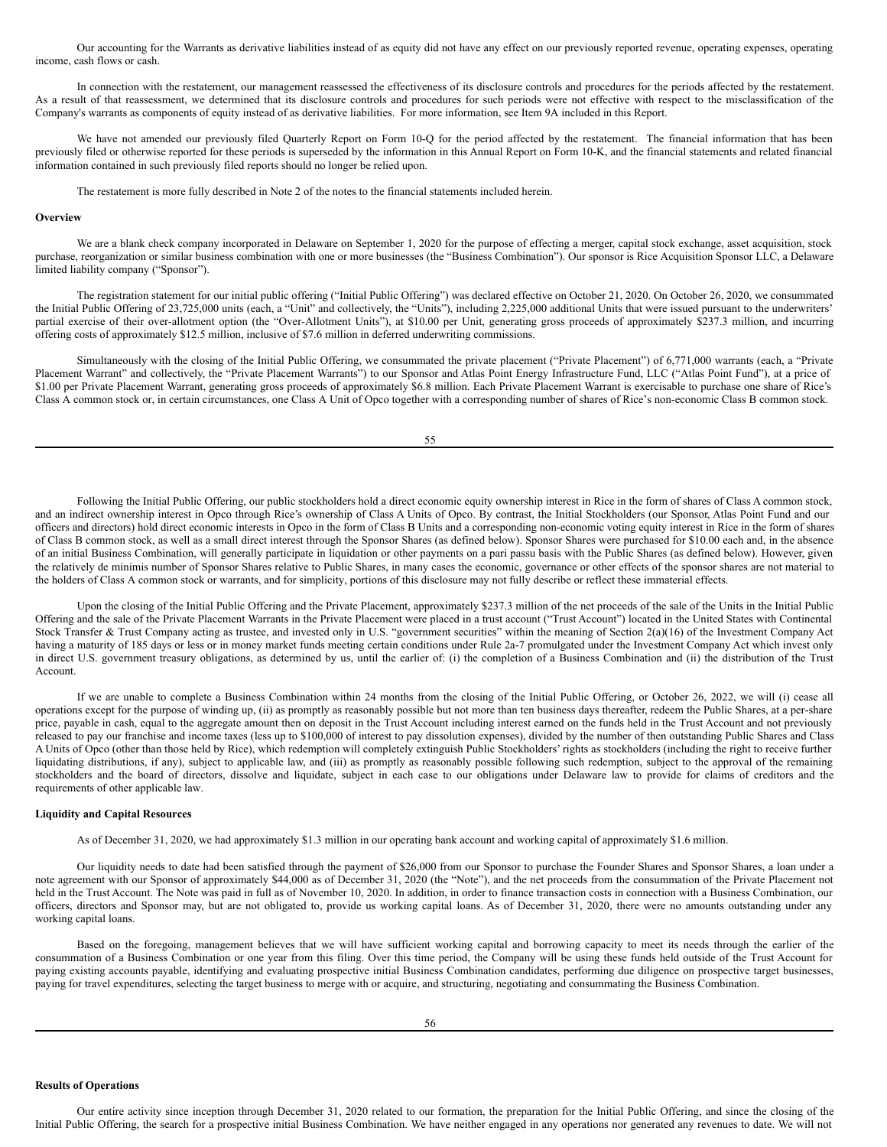Our accounting for the Warrants as derivative liabilities instead of as equity did not have any effect on our previously reported revenue, operating expenses, operating income, cash flows or cash.

In connection with the restatement, our management reassessed the effectiveness of its disclosure controls and procedures for the periods affected by the restatement. As a result of that reassessment, we determined that its disclosure controls and procedures for such periods were not effective with respect to the misclassification of the Company's warrants as components of equity instead of as derivative liabilities. For more information, see Item 9A included in this Report.

We have not amended our previously filed Quarterly Report on Form 10-Q for the period affected by the restatement. The financial information that has been previously filed or otherwise reported for these periods is superseded by the information in this Annual Report on Form 10-K, and the financial statements and related financial information contained in such previously filed reports should no longer be relied upon.

The restatement is more fully described in Note 2 of the notes to the financial statements included herein.

#### **Overview**

We are a blank check company incorporated in Delaware on September 1, 2020 for the purpose of effecting a merger, capital stock exchange, asset acquisition, stock purchase, reorganization or similar business combination with one or more businesses (the "Business Combination"). Our sponsor is Rice Acquisition Sponsor LLC, a Delaware limited liability company ("Sponsor").

The registration statement for our initial public offering ("Initial Public Offering") was declared effective on October 21, 2020. On October 26, 2020, we consummated the Initial Public Offering of 23,725,000 units (each, a "Unit" and collectively, the "Units"), including 2,225,000 additional Units that were issued pursuant to the underwriters' partial exercise of their over-allotment option (the "Over-Allotment Units"), at \$10.00 per Unit, generating gross proceeds of approximately \$237.3 million, and incurring offering costs of approximately \$12.5 million, inclusive of \$7.6 million in deferred underwriting commissions.

Simultaneously with the closing of the Initial Public Offering, we consummated the private placement ("Private Placement") of 6,771,000 warrants (each, a "Private Placement Warrant" and collectively, the "Private Placement Warrants") to our Sponsor and Atlas Point Energy Infrastructure Fund, LLC ("Atlas Point Fund"), at a price of \$1.00 per Private Placement Warrant, generating gross proceeds of approximately \$6.8 million. Each Private Placement Warrant is exercisable to purchase one share of Rice's Class A common stock or, in certain circumstances, one Class A Unit of Opco together with a corresponding number of shares of Rice's non-economic Class B common stock.

55

Following the Initial Public Offering, our public stockholders hold a direct economic equity ownership interest in Rice in the form of shares of Class A common stock, and an indirect ownership interest in Opco through Rice's ownership of Class A Units of Opco. By contrast, the Initial Stockholders (our Sponsor, Atlas Point Fund and our officers and directors) hold direct economic interests in Opco in the form of Class B Units and a corresponding non-economic voting equity interest in Rice in the form of shares of Class B common stock, as well as a small direct interest through the Sponsor Shares (as defined below). Sponsor Shares were purchased for \$10.00 each and, in the absence of an initial Business Combination, will generally participate in liquidation or other payments on a pari passu basis with the Public Shares (as defined below). However, given the relatively de minimis number of Sponsor Shares relative to Public Shares, in many cases the economic, governance or other effects of the sponsor shares are not material to the holders of Class A common stock or warrants, and for simplicity, portions of this disclosure may not fully describe or reflect these immaterial effects.

Upon the closing of the Initial Public Offering and the Private Placement, approximately \$237.3 million of the net proceeds of the sale of the Units in the Initial Public Offering and the sale of the Private Placement Warrants in the Private Placement were placed in a trust account ("Trust Account") located in the United States with Continental Stock Transfer & Trust Company acting as trustee, and invested only in U.S. "government securities" within the meaning of Section 2(a)(16) of the Investment Company Act having a maturity of 185 days or less or in money market funds meeting certain conditions under Rule 2a-7 promulgated under the Investment Company Act which invest only in direct U.S. government treasury obligations, as determined by us, until the earlier of: (i) the completion of a Business Combination and (ii) the distribution of the Trust Account.

If we are unable to complete a Business Combination within 24 months from the closing of the Initial Public Offering, or October 26, 2022, we will (i) cease all operations except for the purpose of winding up, (ii) as promptly as reasonably possible but not more than ten business days thereafter, redeem the Public Shares, at a per-share price, payable in cash, equal to the aggregate amount then on deposit in the Trust Account including interest earned on the funds held in the Trust Account and not previously released to pay our franchise and income taxes (less up to \$100,000 of interest to pay dissolution expenses), divided by the number of then outstanding Public Shares and Class A Units of Opco (other than those held by Rice), which redemption will completely extinguish Public Stockholders' rights as stockholders (including the right to receive further liquidating distributions, if any), subject to applicable law, and (iii) as promptly as reasonably possible following such redemption, subject to the approval of the remaining stockholders and the board of directors, dissolve and liquidate, subject in each case to our obligations under Delaware law to provide for claims of creditors and the requirements of other applicable law.

## **Liquidity and Capital Resources**

As of December 31, 2020, we had approximately \$1.3 million in our operating bank account and working capital of approximately \$1.6 million.

Our liquidity needs to date had been satisfied through the payment of \$26,000 from our Sponsor to purchase the Founder Shares and Sponsor Shares, a loan under a note agreement with our Sponsor of approximately \$44,000 as of December 31, 2020 (the "Note"), and the net proceeds from the consummation of the Private Placement not held in the Trust Account. The Note was paid in full as of November 10, 2020. In addition, in order to finance transaction costs in connection with a Business Combination, our officers, directors and Sponsor may, but are not obligated to, provide us working capital loans. As of December 31, 2020, there were no amounts outstanding under any working capital loans.

Based on the foregoing, management believes that we will have sufficient working capital and borrowing capacity to meet its needs through the earlier of the consummation of a Business Combination or one year from this filing. Over this time period, the Company will be using these funds held outside of the Trust Account for paying existing accounts payable, identifying and evaluating prospective initial Business Combination candidates, performing due diligence on prospective target businesses, paying for travel expenditures, selecting the target business to merge with or acquire, and structuring, negotiating and consummating the Business Combination.

## **Results of Operations**

Our entire activity since inception through December 31, 2020 related to our formation, the preparation for the Initial Public Offering, and since the closing of the Initial Public Offering, the search for a prospective initial Business Combination. We have neither engaged in any operations nor generated any revenues to date. We will not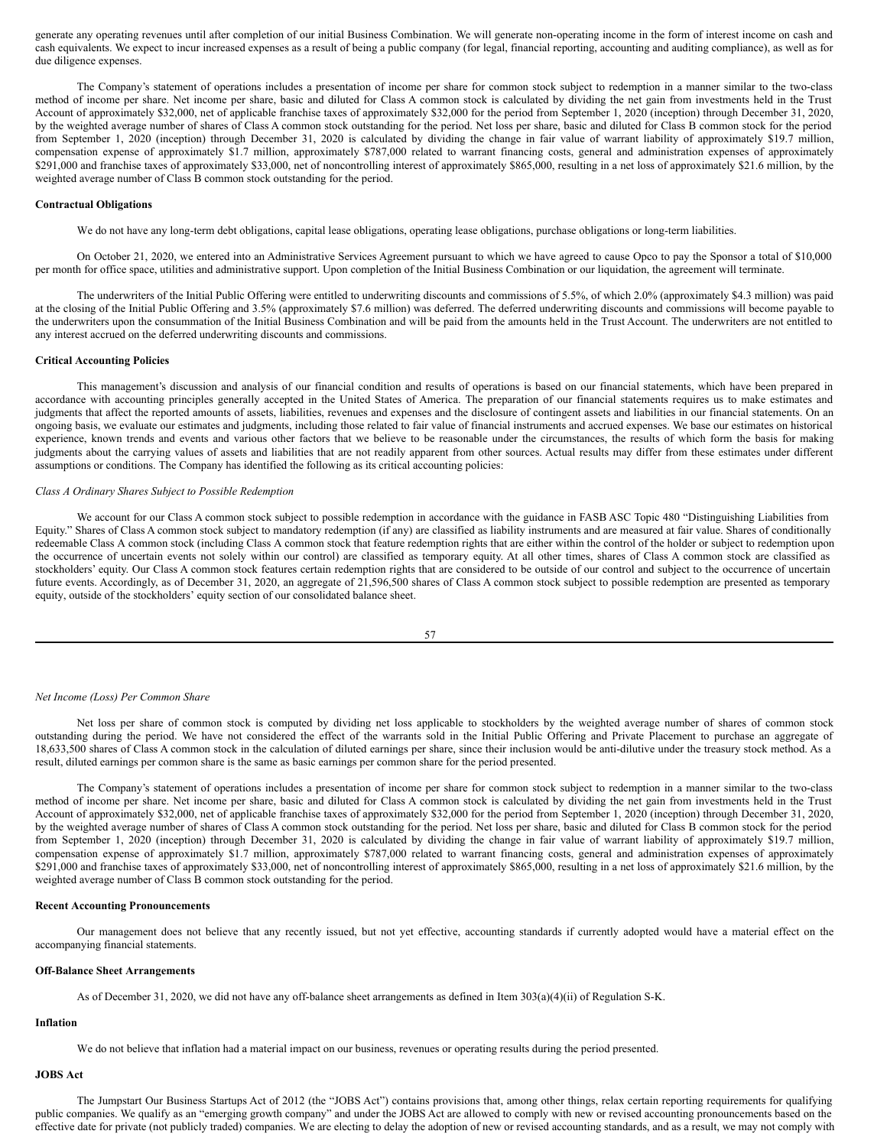generate any operating revenues until after completion of our initial Business Combination. We will generate non-operating income in the form of interest income on cash and cash equivalents. We expect to incur increased expenses as a result of being a public company (for legal, financial reporting, accounting and auditing compliance), as well as for due diligence expenses.

The Company's statement of operations includes a presentation of income per share for common stock subject to redemption in a manner similar to the two-class method of income per share. Net income per share, basic and diluted for Class A common stock is calculated by dividing the net gain from investments held in the Trust Account of approximately \$32,000, net of applicable franchise taxes of approximately \$32,000 for the period from September 1, 2020 (inception) through December 31, 2020, by the weighted average number of shares of Class A common stock outstanding for the period. Net loss per share, basic and diluted for Class B common stock for the period from September 1, 2020 (inception) through December 31, 2020 is calculated by dividing the change in fair value of warrant liability of approximately \$19.7 million, compensation expense of approximately \$1.7 million, approximately \$787,000 related to warrant financing costs, general and administration expenses of approximately \$291,000 and franchise taxes of approximately \$33,000, net of noncontrolling interest of approximately \$865,000, resulting in a net loss of approximately \$21.6 million, by the weighted average number of Class B common stock outstanding for the period.

### **Contractual Obligations**

We do not have any long-term debt obligations, capital lease obligations, operating lease obligations, purchase obligations or long-term liabilities.

On October 21, 2020, we entered into an Administrative Services Agreement pursuant to which we have agreed to cause Opco to pay the Sponsor a total of \$10,000 per month for office space, utilities and administrative support. Upon completion of the Initial Business Combination or our liquidation, the agreement will terminate.

The underwriters of the Initial Public Offering were entitled to underwriting discounts and commissions of 5.5%, of which 2.0% (approximately \$4.3 million) was paid at the closing of the Initial Public Offering and 3.5% (approximately \$7.6 million) was deferred. The deferred underwriting discounts and commissions will become payable to the underwriters upon the consummation of the Initial Business Combination and will be paid from the amounts held in the Trust Account. The underwriters are not entitled to any interest accrued on the deferred underwriting discounts and commissions.

## **Critical Accounting Policies**

This management's discussion and analysis of our financial condition and results of operations is based on our financial statements, which have been prepared in accordance with accounting principles generally accepted in the United States of America. The preparation of our financial statements requires us to make estimates and judgments that affect the reported amounts of assets, liabilities, revenues and expenses and the disclosure of contingent assets and liabilities in our financial statements. On an ongoing basis, we evaluate our estimates and judgments, including those related to fair value of financial instruments and accrued expenses. We base our estimates on historical experience, known trends and events and various other factors that we believe to be reasonable under the circumstances, the results of which form the basis for making judgments about the carrying values of assets and liabilities that are not readily apparent from other sources. Actual results may differ from these estimates under different assumptions or conditions. The Company has identified the following as its critical accounting policies:

## *Class A Ordinary Shares Subject to Possible Redemption*

We account for our Class A common stock subject to possible redemption in accordance with the guidance in FASB ASC Topic 480 "Distinguishing Liabilities from Equity." Shares of Class A common stock subject to mandatory redemption (if any) are classified as liability instruments and are measured at fair value. Shares of conditionally redeemable Class A common stock (including Class A common stock that feature redemption rights that are either within the control of the holder or subject to redemption upon the occurrence of uncertain events not solely within our control) are classified as temporary equity. At all other times, shares of Class A common stock are classified as stockholders' equity. Our Class A common stock features certain redemption rights that are considered to be outside of our control and subject to the occurrence of uncertain future events. Accordingly, as of December 31, 2020, an aggregate of 21,596,500 shares of Class A common stock subject to possible redemption are presented as temporary equity, outside of the stockholders' equity section of our consolidated balance sheet.

| I<br>I |  |
|--------|--|

#### *Net Income (Loss) Per Common Share*

Net loss per share of common stock is computed by dividing net loss applicable to stockholders by the weighted average number of shares of common stock outstanding during the period. We have not considered the effect of the warrants sold in the Initial Public Offering and Private Placement to purchase an aggregate of 18,633,500 shares of Class A common stock in the calculation of diluted earnings per share, since their inclusion would be anti-dilutive under the treasury stock method. As a result, diluted earnings per common share is the same as basic earnings per common share for the period presented.

The Company's statement of operations includes a presentation of income per share for common stock subject to redemption in a manner similar to the two-class method of income per share. Net income per share, basic and diluted for Class A common stock is calculated by dividing the net gain from investments held in the Trust Account of approximately \$32,000, net of applicable franchise taxes of approximately \$32,000 for the period from September 1, 2020 (inception) through December 31, 2020, by the weighted average number of shares of Class A common stock outstanding for the period. Net loss per share, basic and diluted for Class B common stock for the period from September 1, 2020 (inception) through December 31, 2020 is calculated by dividing the change in fair value of warrant liability of approximately \$19.7 million, compensation expense of approximately \$1.7 million, approximately \$787,000 related to warrant financing costs, general and administration expenses of approximately \$291,000 and franchise taxes of approximately \$33,000, net of noncontrolling interest of approximately \$865,000, resulting in a net loss of approximately \$21.6 million, by the weighted average number of Class B common stock outstanding for the period.

## **Recent Accounting Pronouncements**

Our management does not believe that any recently issued, but not yet effective, accounting standards if currently adopted would have a material effect on the accompanying financial statements.

#### **Off-Balance Sheet Arrangements**

As of December 31, 2020, we did not have any off-balance sheet arrangements as defined in Item 303(a)(4)(ii) of Regulation S-K.

#### **Inflation**

We do not believe that inflation had a material impact on our business, revenues or operating results during the period presented.

## **JOBS Act**

The Jumpstart Our Business Startups Act of 2012 (the "JOBS Act") contains provisions that, among other things, relax certain reporting requirements for qualifying public companies. We qualify as an "emerging growth company" and under the JOBS Act are allowed to comply with new or revised accounting pronouncements based on the effective date for private (not publicly traded) companies. We are electing to delay the adoption of new or revised accounting standards, and as a result, we may not comply with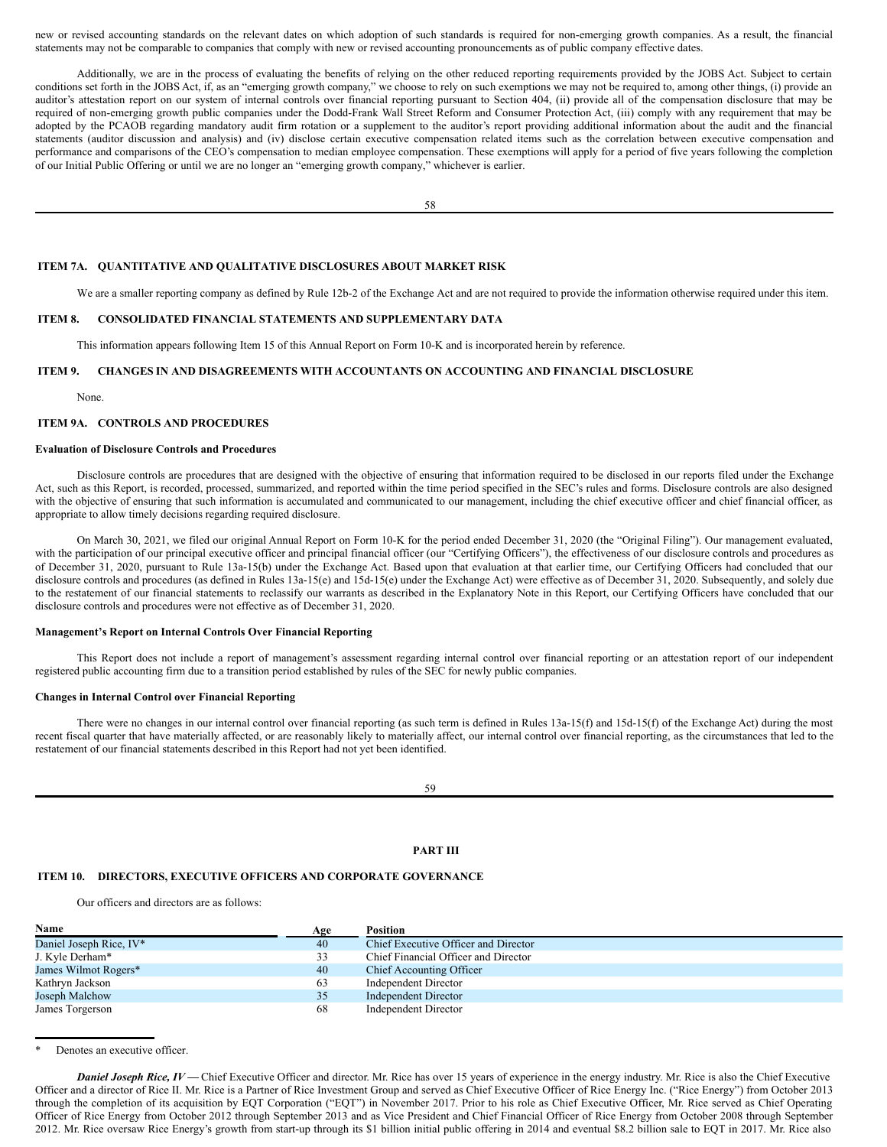new or revised accounting standards on the relevant dates on which adoption of such standards is required for non-emerging growth companies. As a result, the financial statements may not be comparable to companies that comply with new or revised accounting pronouncements as of public company effective dates.

Additionally, we are in the process of evaluating the benefits of relying on the other reduced reporting requirements provided by the JOBS Act. Subject to certain conditions set forth in the JOBS Act, if, as an "emerging growth company," we choose to rely on such exemptions we may not be required to, among other things, (i) provide an auditor's attestation report on our system of internal controls over financial reporting pursuant to Section 404, (ii) provide all of the compensation disclosure that may be required of non-emerging growth public companies under the Dodd-Frank Wall Street Reform and Consumer Protection Act, (iii) comply with any requirement that may be adopted by the PCAOB regarding mandatory audit firm rotation or a supplement to the auditor's report providing additional information about the audit and the financial statements (auditor discussion and analysis) and (iv) disclose certain executive compensation related items such as the correlation between executive compensation and performance and comparisons of the CEO's compensation to median employee compensation. These exemptions will apply for a period of five years following the completion of our Initial Public Offering or until we are no longer an "emerging growth company," whichever is earlier.

58

#### <span id="page-37-0"></span>**ITEM 7A. QUANTITATIVE AND QUALITATIVE DISCLOSURES ABOUT MARKET RISK**

We are a smaller reporting company as defined by Rule 12b-2 of the Exchange Act and are not required to provide the information otherwise required under this item.

## <span id="page-37-1"></span>**ITEM 8. CONSOLIDATED FINANCIAL STATEMENTS AND SUPPLEMENTARY DATA**

This information appears following Item 15 of this Annual Report on Form 10-K and is incorporated herein by reference.

## <span id="page-37-2"></span>**ITEM 9. CHANGES IN AND DISAGREEMENTS WITH ACCOUNTANTS ON ACCOUNTING AND FINANCIAL DISCLOSURE**

None.

### <span id="page-37-3"></span>**ITEM 9A. CONTROLS AND PROCEDURES**

## **Evaluation of Disclosure Controls and Procedures**

Disclosure controls are procedures that are designed with the objective of ensuring that information required to be disclosed in our reports filed under the Exchange Act, such as this Report, is recorded, processed, summarized, and reported within the time period specified in the SEC's rules and forms. Disclosure controls are also designed with the objective of ensuring that such information is accumulated and communicated to our management, including the chief executive officer and chief financial officer, as appropriate to allow timely decisions regarding required disclosure.

On March 30, 2021, we filed our original Annual Report on Form 10-K for the period ended December 31, 2020 (the "Original Filing"). Our management evaluated, with the participation of our principal executive officer and principal financial officer (our "Certifying Officers"), the effectiveness of our disclosure controls and procedures as of December 31, 2020, pursuant to Rule 13a-15(b) under the Exchange Act. Based upon that evaluation at that earlier time, our Certifying Officers had concluded that our disclosure controls and procedures (as defined in Rules 13a-15(e) and 15d-15(e) under the Exchange Act) were effective as of December 31, 2020. Subsequently, and solely due to the restatement of our financial statements to reclassify our warrants as described in the Explanatory Note in this Report, our Certifying Officers have concluded that our disclosure controls and procedures were not effective as of December 31, 2020.

## **Management's Report on Internal Controls Over Financial Reporting**

This Report does not include a report of management's assessment regarding internal control over financial reporting or an attestation report of our independent registered public accounting firm due to a transition period established by rules of the SEC for newly public companies.

## **Changes in Internal Control over Financial Reporting**

There were no changes in our internal control over financial reporting (as such term is defined in Rules 13a-15(f) and 15d-15(f) of the Exchange Act) during the most recent fiscal quarter that have materially affected, or are reasonably likely to materially affect, our internal control over financial reporting, as the circumstances that led to the restatement of our financial statements described in this Report had not yet been identified.

59

### <span id="page-37-4"></span>**PART III**

## <span id="page-37-5"></span>**ITEM 10. DIRECTORS, EXECUTIVE OFFICERS AND CORPORATE GOVERNANCE**

Our officers and directors are as follows:

| Name                    | Age | <b>Position</b>                      |
|-------------------------|-----|--------------------------------------|
| Daniel Joseph Rice, IV* | 40  | Chief Executive Officer and Director |
| J. Kyle Derham*         | 33  | Chief Financial Officer and Director |
| James Wilmot Rogers*    | 40  | <b>Chief Accounting Officer</b>      |
| Kathryn Jackson         | 63  | Independent Director                 |
| Joseph Malchow          | 35  | Independent Director                 |
| James Torgerson         | 68  | Independent Director                 |

Denotes an executive officer.

*Daniel Joseph Rice, IV* — Chief Executive Officer and director. Mr. Rice has over 15 years of experience in the energy industry. Mr. Rice is also the Chief Executive Officer and a director of Rice II. Mr. Rice is a Partner of Rice Investment Group and served as Chief Executive Officer of Rice Energy Inc. ("Rice Energy") from October 2013 through the completion of its acquisition by EQT Corporation ("EQT") in November 2017. Prior to his role as Chief Executive Officer, Mr. Rice served as Chief Operating Officer of Rice Energy from October 2012 through September 2013 and as Vice President and Chief Financial Officer of Rice Energy from October 2008 through September 2012. Mr. Rice oversaw Rice Energy's growth from start-up through its \$1 billion initial public offering in 2014 and eventual \$8.2 billion sale to EQT in 2017. Mr. Rice also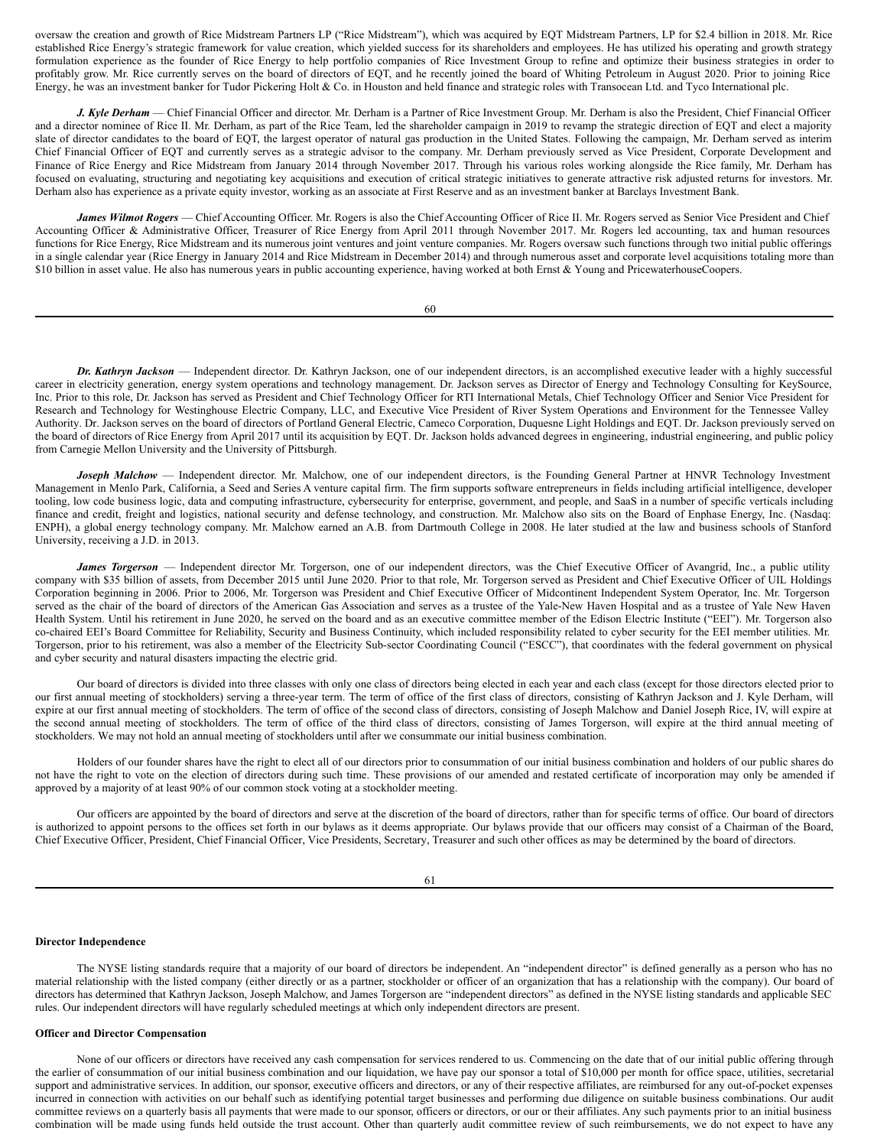oversaw the creation and growth of Rice Midstream Partners LP ("Rice Midstream"), which was acquired by EQT Midstream Partners, LP for \$2.4 billion in 2018. Mr. Rice established Rice Energy's strategic framework for value creation, which yielded success for its shareholders and employees. He has utilized his operating and growth strategy formulation experience as the founder of Rice Energy to help portfolio companies of Rice Investment Group to refine and optimize their business strategies in order to profitably grow. Mr. Rice currently serves on the board of directors of EQT, and he recently joined the board of Whiting Petroleum in August 2020. Prior to joining Rice Energy, he was an investment banker for Tudor Pickering Holt & Co. in Houston and held finance and strategic roles with Transocean Ltd. and Tyco International plc.

*J. Kyle Derham* — Chief Financial Officer and director. Mr. Derham is a Partner of Rice Investment Group. Mr. Derham is also the President, Chief Financial Officer and a director nominee of Rice II. Mr. Derham, as part of the Rice Team, led the shareholder campaign in 2019 to revamp the strategic direction of EQT and elect a majority slate of director candidates to the board of EQT, the largest operator of natural gas production in the United States. Following the campaign, Mr. Derham served as interim Chief Financial Officer of EQT and currently serves as a strategic advisor to the company. Mr. Derham previously served as Vice President, Corporate Development and Finance of Rice Energy and Rice Midstream from January 2014 through November 2017. Through his various roles working alongside the Rice family, Mr. Derham has focused on evaluating, structuring and negotiating key acquisitions and execution of critical strategic initiatives to generate attractive risk adjusted returns for investors. Mr. Derham also has experience as a private equity investor, working as an associate at First Reserve and as an investment banker at Barclays Investment Bank.

*James Wilmot Rogers* — Chief Accounting Officer. Mr. Rogers is also the Chief Accounting Officer of Rice II. Mr. Rogers served as Senior Vice President and Chief Accounting Officer & Administrative Officer, Treasurer of Rice Energy from April 2011 through November 2017. Mr. Rogers led accounting, tax and human resources functions for Rice Energy, Rice Midstream and its numerous joint ventures and joint venture companies. Mr. Rogers oversaw such functions through two initial public offerings in a single calendar year (Rice Energy in January 2014 and Rice Midstream in December 2014) and through numerous asset and corporate level acquisitions totaling more than \$10 billion in asset value. He also has numerous years in public accounting experience, having worked at both Ernst & Young and PricewaterhouseCoopers.

|               | I                   |  |
|---------------|---------------------|--|
| ۰,<br>٦<br>۰, | ۰.<br>۰.<br>×<br>۰. |  |

*Dr. Kathryn Jackson* — Independent director. Dr. Kathryn Jackson, one of our independent directors, is an accomplished executive leader with a highly successful career in electricity generation, energy system operations and technology management. Dr. Jackson serves as Director of Energy and Technology Consulting for KeySource, Inc. Prior to this role, Dr. Jackson has served as President and Chief Technology Officer for RTI International Metals, Chief Technology Officer and Senior Vice President for Research and Technology for Westinghouse Electric Company, LLC, and Executive Vice President of River System Operations and Environment for the Tennessee Valley Authority. Dr. Jackson serves on the board of directors of Portland General Electric, Cameco Corporation, Duquesne Light Holdings and EQT. Dr. Jackson previously served on the board of directors of Rice Energy from April 2017 until its acquisition by EQT. Dr. Jackson holds advanced degrees in engineering, industrial engineering, and public policy from Carnegie Mellon University and the University of Pittsburgh.

*Joseph Malchow* — Independent director. Mr. Malchow, one of our independent directors, is the Founding General Partner at HNVR Technology Investment Management in Menlo Park, California, a Seed and Series A venture capital firm. The firm supports software entrepreneurs in fields including artificial intelligence, developer tooling, low code business logic, data and computing infrastructure, cybersecurity for enterprise, government, and people, and SaaS in a number of specific verticals including finance and credit, freight and logistics, national security and defense technology, and construction. Mr. Malchow also sits on the Board of Enphase Energy, Inc. (Nasdaq: ENPH), a global energy technology company. Mr. Malchow earned an A.B. from Dartmouth College in 2008. He later studied at the law and business schools of Stanford University, receiving a J.D. in 2013.

*James Torgerson* — Independent director Mr. Torgerson, one of our independent directors, was the Chief Executive Officer of Avangrid, Inc., a public utility company with \$35 billion of assets, from December 2015 until June 2020. Prior to that role, Mr. Torgerson served as President and Chief Executive Officer of UIL Holdings Corporation beginning in 2006. Prior to 2006, Mr. Torgerson was President and Chief Executive Officer of Midcontinent Independent System Operator, Inc. Mr. Torgerson served as the chair of the board of directors of the American Gas Association and serves as a trustee of the Yale-New Haven Hospital and as a trustee of Yale New Haven Health System. Until his retirement in June 2020, he served on the board and as an executive committee member of the Edison Electric Institute ("EEI"). Mr. Torgerson also co-chaired EEI's Board Committee for Reliability, Security and Business Continuity, which included responsibility related to cyber security for the EEI member utilities. Mr. Torgerson, prior to his retirement, was also a member of the Electricity Sub-sector Coordinating Council ("ESCC"), that coordinates with the federal government on physical and cyber security and natural disasters impacting the electric grid.

Our board of directors is divided into three classes with only one class of directors being elected in each year and each class (except for those directors elected prior to our first annual meeting of stockholders) serving a three-year term. The term of office of the first class of directors, consisting of Kathryn Jackson and J. Kyle Derham, will expire at our first annual meeting of stockholders. The term of office of the second class of directors, consisting of Joseph Malchow and Daniel Joseph Rice, IV, will expire at the second annual meeting of stockholders. The term of office of the third class of directors, consisting of James Torgerson, will expire at the third annual meeting of stockholders. We may not hold an annual meeting of stockholders until after we consummate our initial business combination.

Holders of our founder shares have the right to elect all of our directors prior to consummation of our initial business combination and holders of our public shares do not have the right to vote on the election of directors during such time. These provisions of our amended and restated certificate of incorporation may only be amended if approved by a majority of at least 90% of our common stock voting at a stockholder meeting.

Our officers are appointed by the board of directors and serve at the discretion of the board of directors, rather than for specific terms of office. Our board of directors is authorized to appoint persons to the offices set forth in our bylaws as it deems appropriate. Our bylaws provide that our officers may consist of a Chairman of the Board, Chief Executive Officer, President, Chief Financial Officer, Vice Presidents, Secretary, Treasurer and such other offices as may be determined by the board of directors.

61

#### **Director Independence**

The NYSE listing standards require that a majority of our board of directors be independent. An "independent director" is defined generally as a person who has no material relationship with the listed company (either directly or as a partner, stockholder or officer of an organization that has a relationship with the company). Our board of directors has determined that Kathryn Jackson, Joseph Malchow, and James Torgerson are "independent directors" as defined in the NYSE listing standards and applicable SEC rules. Our independent directors will have regularly scheduled meetings at which only independent directors are present.

## **Officer and Director Compensation**

None of our officers or directors have received any cash compensation for services rendered to us. Commencing on the date that of our initial public offering through the earlier of consummation of our initial business combination and our liquidation, we have pay our sponsor a total of \$10,000 per month for office space, utilities, secretarial support and administrative services. In addition, our sponsor, executive officers and directors, or any of their respective affiliates, are reimbursed for any out-of-pocket expenses incurred in connection with activities on our behalf such as identifying potential target businesses and performing due diligence on suitable business combinations. Our audit committee reviews on a quarterly basis all payments that were made to our sponsor, officers or directors, or our or their affiliates. Any such payments prior to an initial business combination will be made using funds held outside the trust account. Other than quarterly audit committee review of such reimbursements, we do not expect to have any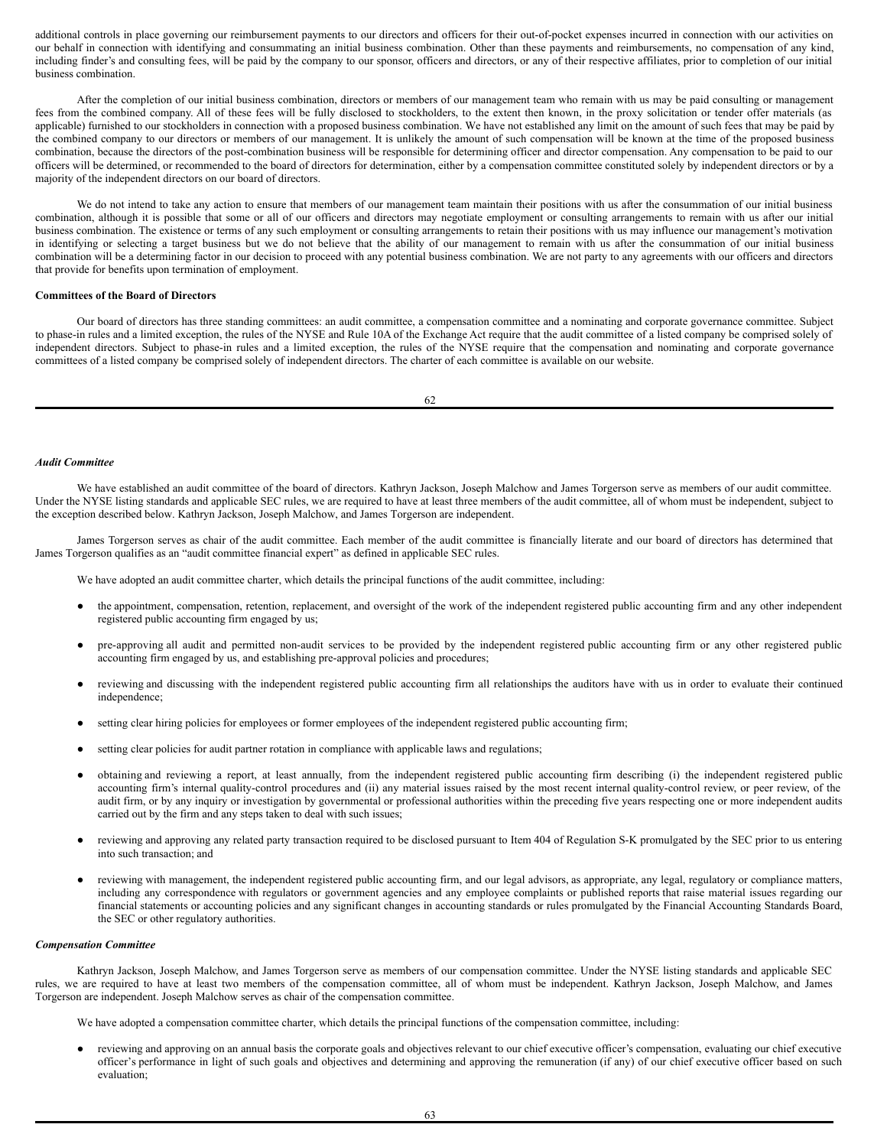additional controls in place governing our reimbursement payments to our directors and officers for their out-of-pocket expenses incurred in connection with our activities on our behalf in connection with identifying and consummating an initial business combination. Other than these payments and reimbursements, no compensation of any kind, including finder's and consulting fees, will be paid by the company to our sponsor, officers and directors, or any of their respective affiliates, prior to completion of our initial business combination.

After the completion of our initial business combination, directors or members of our management team who remain with us may be paid consulting or management fees from the combined company. All of these fees will be fully disclosed to stockholders, to the extent then known, in the proxy solicitation or tender offer materials (as applicable) furnished to our stockholders in connection with a proposed business combination. We have not established any limit on the amount of such fees that may be paid by the combined company to our directors or members of our management. It is unlikely the amount of such compensation will be known at the time of the proposed business combination, because the directors of the post-combination business will be responsible for determining officer and director compensation. Any compensation to be paid to our officers will be determined, or recommended to the board of directors for determination, either by a compensation committee constituted solely by independent directors or by a majority of the independent directors on our board of directors.

We do not intend to take any action to ensure that members of our management team maintain their positions with us after the consummation of our initial business combination, although it is possible that some or all of our officers and directors may negotiate employment or consulting arrangements to remain with us after our initial business combination. The existence or terms of any such employment or consulting arrangements to retain their positions with us may influence our management's motivation in identifying or selecting a target business but we do not believe that the ability of our management to remain with us after the consummation of our initial business combination will be a determining factor in our decision to proceed with any potential business combination. We are not party to any agreements with our officers and directors that provide for benefits upon termination of employment.

#### **Committees of the Board of Directors**

Our board of directors has three standing committees: an audit committee, a compensation committee and a nominating and corporate governance committee. Subject to phase-in rules and a limited exception, the rules of the NYSE and Rule 10A of the Exchange Act require that the audit committee of a listed company be comprised solely of independent directors. Subject to phase-in rules and a limited exception, the rules of the NYSE require that the compensation and nominating and corporate governance committees of a listed company be comprised solely of independent directors. The charter of each committee is available on our website.

62

### *Audit Committee*

We have established an audit committee of the board of directors. Kathryn Jackson, Joseph Malchow and James Torgerson serve as members of our audit committee. Under the NYSE listing standards and applicable SEC rules, we are required to have at least three members of the audit committee, all of whom must be independent, subject to the exception described below. Kathryn Jackson, Joseph Malchow, and James Torgerson are independent.

James Torgerson serves as chair of the audit committee. Each member of the audit committee is financially literate and our board of directors has determined that James Torgerson qualifies as an "audit committee financial expert" as defined in applicable SEC rules.

We have adopted an audit committee charter, which details the principal functions of the audit committee, including:

- the appointment, compensation, retention, replacement, and oversight of the work of the independent registered public accounting firm and any other independent registered public accounting firm engaged by us;
- pre-approving all audit and permitted non-audit services to be provided by the independent registered public accounting firm or any other registered public accounting firm engaged by us, and establishing pre-approval policies and procedures;
- reviewing and discussing with the independent registered public accounting firm all relationships the auditors have with us in order to evaluate their continued independence;
- setting clear hiring policies for employees or former employees of the independent registered public accounting firm;
- setting clear policies for audit partner rotation in compliance with applicable laws and regulations;
- obtaining and reviewing a report, at least annually, from the independent registered public accounting firm describing (i) the independent registered public accounting firm's internal quality-control procedures and (ii) any material issues raised by the most recent internal quality-control review, or peer review, of the audit firm, or by any inquiry or investigation by governmental or professional authorities within the preceding five years respecting one or more independent audits carried out by the firm and any steps taken to deal with such issues;
- reviewing and approving any related party transaction required to be disclosed pursuant to Item 404 of Regulation S-K promulgated by the SEC prior to us entering into such transaction; and
- reviewing with management, the independent registered public accounting firm, and our legal advisors, as appropriate, any legal, regulatory or compliance matters, including any correspondence with regulators or government agencies and any employee complaints or published reports that raise material issues regarding our financial statements or accounting policies and any significant changes in accounting standards or rules promulgated by the Financial Accounting Standards Board, the SEC or other regulatory authorities.

### *Compensation Committee*

Kathryn Jackson, Joseph Malchow, and James Torgerson serve as members of our compensation committee. Under the NYSE listing standards and applicable SEC rules, we are required to have at least two members of the compensation committee, all of whom must be independent. Kathryn Jackson, Joseph Malchow, and James Torgerson are independent. Joseph Malchow serves as chair of the compensation committee.

We have adopted a compensation committee charter, which details the principal functions of the compensation committee, including:

reviewing and approving on an annual basis the corporate goals and objectives relevant to our chief executive officer's compensation, evaluating our chief executive officer's performance in light of such goals and objectives and determining and approving the remuneration (if any) of our chief executive officer based on such evaluation;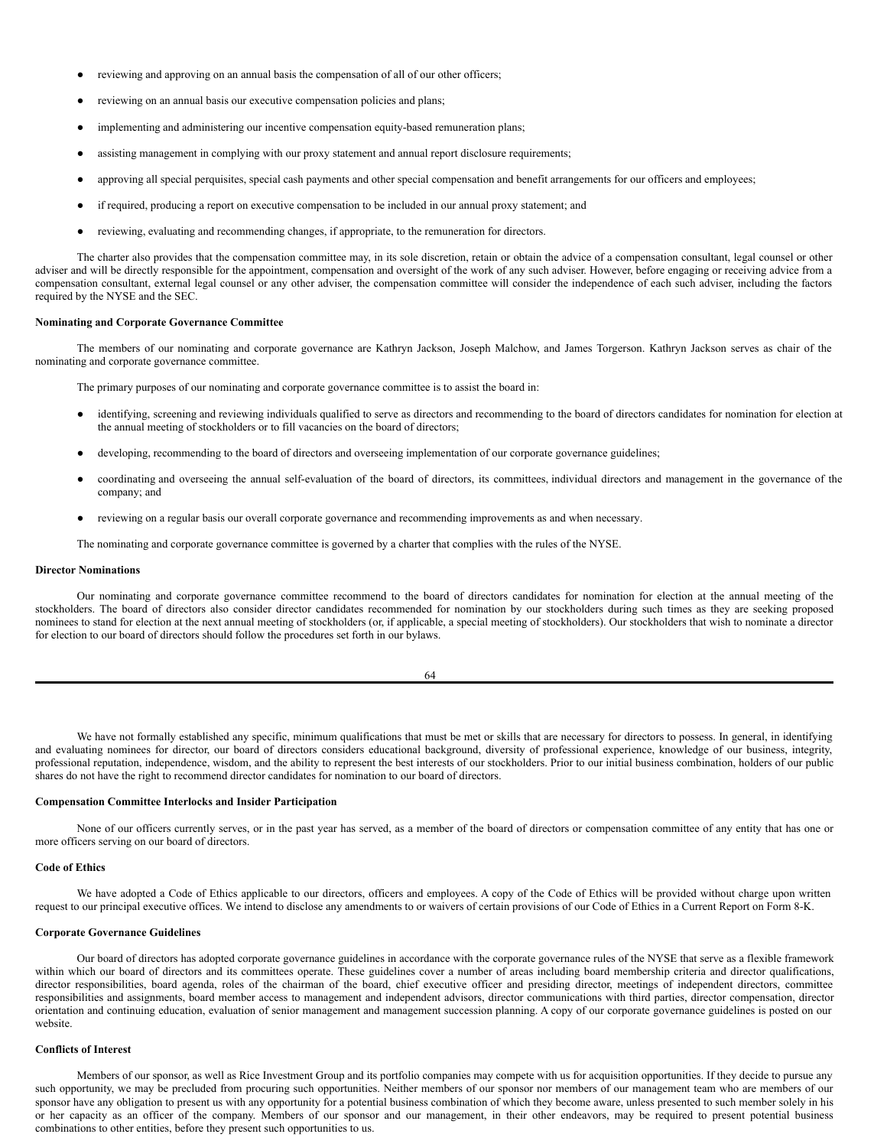- reviewing and approving on an annual basis the compensation of all of our other officers;
- reviewing on an annual basis our executive compensation policies and plans;
- implementing and administering our incentive compensation equity-based remuneration plans;
- assisting management in complying with our proxy statement and annual report disclosure requirements;
- approving all special perquisites, special cash payments and other special compensation and benefit arrangements for our officers and employees;
- if required, producing a report on executive compensation to be included in our annual proxy statement; and
- reviewing, evaluating and recommending changes, if appropriate, to the remuneration for directors.

The charter also provides that the compensation committee may, in its sole discretion, retain or obtain the advice of a compensation consultant, legal counsel or other adviser and will be directly responsible for the appointment, compensation and oversight of the work of any such adviser. However, before engaging or receiving advice from a compensation consultant, external legal counsel or any other adviser, the compensation committee will consider the independence of each such adviser, including the factors required by the NYSE and the SEC.

## **Nominating and Corporate Governance Committee**

The members of our nominating and corporate governance are Kathryn Jackson, Joseph Malchow, and James Torgerson. Kathryn Jackson serves as chair of the nominating and corporate governance committee.

The primary purposes of our nominating and corporate governance committee is to assist the board in:

- identifying, screening and reviewing individuals qualified to serve as directors and recommending to the board of directors candidates for nomination for election at the annual meeting of stockholders or to fill vacancies on the board of directors;
- developing, recommending to the board of directors and overseeing implementation of our corporate governance guidelines;
- coordinating and overseeing the annual self-evaluation of the board of directors, its committees, individual directors and management in the governance of the company; and
- reviewing on a regular basis our overall corporate governance and recommending improvements as and when necessary.

The nominating and corporate governance committee is governed by a charter that complies with the rules of the NYSE.

### **Director Nominations**

Our nominating and corporate governance committee recommend to the board of directors candidates for nomination for election at the annual meeting of the stockholders. The board of directors also consider director candidates recommended for nomination by our stockholders during such times as they are seeking proposed nominees to stand for election at the next annual meeting of stockholders (or, if applicable, a special meeting of stockholders). Our stockholders that wish to nominate a director for election to our board of directors should follow the procedures set forth in our bylaws.

| I<br>٠<br>٧<br>I<br>I<br>۰, |
|-----------------------------|
|-----------------------------|

We have not formally established any specific, minimum qualifications that must be met or skills that are necessary for directors to possess. In general, in identifying and evaluating nominees for director, our board of directors considers educational background, diversity of professional experience, knowledge of our business, integrity, professional reputation, independence, wisdom, and the ability to represent the best interests of our stockholders. Prior to our initial business combination, holders of our public shares do not have the right to recommend director candidates for nomination to our board of directors.

## **Compensation Committee Interlocks and Insider Participation**

None of our officers currently serves, or in the past year has served, as a member of the board of directors or compensation committee of any entity that has one or more officers serving on our board of directors.

### **Code of Ethics**

We have adopted a Code of Ethics applicable to our directors, officers and employees. A copy of the Code of Ethics will be provided without charge upon written request to our principal executive offices. We intend to disclose any amendments to or waivers of certain provisions of our Code of Ethics in a Current Report on Form 8-K.

## **Corporate Governance Guidelines**

Our board of directors has adopted corporate governance guidelines in accordance with the corporate governance rules of the NYSE that serve as a flexible framework within which our board of directors and its committees operate. These guidelines cover a number of areas including board membership criteria and director qualifications, director responsibilities, board agenda, roles of the chairman of the board, chief executive officer and presiding director, meetings of independent directors, committee responsibilities and assignments, board member access to management and independent advisors, director communications with third parties, director compensation, director orientation and continuing education, evaluation of senior management and management succession planning. A copy of our corporate governance guidelines is posted on our website.

## **Conflicts of Interest**

Members of our sponsor, as well as Rice Investment Group and its portfolio companies may compete with us for acquisition opportunities. If they decide to pursue any such opportunity, we may be precluded from procuring such opportunities. Neither members of our sponsor nor members of our management team who are members of our sponsor have any obligation to present us with any opportunity for a potential business combination of which they become aware, unless presented to such member solely in his or her capacity as an officer of the company. Members of our sponsor and our management, in their other endeavors, may be required to present potential business combinations to other entities, before they present such opportunities to us.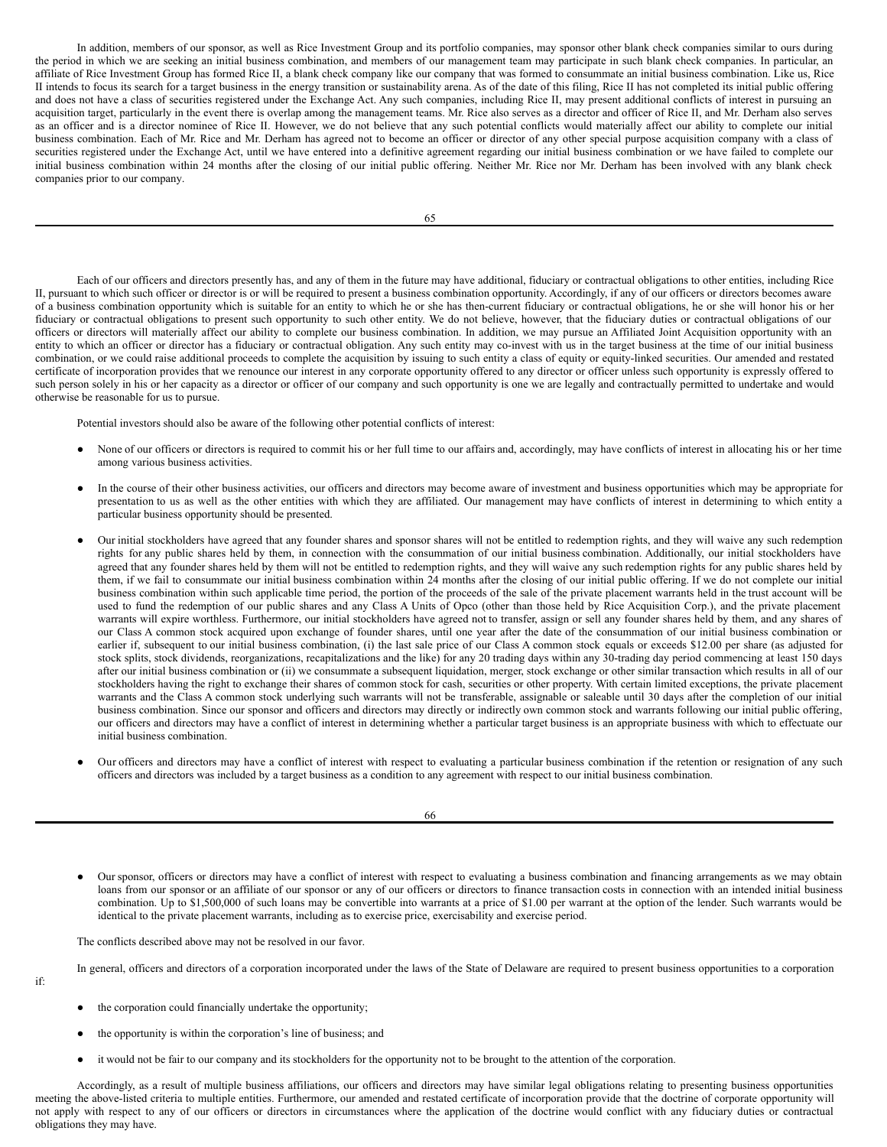In addition, members of our sponsor, as well as Rice Investment Group and its portfolio companies, may sponsor other blank check companies similar to ours during the period in which we are seeking an initial business combination, and members of our management team may participate in such blank check companies. In particular, an affiliate of Rice Investment Group has formed Rice II, a blank check company like our company that was formed to consummate an initial business combination. Like us, Rice II intends to focus its search for a target business in the energy transition or sustainability arena. As of the date of this filing, Rice II has not completed its initial public offering and does not have a class of securities registered under the Exchange Act. Any such companies, including Rice II, may present additional conflicts of interest in pursuing an acquisition target, particularly in the event there is overlap among the management teams. Mr. Rice also serves as a director and officer of Rice II, and Mr. Derham also serves as an officer and is a director nominee of Rice II. However, we do not believe that any such potential conflicts would materially affect our ability to complete our initial business combination. Each of Mr. Rice and Mr. Derham has agreed not to become an officer or director of any other special purpose acquisition company with a class of securities registered under the Exchange Act, until we have entered into a definitive agreement regarding our initial business combination or we have failed to complete our initial business combination within 24 months after the closing of our initial public offering. Neither Mr. Rice nor Mr. Derham has been involved with any blank check companies prior to our company.

Each of our officers and directors presently has, and any of them in the future may have additional, fiduciary or contractual obligations to other entities, including Rice II, pursuant to which such officer or director is or will be required to present a business combination opportunity. Accordingly, if any of our officers or directors becomes aware of a business combination opportunity which is suitable for an entity to which he or she has then-current fiduciary or contractual obligations, he or she will honor his or her fiduciary or contractual obligations to present such opportunity to such other entity. We do not believe, however, that the fiduciary duties or contractual obligations of our officers or directors will materially affect our ability to complete our business combination. In addition, we may pursue an Affiliated Joint Acquisition opportunity with an entity to which an officer or director has a fiduciary or contractual obligation. Any such entity may co-invest with us in the target business at the time of our initial business combination, or we could raise additional proceeds to complete the acquisition by issuing to such entity a class of equity or equity-linked securities. Our amended and restated certificate of incorporation provides that we renounce our interest in any corporate opportunity offered to any director or officer unless such opportunity is expressly offered to such person solely in his or her capacity as a director or officer of our company and such opportunity is one we are legally and contractually permitted to undertake and would otherwise be reasonable for us to pursue.

Potential investors should also be aware of the following other potential conflicts of interest:

- None of our officers or directors is required to commit his or her full time to our affairs and, accordingly, may have conflicts of interest in allocating his or her time among various business activities.
- In the course of their other business activities, our officers and directors may become aware of investment and business opportunities which may be appropriate for presentation to us as well as the other entities with which they are affiliated. Our management may have conflicts of interest in determining to which entity a particular business opportunity should be presented.
- Our initial stockholders have agreed that any founder shares and sponsor shares will not be entitled to redemption rights, and they will waive any such redemption rights for any public shares held by them, in connection with the consummation of our initial business combination. Additionally, our initial stockholders have agreed that any founder shares held by them will not be entitled to redemption rights, and they will waive any such redemption rights for any public shares held by them, if we fail to consummate our initial business combination within 24 months after the closing of our initial public offering. If we do not complete our initial business combination within such applicable time period, the portion of the proceeds of the sale of the private placement warrants held in the trust account will be used to fund the redemption of our public shares and any Class A Units of Opco (other than those held by Rice Acquisition Corp.), and the private placement warrants will expire worthless. Furthermore, our initial stockholders have agreed not to transfer, assign or sell any founder shares held by them, and any shares of our Class A common stock acquired upon exchange of founder shares, until one year after the date of the consummation of our initial business combination or earlier if, subsequent to our initial business combination, (i) the last sale price of our Class A common stock equals or exceeds \$12.00 per share (as adjusted for stock splits, stock dividends, reorganizations, recapitalizations and the like) for any 20 trading days within any 30-trading day period commencing at least 150 days after our initial business combination or (ii) we consummate a subsequent liquidation, merger, stock exchange or other similar transaction which results in all of our stockholders having the right to exchange their shares of common stock for cash, securities or other property. With certain limited exceptions, the private placement warrants and the Class A common stock underlying such warrants will not be transferable, assignable or saleable until 30 days after the completion of our initial business combination. Since our sponsor and officers and directors may directly or indirectly own common stock and warrants following our initial public offering, our officers and directors may have a conflict of interest in determining whether a particular target business is an appropriate business with which to effectuate our initial business combination.
- Our officers and directors may have a conflict of interest with respect to evaluating a particular business combination if the retention or resignation of any such officers and directors was included by a target business as a condition to any agreement with respect to our initial business combination.

| I<br>I<br>I |
|-------------|
|-------------|

Our sponsor, officers or directors may have a conflict of interest with respect to evaluating a business combination and financing arrangements as we may obtain loans from our sponsor or an affiliate of our sponsor or any of our officers or directors to finance transaction costs in connection with an intended initial business combination. Up to \$1,500,000 of such loans may be convertible into warrants at a price of \$1.00 per warrant at the option of the lender. Such warrants would be identical to the private placement warrants, including as to exercise price, exercisability and exercise period.

The conflicts described above may not be resolved in our favor.

In general, officers and directors of a corporation incorporated under the laws of the State of Delaware are required to present business opportunities to a corporation

- if:
- the corporation could financially undertake the opportunity;
- the opportunity is within the corporation's line of business; and
- it would not be fair to our company and its stockholders for the opportunity not to be brought to the attention of the corporation.

Accordingly, as a result of multiple business affiliations, our officers and directors may have similar legal obligations relating to presenting business opportunities meeting the above-listed criteria to multiple entities. Furthermore, our amended and restated certificate of incorporation provide that the doctrine of corporate opportunity will not apply with respect to any of our officers or directors in circumstances where the application of the doctrine would conflict with any fiduciary duties or contractual obligations they may have.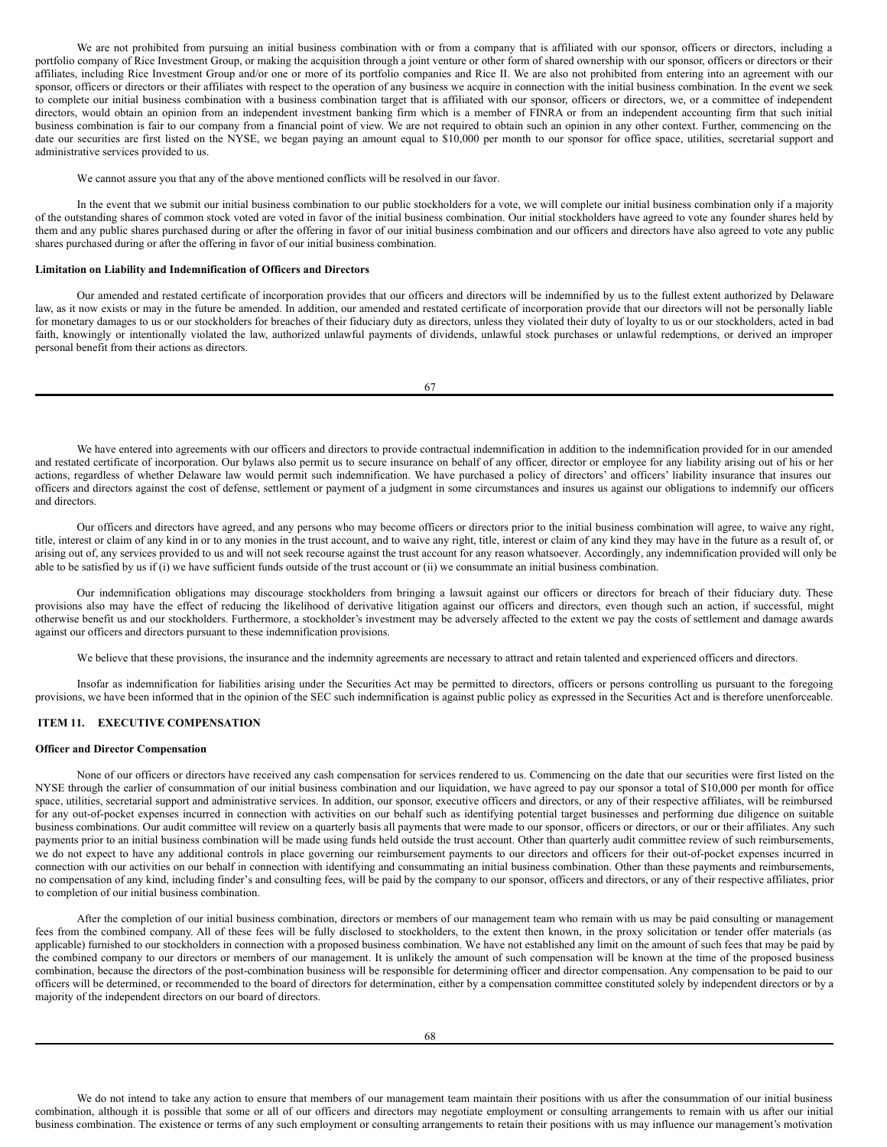We are not prohibited from pursuing an initial business combination with or from a company that is affiliated with our sponsor, officers or directors, including a portfolio company of Rice Investment Group, or making the acquisition through a joint venture or other form of shared ownership with our sponsor, officers or directors or their affiliates, including Rice Investment Group and/or one or more of its portfolio companies and Rice II. We are also not prohibited from entering into an agreement with our sponsor, officers or directors or their affiliates with respect to the operation of any business we acquire in connection with the initial business combination. In the event we seek to complete our initial business combination with a business combination target that is affiliated with our sponsor, officers or directors, we, or a committee of independent directors, would obtain an opinion from an independent investment banking firm which is a member of FINRA or from an independent accounting firm that such initial business combination is fair to our company from a financial point of view. We are not required to obtain such an opinion in any other context. Further, commencing on the date our securities are first listed on the NYSE, we began paying an amount equal to \$10,000 per month to our sponsor for office space, utilities, secretarial support and administrative services provided to us.

We cannot assure you that any of the above mentioned conflicts will be resolved in our favor.

In the event that we submit our initial business combination to our public stockholders for a vote, we will complete our initial business combination only if a majority of the outstanding shares of common stock voted are voted in favor of the initial business combination. Our initial stockholders have agreed to vote any founder shares held by them and any public shares purchased during or after the offering in favor of our initial business combination and our officers and directors have also agreed to vote any public shares purchased during or after the offering in favor of our initial business combination.

## **Limitation on Liability and Indemnification of Officers and Directors**

Our amended and restated certificate of incorporation provides that our officers and directors will be indemnified by us to the fullest extent authorized by Delaware law, as it now exists or may in the future be amended. In addition, our amended and restated certificate of incorporation provide that our directors will not be personally liable for monetary damages to us or our stockholders for breaches of their fiduciary duty as directors, unless they violated their duty of loyalty to us or our stockholders, acted in bad faith, knowingly or intentionally violated the law, authorized unlawful payments of dividends, unlawful stock purchases or unlawful redemptions, or derived an improper personal benefit from their actions as directors.

| ٦<br>۰, |  |
|---------|--|

We have entered into agreements with our officers and directors to provide contractual indemnification in addition to the indemnification provided for in our amended and restated certificate of incorporation. Our bylaws also permit us to secure insurance on behalf of any officer, director or employee for any liability arising out of his or her actions, regardless of whether Delaware law would permit such indemnification. We have purchased a policy of directors' and officers' liability insurance that insures our officers and directors against the cost of defense, settlement or payment of a judgment in some circumstances and insures us against our obligations to indemnify our officers and directors.

Our officers and directors have agreed, and any persons who may become officers or directors prior to the initial business combination will agree, to waive any right, title, interest or claim of any kind in or to any monies in the trust account, and to waive any right, title, interest or claim of any kind they may have in the future as a result of, or arising out of, any services provided to us and will not seek recourse against the trust account for any reason whatsoever. Accordingly, any indemnification provided will only be able to be satisfied by us if (i) we have sufficient funds outside of the trust account or (ii) we consummate an initial business combination.

Our indemnification obligations may discourage stockholders from bringing a lawsuit against our officers or directors for breach of their fiduciary duty. These provisions also may have the effect of reducing the likelihood of derivative litigation against our officers and directors, even though such an action, if successful, might otherwise benefit us and our stockholders. Furthermore, a stockholder's investment may be adversely affected to the extent we pay the costs of settlement and damage awards against our officers and directors pursuant to these indemnification provisions.

We believe that these provisions, the insurance and the indemnity agreements are necessary to attract and retain talented and experienced officers and directors.

Insofar as indemnification for liabilities arising under the Securities Act may be permitted to directors, officers or persons controlling us pursuant to the foregoing provisions, we have been informed that in the opinion of the SEC such indemnification is against public policy as expressed in the Securities Act and is therefore unenforceable.

## <span id="page-42-0"></span>**ITEM 11. EXECUTIVE COMPENSATION**

## **Officer and Director Compensation**

None of our officers or directors have received any cash compensation for services rendered to us. Commencing on the date that our securities were first listed on the NYSE through the earlier of consummation of our initial business combination and our liquidation, we have agreed to pay our sponsor a total of \$10,000 per month for office space, utilities, secretarial support and administrative services. In addition, our sponsor, executive officers and directors, or any of their respective affiliates, will be reimbursed for any out-of-pocket expenses incurred in connection with activities on our behalf such as identifying potential target businesses and performing due diligence on suitable business combinations. Our audit committee will review on a quarterly basis all payments that were made to our sponsor, officers or directors, or our or their affiliates. Any such payments prior to an initial business combination will be made using funds held outside the trust account. Other than quarterly audit committee review of such reimbursements, we do not expect to have any additional controls in place governing our reimbursement payments to our directors and officers for their out-of-pocket expenses incurred in connection with our activities on our behalf in connection with identifying and consummating an initial business combination. Other than these payments and reimbursements, no compensation of any kind, including finder's and consulting fees, will be paid by the company to our sponsor, officers and directors, or any of their respective affiliates, prior to completion of our initial business combination.

After the completion of our initial business combination, directors or members of our management team who remain with us may be paid consulting or management fees from the combined company. All of these fees will be fully disclosed to stockholders, to the extent then known, in the proxy solicitation or tender offer materials (as applicable) furnished to our stockholders in connection with a proposed business combination. We have not established any limit on the amount of such fees that may be paid by the combined company to our directors or members of our management. It is unlikely the amount of such compensation will be known at the time of the proposed business combination, because the directors of the post-combination business will be responsible for determining officer and director compensation. Any compensation to be paid to our officers will be determined, or recommended to the board of directors for determination, either by a compensation committee constituted solely by independent directors or by a majority of the independent directors on our board of directors.

We do not intend to take any action to ensure that members of our management team maintain their positions with us after the consummation of our initial business combination, although it is possible that some or all of our officers and directors may negotiate employment or consulting arrangements to remain with us after our initial business combination. The existence or terms of any such employment or consulting arrangements to retain their positions with us may influence our management's motivation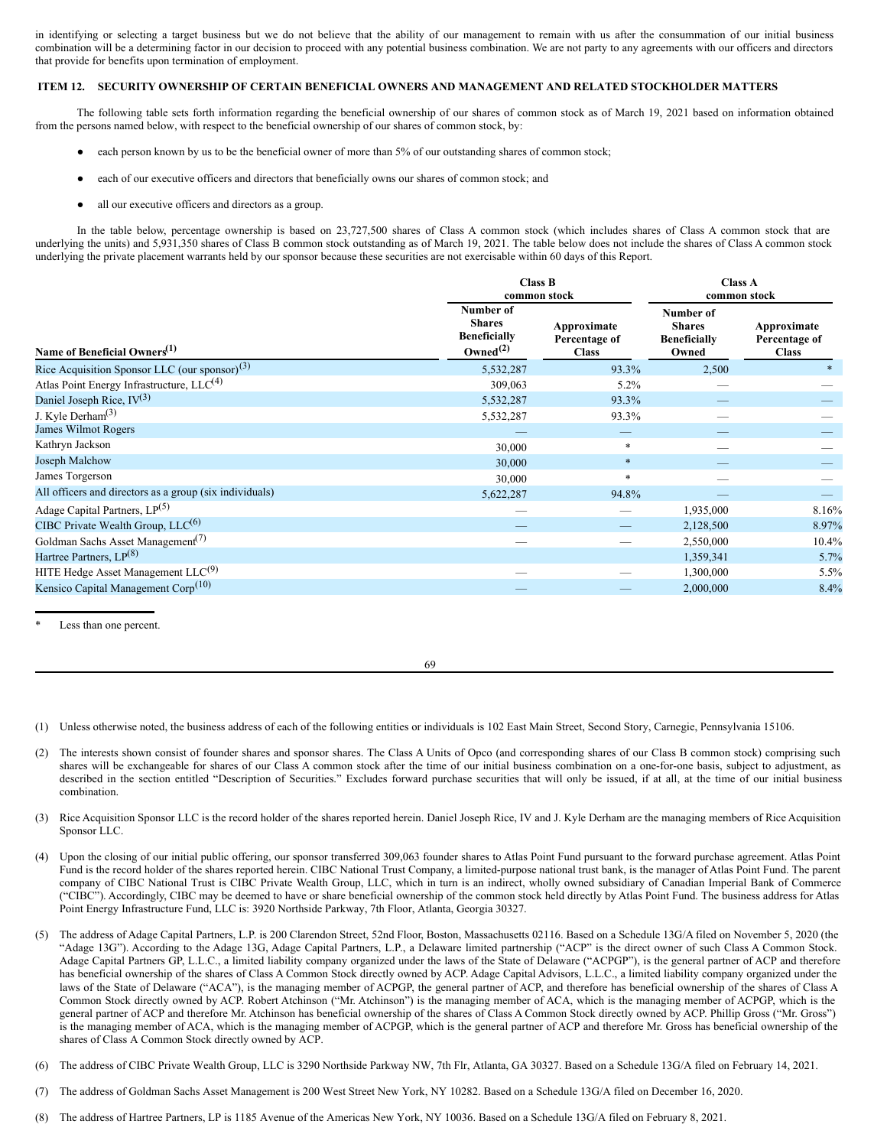in identifying or selecting a target business but we do not believe that the ability of our management to remain with us after the consummation of our initial business combination will be a determining factor in our decision to proceed with any potential business combination. We are not party to any agreements with our officers and directors that provide for benefits upon termination of employment.

## <span id="page-43-0"></span>**ITEM 12. SECURITY OWNERSHIP OF CERTAIN BENEFICIAL OWNERS AND MANAGEMENT AND RELATED STOCKHOLDER MATTERS**

The following table sets forth information regarding the beneficial ownership of our shares of common stock as of March 19, 2021 based on information obtained from the persons named below, with respect to the beneficial ownership of our shares of common stock, by:

- each person known by us to be the beneficial owner of more than 5% of our outstanding shares of common stock;
- each of our executive officers and directors that beneficially owns our shares of common stock; and
- all our executive officers and directors as a group.

In the table below, percentage ownership is based on 23,727,500 shares of Class A common stock (which includes shares of Class A common stock that are underlying the units) and 5,931,350 shares of Class B common stock outstanding as of March 19, 2021. The table below does not include the shares of Class A common stock underlying the private placement warrants held by our sponsor because these securities are not exercisable within 60 days of this Report.

|                                                                     |                                              | <b>Class A</b><br>common stock                             |                                              |  |
|---------------------------------------------------------------------|----------------------------------------------|------------------------------------------------------------|----------------------------------------------|--|
| Number of<br><b>Shares</b><br><b>Beneficially</b><br>Owned $^{(2)}$ | Approximate<br>Percentage of<br><b>Class</b> | Number of<br><b>Shares</b><br><b>Beneficially</b><br>Owned | Approximate<br>Percentage of<br><b>Class</b> |  |
| 5,532,287                                                           | 93.3%                                        | 2,500                                                      |                                              |  |
| 309,063                                                             | 5.2%                                         |                                                            |                                              |  |
| 5,532,287                                                           | 93.3%                                        |                                                            |                                              |  |
| 5,532,287                                                           | 93.3%                                        |                                                            |                                              |  |
|                                                                     |                                              |                                                            |                                              |  |
| 30,000                                                              | $\ast$                                       |                                                            |                                              |  |
| 30,000                                                              | $\ast$                                       |                                                            |                                              |  |
| 30,000                                                              | $\ast$                                       |                                                            |                                              |  |
| 5,622,287                                                           | 94.8%                                        |                                                            |                                              |  |
|                                                                     | –                                            | 1,935,000                                                  | 8.16%                                        |  |
|                                                                     |                                              | 2,128,500                                                  | 8.97%                                        |  |
|                                                                     |                                              | 2,550,000                                                  | $10.4\%$                                     |  |
|                                                                     |                                              | 1,359,341                                                  | 5.7%                                         |  |
|                                                                     |                                              | 1,300,000                                                  | $5.5\%$                                      |  |
|                                                                     |                                              | 2,000,000                                                  | 8.4%                                         |  |
|                                                                     |                                              | <b>Class B</b><br>common stock                             |                                              |  |

Less than one percent.

69

(1) Unless otherwise noted, the business address of each of the following entities or individuals is 102 East Main Street, Second Story, Carnegie, Pennsylvania 15106.

- (2) The interests shown consist of founder shares and sponsor shares. The Class A Units of Opco (and corresponding shares of our Class B common stock) comprising such shares will be exchangeable for shares of our Class A common stock after the time of our initial business combination on a one-for-one basis, subject to adjustment, as described in the section entitled "Description of Securities." Excludes forward purchase securities that will only be issued, if at all, at the time of our initial business combination.
- (3) Rice Acquisition Sponsor LLC is the record holder of the shares reported herein. Daniel Joseph Rice, IV and J. Kyle Derham are the managing members of Rice Acquisition Sponsor LLC.
- (4) Upon the closing of our initial public offering, our sponsor transferred 309,063 founder shares to Atlas Point Fund pursuant to the forward purchase agreement. Atlas Point Fund is the record holder of the shares reported herein. CIBC National Trust Company, a limited-purpose national trust bank, is the manager of Atlas Point Fund. The parent company of CIBC National Trust is CIBC Private Wealth Group, LLC, which in turn is an indirect, wholly owned subsidiary of Canadian Imperial Bank of Commerce ("CIBC"). Accordingly, CIBC may be deemed to have or share beneficial ownership of the common stock held directly by Atlas Point Fund. The business address for Atlas Point Energy Infrastructure Fund, LLC is: 3920 Northside Parkway, 7th Floor, Atlanta, Georgia 30327.
- (5) The address of Adage Capital Partners, L.P. is 200 Clarendon Street, 52nd Floor, Boston, Massachusetts 02116. Based on a Schedule 13G/A filed on November 5, 2020 (the "Adage 13G"). According to the Adage 13G, Adage Capital Partners, L.P., a Delaware limited partnership ("ACP" is the direct owner of such Class A Common Stock. Adage Capital Partners GP, L.L.C., a limited liability company organized under the laws of the State of Delaware ("ACPGP"), is the general partner of ACP and therefore has beneficial ownership of the shares of Class A Common Stock directly owned by ACP. Adage Capital Advisors, L.L.C., a limited liability company organized under the laws of the State of Delaware ("ACA"), is the managing member of ACPGP, the general partner of ACP, and therefore has beneficial ownership of the shares of Class A Common Stock directly owned by ACP. Robert Atchinson ("Mr. Atchinson") is the managing member of ACA, which is the managing member of ACPGP, which is the general partner of ACP and therefore Mr. Atchinson has beneficial ownership of the shares of Class A Common Stock directly owned by ACP. Phillip Gross ("Mr. Gross") is the managing member of ACA, which is the managing member of ACPGP, which is the general partner of ACP and therefore Mr. Gross has beneficial ownership of the shares of Class A Common Stock directly owned by ACP.
- (6) The address of CIBC Private Wealth Group, LLC is 3290 Northside Parkway NW, 7th Flr, Atlanta, GA 30327. Based on a Schedule 13G/A filed on February 14, 2021.
- (7) The address of Goldman Sachs Asset Management is 200 West Street New York, NY 10282. Based on a Schedule 13G/A filed on December 16, 2020.
- (8) The address of Hartree Partners, LP is 1185 Avenue of the Americas New York, NY 10036. Based on a Schedule 13G/A filed on February 8, 2021.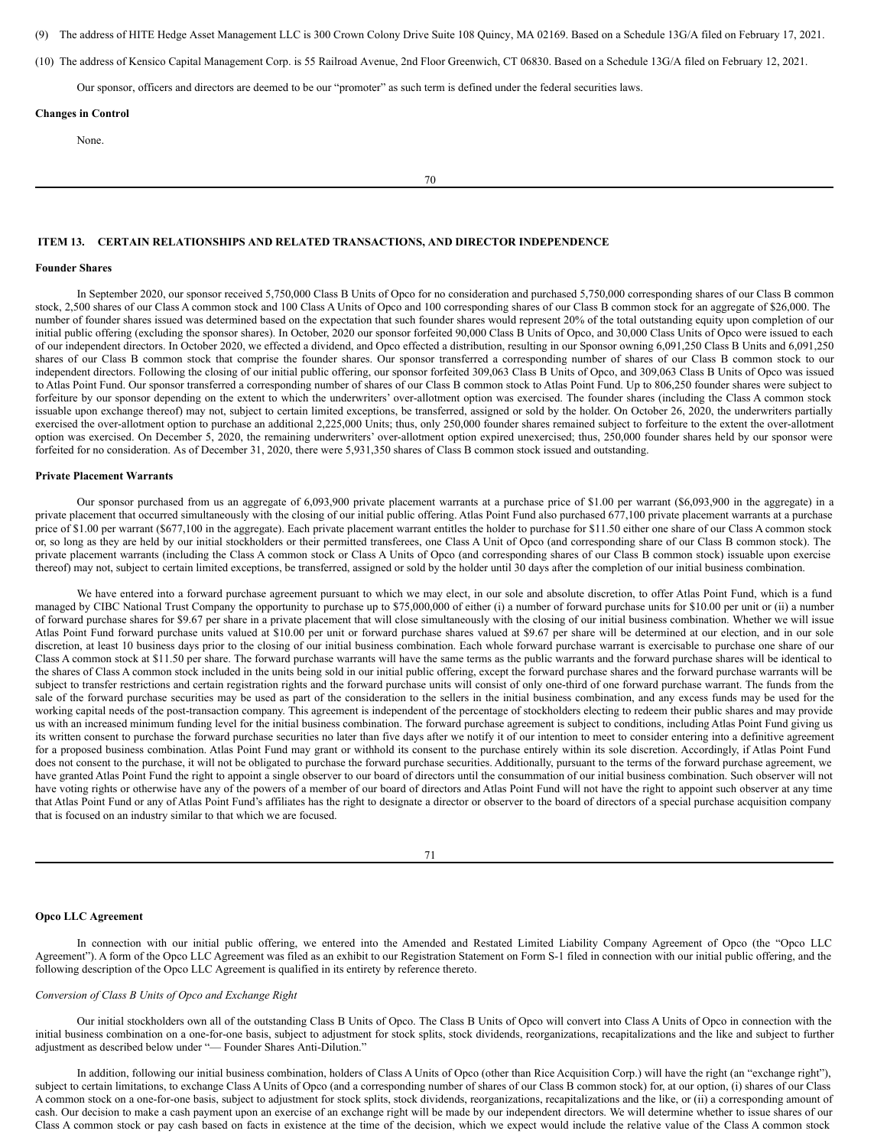(9) The address of HITE Hedge Asset Management LLC is 300 Crown Colony Drive Suite 108 Quincy, MA 02169. Based on a Schedule 13G/A filed on February 17, 2021.

(10) The address of Kensico Capital Management Corp. is 55 Railroad Avenue, 2nd Floor Greenwich, CT 06830. Based on a Schedule 13G/A filed on February 12, 2021.

Our sponsor, officers and directors are deemed to be our "promoter" as such term is defined under the federal securities laws.

#### **Changes in Control**

None.

70

## <span id="page-44-0"></span>**ITEM 13. CERTAIN RELATIONSHIPS AND RELATED TRANSACTIONS, AND DIRECTOR INDEPENDENCE**

#### **Founder Shares**

In September 2020, our sponsor received 5,750,000 Class B Units of Opco for no consideration and purchased 5,750,000 corresponding shares of our Class B common stock, 2,500 shares of our Class A common stock and 100 Class A Units of Opco and 100 corresponding shares of our Class B common stock for an aggregate of \$26,000. The number of founder shares issued was determined based on the expectation that such founder shares would represent 20% of the total outstanding equity upon completion of our initial public offering (excluding the sponsor shares). In October, 2020 our sponsor forfeited 90,000 Class B Units of Opco, and 30,000 Class Units of Opco were issued to each of our independent directors. In October 2020, we effected a dividend, and Opco effected a distribution, resulting in our Sponsor owning 6,091,250 Class B Units and 6,091,250 shares of our Class B common stock that comprise the founder shares. Our sponsor transferred a corresponding number of shares of our Class B common stock to our independent directors. Following the closing of our initial public offering, our sponsor forfeited 309,063 Class B Units of Opco, and 309,063 Class B Units of Opco was issued to Atlas Point Fund. Our sponsor transferred a corresponding number of shares of our Class B common stock to Atlas Point Fund. Up to 806,250 founder shares were subject to forfeiture by our sponsor depending on the extent to which the underwriters' over-allotment option was exercised. The founder shares (including the Class A common stock issuable upon exchange thereof) may not, subject to certain limited exceptions, be transferred, assigned or sold by the holder. On October 26, 2020, the underwriters partially exercised the over-allotment option to purchase an additional 2,225,000 Units; thus, only 250,000 founder shares remained subject to forfeiture to the extent the over-allotment option was exercised. On December 5, 2020, the remaining underwriters' over-allotment option expired unexercised; thus, 250,000 founder shares held by our sponsor were forfeited for no consideration. As of December 31, 2020, there were 5,931,350 shares of Class B common stock issued and outstanding.

#### **Private Placement Warrants**

Our sponsor purchased from us an aggregate of 6,093,900 private placement warrants at a purchase price of \$1.00 per warrant (\$6,093,900 in the aggregate) in a private placement that occurred simultaneously with the closing of our initial public offering. Atlas Point Fund also purchased 677,100 private placement warrants at a purchase price of \$1.00 per warrant (\$677,100 in the aggregate). Each private placement warrant entitles the holder to purchase for \$11.50 either one share of our Class A common stock or, so long as they are held by our initial stockholders or their permitted transferees, one Class A Unit of Opco (and corresponding share of our Class B common stock). The private placement warrants (including the Class A common stock or Class A Units of Opco (and corresponding shares of our Class B common stock) issuable upon exercise thereof) may not, subject to certain limited exceptions, be transferred, assigned or sold by the holder until 30 days after the completion of our initial business combination.

We have entered into a forward purchase agreement pursuant to which we may elect, in our sole and absolute discretion, to offer Atlas Point Fund, which is a fund managed by CIBC National Trust Company the opportunity to purchase up to \$75,000,000 of either (i) a number of forward purchase units for \$10.00 per unit or (ii) a number of forward purchase shares for \$9.67 per share in a private placement that will close simultaneously with the closing of our initial business combination. Whether we will issue Atlas Point Fund forward purchase units valued at \$10.00 per unit or forward purchase shares valued at \$9.67 per share will be determined at our election, and in our sole discretion, at least 10 business days prior to the closing of our initial business combination. Each whole forward purchase warrant is exercisable to purchase one share of our Class A common stock at \$11.50 per share. The forward purchase warrants will have the same terms as the public warrants and the forward purchase shares will be identical to the shares of Class A common stock included in the units being sold in our initial public offering, except the forward purchase shares and the forward purchase warrants will be subject to transfer restrictions and certain registration rights and the forward purchase units will consist of only one-third of one forward purchase warrant. The funds from the sale of the forward purchase securities may be used as part of the consideration to the sellers in the initial business combination, and any excess funds may be used for the working capital needs of the post-transaction company. This agreement is independent of the percentage of stockholders electing to redeem their public shares and may provide us with an increased minimum funding level for the initial business combination. The forward purchase agreement is subject to conditions, including Atlas Point Fund giving us its written consent to purchase the forward purchase securities no later than five days after we notify it of our intention to meet to consider entering into a definitive agreement for a proposed business combination. Atlas Point Fund may grant or withhold its consent to the purchase entirely within its sole discretion. Accordingly, if Atlas Point Fund does not consent to the purchase, it will not be obligated to purchase the forward purchase securities. Additionally, pursuant to the terms of the forward purchase agreement, we have granted Atlas Point Fund the right to appoint a single observer to our board of directors until the consummation of our initial business combination. Such observer will not have voting rights or otherwise have any of the powers of a member of our board of directors and Atlas Point Fund will not have the right to appoint such observer at any time that Atlas Point Fund or any of Atlas Point Fund's affiliates has the right to designate a director or observer to the board of directors of a special purchase acquisition company that is focused on an industry similar to that which we are focused.

## **Opco LLC Agreement**

In connection with our initial public offering, we entered into the Amended and Restated Limited Liability Company Agreement of Opco (the "Opco LLC Agreement"). A form of the Opco LLC Agreement was filed as an exhibit to our Registration Statement on Form S-1 filed in connection with our initial public offering, and the following description of the Opco LLC Agreement is qualified in its entirety by reference thereto.

## *Conversion of Class B Units of Opco and Exchange Right*

Our initial stockholders own all of the outstanding Class B Units of Opco. The Class B Units of Opco will convert into Class A Units of Opco in connection with the initial business combination on a one-for-one basis, subject to adjustment for stock splits, stock dividends, reorganizations, recapitalizations and the like and subject to further adjustment as described below under "— Founder Shares Anti-Dilution."

In addition, following our initial business combination, holders of Class A Units of Opco (other than Rice Acquisition Corp.) will have the right (an "exchange right"), subject to certain limitations, to exchange Class A Units of Opco (and a corresponding number of shares of our Class B common stock) for, at our option, (i) shares of our Class A common stock on a one-for-one basis, subject to adjustment for stock splits, stock dividends, reorganizations, recapitalizations and the like, or (ii) a corresponding amount of cash. Our decision to make a cash payment upon an exercise of an exchange right will be made by our independent directors. We will determine whether to issue shares of our Class A common stock or pay cash based on facts in existence at the time of the decision, which we expect would include the relative value of the Class A common stock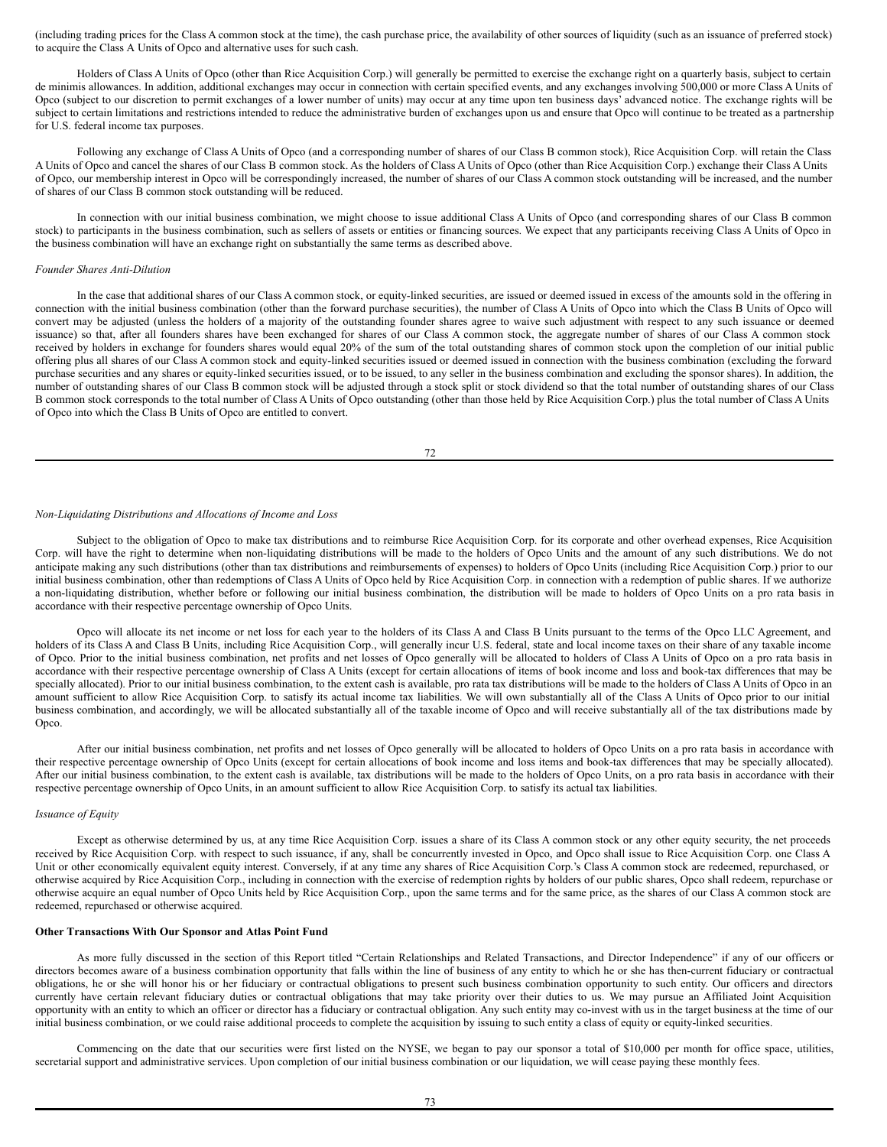(including trading prices for the Class A common stock at the time), the cash purchase price, the availability of other sources of liquidity (such as an issuance of preferred stock) to acquire the Class A Units of Opco and alternative uses for such cash.

Holders of Class A Units of Opco (other than Rice Acquisition Corp.) will generally be permitted to exercise the exchange right on a quarterly basis, subject to certain de minimis allowances. In addition, additional exchanges may occur in connection with certain specified events, and any exchanges involving 500,000 or more Class A Units of Opco (subject to our discretion to permit exchanges of a lower number of units) may occur at any time upon ten business days' advanced notice. The exchange rights will be subject to certain limitations and restrictions intended to reduce the administrative burden of exchanges upon us and ensure that Opco will continue to be treated as a partnership for U.S. federal income tax purposes.

Following any exchange of Class A Units of Opco (and a corresponding number of shares of our Class B common stock), Rice Acquisition Corp. will retain the Class A Units of Opco and cancel the shares of our Class B common stock. As the holders of Class A Units of Opco (other than Rice Acquisition Corp.) exchange their Class A Units of Opco, our membership interest in Opco will be correspondingly increased, the number of shares of our Class A common stock outstanding will be increased, and the number of shares of our Class B common stock outstanding will be reduced.

In connection with our initial business combination, we might choose to issue additional Class A Units of Opco (and corresponding shares of our Class B common stock) to participants in the business combination, such as sellers of assets or entities or financing sources. We expect that any participants receiving Class A Units of Opco in the business combination will have an exchange right on substantially the same terms as described above.

## *Founder Shares Anti-Dilution*

In the case that additional shares of our Class A common stock, or equity-linked securities, are issued or deemed issued in excess of the amounts sold in the offering in connection with the initial business combination (other than the forward purchase securities), the number of Class A Units of Opco into which the Class B Units of Opco will convert may be adjusted (unless the holders of a majority of the outstanding founder shares agree to waive such adjustment with respect to any such issuance or deemed issuance) so that, after all founders shares have been exchanged for shares of our Class A common stock, the aggregate number of shares of our Class A common stock received by holders in exchange for founders shares would equal 20% of the sum of the total outstanding shares of common stock upon the completion of our initial public offering plus all shares of our Class A common stock and equity-linked securities issued or deemed issued in connection with the business combination (excluding the forward purchase securities and any shares or equity-linked securities issued, or to be issued, to any seller in the business combination and excluding the sponsor shares). In addition, the number of outstanding shares of our Class B common stock will be adjusted through a stock split or stock dividend so that the total number of outstanding shares of our Class B common stock corresponds to the total number of Class A Units of Opco outstanding (other than those held by Rice Acquisition Corp.) plus the total number of Class A Units of Opco into which the Class B Units of Opco are entitled to convert.

72

#### *Non-Liquidating Distributions and Allocations of Income and Loss*

Subject to the obligation of Opco to make tax distributions and to reimburse Rice Acquisition Corp. for its corporate and other overhead expenses, Rice Acquisition Corp. will have the right to determine when non-liquidating distributions will be made to the holders of Opco Units and the amount of any such distributions. We do not anticipate making any such distributions (other than tax distributions and reimbursements of expenses) to holders of Opco Units (including Rice Acquisition Corp.) prior to our initial business combination, other than redemptions of Class A Units of Opco held by Rice Acquisition Corp. in connection with a redemption of public shares. If we authorize a non-liquidating distribution, whether before or following our initial business combination, the distribution will be made to holders of Opco Units on a pro rata basis in accordance with their respective percentage ownership of Opco Units.

Opco will allocate its net income or net loss for each year to the holders of its Class A and Class B Units pursuant to the terms of the Opco LLC Agreement, and holders of its Class A and Class B Units, including Rice Acquisition Corp., will generally incur U.S. federal, state and local income taxes on their share of any taxable income of Opco. Prior to the initial business combination, net profits and net losses of Opco generally will be allocated to holders of Class A Units of Opco on a pro rata basis in accordance with their respective percentage ownership of Class A Units (except for certain allocations of items of book income and loss and book-tax differences that may be specially allocated). Prior to our initial business combination, to the extent cash is available, pro rata tax distributions will be made to the holders of Class A Units of Opco in an amount sufficient to allow Rice Acquisition Corp. to satisfy its actual income tax liabilities. We will own substantially all of the Class A Units of Opco prior to our initial business combination, and accordingly, we will be allocated substantially all of the taxable income of Opco and will receive substantially all of the tax distributions made by Opco.

After our initial business combination, net profits and net losses of Opco generally will be allocated to holders of Opco Units on a pro rata basis in accordance with their respective percentage ownership of Opco Units (except for certain allocations of book income and loss items and book-tax differences that may be specially allocated). After our initial business combination, to the extent cash is available, tax distributions will be made to the holders of Opco Units, on a pro rata basis in accordance with their respective percentage ownership of Opco Units, in an amount sufficient to allow Rice Acquisition Corp. to satisfy its actual tax liabilities.

### *Issuance of Equity*

Except as otherwise determined by us, at any time Rice Acquisition Corp. issues a share of its Class A common stock or any other equity security, the net proceeds received by Rice Acquisition Corp. with respect to such issuance, if any, shall be concurrently invested in Opco, and Opco shall issue to Rice Acquisition Corp. one Class A Unit or other economically equivalent equity interest. Conversely, if at any time any shares of Rice Acquisition Corp.'s Class A common stock are redeemed, repurchased, or otherwise acquired by Rice Acquisition Corp., including in connection with the exercise of redemption rights by holders of our public shares, Opco shall redeem, repurchase or otherwise acquire an equal number of Opco Units held by Rice Acquisition Corp., upon the same terms and for the same price, as the shares of our Class A common stock are redeemed, repurchased or otherwise acquired.

## **Other Transactions With Our Sponsor and Atlas Point Fund**

As more fully discussed in the section of this Report titled "Certain Relationships and Related Transactions, and Director Independence" if any of our officers or directors becomes aware of a business combination opportunity that falls within the line of business of any entity to which he or she has then-current fiduciary or contractual obligations, he or she will honor his or her fiduciary or contractual obligations to present such business combination opportunity to such entity. Our officers and directors currently have certain relevant fiduciary duties or contractual obligations that may take priority over their duties to us. We may pursue an Affiliated Joint Acquisition opportunity with an entity to which an officer or director has a fiduciary or contractual obligation. Any such entity may co-invest with us in the target business at the time of our initial business combination, or we could raise additional proceeds to complete the acquisition by issuing to such entity a class of equity or equity-linked securities.

Commencing on the date that our securities were first listed on the NYSE, we began to pay our sponsor a total of \$10,000 per month for office space, utilities, secretarial support and administrative services. Upon completion of our initial business combination or our liquidation, we will cease paying these monthly fees.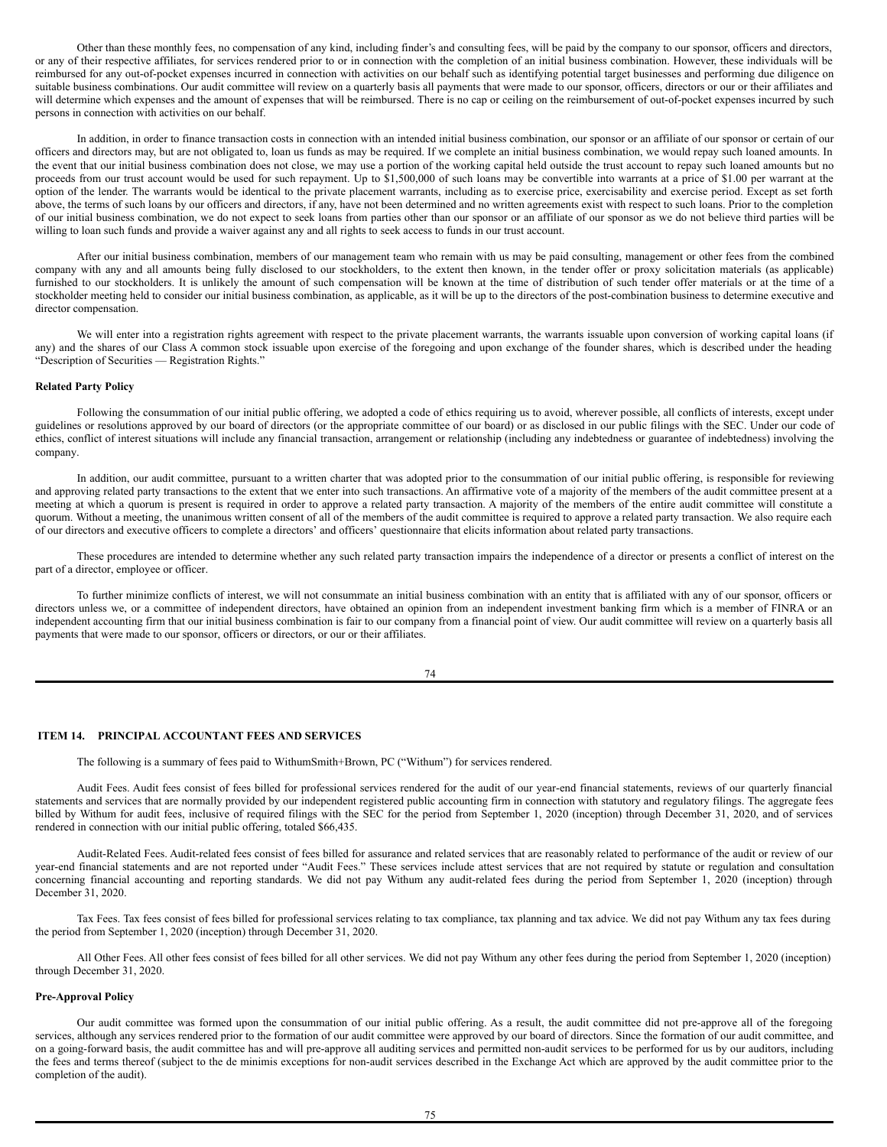Other than these monthly fees, no compensation of any kind, including finder's and consulting fees, will be paid by the company to our sponsor, officers and directors, or any of their respective affiliates, for services rendered prior to or in connection with the completion of an initial business combination. However, these individuals will be reimbursed for any out-of-pocket expenses incurred in connection with activities on our behalf such as identifying potential target businesses and performing due diligence on suitable business combinations. Our audit committee will review on a quarterly basis all payments that were made to our sponsor, officers, directors or our or their affiliates and will determine which expenses and the amount of expenses that will be reimbursed. There is no cap or ceiling on the reimbursement of out-of-pocket expenses incurred by such persons in connection with activities on our behalf.

In addition, in order to finance transaction costs in connection with an intended initial business combination, our sponsor or an affiliate of our sponsor or certain of our officers and directors may, but are not obligated to, loan us funds as may be required. If we complete an initial business combination, we would repay such loaned amounts. In the event that our initial business combination does not close, we may use a portion of the working capital held outside the trust account to repay such loaned amounts but no proceeds from our trust account would be used for such repayment. Up to \$1,500,000 of such loans may be convertible into warrants at a price of \$1.00 per warrant at the option of the lender. The warrants would be identical to the private placement warrants, including as to exercise price, exercisability and exercise period. Except as set forth above, the terms of such loans by our officers and directors, if any, have not been determined and no written agreements exist with respect to such loans. Prior to the completion of our initial business combination, we do not expect to seek loans from parties other than our sponsor or an affiliate of our sponsor as we do not believe third parties will be willing to loan such funds and provide a waiver against any and all rights to seek access to funds in our trust account.

After our initial business combination, members of our management team who remain with us may be paid consulting, management or other fees from the combined company with any and all amounts being fully disclosed to our stockholders, to the extent then known, in the tender offer or proxy solicitation materials (as applicable) furnished to our stockholders. It is unlikely the amount of such compensation will be known at the time of distribution of such tender offer materials or at the time of a stockholder meeting held to consider our initial business combination, as applicable, as it will be up to the directors of the post-combination business to determine executive and director compensation.

We will enter into a registration rights agreement with respect to the private placement warrants, the warrants issuable upon conversion of working capital loans (if any) and the shares of our Class A common stock issuable upon exercise of the foregoing and upon exchange of the founder shares, which is described under the heading "Description of Securities — Registration Rights."

## **Related Party Policy**

Following the consummation of our initial public offering, we adopted a code of ethics requiring us to avoid, wherever possible, all conflicts of interests, except under guidelines or resolutions approved by our board of directors (or the appropriate committee of our board) or as disclosed in our public filings with the SEC. Under our code of ethics, conflict of interest situations will include any financial transaction, arrangement or relationship (including any indebtedness or guarantee of indebtedness) involving the company.

In addition, our audit committee, pursuant to a written charter that was adopted prior to the consummation of our initial public offering, is responsible for reviewing and approving related party transactions to the extent that we enter into such transactions. An affirmative vote of a majority of the members of the audit committee present at a meeting at which a quorum is present is required in order to approve a related party transaction. A majority of the members of the entire audit committee will constitute a quorum. Without a meeting, the unanimous written consent of all of the members of the audit committee is required to approve a related party transaction. We also require each of our directors and executive officers to complete a directors' and officers' questionnaire that elicits information about related party transactions.

These procedures are intended to determine whether any such related party transaction impairs the independence of a director or presents a conflict of interest on the part of a director, employee or officer.

To further minimize conflicts of interest, we will not consummate an initial business combination with an entity that is affiliated with any of our sponsor, officers or directors unless we, or a committee of independent directors, have obtained an opinion from an independent investment banking firm which is a member of FINRA or an independent accounting firm that our initial business combination is fair to our company from a financial point of view. Our audit committee will review on a quarterly basis all payments that were made to our sponsor, officers or directors, or our or their affiliates.

74

## <span id="page-46-0"></span>**ITEM 14. PRINCIPAL ACCOUNTANT FEES AND SERVICES**

The following is a summary of fees paid to WithumSmith+Brown, PC ("Withum") for services rendered.

Audit Fees. Audit fees consist of fees billed for professional services rendered for the audit of our year-end financial statements, reviews of our quarterly financial statements and services that are normally provided by our independent registered public accounting firm in connection with statutory and regulatory filings. The aggregate fees billed by Withum for audit fees, inclusive of required filings with the SEC for the period from September 1, 2020 (inception) through December 31, 2020, and of services rendered in connection with our initial public offering, totaled \$66,435.

Audit-Related Fees. Audit-related fees consist of fees billed for assurance and related services that are reasonably related to performance of the audit or review of our year-end financial statements and are not reported under "Audit Fees." These services include attest services that are not required by statute or regulation and consultation concerning financial accounting and reporting standards. We did not pay Withum any audit-related fees during the period from September 1, 2020 (inception) through December 31, 2020.

Tax Fees. Tax fees consist of fees billed for professional services relating to tax compliance, tax planning and tax advice. We did not pay Withum any tax fees during the period from September 1, 2020 (inception) through December 31, 2020.

All Other Fees. All other fees consist of fees billed for all other services. We did not pay Withum any other fees during the period from September 1, 2020 (inception) through December 31, 2020.

## **Pre-Approval Policy**

Our audit committee was formed upon the consummation of our initial public offering. As a result, the audit committee did not pre-approve all of the foregoing services, although any services rendered prior to the formation of our audit committee were approved by our board of directors. Since the formation of our audit committee, and on a going-forward basis, the audit committee has and will pre-approve all auditing services and permitted non-audit services to be performed for us by our auditors, including the fees and terms thereof (subject to the de minimis exceptions for non-audit services described in the Exchange Act which are approved by the audit committee prior to the completion of the audit).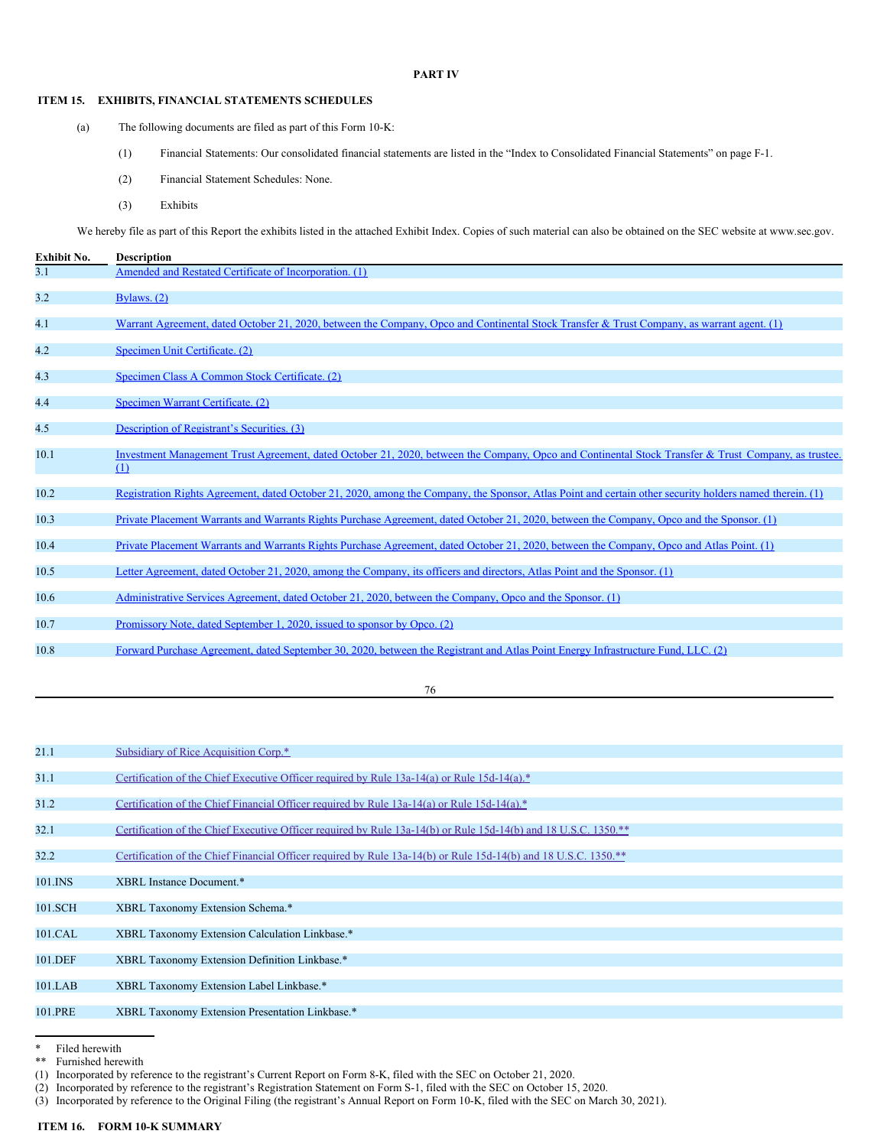## <span id="page-47-0"></span>**PART IV**

## <span id="page-47-1"></span>**ITEM 15. EXHIBITS, FINANCIAL STATEMENTS SCHEDULES**

- (a) The following documents are filed as part of this Form 10-K:
	- (1) Financial Statements: Our consolidated financial statements are listed in the "Index to Consolidated Financial Statements" on page F-1.
	- (2) Financial Statement Schedules: None.
	- (3) Exhibits

We hereby file as part of this Report the exhibits listed in the attached Exhibit Index. Copies of such material can also be obtained on the SEC website at www.sec.gov.

| Exhibit No. | <b>Description</b>                                                                                                                                       |
|-------------|----------------------------------------------------------------------------------------------------------------------------------------------------------|
| 3.1         | Amended and Restated Certificate of Incorporation. (1)                                                                                                   |
|             |                                                                                                                                                          |
| 3.2         | Bylaws. $(2)$                                                                                                                                            |
|             |                                                                                                                                                          |
| 4.1         | Warrant Agreement, dated October 21, 2020, between the Company, Opco and Continental Stock Transfer & Trust Company, as warrant agent. (1)               |
| 4.2         | Specimen Unit Certificate. (2)                                                                                                                           |
|             |                                                                                                                                                          |
| 4.3         | Specimen Class A Common Stock Certificate. (2)                                                                                                           |
|             |                                                                                                                                                          |
| 4.4         | Specimen Warrant Certificate. (2)                                                                                                                        |
|             |                                                                                                                                                          |
| 4.5         | Description of Registrant's Securities. (3)                                                                                                              |
|             |                                                                                                                                                          |
| 10.1        | Investment Management Trust Agreement, dated October 21, 2020, between the Company, Opco and Continental Stock Transfer & Trust Company, as trustee.     |
|             | (1)                                                                                                                                                      |
| 10.2        | Registration Rights Agreement, dated October 21, 2020, among the Company, the Sponsor, Atlas Point and certain other security holders named therein. (1) |
|             |                                                                                                                                                          |
| 10.3        | Private Placement Warrants and Warrants Rights Purchase Agreement, dated October 21, 2020, between the Company, Opco and the Sponsor. (1)                |
|             |                                                                                                                                                          |
| 10.4        | Private Placement Warrants and Warrants Rights Purchase Agreement, dated October 21, 2020, between the Company, Opco and Atlas Point. (1)                |
|             |                                                                                                                                                          |
| 10.5        | Letter Agreement, dated October 21, 2020, among the Company, its officers and directors, Atlas Point and the Sponsor. (1)                                |
| 10.6        | Administrative Services Agreement, dated October 21, 2020, between the Company, Opco and the Sponsor. (1)                                                |
|             |                                                                                                                                                          |
| 10.7        | Promissory Note, dated September 1, 2020, issued to sponsor by Opco. (2)                                                                                 |
|             |                                                                                                                                                          |
| 10.8        | Forward Purchase Agreement, dated September 30, 2020, between the Registrant and Atlas Point Energy Infrastructure Fund, LLC, (2)                        |

76

| 21.1       | Subsidiary of Rice Acquisition Corp.*                                                                           |
|------------|-----------------------------------------------------------------------------------------------------------------|
| 31.1       | Certification of the Chief Executive Officer required by Rule 13a-14(a) or Rule 15d-14(a). $*$                  |
| 31.2       | Certification of the Chief Financial Officer required by Rule $13a-14(a)$ or Rule $15d-14(a).$ <sup>*</sup>     |
| 32.1       | Certification of the Chief Executive Officer required by Rule 13a-14(b) or Rule 15d-14(b) and 18 U.S.C. 1350.** |
| 32.2       | Certification of the Chief Financial Officer required by Rule 13a-14(b) or Rule 15d-14(b) and 18 U.S.C. 1350.** |
| 101.INS    | XBRL Instance Document.*                                                                                        |
| 101.SCH    | XBRL Taxonomy Extension Schema.*                                                                                |
| 101.CAL    | XBRL Taxonomy Extension Calculation Linkbase.*                                                                  |
| 101.DEF    | XBRL Taxonomy Extension Definition Linkbase.*                                                                   |
| $101$ .LAB | XBRL Taxonomy Extension Label Linkbase.*                                                                        |
| 101.PRE    | XBRL Taxonomy Extension Presentation Linkbase.*                                                                 |

<span id="page-47-2"></span>(3) Incorporated by reference to the Original Filing (the registrant's Annual Report on Form 10-K, filed with the SEC on March 30, 2021).

Filed herewith

<sup>\*\*</sup> Furnished herewith

<sup>(1)</sup> Incorporated by reference to the registrant's Current Report on Form 8-K, filed with the SEC on October 21, 2020.

<sup>(2)</sup> Incorporated by reference to the registrant's Registration Statement on Form S-1, filed with the SEC on October 15, 2020.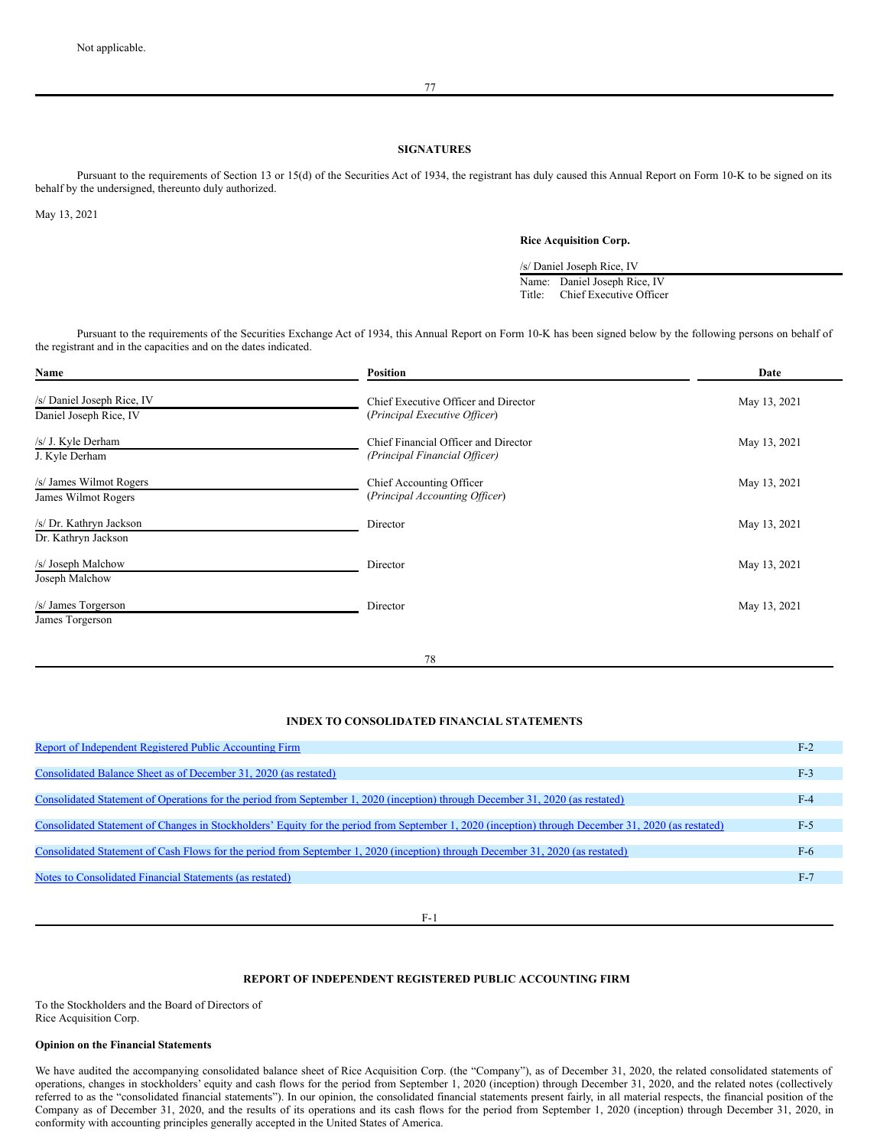## **SIGNATURES**

Pursuant to the requirements of Section 13 or 15(d) of the Securities Act of 1934, the registrant has duly caused this Annual Report on Form 10-K to be signed on its behalf by the undersigned, thereunto duly authorized.

May 13, 2021

## **Rice Acquisition Corp.**

/s/ Daniel Joseph Rice, IV Name: Daniel Joseph Rice, IV Title: Chief Executive Officer

Pursuant to the requirements of the Securities Exchange Act of 1934, this Annual Report on Form 10-K has been signed below by the following persons on behalf of the registrant and in the capacities and on the dates indicated.

| Name                                                 | <b>Position</b>                                                       | Date         |
|------------------------------------------------------|-----------------------------------------------------------------------|--------------|
| /s/ Daniel Joseph Rice, IV<br>Daniel Joseph Rice, IV | Chief Executive Officer and Director<br>(Principal Executive Officer) | May 13, 2021 |
| /s/ J. Kyle Derham<br>J. Kyle Derham                 | Chief Financial Officer and Director<br>(Principal Financial Officer) | May 13, 2021 |
| /s/ James Wilmot Rogers<br>James Wilmot Rogers       | Chief Accounting Officer<br>(Principal Accounting Officer)            | May 13, 2021 |
| /s/ Dr. Kathryn Jackson<br>Dr. Kathryn Jackson       | Director                                                              | May 13, 2021 |
| /s/ Joseph Malchow<br>Joseph Malchow                 | Director                                                              | May 13, 2021 |
| /s/ James Torgerson<br>James Torgerson               | Director                                                              | May 13, 2021 |

78

## **INDEX TO CONSOLIDATED FINANCIAL STATEMENTS**

| Report of Independent Registered Public Accounting Firm                                                                                             | $F-2$ |
|-----------------------------------------------------------------------------------------------------------------------------------------------------|-------|
|                                                                                                                                                     |       |
| Consolidated Balance Sheet as of December 31, 2020 (as restated)                                                                                    | $F-3$ |
|                                                                                                                                                     |       |
| Consolidated Statement of Operations for the period from September 1, 2020 (inception) through December 31, 2020 (as restated)                      | $F-4$ |
|                                                                                                                                                     |       |
| Consolidated Statement of Changes in Stockholders' Equity for the period from September 1, 2020 (inception) through December 31, 2020 (as restated) | $F-5$ |
|                                                                                                                                                     |       |
| Consolidated Statement of Cash Flows for the period from September 1, 2020 (inception) through December 31, 2020 (as restated)                      | $F-6$ |
|                                                                                                                                                     |       |
| Notes to Consolidated Financial Statements (as restated)                                                                                            | $F-7$ |
|                                                                                                                                                     |       |
|                                                                                                                                                     |       |

F-1

## <span id="page-48-0"></span>**REPORT OF INDEPENDENT REGISTERED PUBLIC ACCOUNTING FIRM**

To the Stockholders and the Board of Directors of Rice Acquisition Corp.

## **Opinion on the Financial Statements**

We have audited the accompanying consolidated balance sheet of Rice Acquisition Corp. (the "Company"), as of December 31, 2020, the related consolidated statements of operations, changes in stockholders' equity and cash flows for the period from September 1, 2020 (inception) through December 31, 2020, and the related notes (collectively referred to as the "consolidated financial statements"). In our opinion, the consolidated financial statements present fairly, in all material respects, the financial position of the Company as of December 31, 2020, and the results of its operations and its cash flows for the period from September 1, 2020 (inception) through December 31, 2020, in conformity with accounting principles generally accepted in the United States of America.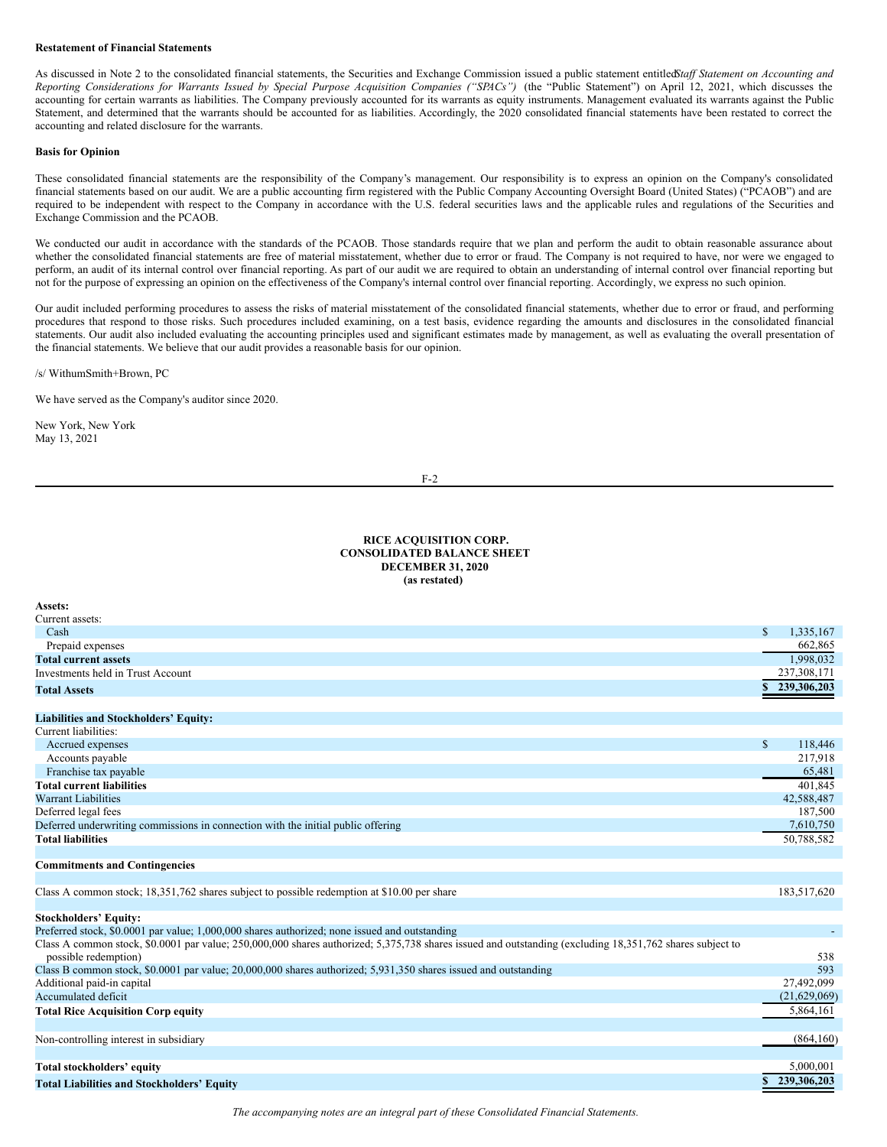#### **Restatement of Financial Statements**

As discussed in Note 2 to the consolidated financial statements, the Securities and Exchange Commission issued a public statement entitled*Staf Statement on Accounting and* Reporting Considerations for Warrants Issued by Special Purpose Acquisition Companies ("SPACs") (the "Public Statement") on April 12, 2021, which discusses the accounting for certain warrants as liabilities. The Company previously accounted for its warrants as equity instruments. Management evaluated its warrants against the Public Statement, and determined that the warrants should be accounted for as liabilities. Accordingly, the 2020 consolidated financial statements have been restated to correct the accounting and related disclosure for the warrants.

### **Basis for Opinion**

These consolidated financial statements are the responsibility of the Company's management. Our responsibility is to express an opinion on the Company's consolidated financial statements based on our audit. We are a public accounting firm registered with the Public Company Accounting Oversight Board (United States) ("PCAOB") and are required to be independent with respect to the Company in accordance with the U.S. federal securities laws and the applicable rules and regulations of the Securities and Exchange Commission and the PCAOB.

We conducted our audit in accordance with the standards of the PCAOB. Those standards require that we plan and perform the audit to obtain reasonable assurance about whether the consolidated financial statements are free of material misstatement, whether due to error or fraud. The Company is not required to have, nor were we engaged to perform, an audit of its internal control over financial reporting. As part of our audit we are required to obtain an understanding of internal control over financial reporting but not for the purpose of expressing an opinion on the effectiveness of the Company's internal control over financial reporting. Accordingly, we express no such opinion.

Our audit included performing procedures to assess the risks of material misstatement of the consolidated financial statements, whether due to error or fraud, and performing procedures that respond to those risks. Such procedures included examining, on a test basis, evidence regarding the amounts and disclosures in the consolidated financial statements. Our audit also included evaluating the accounting principles used and significant estimates made by management, as well as evaluating the overall presentation of the financial statements. We believe that our audit provides a reasonable basis for our opinion.

/s/ WithumSmith+Brown, PC

We have served as the Company's auditor since 2020.

New York, New York May 13, 2021

 $F-2$ 

## <span id="page-49-0"></span>**RICE ACQUISITION CORP. CONSOLIDATED BALANCE SHEET DECEMBER 31, 2020 (as restated)**

| Assets:                                                                                                                                                                          |   |              |
|----------------------------------------------------------------------------------------------------------------------------------------------------------------------------------|---|--------------|
| Current assets:                                                                                                                                                                  |   |              |
| Cash                                                                                                                                                                             | S | 1.335.167    |
| Prepaid expenses                                                                                                                                                                 |   | 662,865      |
| <b>Total current assets</b>                                                                                                                                                      |   | 1,998,032    |
| Investments held in Trust Account                                                                                                                                                |   | 237,308,171  |
| <b>Total Assets</b>                                                                                                                                                              |   | 239,306,203  |
| <b>Liabilities and Stockholders' Equity:</b>                                                                                                                                     |   |              |
| Current liabilities:                                                                                                                                                             |   |              |
| Accrued expenses                                                                                                                                                                 | S | 118,446      |
| Accounts payable                                                                                                                                                                 |   | 217,918      |
| Franchise tax payable                                                                                                                                                            |   | 65,481       |
| <b>Total current liabilities</b>                                                                                                                                                 |   | 401,845      |
| <b>Warrant Liabilities</b>                                                                                                                                                       |   | 42,588,487   |
| Deferred legal fees                                                                                                                                                              |   | 187,500      |
| Deferred underwriting commissions in connection with the initial public offering                                                                                                 |   | 7,610,750    |
| <b>Total liabilities</b>                                                                                                                                                         |   | 50,788,582   |
|                                                                                                                                                                                  |   |              |
| <b>Commitments and Contingencies</b>                                                                                                                                             |   |              |
|                                                                                                                                                                                  |   |              |
| Class A common stock; 18,351,762 shares subject to possible redemption at \$10.00 per share                                                                                      |   | 183,517,620  |
| <b>Stockholders' Equity:</b>                                                                                                                                                     |   |              |
| Preferred stock, \$0,0001 par value; 1,000,000 shares authorized; none issued and outstanding                                                                                    |   |              |
| Class A common stock, \$0.0001 par value; 250,000,000 shares authorized; 5,375,738 shares issued and outstanding (excluding 18,351,762 shares subject to<br>possible redemption) |   | 538          |
| Class B common stock, \$0,0001 par value; 20,000,000 shares authorized; 5,931,350 shares issued and outstanding                                                                  |   | 593          |
| Additional paid-in capital                                                                                                                                                       |   | 27,492,099   |
| Accumulated deficit                                                                                                                                                              |   | (21,629,069) |
| <b>Total Rice Acquisition Corp equity</b>                                                                                                                                        |   | 5,864,161    |
| Non-controlling interest in subsidiary                                                                                                                                           |   | (864, 160)   |
| Total stockholders' equity                                                                                                                                                       |   | 5,000,001    |
| <b>Total Liabilities and Stockholders' Equity</b>                                                                                                                                | S | 239,306,203  |

*The accompanying notes are an integral part of these Consolidated Financial Statements.*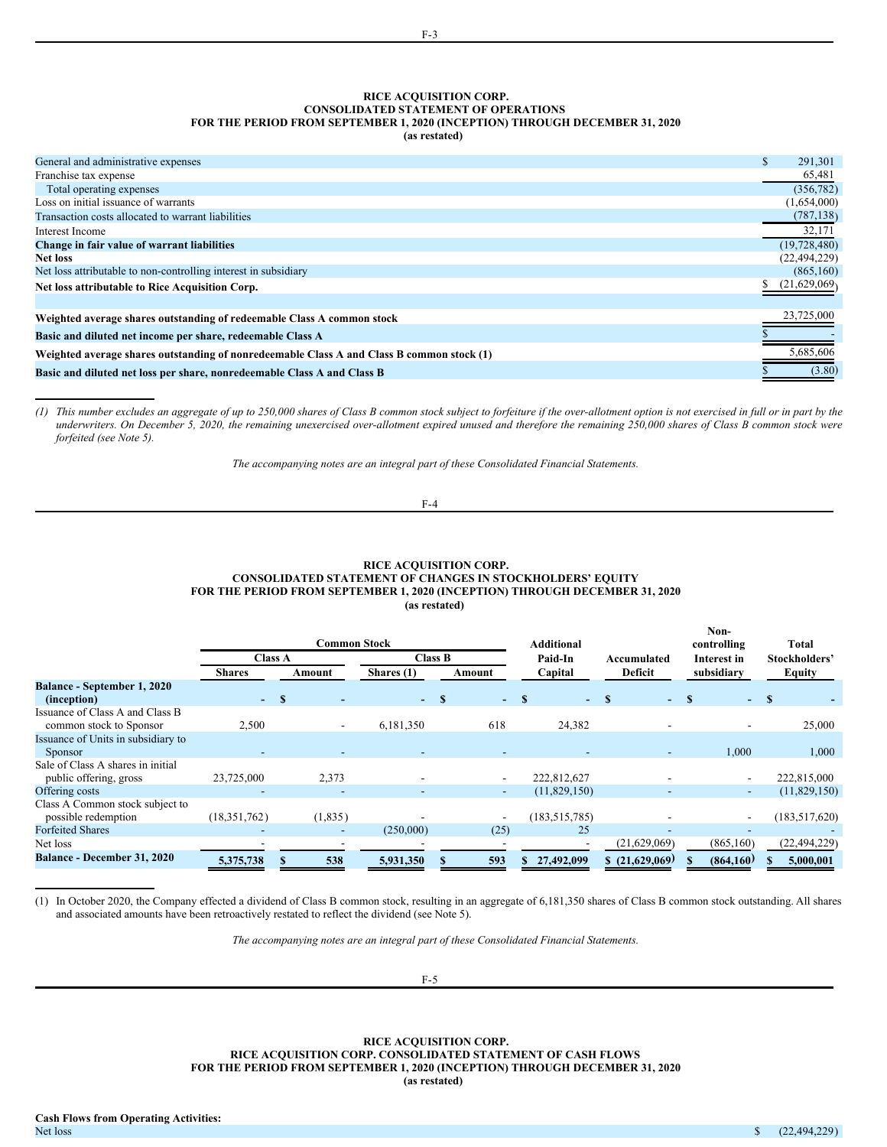## <span id="page-50-0"></span>**RICE ACQUISITION CORP. CONSOLIDATED STATEMENT OF OPERATIONS FOR THE PERIOD FROM SEPTEMBER 1, 2020 (INCEPTION) THROUGH DECEMBER 31, 2020 (as restated)**

| General and administrative expenses                                                       | 291,301        |
|-------------------------------------------------------------------------------------------|----------------|
| Franchise tax expense                                                                     | 65,481         |
| Total operating expenses                                                                  | (356, 782)     |
| Loss on initial issuance of warrants                                                      | (1,654,000)    |
| Transaction costs allocated to warrant liabilities                                        | (787, 138)     |
| Interest Income                                                                           | 32,171         |
| Change in fair value of warrant liabilities                                               | (19,728,480)   |
| <b>Net loss</b>                                                                           | (22, 494, 229) |
| Net loss attributable to non-controlling interest in subsidiary                           | (865,160)      |
| Net loss attributable to Rice Acquisition Corp.                                           | (21,629,069)   |
|                                                                                           |                |
| Weighted average shares outstanding of redeemable Class A common stock                    | 23,725,000     |
| Basic and diluted net income per share, redeemable Class A                                |                |
| Weighted average shares outstanding of nonredeemable Class A and Class B common stock (1) | 5,685,606      |
| Basic and diluted net loss per share, nonredeemable Class A and Class B                   | (3.80)         |
|                                                                                           |                |

(1) This number excludes an aggregate of up to 250,000 shares of Class B common stock subject to forfeiture if the over-allotment option is not exercised in full or in part by the underwriters. On December 5, 2020, the remaining unexercised over-allotment expired unused and therefore the remaining 250,000 shares of Class B common stock were *forfeited (see Note 5).*

*The accompanying notes are an integral part of these Consolidated Financial Statements.*

<span id="page-50-1"></span>F-4

## **RICE ACQUISITION CORP. CONSOLIDATED STATEMENT OF CHANGES IN STOCKHOLDERS' EQUITY FOR THE PERIOD FROM SEPTEMBER 1, 2020 (INCEPTION) THROUGH DECEMBER 31, 2020 (as restated)**

|                                                             | <b>Common Stock</b> |                                      |            | Additional               |                        | Non-<br>controlling | <b>Total</b>             |                 |
|-------------------------------------------------------------|---------------------|--------------------------------------|------------|--------------------------|------------------------|---------------------|--------------------------|-----------------|
|                                                             |                     | <b>Class A</b><br><b>Class B</b>     |            |                          | Paid-In                | Accumulated         | Interest in              | Stockholders'   |
|                                                             | <b>Shares</b>       | Amount                               | Shares (1) | Amount                   | Capital                | Deficit             | subsidiary               | <b>Equity</b>   |
| <b>Balance - September 1, 2020</b><br>(inception)           | $\sim$ $-$          | <b>S</b><br>$\overline{\phantom{a}}$ |            | $- S$<br>٠.              | $\mathbf{S}$<br>$\sim$ | $\mathbf{s}$        | $-$ S<br>$\sim 100$      | -S              |
| Issuance of Class A and Class B<br>common stock to Sponsor  | 2,500               | $\overline{\phantom{a}}$             | 6,181,350  | 618                      | 24,382                 |                     | $\overline{\phantom{a}}$ | 25,000          |
| Issuance of Units in subsidiary to<br>Sponsor               |                     |                                      |            |                          |                        |                     | 1,000                    | 1,000           |
| Sale of Class A shares in initial<br>public offering, gross | 23,725,000          | 2,373                                |            |                          | 222,812,627            |                     | $\overline{\phantom{0}}$ | 222,815,000     |
| Offering costs                                              |                     |                                      |            | $\overline{\phantom{0}}$ | (11,829,150)           |                     | $\sim$                   | (11,829,150)    |
| Class A Common stock subject to<br>possible redemption      | (18, 351, 762)      | (1,835)                              |            |                          | (183, 515, 785)        |                     |                          | (183, 517, 620) |
| <b>Forfeited Shares</b>                                     |                     | $\overline{\phantom{a}}$             | (250,000)  | (25)                     | 25                     | -                   |                          |                 |
| Net loss                                                    |                     |                                      |            |                          |                        | (21,629,069)        | (865,160)                | (22, 494, 229)  |
| Balance - December 31, 2020                                 | 5,375,738           | 538                                  | 5,931,350  | 593                      | 27,492,099<br>S        | \$(21,629,069)      | (864,160)                | 5,000,001       |

(1) In October 2020, the Company effected a dividend of Class B common stock, resulting in an aggregate of 6,181,350 shares of Class B common stock outstanding. All shares and associated amounts have been retroactively restated to reflect the dividend (see Note 5).

*The accompanying notes are an integral part of these Consolidated Financial Statements.*

<span id="page-50-2"></span>F-5

**RICE ACQUISITION CORP. RICE ACQUISITION CORP. CONSOLIDATED STATEMENT OF CASH FLOWS FOR THE PERIOD FROM SEPTEMBER 1, 2020 (INCEPTION) THROUGH DECEMBER 31, 2020 (as restated)**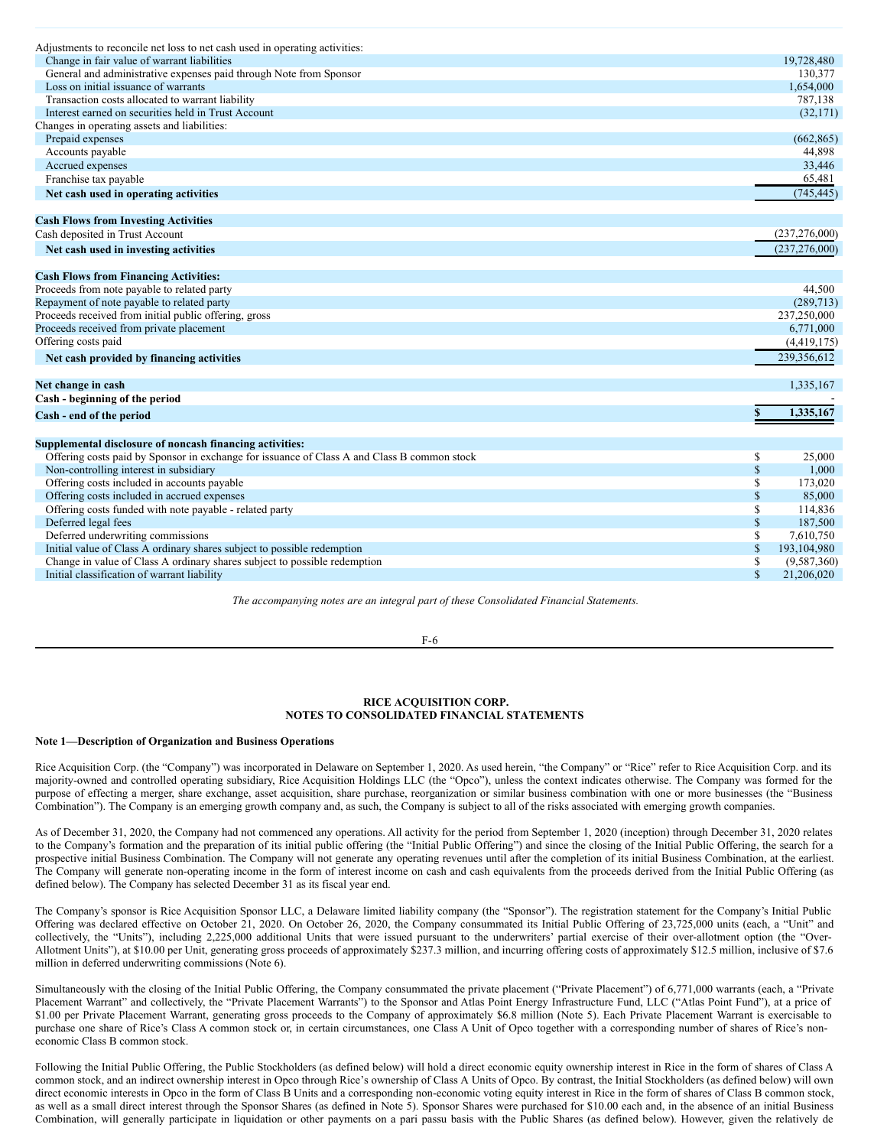| Adjustments to reconcile net loss to net cash used in operating activities:                 |             |                 |
|---------------------------------------------------------------------------------------------|-------------|-----------------|
| Change in fair value of warrant liabilities                                                 |             | 19,728,480      |
| General and administrative expenses paid through Note from Sponsor                          |             | 130,377         |
| Loss on initial issuance of warrants                                                        |             | 1,654,000       |
| Transaction costs allocated to warrant liability                                            |             | 787,138         |
| Interest earned on securities held in Trust Account                                         |             | (32, 171)       |
| Changes in operating assets and liabilities:                                                |             |                 |
| Prepaid expenses                                                                            |             | (662, 865)      |
| Accounts payable                                                                            |             | 44,898          |
| Accrued expenses                                                                            |             | 33,446          |
| Franchise tax payable                                                                       |             | 65,481          |
| Net cash used in operating activities                                                       |             | (745, 445)      |
| <b>Cash Flows from Investing Activities</b>                                                 |             |                 |
| Cash deposited in Trust Account                                                             |             | (237, 276, 000) |
| Net cash used in investing activities                                                       |             | (237, 276, 000) |
|                                                                                             |             |                 |
| <b>Cash Flows from Financing Activities:</b>                                                |             |                 |
| Proceeds from note payable to related party                                                 |             | 44.500          |
| Repayment of note payable to related party                                                  |             | (289,713)       |
| Proceeds received from initial public offering, gross                                       |             | 237,250,000     |
| Proceeds received from private placement                                                    |             | 6,771,000       |
| Offering costs paid                                                                         |             | (4,419,175)     |
| Net cash provided by financing activities                                                   |             | 239,356,612     |
| Net change in cash                                                                          |             | 1,335,167       |
| Cash - beginning of the period                                                              |             |                 |
|                                                                                             | S           | 1,335,167       |
| Cash - end of the period                                                                    |             |                 |
| Supplemental disclosure of noncash financing activities:                                    |             |                 |
| Offering costs paid by Sponsor in exchange for issuance of Class A and Class B common stock | \$          | 25,000          |
| Non-controlling interest in subsidiary                                                      | \$          | 1,000           |
| Offering costs included in accounts payable                                                 | \$          | 173,020         |
| Offering costs included in accrued expenses                                                 | \$          | 85,000          |
| Offering costs funded with note payable - related party                                     | \$          | 114,836         |
| Deferred legal fees                                                                         | \$          | 187,500         |
| Deferred underwriting commissions                                                           | \$          | 7,610,750       |
| Initial value of Class A ordinary shares subject to possible redemption                     | \$          | 193,104,980     |
| Change in value of Class A ordinary shares subject to possible redemption                   | \$          | (9,587,360)     |
| Initial classification of warrant liability                                                 | $\mathbf S$ | 21,206,020      |
|                                                                                             |             |                 |

*The accompanying notes are an integral part of these Consolidated Financial Statements.*

F-6

## <span id="page-51-0"></span>**RICE ACQUISITION CORP. NOTES TO CONSOLIDATED FINANCIAL STATEMENTS**

## **Note 1—Description of Organization and Business Operations**

Rice Acquisition Corp. (the "Company") was incorporated in Delaware on September 1, 2020. As used herein, "the Company" or "Rice" refer to Rice Acquisition Corp. and its majority-owned and controlled operating subsidiary, Rice Acquisition Holdings LLC (the "Opco"), unless the context indicates otherwise. The Company was formed for the purpose of effecting a merger, share exchange, asset acquisition, share purchase, reorganization or similar business combination with one or more businesses (the "Business Combination"). The Company is an emerging growth company and, as such, the Company is subject to all of the risks associated with emerging growth companies.

As of December 31, 2020, the Company had not commenced any operations. All activity for the period from September 1, 2020 (inception) through December 31, 2020 relates to the Company's formation and the preparation of its initial public offering (the "Initial Public Offering") and since the closing of the Initial Public Offering, the search for a prospective initial Business Combination. The Company will not generate any operating revenues until after the completion of its initial Business Combination, at the earliest. The Company will generate non-operating income in the form of interest income on cash and cash equivalents from the proceeds derived from the Initial Public Offering (as defined below). The Company has selected December 31 as its fiscal year end.

The Company's sponsor is Rice Acquisition Sponsor LLC, a Delaware limited liability company (the "Sponsor"). The registration statement for the Company's Initial Public Offering was declared effective on October 21, 2020. On October 26, 2020, the Company consummated its Initial Public Offering of 23,725,000 units (each, a "Unit" and collectively, the "Units"), including 2,225,000 additional Units that were issued pursuant to the underwriters' partial exercise of their over-allotment option (the "Over-Allotment Units"), at \$10.00 per Unit, generating gross proceeds of approximately \$237.3 million, and incurring offering costs of approximately \$12.5 million, inclusive of \$7.6 million in deferred underwriting commissions (Note 6).

Simultaneously with the closing of the Initial Public Offering, the Company consummated the private placement ("Private Placement") of 6,771,000 warrants (each, a "Private Placement Warrant" and collectively, the "Private Placement Warrants") to the Sponsor and Atlas Point Energy Infrastructure Fund, LLC ("Atlas Point Fund"), at a price of \$1.00 per Private Placement Warrant, generating gross proceeds to the Company of approximately \$6.8 million (Note 5). Each Private Placement Warrant is exercisable to purchase one share of Rice's Class A common stock or, in certain circumstances, one Class A Unit of Opco together with a corresponding number of shares of Rice's noneconomic Class B common stock.

Following the Initial Public Offering, the Public Stockholders (as defined below) will hold a direct economic equity ownership interest in Rice in the form of shares of Class A common stock, and an indirect ownership interest in Opco through Rice's ownership of Class A Units of Opco. By contrast, the Initial Stockholders (as defined below) will own direct economic interests in Opco in the form of Class B Units and a corresponding non-economic voting equity interest in Rice in the form of shares of Class B common stock, as well as a small direct interest through the Sponsor Shares (as defined in Note 5). Sponsor Shares were purchased for \$10.00 each and, in the absence of an initial Business Combination, will generally participate in liquidation or other payments on a pari passu basis with the Public Shares (as defined below). However, given the relatively de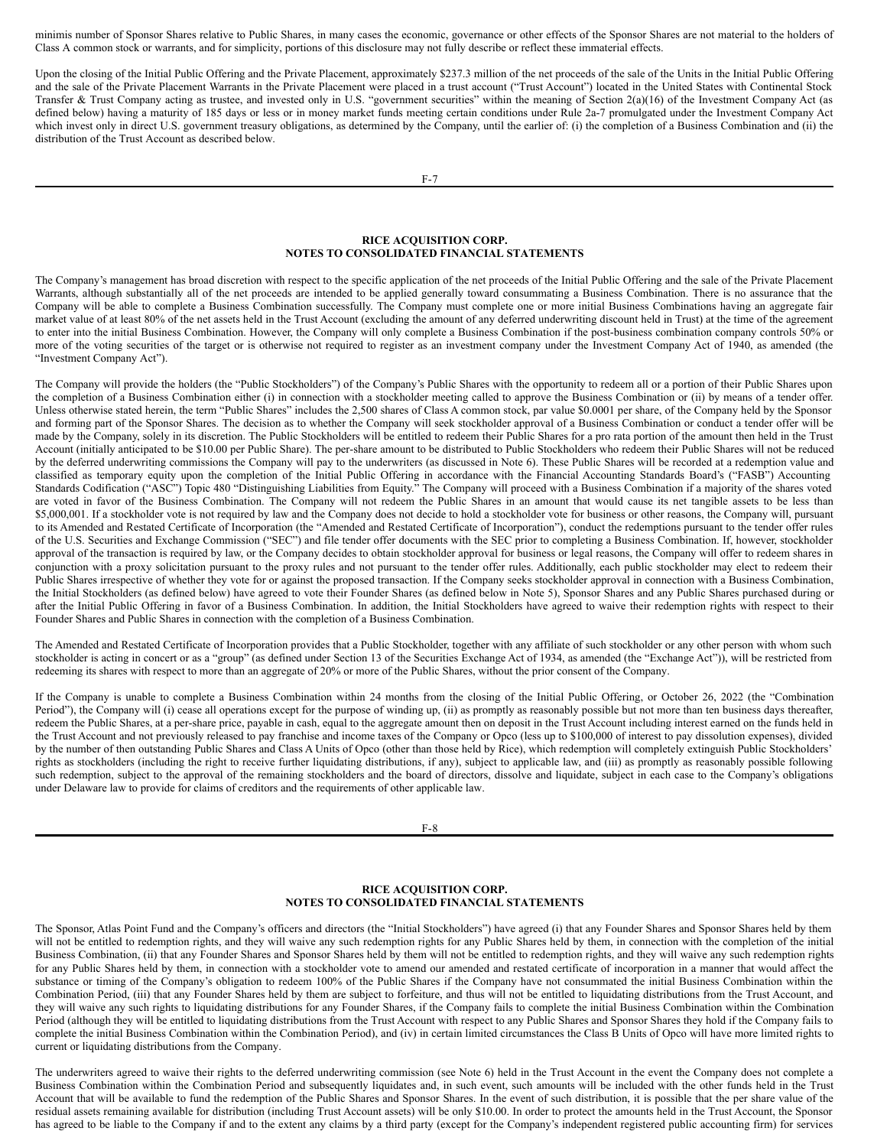minimis number of Sponsor Shares relative to Public Shares, in many cases the economic, governance or other effects of the Sponsor Shares are not material to the holders of Class A common stock or warrants, and for simplicity, portions of this disclosure may not fully describe or reflect these immaterial effects.

Upon the closing of the Initial Public Offering and the Private Placement, approximately \$237.3 million of the net proceeds of the sale of the Units in the Initial Public Offering and the sale of the Private Placement Warrants in the Private Placement were placed in a trust account ("Trust Account") located in the United States with Continental Stock Transfer & Trust Company acting as trustee, and invested only in U.S. "government securities" within the meaning of Section 2(a)(16) of the Investment Company Act (as defined below) having a maturity of 185 days or less or in money market funds meeting certain conditions under Rule 2a-7 promulgated under the Investment Company Act which invest only in direct U.S. government treasury obligations, as determined by the Company, until the earlier of: (i) the completion of a Business Combination and (ii) the distribution of the Trust Account as described below.

## **RICE ACQUISITION CORP. NOTES TO CONSOLIDATED FINANCIAL STATEMENTS**

The Company's management has broad discretion with respect to the specific application of the net proceeds of the Initial Public Offering and the sale of the Private Placement Warrants, although substantially all of the net proceeds are intended to be applied generally toward consummating a Business Combination. There is no assurance that the Company will be able to complete a Business Combination successfully. The Company must complete one or more initial Business Combinations having an aggregate fair market value of at least 80% of the net assets held in the Trust Account (excluding the amount of any deferred underwriting discount held in Trust) at the time of the agreement to enter into the initial Business Combination. However, the Company will only complete a Business Combination if the post-business combination company controls 50% or more of the voting securities of the target or is otherwise not required to register as an investment company under the Investment Company Act of 1940, as amended (the "Investment Company Act").

The Company will provide the holders (the "Public Stockholders") of the Company's Public Shares with the opportunity to redeem all or a portion of their Public Shares upon the completion of a Business Combination either (i) in connection with a stockholder meeting called to approve the Business Combination or (ii) by means of a tender offer. Unless otherwise stated herein, the term "Public Shares" includes the 2,500 shares of Class A common stock, par value \$0.0001 per share, of the Company held by the Sponsor and forming part of the Sponsor Shares. The decision as to whether the Company will seek stockholder approval of a Business Combination or conduct a tender offer will be made by the Company, solely in its discretion. The Public Stockholders will be entitled to redeem their Public Shares for a pro rata portion of the amount then held in the Trust Account (initially anticipated to be \$10.00 per Public Share). The per-share amount to be distributed to Public Stockholders who redeem their Public Shares will not be reduced by the deferred underwriting commissions the Company will pay to the underwriters (as discussed in Note 6). These Public Shares will be recorded at a redemption value and classified as temporary equity upon the completion of the Initial Public Offering in accordance with the Financial Accounting Standards Board's ("FASB") Accounting Standards Codification ("ASC") Topic 480 "Distinguishing Liabilities from Equity." The Company will proceed with a Business Combination if a majority of the shares voted are voted in favor of the Business Combination. The Company will not redeem the Public Shares in an amount that would cause its net tangible assets to be less than \$5,000,001. If a stockholder vote is not required by law and the Company does not decide to hold a stockholder vote for business or other reasons, the Company will, pursuant to its Amended and Restated Certificate of Incorporation (the "Amended and Restated Certificate of Incorporation"), conduct the redemptions pursuant to the tender offer rules of the U.S. Securities and Exchange Commission ("SEC") and file tender offer documents with the SEC prior to completing a Business Combination. If, however, stockholder approval of the transaction is required by law, or the Company decides to obtain stockholder approval for business or legal reasons, the Company will offer to redeem shares in conjunction with a proxy solicitation pursuant to the proxy rules and not pursuant to the tender offer rules. Additionally, each public stockholder may elect to redeem their Public Shares irrespective of whether they vote for or against the proposed transaction. If the Company seeks stockholder approval in connection with a Business Combination, the Initial Stockholders (as defined below) have agreed to vote their Founder Shares (as defined below in Note 5), Sponsor Shares and any Public Shares purchased during or after the Initial Public Offering in favor of a Business Combination. In addition, the Initial Stockholders have agreed to waive their redemption rights with respect to their Founder Shares and Public Shares in connection with the completion of a Business Combination.

The Amended and Restated Certificate of Incorporation provides that a Public Stockholder, together with any affiliate of such stockholder or any other person with whom such stockholder is acting in concert or as a "group" (as defined under Section 13 of the Securities Exchange Act of 1934, as amended (the "Exchange Act")), will be restricted from redeeming its shares with respect to more than an aggregate of 20% or more of the Public Shares, without the prior consent of the Company.

If the Company is unable to complete a Business Combination within 24 months from the closing of the Initial Public Offering, or October 26, 2022 (the "Combination Period"), the Company will (i) cease all operations except for the purpose of winding up, (ii) as promptly as reasonably possible but not more than ten business days thereafter, redeem the Public Shares, at a per-share price, payable in cash, equal to the aggregate amount then on deposit in the Trust Account including interest earned on the funds held in the Trust Account and not previously released to pay franchise and income taxes of the Company or Opco (less up to \$100,000 of interest to pay dissolution expenses), divided by the number of then outstanding Public Shares and Class A Units of Opco (other than those held by Rice), which redemption will completely extinguish Public Stockholders' rights as stockholders (including the right to receive further liquidating distributions, if any), subject to applicable law, and (iii) as promptly as reasonably possible following such redemption, subject to the approval of the remaining stockholders and the board of directors, dissolve and liquidate, subject in each case to the Company's obligations under Delaware law to provide for claims of creditors and the requirements of other applicable law.

F-8

## **RICE ACQUISITION CORP. NOTES TO CONSOLIDATED FINANCIAL STATEMENTS**

The Sponsor, Atlas Point Fund and the Company's officers and directors (the "Initial Stockholders") have agreed (i) that any Founder Shares and Sponsor Shares held by them will not be entitled to redemption rights, and they will waive any such redemption rights for any Public Shares held by them, in connection with the completion of the initial Business Combination, (ii) that any Founder Shares and Sponsor Shares held by them will not be entitled to redemption rights, and they will waive any such redemption rights for any Public Shares held by them, in connection with a stockholder vote to amend our amended and restated certificate of incorporation in a manner that would affect the substance or timing of the Company's obligation to redeem 100% of the Public Shares if the Company have not consummated the initial Business Combination within the Combination Period, (iii) that any Founder Shares held by them are subject to forfeiture, and thus will not be entitled to liquidating distributions from the Trust Account, and they will waive any such rights to liquidating distributions for any Founder Shares, if the Company fails to complete the initial Business Combination within the Combination Period (although they will be entitled to liquidating distributions from the Trust Account with respect to any Public Shares and Sponsor Shares they hold if the Company fails to complete the initial Business Combination within the Combination Period), and (iv) in certain limited circumstances the Class B Units of Opco will have more limited rights to current or liquidating distributions from the Company.

The underwriters agreed to waive their rights to the deferred underwriting commission (see Note 6) held in the Trust Account in the event the Company does not complete a Business Combination within the Combination Period and subsequently liquidates and, in such event, such amounts will be included with the other funds held in the Trust Account that will be available to fund the redemption of the Public Shares and Sponsor Shares. In the event of such distribution, it is possible that the per share value of the residual assets remaining available for distribution (including Trust Account assets) will be only \$10.00. In order to protect the amounts held in the Trust Account, the Sponsor has agreed to be liable to the Company if and to the extent any claims by a third party (except for the Company's independent registered public accounting firm) for services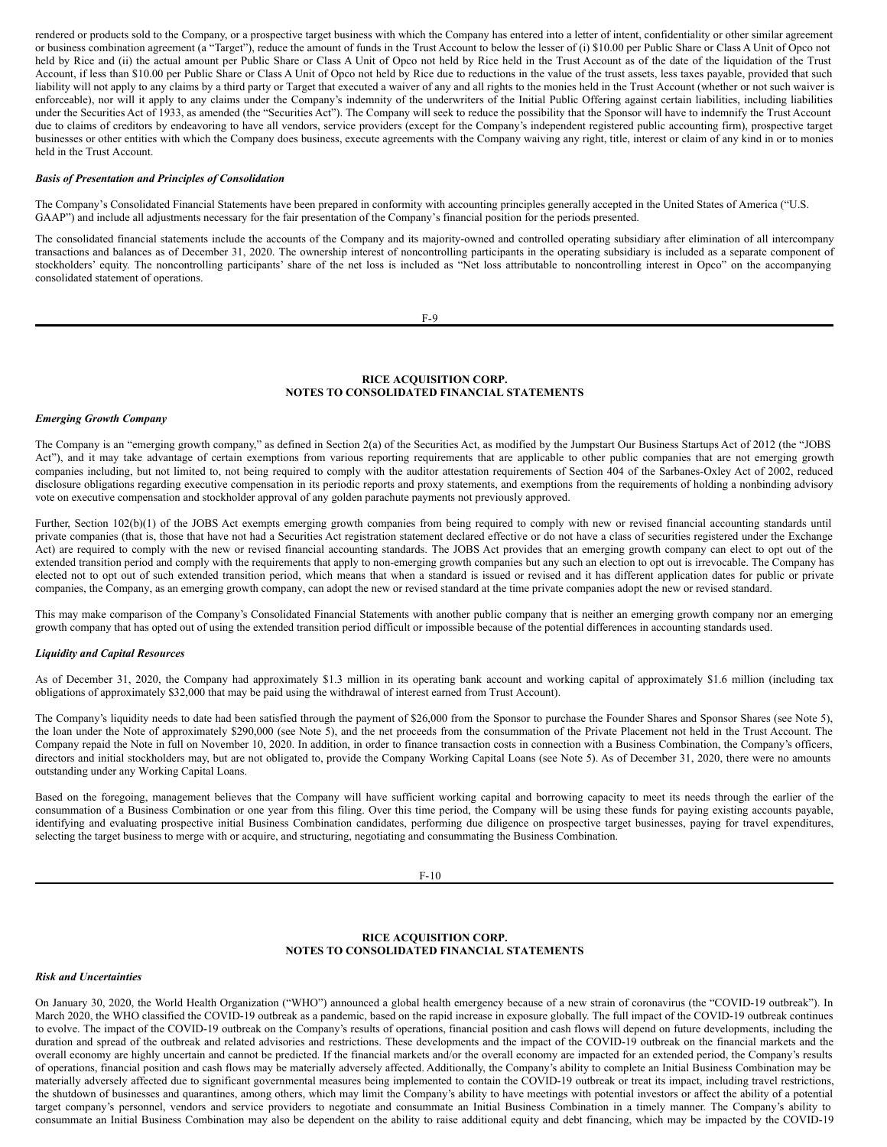rendered or products sold to the Company, or a prospective target business with which the Company has entered into a letter of intent, confidentiality or other similar agreement or business combination agreement (a "Target"), reduce the amount of funds in the Trust Account to below the lesser of (i) \$10.00 per Public Share or Class A Unit of Opco not held by Rice and (ii) the actual amount per Public Share or Class A Unit of Opco not held by Rice held in the Trust Account as of the date of the liquidation of the Trust Account, if less than \$10.00 per Public Share or Class A Unit of Opco not held by Rice due to reductions in the value of the trust assets, less taxes payable, provided that such liability will not apply to any claims by a third party or Target that executed a waiver of any and all rights to the monies held in the Trust Account (whether or not such waiver is enforceable), nor will it apply to any claims under the Company's indemnity of the underwriters of the Initial Public Offering against certain liabilities, including liabilities under the Securities Act of 1933, as amended (the "Securities Act"). The Company will seek to reduce the possibility that the Sponsor will have to indemnify the Trust Account due to claims of creditors by endeavoring to have all vendors, service providers (except for the Company's independent registered public accounting firm), prospective target businesses or other entities with which the Company does business, execute agreements with the Company waiving any right, title, interest or claim of any kind in or to monies held in the Trust Account.

### *Basis of Presentation and Principles of Consolidation*

The Company's Consolidated Financial Statements have been prepared in conformity with accounting principles generally accepted in the United States of America ("U.S. GAAP") and include all adjustments necessary for the fair presentation of the Company's financial position for the periods presented.

The consolidated financial statements include the accounts of the Company and its majority-owned and controlled operating subsidiary after elimination of all intercompany transactions and balances as of December 31, 2020. The ownership interest of noncontrolling participants in the operating subsidiary is included as a separate component of stockholders' equity. The noncontrolling participants' share of the net loss is included as "Net loss attributable to noncontrolling interest in Opco" on the accompanying consolidated statement of operations.

## **RICE ACQUISITION CORP. NOTES TO CONSOLIDATED FINANCIAL STATEMENTS**

#### *Emerging Growth Company*

The Company is an "emerging growth company," as defined in Section 2(a) of the Securities Act, as modified by the Jumpstart Our Business Startups Act of 2012 (the "JOBS Act"), and it may take advantage of certain exemptions from various reporting requirements that are applicable to other public companies that are not emerging growth companies including, but not limited to, not being required to comply with the auditor attestation requirements of Section 404 of the Sarbanes-Oxley Act of 2002, reduced disclosure obligations regarding executive compensation in its periodic reports and proxy statements, and exemptions from the requirements of holding a nonbinding advisory vote on executive compensation and stockholder approval of any golden parachute payments not previously approved.

Further, Section 102(b)(1) of the JOBS Act exempts emerging growth companies from being required to comply with new or revised financial accounting standards until private companies (that is, those that have not had a Securities Act registration statement declared effective or do not have a class of securities registered under the Exchange Act) are required to comply with the new or revised financial accounting standards. The JOBS Act provides that an emerging growth company can elect to opt out of the extended transition period and comply with the requirements that apply to non-emerging growth companies but any such an election to opt out is irrevocable. The Company has elected not to opt out of such extended transition period, which means that when a standard is issued or revised and it has different application dates for public or private companies, the Company, as an emerging growth company, can adopt the new or revised standard at the time private companies adopt the new or revised standard.

This may make comparison of the Company's Consolidated Financial Statements with another public company that is neither an emerging growth company nor an emerging growth company that has opted out of using the extended transition period difficult or impossible because of the potential differences in accounting standards used.

## *Liquidity and Capital Resources*

As of December 31, 2020, the Company had approximately \$1.3 million in its operating bank account and working capital of approximately \$1.6 million (including tax obligations of approximately \$32,000 that may be paid using the withdrawal of interest earned from Trust Account).

The Company's liquidity needs to date had been satisfied through the payment of \$26,000 from the Sponsor to purchase the Founder Shares and Sponsor Shares (see Note 5), the loan under the Note of approximately \$290,000 (see Note 5), and the net proceeds from the consummation of the Private Placement not held in the Trust Account. The Company repaid the Note in full on November 10, 2020. In addition, in order to finance transaction costs in connection with a Business Combination, the Company's officers, directors and initial stockholders may, but are not obligated to, provide the Company Working Capital Loans (see Note 5). As of December 31, 2020, there were no amounts outstanding under any Working Capital Loans.

Based on the foregoing, management believes that the Company will have sufficient working capital and borrowing capacity to meet its needs through the earlier of the consummation of a Business Combination or one year from this filing. Over this time period, the Company will be using these funds for paying existing accounts payable, identifying and evaluating prospective initial Business Combination candidates, performing due diligence on prospective target businesses, paying for travel expenditures, selecting the target business to merge with or acquire, and structuring, negotiating and consummating the Business Combination.

F-10

## **RICE ACQUISITION CORP. NOTES TO CONSOLIDATED FINANCIAL STATEMENTS**

#### *Risk and Uncertainties*

On January 30, 2020, the World Health Organization ("WHO") announced a global health emergency because of a new strain of coronavirus (the "COVID-19 outbreak"). In March 2020, the WHO classified the COVID-19 outbreak as a pandemic, based on the rapid increase in exposure globally. The full impact of the COVID-19 outbreak continues to evolve. The impact of the COVID-19 outbreak on the Company's results of operations, financial position and cash flows will depend on future developments, including the duration and spread of the outbreak and related advisories and restrictions. These developments and the impact of the COVID-19 outbreak on the financial markets and the overall economy are highly uncertain and cannot be predicted. If the financial markets and/or the overall economy are impacted for an extended period, the Company's results of operations, financial position and cash flows may be materially adversely affected. Additionally, the Company's ability to complete an Initial Business Combination may be materially adversely affected due to significant governmental measures being implemented to contain the COVID-19 outbreak or treat its impact, including travel restrictions, the shutdown of businesses and quarantines, among others, which may limit the Company's ability to have meetings with potential investors or affect the ability of a potential target company's personnel, vendors and service providers to negotiate and consummate an Initial Business Combination in a timely manner. The Company's ability to consummate an Initial Business Combination may also be dependent on the ability to raise additional equity and debt financing, which may be impacted by the COVID-19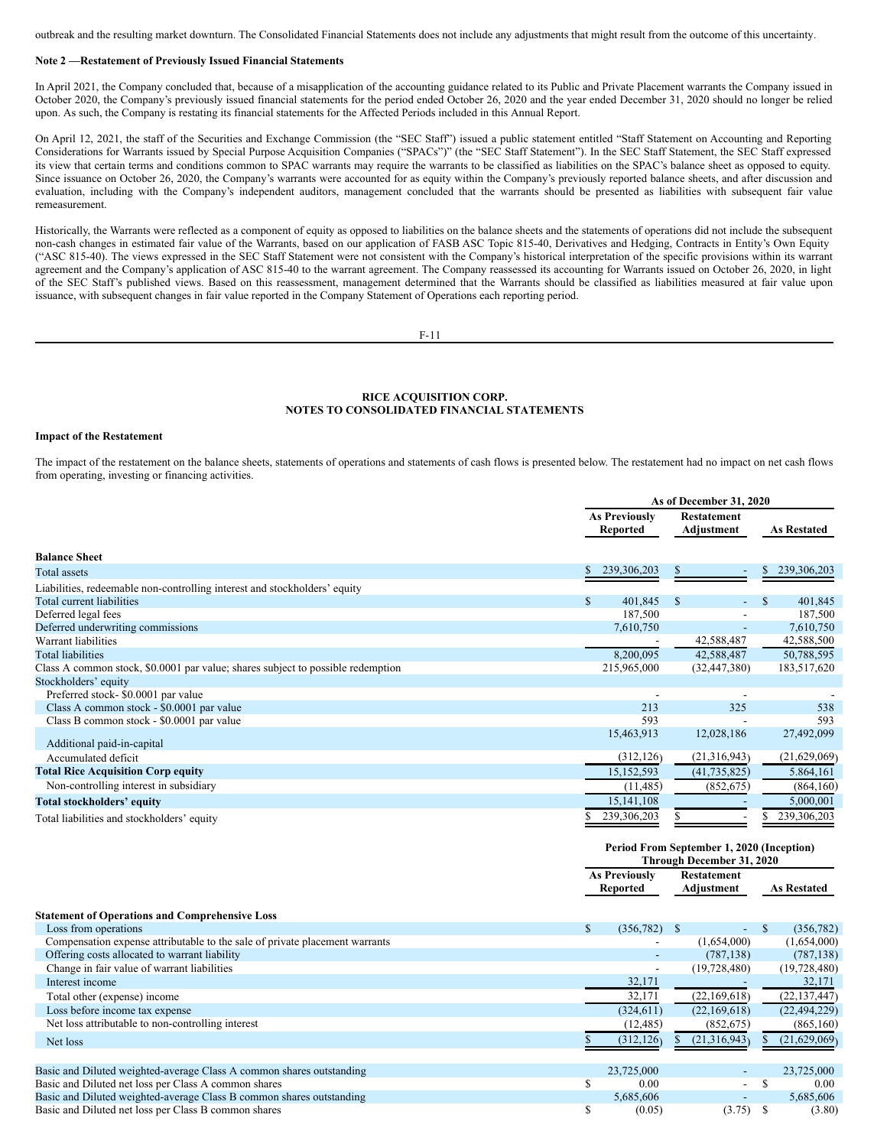outbreak and the resulting market downturn. The Consolidated Financial Statements does not include any adjustments that might result from the outcome of this uncertainty.

## **Note 2 —Restatement of Previously Issued Financial Statements**

In April 2021, the Company concluded that, because of a misapplication of the accounting guidance related to its Public and Private Placement warrants the Company issued in October 2020, the Company's previously issued financial statements for the period ended October 26, 2020 and the year ended December 31, 2020 should no longer be relied upon. As such, the Company is restating its financial statements for the Affected Periods included in this Annual Report.

On April 12, 2021, the staff of the Securities and Exchange Commission (the "SEC Staff") issued a public statement entitled "Staff Statement on Accounting and Reporting Considerations for Warrants issued by Special Purpose Acquisition Companies ("SPACs")" (the "SEC Staff Statement"). In the SEC Staff Statement, the SEC Staff expressed its view that certain terms and conditions common to SPAC warrants may require the warrants to be classified as liabilities on the SPAC's balance sheet as opposed to equity. Since issuance on October 26, 2020, the Company's warrants were accounted for as equity within the Company's previously reported balance sheets, and after discussion and evaluation, including with the Company's independent auditors, management concluded that the warrants should be presented as liabilities with subsequent fair value remeasurement.

Historically, the Warrants were reflected as a component of equity as opposed to liabilities on the balance sheets and the statements of operations did not include the subsequent non-cash changes in estimated fair value of the Warrants, based on our application of FASB ASC Topic 815-40, Derivatives and Hedging, Contracts in Entity's Own Equity ("ASC 815-40). The views expressed in the SEC Staff Statement were not consistent with the Company's historical interpretation of the specific provisions within its warrant agreement and the Company's application of ASC 815-40 to the warrant agreement. The Company reassessed its accounting for Warrants issued on October 26, 2020, in light of the SEC Staff's published views. Based on this reassessment, management determined that the Warrants should be classified as liabilities measured at fair value upon issuance, with subsequent changes in fair value reported in the Company Statement of Operations each reporting period.

F-11

## **RICE ACQUISITION CORP. NOTES TO CONSOLIDATED FINANCIAL STATEMENTS**

### **Impact of the Restatement**

The impact of the restatement on the balance sheets, statements of operations and statements of cash flows is presented below. The restatement had no impact on net cash flows from operating, investing or financing activities.

|                                                                                 | As of December 31, 2020                 |                                                                        |                                |  |
|---------------------------------------------------------------------------------|-----------------------------------------|------------------------------------------------------------------------|--------------------------------|--|
|                                                                                 | <b>As Previously</b><br><b>Reported</b> | <b>Restatement</b><br>Adjustment                                       | <b>As Restated</b>             |  |
| <b>Balance Sheet</b>                                                            |                                         |                                                                        |                                |  |
| <b>Total assets</b>                                                             | 239,306,203                             | S                                                                      | 239,306,203                    |  |
| Liabilities, redeemable non-controlling interest and stockholders' equity       |                                         |                                                                        |                                |  |
| Total current liabilities                                                       | \$<br>401,845                           | -S                                                                     | 401,845<br>S                   |  |
| Deferred legal fees                                                             | 187,500                                 |                                                                        | 187,500                        |  |
| Deferred underwriting commissions                                               | 7,610,750                               |                                                                        | 7,610,750                      |  |
| Warrant liabilities                                                             |                                         | 42,588,487                                                             | 42,588,500                     |  |
| <b>Total liabilities</b>                                                        | 8,200,095                               | 42,588,487                                                             | 50,788,595                     |  |
| Class A common stock, \$0.0001 par value; shares subject to possible redemption | 215,965,000                             | (32, 447, 380)                                                         | 183,517,620                    |  |
| Stockholders' equity                                                            |                                         |                                                                        |                                |  |
| Preferred stock-\$0.0001 par value                                              |                                         |                                                                        |                                |  |
| Class A common stock - \$0.0001 par value                                       | 213                                     | 325                                                                    | 538                            |  |
| Class B common stock - \$0,0001 par value                                       | 593                                     |                                                                        | 593                            |  |
| Additional paid-in-capital                                                      | 15,463,913                              | 12,028,186                                                             | 27,492,099                     |  |
| Accumulated deficit                                                             | (312, 126)                              | (21,316,943)                                                           | (21,629,069)                   |  |
| <b>Total Rice Acquisition Corp equity</b>                                       | 15,152,593                              | (41, 735, 825)                                                         | 5.864,161                      |  |
| Non-controlling interest in subsidiary                                          | (11, 485)                               | (852, 675)                                                             | (864, 160)                     |  |
| <b>Total stockholders' equity</b>                                               | 15,141,108                              |                                                                        | 5,000,001                      |  |
| Total liabilities and stockholders' equity                                      | 239,306,203                             |                                                                        | 239,306,203                    |  |
|                                                                                 |                                         | Period From September 1, 2020 (Inception)<br>Through December 31, 2020 |                                |  |
|                                                                                 | <b>As Previously</b><br><b>Reported</b> | <b>Restatement</b><br>Adjustment                                       | <b>As Restated</b>             |  |
| <b>Statement of Operations and Comprehensive Loss</b>                           |                                         |                                                                        |                                |  |
| I aga fuana ang ang tigang                                                      | $\sigma$<br>$(256, 792)$ $\phi$         |                                                                        | (256.702)<br>$\mathbf{\sigma}$ |  |

| Loss from operations                                                        | $(356,782)$ \$ | $\sim$         | (356, 782)     |
|-----------------------------------------------------------------------------|----------------|----------------|----------------|
| Compensation expense attributable to the sale of private placement warrants |                | (1,654,000)    | (1,654,000)    |
| Offering costs allocated to warrant liability                               |                | (787.138)      | (787, 138)     |
| Change in fair value of warrant liabilities                                 |                | (19, 728, 480) | (19, 728, 480) |
| Interest income                                                             | 32,171         |                | 32,171         |
| Total other (expense) income                                                | 32,171         | (22,169,618)   | (22, 137, 447) |
| Loss before income tax expense                                              | (324.611)      | (22,169,618)   | (22, 494, 229) |
| Net loss attributable to non-controlling interest                           | (12, 485)      | (852,675)      | (865,160)      |
| Net loss                                                                    | (312, 126)     | (21,316,943)   | (21,629,069)   |
|                                                                             |                |                |                |
| Basic and Diluted weighted-average Class A common shares outstanding        | 23,725,000     |                | 23,725,000     |
| Basic and Diluted net loss per Class A common shares                        | 0.00           | $\sim$         | 0.00           |
| Basic and Diluted weighted-average Class B common shares outstanding        | 5,685,606      |                | 5,685,606      |
| Basic and Diluted net loss per Class B common shares                        | (0.05)         | $(3.75)$ \$    | (3.80)         |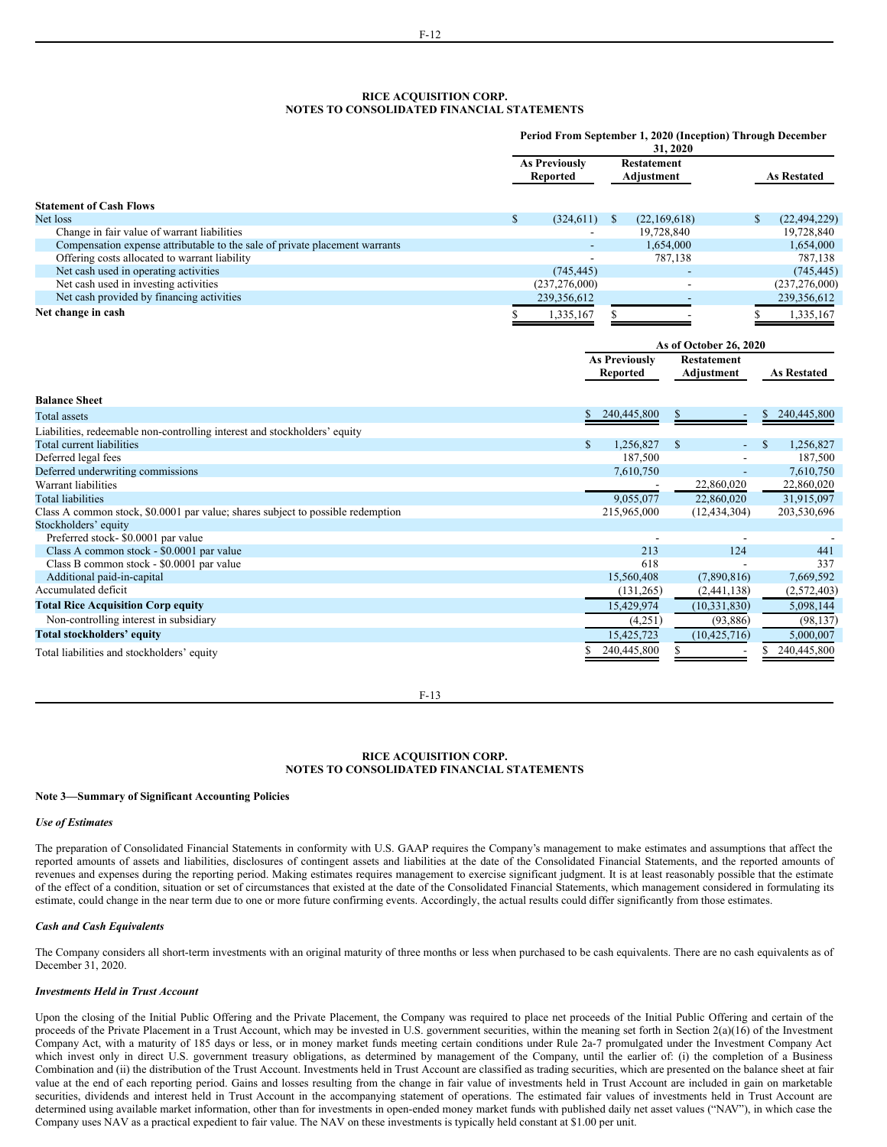## **RICE ACQUISITION CORP. NOTES TO CONSOLIDATED FINANCIAL STATEMENTS**

|                                                                                 | Period From September 1, 2020 (Inception) Through December<br>31, 2020 |                 |                                         |                                  |                            |
|---------------------------------------------------------------------------------|------------------------------------------------------------------------|-----------------|-----------------------------------------|----------------------------------|----------------------------|
|                                                                                 | <b>As Previously</b><br>Reported                                       |                 | <b>Restatement</b><br>Adjustment        |                                  | <b>As Restated</b>         |
| <b>Statement of Cash Flows</b>                                                  |                                                                        |                 |                                         |                                  |                            |
| Net loss                                                                        | S                                                                      | (324, 611)      | -S                                      | (22, 169, 618)                   | (22, 494, 229)<br>\$       |
| Change in fair value of warrant liabilities                                     |                                                                        |                 |                                         | 19,728,840                       | 19,728,840                 |
| Compensation expense attributable to the sale of private placement warrants     |                                                                        |                 |                                         | 1,654,000                        | 1,654,000                  |
| Offering costs allocated to warrant liability                                   |                                                                        |                 |                                         | 787,138                          | 787,138                    |
| Net cash used in operating activities                                           |                                                                        | (745, 445)      |                                         |                                  | (745, 445)                 |
| Net cash used in investing activities                                           |                                                                        | (237, 276, 000) |                                         |                                  | (237, 276, 000)            |
| Net cash provided by financing activities                                       |                                                                        | 239,356,612     |                                         |                                  | 239,356,612                |
| Net change in cash                                                              | \$                                                                     | 1,335,167       | \$                                      |                                  | 1,335,167                  |
|                                                                                 |                                                                        |                 |                                         | As of October 26, 2020           |                            |
|                                                                                 |                                                                        |                 |                                         |                                  |                            |
|                                                                                 |                                                                        |                 | <b>As Previously</b><br><b>Reported</b> | <b>Restatement</b><br>Adjustment | <b>As Restated</b>         |
|                                                                                 |                                                                        |                 |                                         |                                  |                            |
| <b>Balance Sheet</b>                                                            |                                                                        |                 |                                         |                                  |                            |
| <b>Total assets</b>                                                             |                                                                        |                 | 240,445,800                             |                                  | 240,445,800                |
| Liabilities, redeemable non-controlling interest and stockholders' equity       |                                                                        |                 |                                         |                                  |                            |
| Total current liabilities                                                       |                                                                        | \$              | 1,256,827                               | <sup>\$</sup>                    | 1,256,827<br><sup>\$</sup> |
| Deferred legal fees                                                             |                                                                        |                 | 187,500                                 |                                  | 187,500                    |
| Deferred underwriting commissions                                               |                                                                        |                 | 7,610,750                               |                                  | 7,610,750                  |
| Warrant liabilities                                                             |                                                                        |                 |                                         | 22,860,020                       | 22,860,020                 |
| <b>Total liabilities</b>                                                        |                                                                        |                 | 9,055,077                               | 22,860,020                       | 31,915,097                 |
| Class A common stock, \$0.0001 par value; shares subject to possible redemption |                                                                        |                 | 215,965,000                             | (12, 434, 304)                   | 203,530,696                |
| Stockholders' equity                                                            |                                                                        |                 |                                         |                                  |                            |
| Preferred stock-\$0.0001 par value                                              |                                                                        |                 |                                         |                                  |                            |
| Class A common stock - \$0.0001 par value                                       |                                                                        |                 | 213                                     | 124                              | 441                        |
| Class B common stock - \$0.0001 par value                                       |                                                                        |                 | 618                                     |                                  | 337                        |
| Additional paid-in-capital                                                      |                                                                        |                 | 15,560,408                              | (7,890,816)                      | 7,669,592                  |
| Accumulated deficit                                                             |                                                                        |                 | (131, 265)                              | (2,441,138)                      | (2,572,403)                |
| <b>Total Rice Acquisition Corp equity</b>                                       |                                                                        |                 | 15,429,974                              | (10, 331, 830)                   | 5,098,144                  |
| Non-controlling interest in subsidiary                                          |                                                                        |                 | (4,251)                                 | (93,886)                         | (98, 137)                  |
| Total stockholders' equity                                                      |                                                                        |                 | 15.425.723                              | (10, 425, 716)                   | 5.000.007                  |

Total liabilities and stockholders' equity the state of the state of the state of the state of the state of the state of the state of the state of the state of the state of the state of the state of the state of the state

F-13

## **RICE ACQUISITION CORP. NOTES TO CONSOLIDATED FINANCIAL STATEMENTS**

## **Note 3—Summary of Significant Accounting Policies**

## *Use of Estimates*

The preparation of Consolidated Financial Statements in conformity with U.S. GAAP requires the Company's management to make estimates and assumptions that affect the reported amounts of assets and liabilities, disclosures of contingent assets and liabilities at the date of the Consolidated Financial Statements, and the reported amounts of revenues and expenses during the reporting period. Making estimates requires management to exercise significant judgment. It is at least reasonably possible that the estimate of the effect of a condition, situation or set of circumstances that existed at the date of the Consolidated Financial Statements, which management considered in formulating its estimate, could change in the near term due to one or more future confirming events. Accordingly, the actual results could differ significantly from those estimates.

## *Cash and Cash Equivalents*

The Company considers all short-term investments with an original maturity of three months or less when purchased to be cash equivalents. There are no cash equivalents as of December 31, 2020.

## *Investments Held in Trust Account*

Upon the closing of the Initial Public Offering and the Private Placement, the Company was required to place net proceeds of the Initial Public Offering and certain of the proceeds of the Private Placement in a Trust Account, which may be invested in U.S. government securities, within the meaning set forth in Section 2(a)(16) of the Investment Company Act, with a maturity of 185 days or less, or in money market funds meeting certain conditions under Rule 2a-7 promulgated under the Investment Company Act which invest only in direct U.S. government treasury obligations, as determined by management of the Company, until the earlier of: (i) the completion of a Business Combination and (ii) the distribution of the Trust Account. Investments held in Trust Account are classified as trading securities, which are presented on the balance sheet at fair value at the end of each reporting period. Gains and losses resulting from the change in fair value of investments held in Trust Account are included in gain on marketable securities, dividends and interest held in Trust Account in the accompanying statement of operations. The estimated fair values of investments held in Trust Account are determined using available market information, other than for investments in open-ended money market funds with published daily net asset values ("NAV"), in which case the Company uses NAV as a practical expedient to fair value. The NAV on these investments is typically held constant at \$1.00 per unit.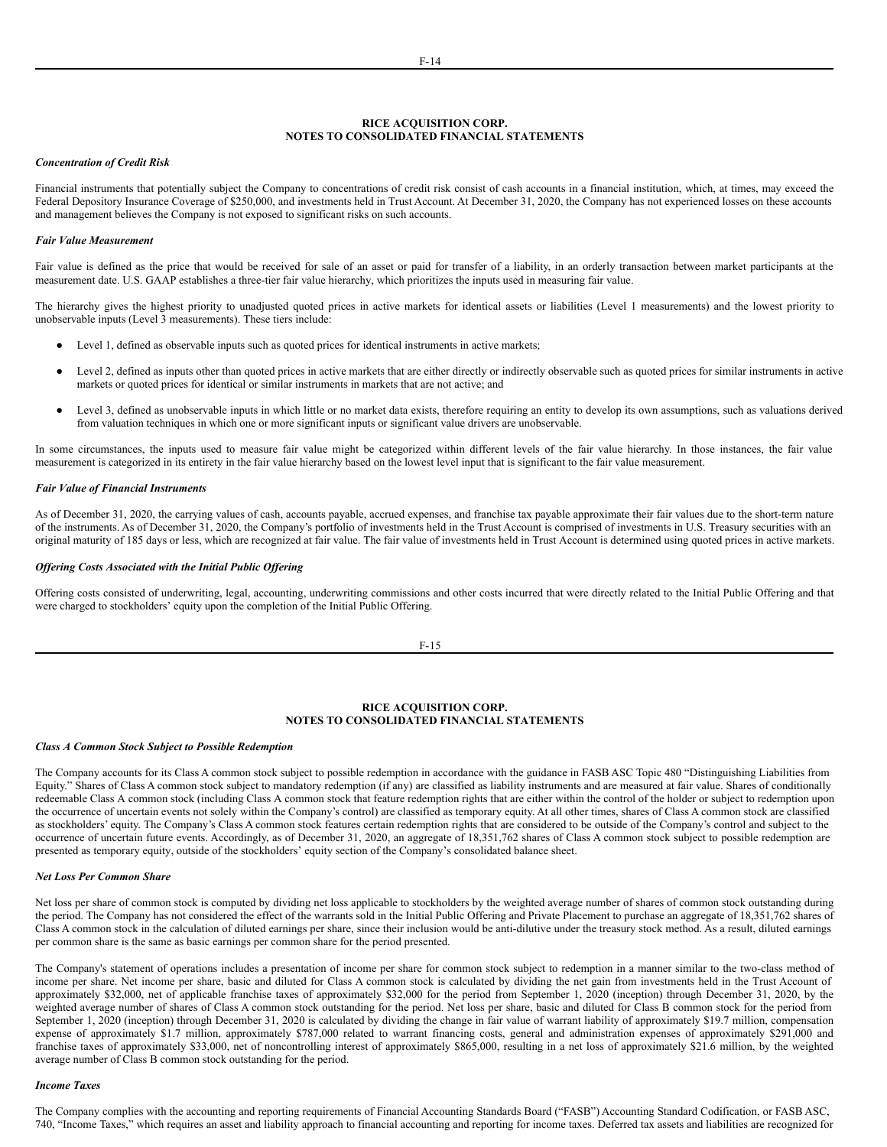## **RICE ACQUISITION CORP. NOTES TO CONSOLIDATED FINANCIAL STATEMENTS**

## *Concentration of Credit Risk*

Financial instruments that potentially subject the Company to concentrations of credit risk consist of cash accounts in a financial institution, which, at times, may exceed the Federal Depository Insurance Coverage of \$250,000, and investments held in Trust Account. At December 31, 2020, the Company has not experienced losses on these accounts and management believes the Company is not exposed to significant risks on such accounts.

### *Fair Value Measurement*

Fair value is defined as the price that would be received for sale of an asset or paid for transfer of a liability, in an orderly transaction between market participants at the measurement date. U.S. GAAP establishes a three-tier fair value hierarchy, which prioritizes the inputs used in measuring fair value.

The hierarchy gives the highest priority to unadjusted quoted prices in active markets for identical assets or liabilities (Level 1 measurements) and the lowest priority to unobservable inputs (Level 3 measurements). These tiers include:

- Level 1, defined as observable inputs such as quoted prices for identical instruments in active markets;
- Level 2, defined as inputs other than quoted prices in active markets that are either directly or indirectly observable such as quoted prices for similar instruments in active markets or quoted prices for identical or similar instruments in markets that are not active; and
- Level 3, defined as unobservable inputs in which little or no market data exists, therefore requiring an entity to develop its own assumptions, such as valuations derived from valuation techniques in which one or more significant inputs or significant value drivers are unobservable.

In some circumstances, the inputs used to measure fair value might be categorized within different levels of the fair value hierarchy. In those instances, the fair value measurement is categorized in its entirety in the fair value hierarchy based on the lowest level input that is significant to the fair value measurement.

#### *Fair Value of Financial Instruments*

As of December 31, 2020, the carrying values of cash, accounts payable, accrued expenses, and franchise tax payable approximate their fair values due to the short-term nature of the instruments. As of December 31, 2020, the Company's portfolio of investments held in the Trust Account is comprised of investments in U.S. Treasury securities with an original maturity of 185 days or less, which are recognized at fair value. The fair value of investments held in Trust Account is determined using quoted prices in active markets.

### *Of ering Costs Associated with the Initial Public Of ering*

Offering costs consisted of underwriting, legal, accounting, underwriting commissions and other costs incurred that were directly related to the Initial Public Offering and that were charged to stockholders' equity upon the completion of the Initial Public Offering.

F-15

## **RICE ACQUISITION CORP. NOTES TO CONSOLIDATED FINANCIAL STATEMENTS**

## *Class A Common Stock Subject to Possible Redemption*

The Company accounts for its Class A common stock subject to possible redemption in accordance with the guidance in FASB ASC Topic 480 "Distinguishing Liabilities from Equity." Shares of Class A common stock subject to mandatory redemption (if any) are classified as liability instruments and are measured at fair value. Shares of conditionally redeemable Class A common stock (including Class A common stock that feature redemption rights that are either within the control of the holder or subject to redemption upon the occurrence of uncertain events not solely within the Company's control) are classified as temporary equity. At all other times, shares of Class A common stock are classified as stockholders' equity. The Company's Class A common stock features certain redemption rights that are considered to be outside of the Company's control and subject to the occurrence of uncertain future events. Accordingly, as of December 31, 2020, an aggregate of 18,351,762 shares of Class A common stock subject to possible redemption are presented as temporary equity, outside of the stockholders' equity section of the Company's consolidated balance sheet.

#### *Net Loss Per Common Share*

Net loss per share of common stock is computed by dividing net loss applicable to stockholders by the weighted average number of shares of common stock outstanding during the period. The Company has not considered the effect of the warrants sold in the Initial Public Offering and Private Placement to purchase an aggregate of 18,351,762 shares of Class A common stock in the calculation of diluted earnings per share, since their inclusion would be anti-dilutive under the treasury stock method. As a result, diluted earnings per common share is the same as basic earnings per common share for the period presented.

The Company's statement of operations includes a presentation of income per share for common stock subject to redemption in a manner similar to the two-class method of income per share. Net income per share, basic and diluted for Class A common stock is calculated by dividing the net gain from investments held in the Trust Account of approximately \$32,000, net of applicable franchise taxes of approximately \$32,000 for the period from September 1, 2020 (inception) through December 31, 2020, by the weighted average number of shares of Class A common stock outstanding for the period. Net loss per share, basic and diluted for Class B common stock for the period from September 1, 2020 (inception) through December 31, 2020 is calculated by dividing the change in fair value of warrant liability of approximately \$19.7 million, compensation expense of approximately \$1.7 million, approximately \$787,000 related to warrant financing costs, general and administration expenses of approximately \$291,000 and franchise taxes of approximately \$33,000, net of noncontrolling interest of approximately \$865,000, resulting in a net loss of approximately \$21.6 million, by the weighted average number of Class B common stock outstanding for the period.

#### *Income Taxes*

The Company complies with the accounting and reporting requirements of Financial Accounting Standards Board ("FASB") Accounting Standard Codification, or FASB ASC, 740, "Income Taxes," which requires an asset and liability approach to financial accounting and reporting for income taxes. Deferred tax assets and liabilities are recognized for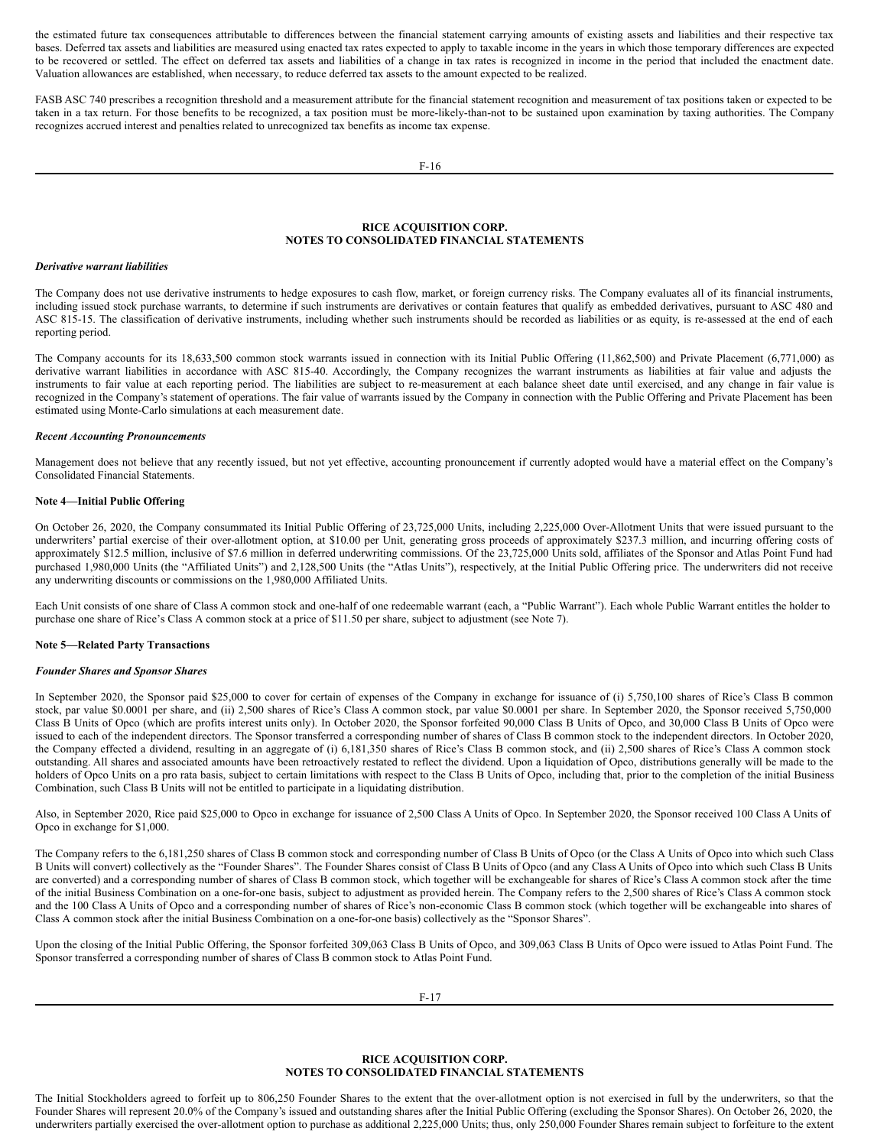the estimated future tax consequences attributable to differences between the financial statement carrying amounts of existing assets and liabilities and their respective tax bases. Deferred tax assets and liabilities are measured using enacted tax rates expected to apply to taxable income in the years in which those temporary differences are expected to be recovered or settled. The effect on deferred tax assets and liabilities of a change in tax rates is recognized in income in the period that included the enactment date. Valuation allowances are established, when necessary, to reduce deferred tax assets to the amount expected to be realized.

FASB ASC 740 prescribes a recognition threshold and a measurement attribute for the financial statement recognition and measurement of tax positions taken or expected to be taken in a tax return. For those benefits to be recognized, a tax position must be more-likely-than-not to be sustained upon examination by taxing authorities. The Company recognizes accrued interest and penalties related to unrecognized tax benefits as income tax expense.

## **RICE ACQUISITION CORP. NOTES TO CONSOLIDATED FINANCIAL STATEMENTS**

#### *Derivative warrant liabilities*

The Company does not use derivative instruments to hedge exposures to cash flow, market, or foreign currency risks. The Company evaluates all of its financial instruments, including issued stock purchase warrants, to determine if such instruments are derivatives or contain features that qualify as embedded derivatives, pursuant to ASC 480 and ASC 815-15. The classification of derivative instruments, including whether such instruments should be recorded as liabilities or as equity, is re-assessed at the end of each reporting period.

The Company accounts for its 18,633,500 common stock warrants issued in connection with its Initial Public Offering (11,862,500) and Private Placement (6,771,000) as derivative warrant liabilities in accordance with ASC 815-40. Accordingly, the Company recognizes the warrant instruments as liabilities at fair value and adjusts the instruments to fair value at each reporting period. The liabilities are subject to re-measurement at each balance sheet date until exercised, and any change in fair value is recognized in the Company's statement of operations. The fair value of warrants issued by the Company in connection with the Public Offering and Private Placement has been estimated using Monte-Carlo simulations at each measurement date.

## *Recent Accounting Pronouncements*

Management does not believe that any recently issued, but not yet effective, accounting pronouncement if currently adopted would have a material effect on the Company's Consolidated Financial Statements.

## **Note 4—Initial Public Offering**

On October 26, 2020, the Company consummated its Initial Public Offering of 23,725,000 Units, including 2,225,000 Over-Allotment Units that were issued pursuant to the underwriters' partial exercise of their over-allotment option, at \$10.00 per Unit, generating gross proceeds of approximately \$237.3 million, and incurring offering costs of approximately \$12.5 million, inclusive of \$7.6 million in deferred underwriting commissions. Of the 23,725,000 Units sold, affiliates of the Sponsor and Atlas Point Fund had purchased 1,980,000 Units (the "Affiliated Units") and 2,128,500 Units (the "Atlas Units"), respectively, at the Initial Public Offering price. The underwriters did not receive any underwriting discounts or commissions on the 1,980,000 Affiliated Units.

Each Unit consists of one share of Class A common stock and one-half of one redeemable warrant (each, a "Public Warrant"). Each whole Public Warrant entitles the holder to purchase one share of Rice's Class A common stock at a price of \$11.50 per share, subject to adjustment (see Note 7).

#### **Note 5—Related Party Transactions**

## *Founder Shares and Sponsor Shares*

In September 2020, the Sponsor paid \$25,000 to cover for certain of expenses of the Company in exchange for issuance of (i) 5,750,100 shares of Rice's Class B common stock, par value \$0.0001 per share, and (ii) 2,500 shares of Rice's Class A common stock, par value \$0.0001 per share. In September 2020, the Sponsor received 5,750,000 Class B Units of Opco (which are profits interest units only). In October 2020, the Sponsor forfeited 90,000 Class B Units of Opco, and 30,000 Class B Units of Opco were issued to each of the independent directors. The Sponsor transferred a corresponding number of shares of Class B common stock to the independent directors. In October 2020, the Company effected a dividend, resulting in an aggregate of (i) 6,181,350 shares of Rice's Class B common stock, and (ii) 2,500 shares of Rice's Class A common stock outstanding. All shares and associated amounts have been retroactively restated to reflect the dividend. Upon a liquidation of Opco, distributions generally will be made to the holders of Opco Units on a pro rata basis, subject to certain limitations with respect to the Class B Units of Opco, including that, prior to the completion of the initial Business Combination, such Class B Units will not be entitled to participate in a liquidating distribution.

Also, in September 2020, Rice paid \$25,000 to Opco in exchange for issuance of 2,500 Class A Units of Opco. In September 2020, the Sponsor received 100 Class A Units of Opco in exchange for \$1,000.

The Company refers to the 6,181,250 shares of Class B common stock and corresponding number of Class B Units of Opco (or the Class A Units of Opco into which such Class B Units will convert) collectively as the "Founder Shares". The Founder Shares consist of Class B Units of Opco (and any Class A Units of Opco into which such Class B Units are converted) and a corresponding number of shares of Class B common stock, which together will be exchangeable for shares of Rice's Class A common stock after the time of the initial Business Combination on a one-for-one basis, subject to adjustment as provided herein. The Company refers to the 2,500 shares of Rice's Class A common stock and the 100 Class A Units of Opco and a corresponding number of shares of Rice's non-economic Class B common stock (which together will be exchangeable into shares of Class A common stock after the initial Business Combination on a one-for-one basis) collectively as the "Sponsor Shares".

Upon the closing of the Initial Public Offering, the Sponsor forfeited 309,063 Class B Units of Opco, and 309,063 Class B Units of Opco were issued to Atlas Point Fund. The Sponsor transferred a corresponding number of shares of Class B common stock to Atlas Point Fund.

## **RICE ACQUISITION CORP. NOTES TO CONSOLIDATED FINANCIAL STATEMENTS**

The Initial Stockholders agreed to forfeit up to 806,250 Founder Shares to the extent that the over-allotment option is not exercised in full by the underwriters, so that the Founder Shares will represent 20.0% of the Company's issued and outstanding shares after the Initial Public Offering (excluding the Sponsor Shares). On October 26, 2020, the underwriters partially exercised the over-allotment option to purchase as additional 2,225,000 Units; thus, only 250,000 Founder Shares remain subject to forfeiture to the extent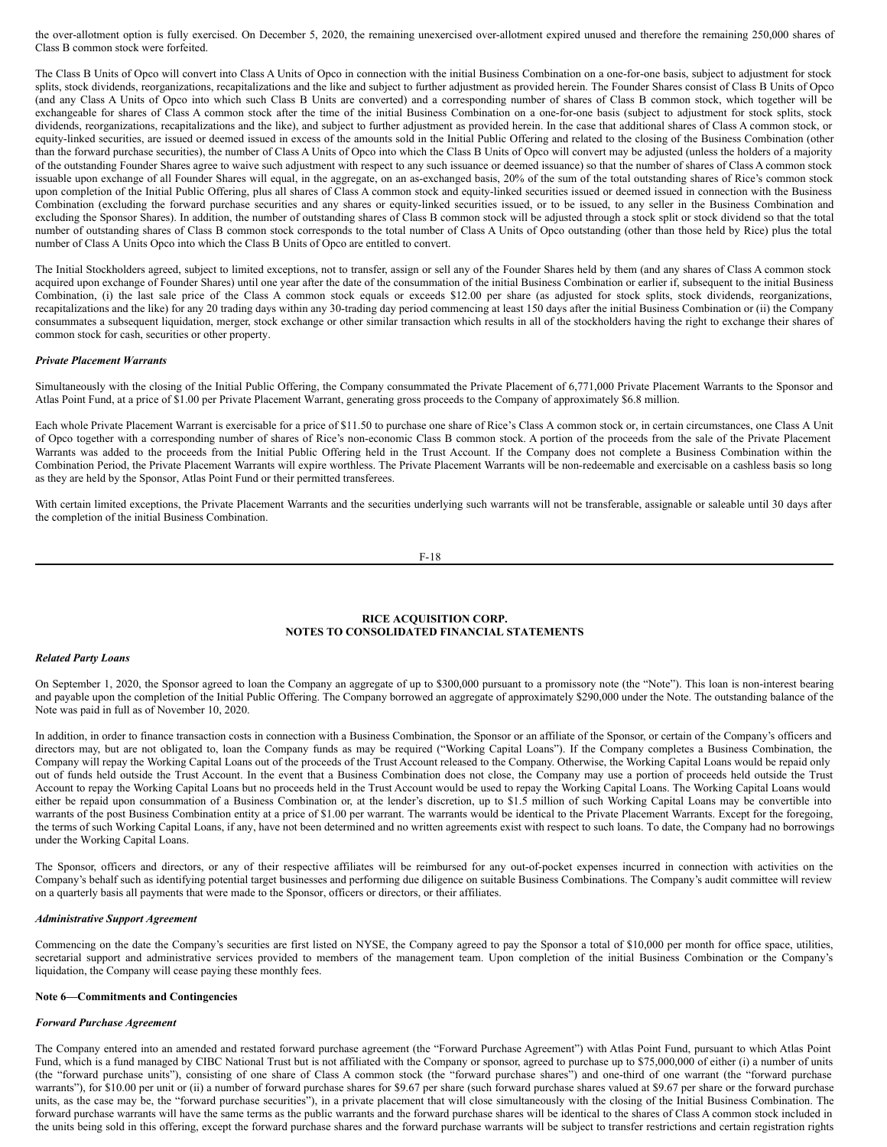the over-allotment option is fully exercised. On December 5, 2020, the remaining unexercised over-allotment expired unused and therefore the remaining 250,000 shares of Class B common stock were forfeited.

The Class B Units of Opco will convert into Class A Units of Opco in connection with the initial Business Combination on a one-for-one basis, subject to adjustment for stock splits, stock dividends, reorganizations, recapitalizations and the like and subject to further adjustment as provided herein. The Founder Shares consist of Class B Units of Opco (and any Class A Units of Opco into which such Class B Units are converted) and a corresponding number of shares of Class B common stock, which together will be exchangeable for shares of Class A common stock after the time of the initial Business Combination on a one-for-one basis (subject to adjustment for stock splits, stock dividends, reorganizations, recapitalizations and the like), and subject to further adjustment as provided herein. In the case that additional shares of Class A common stock, or equity-linked securities, are issued or deemed issued in excess of the amounts sold in the Initial Public Offering and related to the closing of the Business Combination (other than the forward purchase securities), the number of Class A Units of Opco into which the Class B Units of Opco will convert may be adjusted (unless the holders of a majority of the outstanding Founder Shares agree to waive such adjustment with respect to any such issuance or deemed issuance) so that the number of shares of Class A common stock issuable upon exchange of all Founder Shares will equal, in the aggregate, on an as-exchanged basis, 20% of the sum of the total outstanding shares of Rice's common stock upon completion of the Initial Public Offering, plus all shares of Class A common stock and equity-linked securities issued or deemed issued in connection with the Business Combination (excluding the forward purchase securities and any shares or equity-linked securities issued, or to be issued, to any seller in the Business Combination and excluding the Sponsor Shares). In addition, the number of outstanding shares of Class B common stock will be adjusted through a stock split or stock dividend so that the total number of outstanding shares of Class B common stock corresponds to the total number of Class A Units of Opco outstanding (other than those held by Rice) plus the total number of Class A Units Opco into which the Class B Units of Opco are entitled to convert.

The Initial Stockholders agreed, subject to limited exceptions, not to transfer, assign or sell any of the Founder Shares held by them (and any shares of Class A common stock acquired upon exchange of Founder Shares) until one year after the date of the consummation of the initial Business Combination or earlier if, subsequent to the initial Business Combination, (i) the last sale price of the Class A common stock equals or exceeds \$12.00 per share (as adjusted for stock splits, stock dividends, reorganizations, recapitalizations and the like) for any 20 trading days within any 30-trading day period commencing at least 150 days after the initial Business Combination or (ii) the Company consummates a subsequent liquidation, merger, stock exchange or other similar transaction which results in all of the stockholders having the right to exchange their shares of common stock for cash, securities or other property.

### *Private Placement Warrants*

Simultaneously with the closing of the Initial Public Offering, the Company consummated the Private Placement of 6,771,000 Private Placement Warrants to the Sponsor and Atlas Point Fund, at a price of \$1.00 per Private Placement Warrant, generating gross proceeds to the Company of approximately \$6.8 million.

Each whole Private Placement Warrant is exercisable for a price of \$11.50 to purchase one share of Rice's Class A common stock or, in certain circumstances, one Class A Unit of Opco together with a corresponding number of shares of Rice's non-economic Class B common stock. A portion of the proceeds from the sale of the Private Placement Warrants was added to the proceeds from the Initial Public Offering held in the Trust Account. If the Company does not complete a Business Combination within the Combination Period, the Private Placement Warrants will expire worthless. The Private Placement Warrants will be non-redeemable and exercisable on a cashless basis so long as they are held by the Sponsor, Atlas Point Fund or their permitted transferees.

With certain limited exceptions, the Private Placement Warrants and the securities underlying such warrants will not be transferable, assignable or saleable until 30 days after the completion of the initial Business Combination.

$$
F-18
$$

## **RICE ACQUISITION CORP. NOTES TO CONSOLIDATED FINANCIAL STATEMENTS**

## *Related Party Loans*

On September 1, 2020, the Sponsor agreed to loan the Company an aggregate of up to \$300,000 pursuant to a promissory note (the "Note"). This loan is non-interest bearing and payable upon the completion of the Initial Public Offering. The Company borrowed an aggregate of approximately \$290,000 under the Note. The outstanding balance of the Note was paid in full as of November 10, 2020.

In addition, in order to finance transaction costs in connection with a Business Combination, the Sponsor or an affiliate of the Sponsor, or certain of the Company's officers and directors may, but are not obligated to, loan the Company funds as may be required ("Working Capital Loans"). If the Company completes a Business Combination, the Company will repay the Working Capital Loans out of the proceeds of the Trust Account released to the Company. Otherwise, the Working Capital Loans would be repaid only out of funds held outside the Trust Account. In the event that a Business Combination does not close, the Company may use a portion of proceeds held outside the Trust Account to repay the Working Capital Loans but no proceeds held in the Trust Account would be used to repay the Working Capital Loans. The Working Capital Loans would either be repaid upon consummation of a Business Combination or, at the lender's discretion, up to \$1.5 million of such Working Capital Loans may be convertible into warrants of the post Business Combination entity at a price of \$1.00 per warrant. The warrants would be identical to the Private Placement Warrants. Except for the foregoing, the terms of such Working Capital Loans, if any, have not been determined and no written agreements exist with respect to such loans. To date, the Company had no borrowings under the Working Capital Loans.

The Sponsor, officers and directors, or any of their respective affiliates will be reimbursed for any out-of-pocket expenses incurred in connection with activities on the Company's behalf such as identifying potential target businesses and performing due diligence on suitable Business Combinations. The Company's audit committee will review on a quarterly basis all payments that were made to the Sponsor, officers or directors, or their affiliates.

#### *Administrative Support Agreement*

Commencing on the date the Company's securities are first listed on NYSE, the Company agreed to pay the Sponsor a total of \$10,000 per month for office space, utilities, secretarial support and administrative services provided to members of the management team. Upon completion of the initial Business Combination or the Company's liquidation, the Company will cease paying these monthly fees.

#### **Note 6—Commitments and Contingencies**

#### *Forward Purchase Agreement*

The Company entered into an amended and restated forward purchase agreement (the "Forward Purchase Agreement") with Atlas Point Fund, pursuant to which Atlas Point Fund, which is a fund managed by CIBC National Trust but is not affiliated with the Company or sponsor, agreed to purchase up to \$75,000,000 of either (i) a number of units (the "forward purchase units"), consisting of one share of Class A common stock (the "forward purchase shares") and one-third of one warrant (the "forward purchase warrants"), for \$10.00 per unit or (ii) a number of forward purchase shares for \$9.67 per share (such forward purchase shares valued at \$9.67 per share or the forward purchase units, as the case may be, the "forward purchase securities"), in a private placement that will close simultaneously with the closing of the Initial Business Combination. The forward purchase warrants will have the same terms as the public warrants and the forward purchase shares will be identical to the shares of Class A common stock included in the units being sold in this offering, except the forward purchase shares and the forward purchase warrants will be subject to transfer restrictions and certain registration rights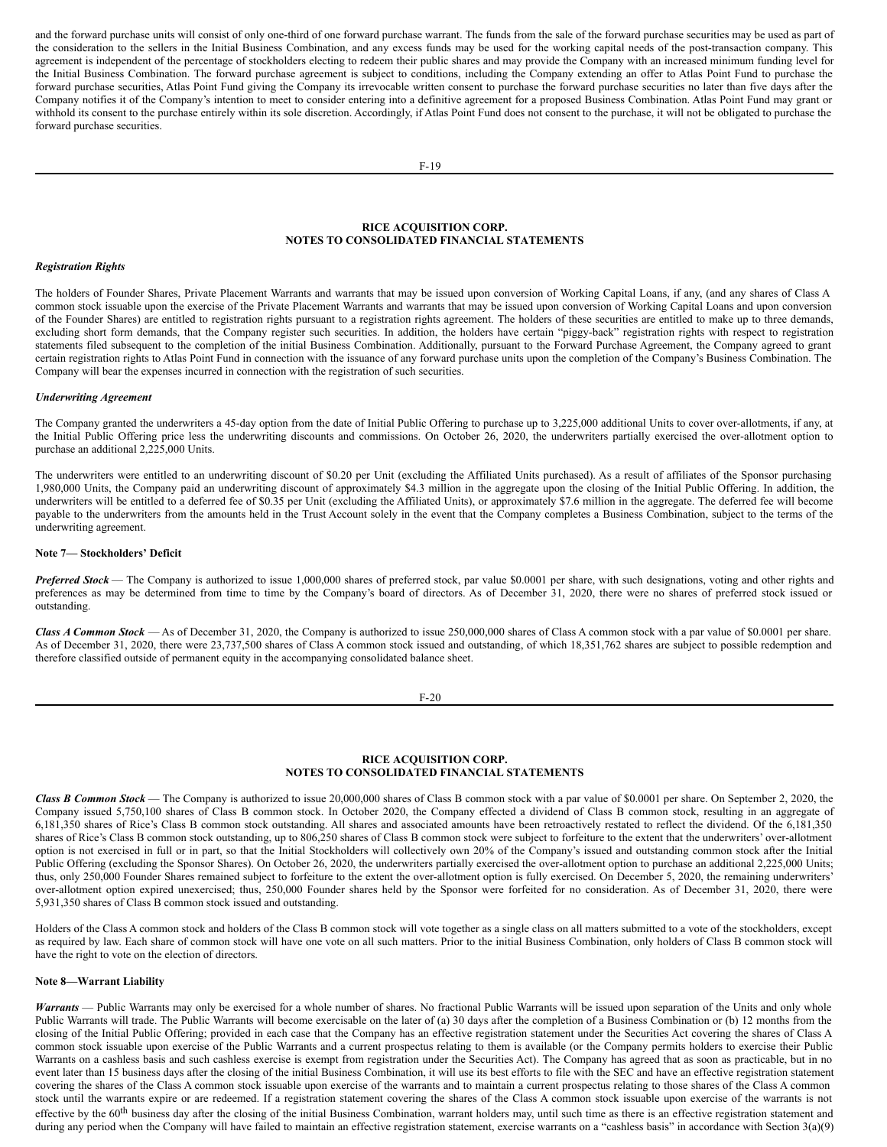and the forward purchase units will consist of only one-third of one forward purchase warrant. The funds from the sale of the forward purchase securities may be used as part of the consideration to the sellers in the Initial Business Combination, and any excess funds may be used for the working capital needs of the post-transaction company. This agreement is independent of the percentage of stockholders electing to redeem their public shares and may provide the Company with an increased minimum funding level for the Initial Business Combination. The forward purchase agreement is subject to conditions, including the Company extending an offer to Atlas Point Fund to purchase the forward purchase securities, Atlas Point Fund giving the Company its irrevocable written consent to purchase the forward purchase securities no later than five days after the Company notifies it of the Company's intention to meet to consider entering into a definitive agreement for a proposed Business Combination. Atlas Point Fund may grant or withhold its consent to the purchase entirely within its sole discretion. Accordingly, if Atlas Point Fund does not consent to the purchase, it will not be obligated to purchase the forward purchase securities.

## **RICE ACQUISITION CORP. NOTES TO CONSOLIDATED FINANCIAL STATEMENTS**

### *Registration Rights*

The holders of Founder Shares, Private Placement Warrants and warrants that may be issued upon conversion of Working Capital Loans, if any, (and any shares of Class A common stock issuable upon the exercise of the Private Placement Warrants and warrants that may be issued upon conversion of Working Capital Loans and upon conversion of the Founder Shares) are entitled to registration rights pursuant to a registration rights agreement. The holders of these securities are entitled to make up to three demands, excluding short form demands, that the Company register such securities. In addition, the holders have certain "piggy-back" registration rights with respect to registration statements filed subsequent to the completion of the initial Business Combination. Additionally, pursuant to the Forward Purchase Agreement, the Company agreed to grant certain registration rights to Atlas Point Fund in connection with the issuance of any forward purchase units upon the completion of the Company's Business Combination. The Company will bear the expenses incurred in connection with the registration of such securities.

### *Underwriting Agreement*

The Company granted the underwriters a 45-day option from the date of Initial Public Offering to purchase up to 3,225,000 additional Units to cover over-allotments, if any, at the Initial Public Offering price less the underwriting discounts and commissions. On October 26, 2020, the underwriters partially exercised the over-allotment option to purchase an additional 2,225,000 Units.

The underwriters were entitled to an underwriting discount of \$0.20 per Unit (excluding the Affiliated Units purchased). As a result of affiliates of the Sponsor purchasing 1,980,000 Units, the Company paid an underwriting discount of approximately \$4.3 million in the aggregate upon the closing of the Initial Public Offering. In addition, the underwriters will be entitled to a deferred fee of \$0.35 per Unit (excluding the Affiliated Units), or approximately \$7.6 million in the aggregate. The deferred fee will become payable to the underwriters from the amounts held in the Trust Account solely in the event that the Company completes a Business Combination, subject to the terms of the underwriting agreement.

#### **Note 7— Stockholders' Deficit**

*Preferred Stock* — The Company is authorized to issue 1,000,000 shares of preferred stock, par value \$0.0001 per share, with such designations, voting and other rights and preferences as may be determined from time to time by the Company's board of directors. As of December 31, 2020, there were no shares of preferred stock issued or outstanding.

*Class A Common Stock* — As of December 31, 2020, the Company is authorized to issue 250,000,000 shares of Class A common stock with a par value of \$0.0001 per share. As of December 31, 2020, there were 23,737,500 shares of Class A common stock issued and outstanding, of which 18,351,762 shares are subject to possible redemption and therefore classified outside of permanent equity in the accompanying consolidated balance sheet.

F-20

## **RICE ACQUISITION CORP. NOTES TO CONSOLIDATED FINANCIAL STATEMENTS**

*Class B Common Stock* — The Company is authorized to issue 20,000,000 shares of Class B common stock with a par value of \$0.0001 per share. On September 2, 2020, the Company issued 5,750,100 shares of Class B common stock. In October 2020, the Company effected a dividend of Class B common stock, resulting in an aggregate of 6,181,350 shares of Rice's Class B common stock outstanding. All shares and associated amounts have been retroactively restated to reflect the dividend. Of the 6,181,350 shares of Rice's Class B common stock outstanding, up to 806,250 shares of Class B common stock were subject to forfeiture to the extent that the underwriters' over-allotment option is not exercised in full or in part, so that the Initial Stockholders will collectively own 20% of the Company's issued and outstanding common stock after the Initial Public Offering (excluding the Sponsor Shares). On October 26, 2020, the underwriters partially exercised the over-allotment option to purchase an additional 2,225,000 Units; thus, only 250,000 Founder Shares remained subject to forfeiture to the extent the over-allotment option is fully exercised. On December 5, 2020, the remaining underwriters' over-allotment option expired unexercised; thus, 250,000 Founder shares held by the Sponsor were forfeited for no consideration. As of December 31, 2020, there were 5,931,350 shares of Class B common stock issued and outstanding.

Holders of the Class A common stock and holders of the Class B common stock will vote together as a single class on all matters submitted to a vote of the stockholders, except as required by law. Each share of common stock will have one vote on all such matters. Prior to the initial Business Combination, only holders of Class B common stock will have the right to vote on the election of directors.

## **Note 8—Warrant Liability**

*Warrants* — Public Warrants may only be exercised for a whole number of shares. No fractional Public Warrants will be issued upon separation of the Units and only whole Public Warrants will trade. The Public Warrants will become exercisable on the later of (a) 30 days after the completion of a Business Combination or (b) 12 months from the closing of the Initial Public Offering; provided in each case that the Company has an effective registration statement under the Securities Act covering the shares of Class A common stock issuable upon exercise of the Public Warrants and a current prospectus relating to them is available (or the Company permits holders to exercise their Public Warrants on a cashless basis and such cashless exercise is exempt from registration under the Securities Act). The Company has agreed that as soon as practicable, but in no event later than 15 business days after the closing of the initial Business Combination, it will use its best efforts to file with the SEC and have an effective registration statement covering the shares of the Class A common stock issuable upon exercise of the warrants and to maintain a current prospectus relating to those shares of the Class A common stock until the warrants expire or are redeemed. If a registration statement covering the shares of the Class A common stock issuable upon exercise of the warrants is not effective by the 60<sup>th</sup> business day after the closing of the initial Business Combination, warrant holders may, until such time as there is an effective registration statement and during any period when the Company will have failed to maintain an effective registration statement, exercise warrants on a "cashless basis" in accordance with Section 3(a)(9)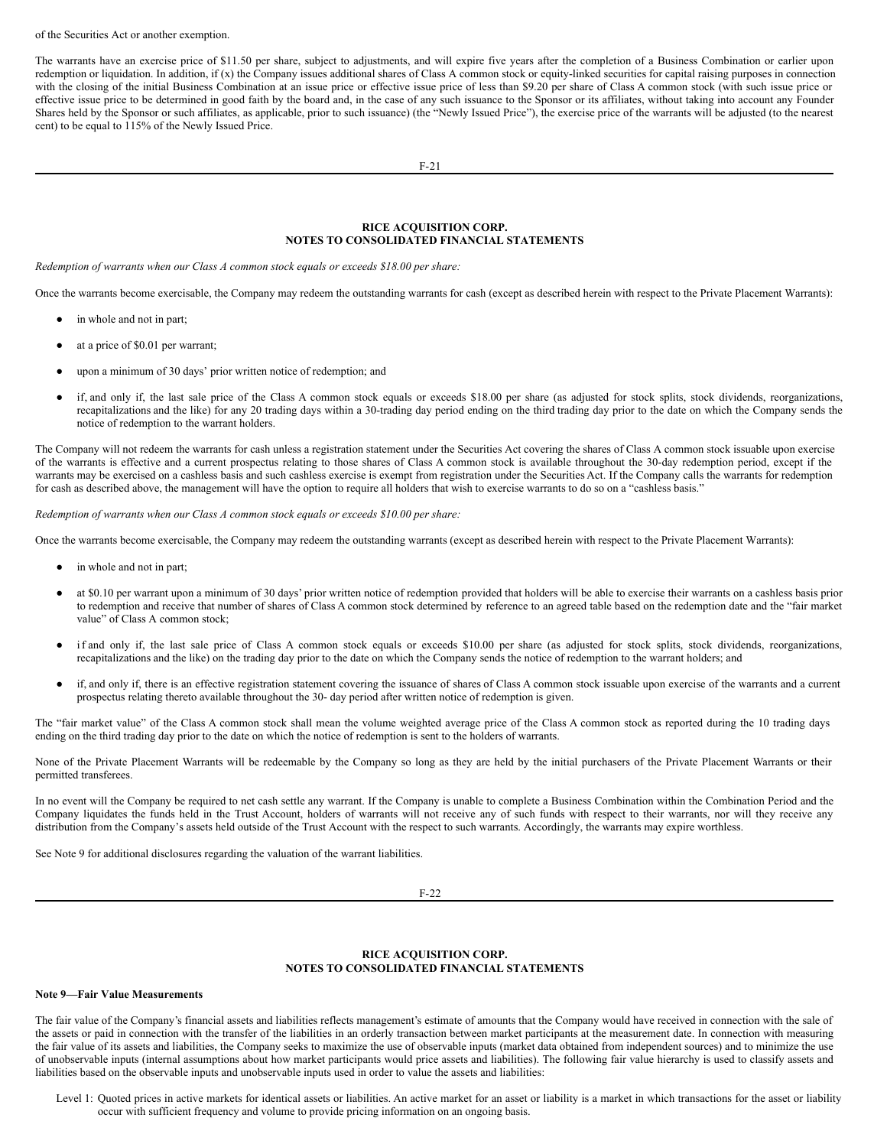#### of the Securities Act or another exemption.

The warrants have an exercise price of \$11.50 per share, subject to adjustments, and will expire five years after the completion of a Business Combination or earlier upon redemption or liquidation. In addition, if (x) the Company issues additional shares of Class A common stock or equity-linked securities for capital raising purposes in connection with the closing of the initial Business Combination at an issue price or effective issue price of less than \$9.20 per share of Class A common stock (with such issue price or effective issue price to be determined in good faith by the board and, in the case of any such issuance to the Sponsor or its affiliates, without taking into account any Founder Shares held by the Sponsor or such affiliates, as applicable, prior to such issuance) (the "Newly Issued Price"), the exercise price of the warrants will be adjusted (to the nearest cent) to be equal to 115% of the Newly Issued Price.

F-21

### **RICE ACQUISITION CORP. NOTES TO CONSOLIDATED FINANCIAL STATEMENTS**

*Redemption of warrants when our Class A common stock equals or exceeds \$18.00 per share:*

Once the warrants become exercisable, the Company may redeem the outstanding warrants for cash (except as described herein with respect to the Private Placement Warrants):

- in whole and not in part;
- at a price of \$0.01 per warrant;
- upon a minimum of 30 days' prior written notice of redemption; and
- if, and only if, the last sale price of the Class A common stock equals or exceeds \$18.00 per share (as adjusted for stock splits, stock dividends, reorganizations, recapitalizations and the like) for any 20 trading days within a 30-trading day period ending on the third trading day prior to the date on which the Company sends the notice of redemption to the warrant holders.

The Company will not redeem the warrants for cash unless a registration statement under the Securities Act covering the shares of Class A common stock issuable upon exercise of the warrants is effective and a current prospectus relating to those shares of Class A common stock is available throughout the 30-day redemption period, except if the warrants may be exercised on a cashless basis and such cashless exercise is exempt from registration under the Securities Act. If the Company calls the warrants for redemption for cash as described above, the management will have the option to require all holders that wish to exercise warrants to do so on a "cashless basis."

*Redemption of warrants when our Class A common stock equals or exceeds \$10.00 per share:*

Once the warrants become exercisable, the Company may redeem the outstanding warrants (except as described herein with respect to the Private Placement Warrants):

- in whole and not in part:
- at \$0.10 per warrant upon a minimum of 30 days' prior written notice of redemption provided that holders will be able to exercise their warrants on a cashless basis prior to redemption and receive that number of shares of Class A common stock determined by reference to an agreed table based on the redemption date and the "fair market value" of Class A common stock;
- if and only if, the last sale price of Class A common stock equals or exceeds \$10.00 per share (as adjusted for stock splits, stock dividends, reorganizations, recapitalizations and the like) on the trading day prior to the date on which the Company sends the notice of redemption to the warrant holders; and
- if, and only if, there is an effective registration statement covering the issuance of shares of Class A common stock issuable upon exercise of the warrants and a current prospectus relating thereto available throughout the 30- day period after written notice of redemption is given.

The "fair market value" of the Class A common stock shall mean the volume weighted average price of the Class A common stock as reported during the 10 trading days ending on the third trading day prior to the date on which the notice of redemption is sent to the holders of warrants.

None of the Private Placement Warrants will be redeemable by the Company so long as they are held by the initial purchasers of the Private Placement Warrants or their permitted transferees.

In no event will the Company be required to net cash settle any warrant. If the Company is unable to complete a Business Combination within the Combination Period and the Company liquidates the funds held in the Trust Account, holders of warrants will not receive any of such funds with respect to their warrants, nor will they receive any distribution from the Company's assets held outside of the Trust Account with the respect to such warrants. Accordingly, the warrants may expire worthless.

See Note 9 for additional disclosures regarding the valuation of the warrant liabilities.

F-22

## **RICE ACQUISITION CORP. NOTES TO CONSOLIDATED FINANCIAL STATEMENTS**

## **Note 9—Fair Value Measurements**

The fair value of the Company's financial assets and liabilities reflects management's estimate of amounts that the Company would have received in connection with the sale of the assets or paid in connection with the transfer of the liabilities in an orderly transaction between market participants at the measurement date. In connection with measuring the fair value of its assets and liabilities, the Company seeks to maximize the use of observable inputs (market data obtained from independent sources) and to minimize the use of unobservable inputs (internal assumptions about how market participants would price assets and liabilities). The following fair value hierarchy is used to classify assets and liabilities based on the observable inputs and unobservable inputs used in order to value the assets and liabilities:

Level 1: Quoted prices in active markets for identical assets or liabilities. An active market for an asset or liability is a market in which transactions for the asset or liability occur with sufficient frequency and volume to provide pricing information on an ongoing basis.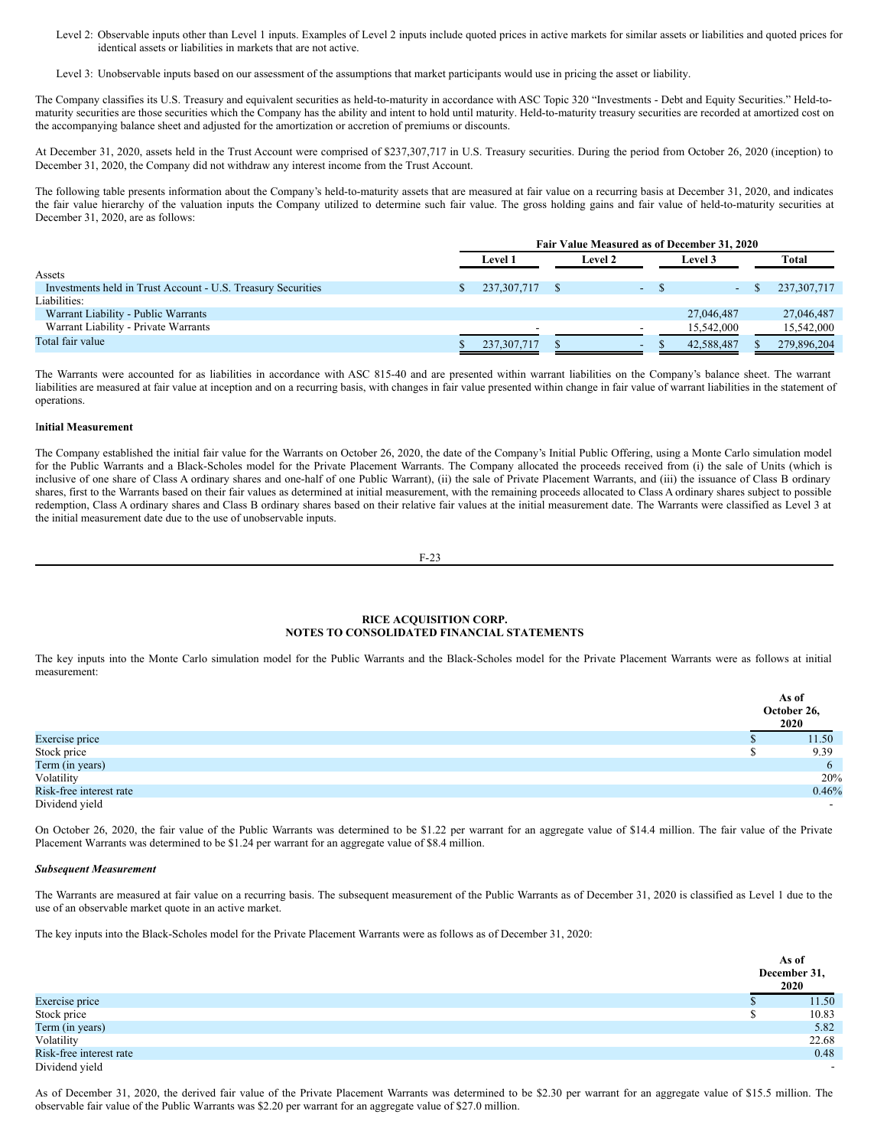Level 2: Observable inputs other than Level 1 inputs. Examples of Level 2 inputs include quoted prices in active markets for similar assets or liabilities and quoted prices for identical assets or liabilities in markets that are not active.

Level 3: Unobservable inputs based on our assessment of the assumptions that market participants would use in pricing the asset or liability.

The Company classifies its U.S. Treasury and equivalent securities as held-to-maturity in accordance with ASC Topic 320 "Investments - Debt and Equity Securities." Held-tomaturity securities are those securities which the Company has the ability and intent to hold until maturity. Held-to-maturity treasury securities are recorded at amortized cost on the accompanying balance sheet and adjusted for the amortization or accretion of premiums or discounts.

At December 31, 2020, assets held in the Trust Account were comprised of \$237,307,717 in U.S. Treasury securities. During the period from October 26, 2020 (inception) to December 31, 2020, the Company did not withdraw any interest income from the Trust Account.

The following table presents information about the Company's held-to-maturity assets that are measured at fair value on a recurring basis at December 31, 2020, and indicates the fair value hierarchy of the valuation inputs the Company utilized to determine such fair value. The gross holding gains and fair value of held-to-maturity securities at December 31, 2020, are as follows:

|                                                              | Fair Value Measured as of December 31, 2020 |               |         |                          |            |  |               |
|--------------------------------------------------------------|---------------------------------------------|---------------|---------|--------------------------|------------|--|---------------|
|                                                              |                                             | Level 1       | Level 2 |                          | Level 3    |  | Total         |
| Assets                                                       |                                             |               |         |                          |            |  |               |
| Investments held in Trust Account - U.S. Treasury Securities |                                             | 237, 307, 717 |         | $\sim$                   | $\sim$     |  | 237, 307, 717 |
| Liabilities:                                                 |                                             |               |         |                          |            |  |               |
| Warrant Liability - Public Warrants                          |                                             |               |         |                          | 27,046,487 |  | 27,046,487    |
| Warrant Liability - Private Warrants                         |                                             |               |         |                          | 15,542,000 |  | 15,542,000    |
| Total fair value                                             |                                             | 237, 307, 717 |         | $\overline{\phantom{0}}$ | 42,588,487 |  | 279,896,204   |

The Warrants were accounted for as liabilities in accordance with ASC 815-40 and are presented within warrant liabilities on the Company's balance sheet. The warrant liabilities are measured at fair value at inception and on a recurring basis, with changes in fair value presented within change in fair value of warrant liabilities in the statement of operations.

## I**nitial Measurement**

The Company established the initial fair value for the Warrants on October 26, 2020, the date of the Company's Initial Public Offering, using a Monte Carlo simulation model for the Public Warrants and a Black-Scholes model for the Private Placement Warrants. The Company allocated the proceeds received from (i) the sale of Units (which is inclusive of one share of Class A ordinary shares and one-half of one Public Warrant), (ii) the sale of Private Placement Warrants, and (iii) the issuance of Class B ordinary shares, first to the Warrants based on their fair values as determined at initial measurement, with the remaining proceeds allocated to Class A ordinary shares subject to possible redemption, Class A ordinary shares and Class B ordinary shares based on their relative fair values at the initial measurement date. The Warrants were classified as Level 3 at the initial measurement date due to the use of unobservable inputs.

## F-23

### **RICE ACQUISITION CORP. NOTES TO CONSOLIDATED FINANCIAL STATEMENTS**

The key inputs into the Monte Carlo simulation model for the Public Warrants and the Black-Scholes model for the Private Placement Warrants were as follows at initial measurement:

|                         | As of<br>October 26,<br>2020 |
|-------------------------|------------------------------|
| Exercise price          | 11.50                        |
| Stock price             | 9.39                         |
| Term (in years)         |                              |
| Volatility              | 20%                          |
| Risk-free interest rate | 0.46%                        |
| Dividend yield          | $\overline{\phantom{a}}$     |

On October 26, 2020, the fair value of the Public Warrants was determined to be \$1.22 per warrant for an aggregate value of \$14.4 million. The fair value of the Private Placement Warrants was determined to be \$1.24 per warrant for an aggregate value of \$8.4 million.

#### *Subsequent Measurement*

The Warrants are measured at fair value on a recurring basis. The subsequent measurement of the Public Warrants as of December 31, 2020 is classified as Level 1 due to the use of an observable market quote in an active market.

The key inputs into the Black-Scholes model for the Private Placement Warrants were as follows as of December 31, 2020:

|                         | As of<br>December 31,<br>2020 |
|-------------------------|-------------------------------|
| Exercise price          | 11.50                         |
| Stock price             | 10.83                         |
| Term (in years)         | 5.82                          |
| Volatility              | 22.68                         |
| Risk-free interest rate | 0.48                          |
| Dividend yield          | $\overline{\phantom{0}}$      |

As of December 31, 2020, the derived fair value of the Private Placement Warrants was determined to be \$2.30 per warrant for an aggregate value of \$15.5 million. The observable fair value of the Public Warrants was \$2.20 per warrant for an aggregate value of \$27.0 million.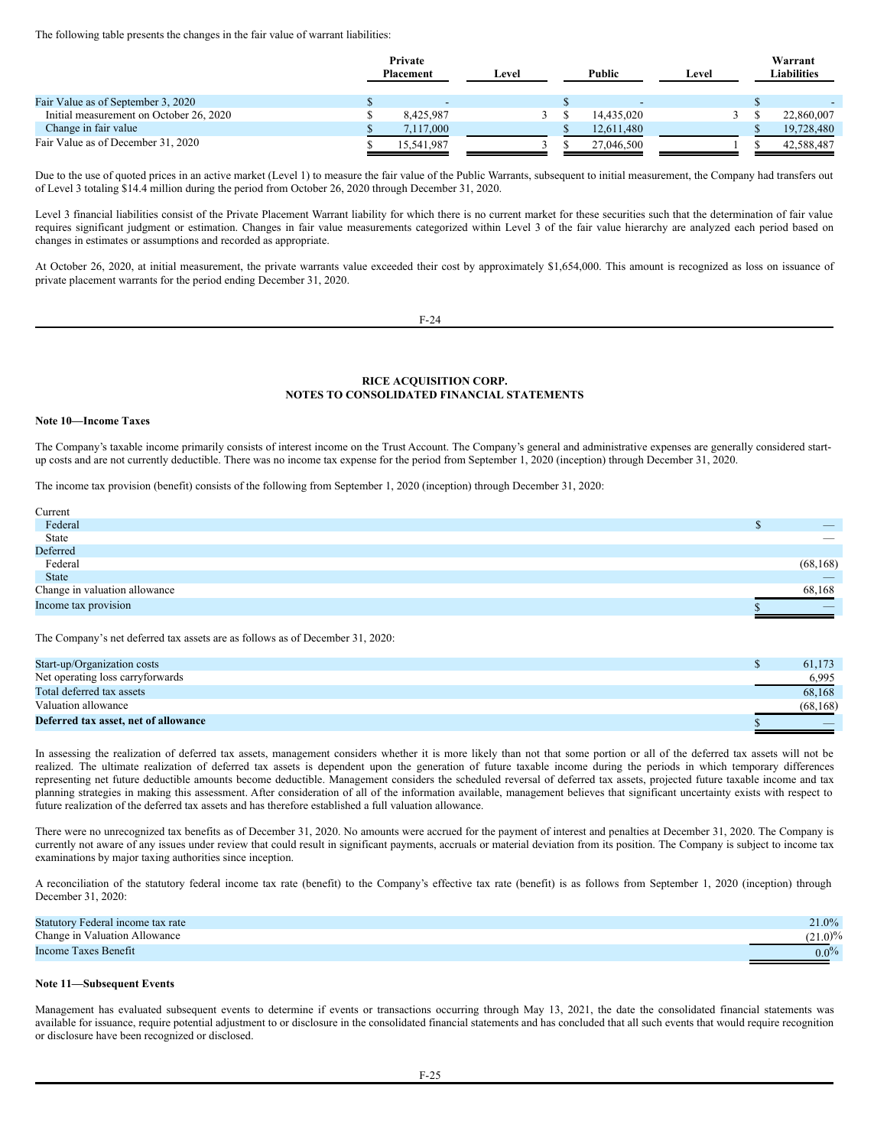The following table presents the changes in the fair value of warrant liabilities:

|                                         | Private<br><b>Placement</b> | Level |  | <b>Public</b>            | Level | Warrant<br>Liabilities |
|-----------------------------------------|-----------------------------|-------|--|--------------------------|-------|------------------------|
| Fair Value as of September 3, 2020      | $\overline{\phantom{0}}$    |       |  | $\overline{\phantom{a}}$ |       |                        |
| Initial measurement on October 26, 2020 | 8.425.987                   |       |  | 14,435,020               |       | 22,860,007             |
| Change in fair value                    | 7,117,000                   |       |  | 12.611.480               |       | 19,728,480             |
| Fair Value as of December 31, 2020      | 15.541.987                  |       |  | 27,046,500               |       | 42,588,487             |

Due to the use of quoted prices in an active market (Level 1) to measure the fair value of the Public Warrants, subsequent to initial measurement, the Company had transfers out of Level 3 totaling \$14.4 million during the period from October 26, 2020 through December 31, 2020.

Level 3 financial liabilities consist of the Private Placement Warrant liability for which there is no current market for these securities such that the determination of fair value requires significant judgment or estimation. Changes in fair value measurements categorized within Level 3 of the fair value hierarchy are analyzed each period based on changes in estimates or assumptions and recorded as appropriate.

At October 26, 2020, at initial measurement, the private warrants value exceeded their cost by approximately \$1,654,000. This amount is recognized as loss on issuance of private placement warrants for the period ending December 31, 2020.

## **RICE ACQUISITION CORP. NOTES TO CONSOLIDATED FINANCIAL STATEMENTS**

## **Note 10—Income Taxes**

The Company's taxable income primarily consists of interest income on the Trust Account. The Company's general and administrative expenses are generally considered startup costs and are not currently deductible. There was no income tax expense for the period from September 1, 2020 (inception) through December 31, 2020.

The income tax provision (benefit) consists of the following from September 1, 2020 (inception) through December 31, 2020:

| Current                       |                                 |
|-------------------------------|---------------------------------|
| Federal                       | $\qquad \qquad - \qquad$        |
| State                         |                                 |
| Deferred                      |                                 |
| Federal                       | (68, 168)                       |
| State                         | $\hspace{0.1mm}-\hspace{0.1mm}$ |
| Change in valuation allowance | 68,168                          |
| Income tax provision          | $\hspace{0.1mm}-\hspace{0.1mm}$ |

The Company's net deferred tax assets are as follows as of December 31, 2020:

| Start-up/Organization costs          | 61.173    |
|--------------------------------------|-----------|
| Net operating loss carryforwards     | 6.995     |
| Total deferred tax assets            | 68,168    |
| Valuation allowance                  | (68, 168) |
| Deferred tax asset, net of allowance |           |

In assessing the realization of deferred tax assets, management considers whether it is more likely than not that some portion or all of the deferred tax assets will not be realized. The ultimate realization of deferred tax assets is dependent upon the generation of future taxable income during the periods in which temporary differences representing net future deductible amounts become deductible. Management considers the scheduled reversal of deferred tax assets, projected future taxable income and tax planning strategies in making this assessment. After consideration of all of the information available, management believes that significant uncertainty exists with respect to future realization of the deferred tax assets and has therefore established a full valuation allowance.

There were no unrecognized tax benefits as of December 31, 2020. No amounts were accrued for the payment of interest and penalties at December 31, 2020. The Company is currently not aware of any issues under review that could result in significant payments, accruals or material deviation from its position. The Company is subject to income tax examinations by major taxing authorities since inception.

A reconciliation of the statutory federal income tax rate (benefit) to the Company's effective tax rate (benefit) is as follows from September 1, 2020 (inception) through December 31, 2020:

| Statutory Federal income tax rate | 21.0%      |
|-----------------------------------|------------|
| Change in Valuation Allowance     | $(21.0)\%$ |
| Income Taxes Benefit              | $0.0\%$    |

### **Note 11—Subsequent Events**

Management has evaluated subsequent events to determine if events or transactions occurring through May 13, 2021, the date the consolidated financial statements was available for issuance, require potential adjustment to or disclosure in the consolidated financial statements and has concluded that all such events that would require recognition or disclosure have been recognized or disclosed.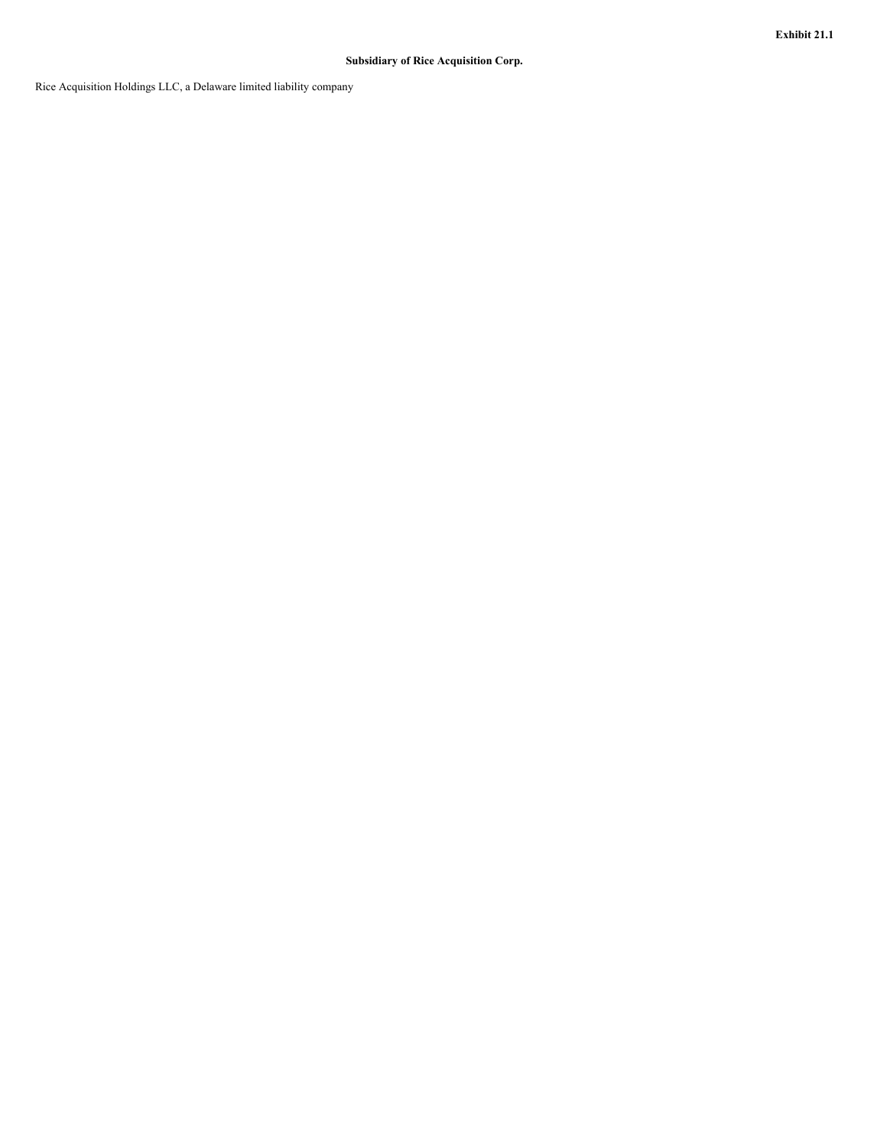<span id="page-63-0"></span>Rice Acquisition Holdings LLC, a Delaware limited liability company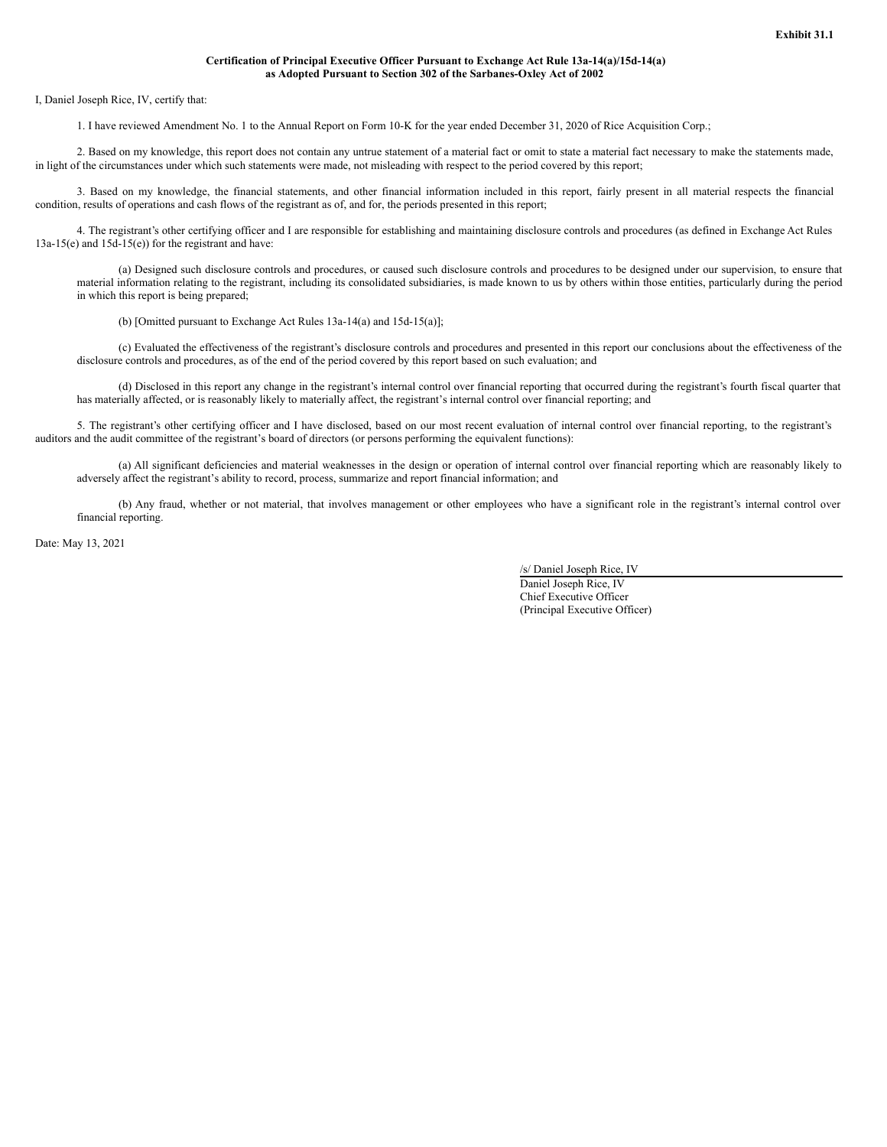## **Certification of Principal Executive Officer Pursuant to Exchange Act Rule 13a-14(a)/15d-14(a) as Adopted Pursuant to Section 302 of the Sarbanes-Oxley Act of 2002**

<span id="page-64-0"></span>I, Daniel Joseph Rice, IV, certify that:

1. I have reviewed Amendment No. 1 to the Annual Report on Form 10-K for the year ended December 31, 2020 of Rice Acquisition Corp.;

2. Based on my knowledge, this report does not contain any untrue statement of a material fact or omit to state a material fact necessary to make the statements made, in light of the circumstances under which such statements were made, not misleading with respect to the period covered by this report;

3. Based on my knowledge, the financial statements, and other financial information included in this report, fairly present in all material respects the financial condition, results of operations and cash flows of the registrant as of, and for, the periods presented in this report;

4. The registrant's other certifying officer and I are responsible for establishing and maintaining disclosure controls and procedures (as defined in Exchange Act Rules 13a-15(e) and 15d-15(e)) for the registrant and have:

(a) Designed such disclosure controls and procedures, or caused such disclosure controls and procedures to be designed under our supervision, to ensure that material information relating to the registrant, including its consolidated subsidiaries, is made known to us by others within those entities, particularly during the period in which this report is being prepared;

(b) [Omitted pursuant to Exchange Act Rules 13a-14(a) and 15d-15(a)];

(c) Evaluated the effectiveness of the registrant's disclosure controls and procedures and presented in this report our conclusions about the effectiveness of the disclosure controls and procedures, as of the end of the period covered by this report based on such evaluation; and

(d) Disclosed in this report any change in the registrant's internal control over financial reporting that occurred during the registrant's fourth fiscal quarter that has materially affected, or is reasonably likely to materially affect, the registrant's internal control over financial reporting; and

5. The registrant's other certifying officer and I have disclosed, based on our most recent evaluation of internal control over financial reporting, to the registrant's auditors and the audit committee of the registrant's board of directors (or persons performing the equivalent functions):

(a) All significant deficiencies and material weaknesses in the design or operation of internal control over financial reporting which are reasonably likely to adversely affect the registrant's ability to record, process, summarize and report financial information; and

(b) Any fraud, whether or not material, that involves management or other employees who have a significant role in the registrant's internal control over financial reporting.

Date: May 13, 2021

/s/ Daniel Joseph Rice, IV Daniel Joseph Rice, IV Chief Executive Officer (Principal Executive Officer)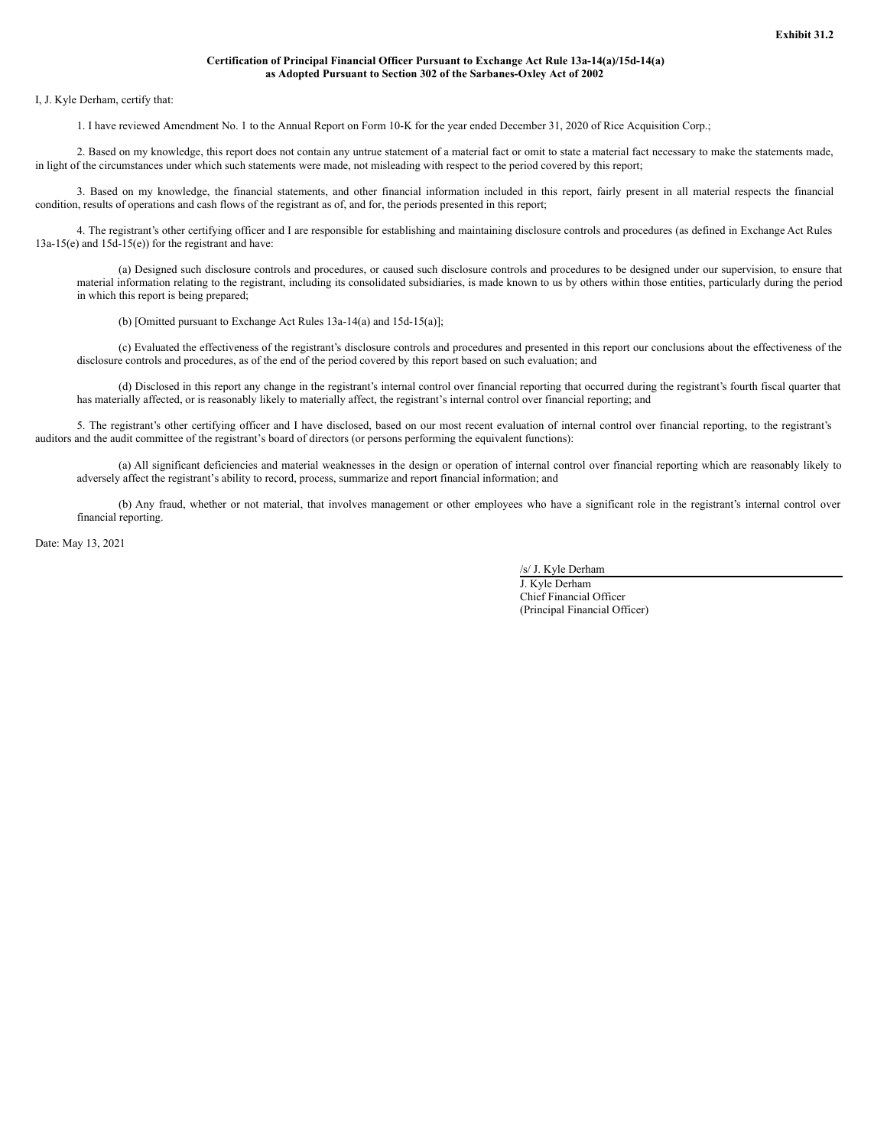## **Certification of Principal Financial Officer Pursuant to Exchange Act Rule 13a-14(a)/15d-14(a) as Adopted Pursuant to Section 302 of the Sarbanes-Oxley Act of 2002**

<span id="page-65-0"></span>I, J. Kyle Derham, certify that:

1. I have reviewed Amendment No. 1 to the Annual Report on Form 10-K for the year ended December 31, 2020 of Rice Acquisition Corp.;

2. Based on my knowledge, this report does not contain any untrue statement of a material fact or omit to state a material fact necessary to make the statements made, in light of the circumstances under which such statements were made, not misleading with respect to the period covered by this report;

3. Based on my knowledge, the financial statements, and other financial information included in this report, fairly present in all material respects the financial condition, results of operations and cash flows of the registrant as of, and for, the periods presented in this report;

4. The registrant's other certifying officer and I are responsible for establishing and maintaining disclosure controls and procedures (as defined in Exchange Act Rules 13a-15(e) and 15d-15(e)) for the registrant and have:

(a) Designed such disclosure controls and procedures, or caused such disclosure controls and procedures to be designed under our supervision, to ensure that material information relating to the registrant, including its consolidated subsidiaries, is made known to us by others within those entities, particularly during the period in which this report is being prepared;

(b) [Omitted pursuant to Exchange Act Rules 13a-14(a) and 15d-15(a)];

(c) Evaluated the effectiveness of the registrant's disclosure controls and procedures and presented in this report our conclusions about the effectiveness of the disclosure controls and procedures, as of the end of the period covered by this report based on such evaluation; and

(d) Disclosed in this report any change in the registrant's internal control over financial reporting that occurred during the registrant's fourth fiscal quarter that has materially affected, or is reasonably likely to materially affect, the registrant's internal control over financial reporting; and

5. The registrant's other certifying officer and I have disclosed, based on our most recent evaluation of internal control over financial reporting, to the registrant's auditors and the audit committee of the registrant's board of directors (or persons performing the equivalent functions):

(a) All significant deficiencies and material weaknesses in the design or operation of internal control over financial reporting which are reasonably likely to adversely affect the registrant's ability to record, process, summarize and report financial information; and

(b) Any fraud, whether or not material, that involves management or other employees who have a significant role in the registrant's internal control over financial reporting.

Date: May 13, 2021

/s/ J. Kyle Derham

J. Kyle Derham Chief Financial Officer (Principal Financial Officer)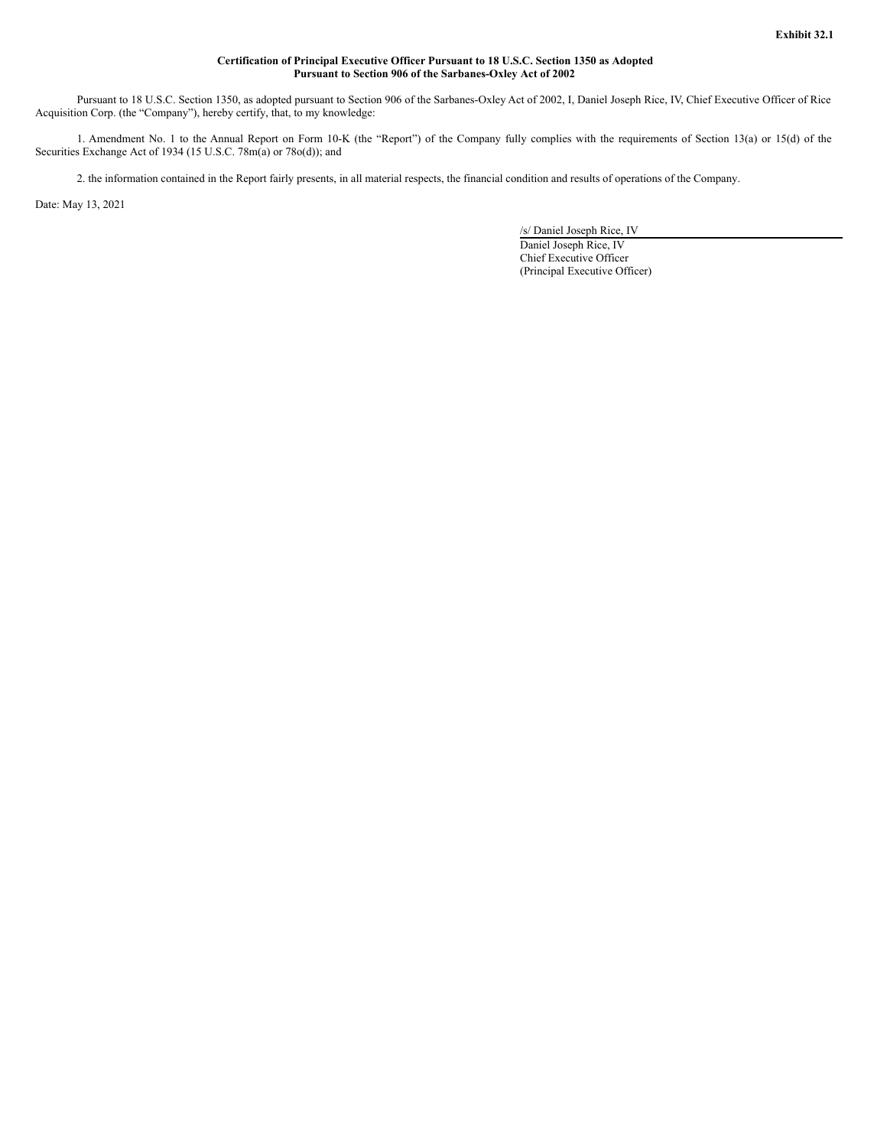## **Certification of Principal Executive Officer Pursuant to 18 U.S.C. Section 1350 as Adopted Pursuant to Section 906 of the Sarbanes-Oxley Act of 2002**

<span id="page-66-0"></span>Pursuant to 18 U.S.C. Section 1350, as adopted pursuant to Section 906 of the Sarbanes-Oxley Act of 2002, I, Daniel Joseph Rice, IV, Chief Executive Officer of Rice Acquisition Corp. (the "Company"), hereby certify, that, to my knowledge:

1. Amendment No. 1 to the Annual Report on Form 10-K (the "Report") of the Company fully complies with the requirements of Section 13(a) or 15(d) of the Securities Exchange Act of 1934 (15 U.S.C. 78m(a) or 78o(d)); and

2. the information contained in the Report fairly presents, in all material respects, the financial condition and results of operations of the Company.

Date: May 13, 2021

/s/ Daniel Joseph Rice, IV Daniel Joseph Rice, IV Chief Executive Officer (Principal Executive Officer)